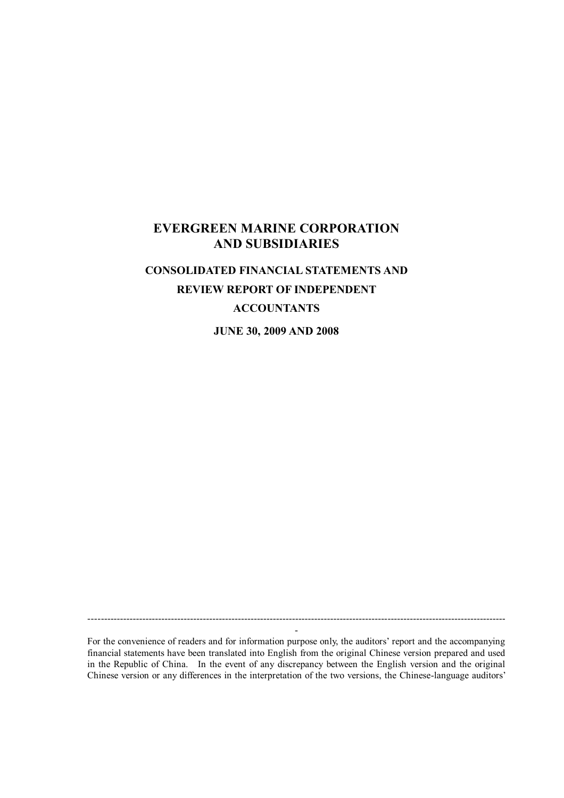# **EVERGREEN MARINE CORPORATION AND SUBSIDIARIES**

# **CONSOLIDATED FINANCIAL STATEMENTS AND REVIEW REPORT OF INDEPENDENT ACCOUNTANTS**

**JUNE 30, 2009 AND 2008**

For the convenience of readers and for information purpose only, the auditors'report and the accompanying financial statements have been translated into English from the original Chinese version prepared and used in the Republic of China. In the event of any discrepancy between the English version and the original Chinese version or any differences in the interpretation of the two versions, the Chinese-language auditors'

----------------------------------------------------------------------------------------------------------------------------------- -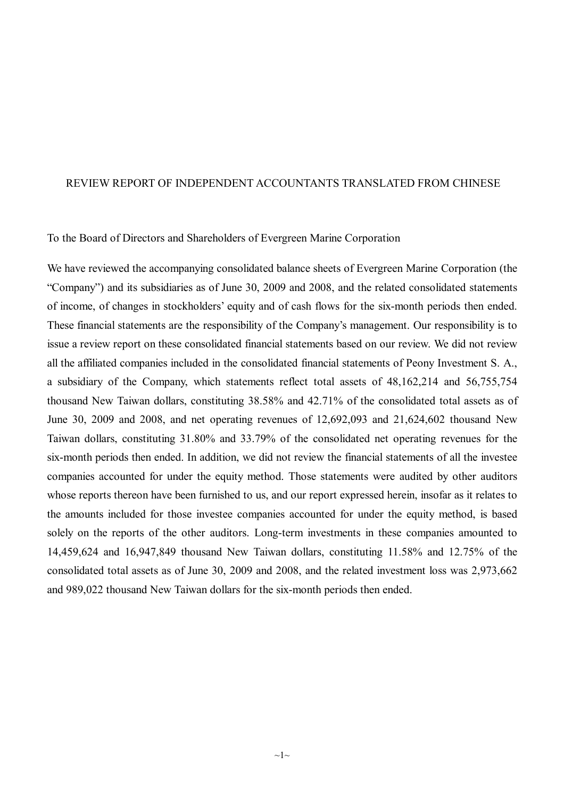#### REVIEW REPORT OF INDEPENDENT ACCOUNTANTS TRANSLATED FROM CHINESE

#### To the Board of Directors and Shareholders of Evergreen Marine Corporation

We have reviewed the accompanying consolidated balance sheets of Evergreen Marine Corporation (the "Company") and its subsidiaries as of June 30, 2009 and 2008, and the related consolidated statements of income, of changes in stockholders'equity and of cash flows for the six-month periods then ended. These financial statements are the responsibility of the Company's management. Our responsibility is to issue a review report on these consolidated financial statements based on our review. We did not review all the affiliated companies included in the consolidated financial statements of Peony Investment S. A., a subsidiary of the Company, which statements reflect total assets of 48,162,214 and 56,755,754 thousand New Taiwan dollars, constituting 38.58% and 42.71% of the consolidated total assets as of June 30, 2009 and 2008, and net operating revenues of 12,692,093 and 21,624,602 thousand New Taiwan dollars, constituting 31.80% and 33.79% of the consolidated net operating revenues for the six-month periods then ended. In addition, we did not review the financial statements of all the investee companies accounted for under the equity method. Those statements were audited by other auditors whose reports thereon have been furnished to us, and our report expressed herein, insofar as it relates to the amounts included for those investee companies accounted for under the equity method, is based solely on the reports of the other auditors. Long-term investments in these companies amounted to 14,459,624 and 16,947,849 thousand New Taiwan dollars, constituting 11.58% and 12.75% of the consolidated total assets as of June 30, 2009 and 2008, and the related investment loss was 2,973,662 and 989,022 thousand New Taiwan dollars for the six-month periods then ended.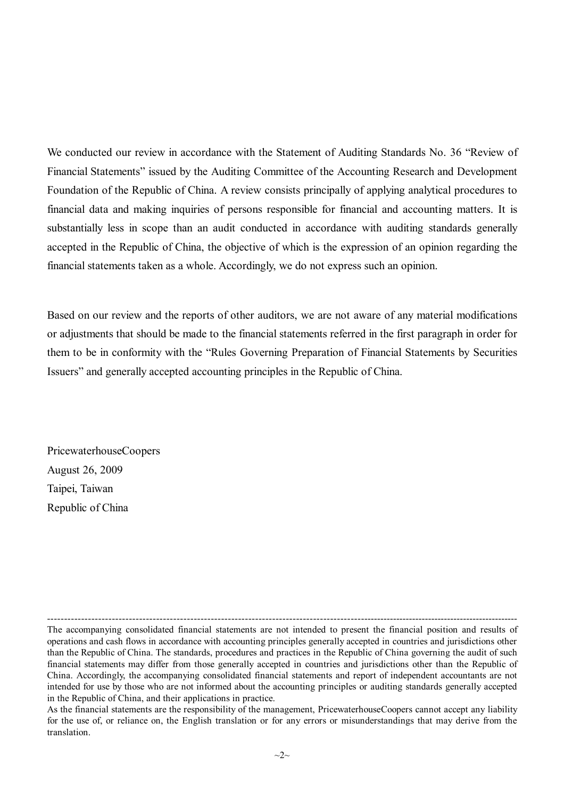We conducted our review in accordance with the Statement of Auditing Standards No. 36 "Review of Financial Statements" issued by the Auditing Committee of the Accounting Research and Development Foundation of the Republic of China. A review consists principally of applying analytical procedures to financial data and making inquiries of persons responsible for financial and accounting matters. It is substantially less in scope than an audit conducted in accordance with auditing standards generally accepted in the Republic of China, the objective of which is the expression of an opinion regarding the financial statements taken as a whole. Accordingly, we do not express such an opinion.

Based on our review and the reports of other auditors, we are not aware of any material modifications or adjustments that should be made to the financial statements referred in the first paragraph in order for them to be in conformity with the "Rules Governing Preparation of Financial Statements by Securities Issuers" and generally accepted accounting principles in the Republic of China.

PricewaterhouseCoopers August 26, 2009 Taipei, Taiwan Republic of China

---------------------------------------------------------------------------------------------------------------------------------------------

The accompanying consolidated financial statements are not intended to present the financial position and results of operations and cash flows in accordance with accounting principles generally accepted in countries and jurisdictions other than the Republic of China. The standards, procedures and practices in the Republic of China governing the audit of such financial statements may differ from those generally accepted in countries and jurisdictions other than the Republic of China. Accordingly, the accompanying consolidated financial statements and report of independent accountants are not intended for use by those who are not informed about the accounting principles or auditing standards generally accepted in the Republic of China, and their applications in practice.

As the financial statements are the responsibility of the management, PricewaterhouseCoopers cannot accept any liability for the use of, or reliance on, the English translation or for any errors or misunderstandings that may derive from the translation.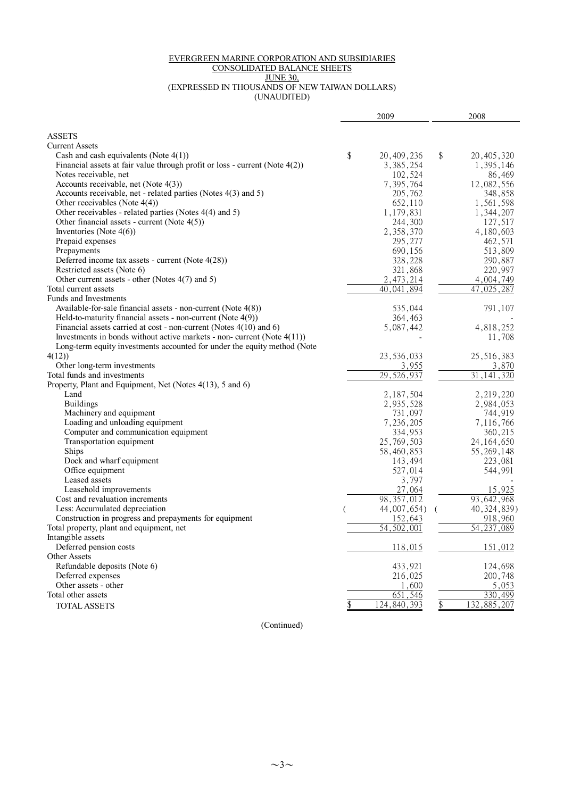#### EVERGREEN MARINE CORPORATION AND SUBSIDIARIES

#### CONSOLIDATED BALANCE SHEETS

JUNE 30,

(EXPRESSED IN THOUSANDS OF NEW TAIWAN DOLLARS) (UNAUDITED)

|                                                                                | 2009                   | 2008                          |  |
|--------------------------------------------------------------------------------|------------------------|-------------------------------|--|
| <b>ASSETS</b>                                                                  |                        |                               |  |
| <b>Current Assets</b>                                                          |                        |                               |  |
| Cash and cash equivalents (Note $4(1)$ )                                       | \$<br>20, 409, 236     | \$<br>20, 405, 320            |  |
| Financial assets at fair value through profit or loss - current (Note $4(2)$ ) | 3, 385, 254            | 1,395,146                     |  |
| Notes receivable, net                                                          | 102,524                | 86,469                        |  |
| Accounts receivable, net (Note 4(3))                                           | 7,395,764              | 12,082,556                    |  |
| Accounts receivable, net - related parties (Notes 4(3) and 5)                  | 205,762                | 348,858                       |  |
| Other receivables (Note 4(4))                                                  | 652,110                | 1,561,598                     |  |
| Other receivables - related parties (Notes 4(4) and 5)                         | 1,179,831              | 1,344,207                     |  |
| Other financial assets - current (Note $4(5)$ )                                | 244,300                | 127,517                       |  |
| Inventories (Note $4(6)$ )                                                     | 2,358,370              | 4,180,603                     |  |
| Prepaid expenses                                                               | 295,277                | 462,571                       |  |
| Prepayments                                                                    | 690,156                | 513,809                       |  |
| Deferred income tax assets - current (Note 4(28))                              | 328,228                | 290,887                       |  |
| Restricted assets (Note 6)                                                     | 321,868                | 220,997                       |  |
| Other current assets - other (Notes 4(7) and 5)                                | 2, 473, 214            | 4,004,749                     |  |
| Total current assets                                                           | 40,041,894             | 47,025,287                    |  |
| Funds and Investments                                                          |                        |                               |  |
| Available-for-sale financial assets - non-current (Note 4(8))                  | 535,044                | 791,107                       |  |
| Held-to-maturity financial assets - non-current (Note 4(9))                    | 364,463                |                               |  |
| Financial assets carried at cost - non-current (Notes $4(10)$ and 6)           | 5,087,442              | 4,818,252                     |  |
| Investments in bonds without active markets - non- current (Note $4(11)$ )     |                        | 11,708                        |  |
| Long-term equity investments accounted for under the equity method (Note       |                        |                               |  |
| 4(12)                                                                          | 23,536,033             | 25,516,383                    |  |
| Other long-term investments                                                    | 3,955                  | 3,870                         |  |
| Total funds and investments                                                    | 29,526,937             | 31<br>41<br>320               |  |
| Property, Plant and Equipment, Net (Notes 4(13), 5 and 6)                      |                        |                               |  |
| Land                                                                           | 2,187,504              | 2,219,220                     |  |
| <b>Buildings</b>                                                               | 2,935,528              | 2,984,053                     |  |
| Machinery and equipment                                                        | 731,097                | 744,919                       |  |
| Loading and unloading equipment                                                | 7,236,205              | 7,116,766                     |  |
| Computer and communication equipment                                           | 334,953                | 360,215                       |  |
| Transportation equipment                                                       | 25,769,503             | 24, 164, 650                  |  |
| <b>Ships</b>                                                                   | 58,460,853             | 55, 269, 148                  |  |
| Dock and wharf equipment                                                       | 143,494                | 223,081                       |  |
| Office equipment<br>Leased assets                                              | 527,014                | 544,991                       |  |
|                                                                                | 3,797                  | 15,925                        |  |
| Leasehold improvements<br>Cost and revaluation increments                      | 27,064<br>98, 357, 012 |                               |  |
| Less: Accumulated depreciation                                                 | 44,007,654)            | 93, 642, 968<br>40, 324, 839) |  |
| Construction in progress and prepayments for equipment                         | 152,643                | 918,960                       |  |
| Total property, plant and equipment, net                                       | 54,502,001             | 54, 237, 089                  |  |
| Intangible assets                                                              |                        |                               |  |
| Deferred pension costs                                                         | 118,015                | 151,012                       |  |
| Other Assets                                                                   |                        |                               |  |
| Refundable deposits (Note 6)                                                   | 433,921                | 124,698                       |  |
| Deferred expenses                                                              | 216,025                | 200,748                       |  |
| Other assets - other                                                           | 1,600                  | 5,053                         |  |
| Total other assets                                                             | 651,546                | 330,499                       |  |
| <b>TOTAL ASSETS</b>                                                            | 124,840,393            | 132,885,207                   |  |
|                                                                                |                        |                               |  |

(Continued)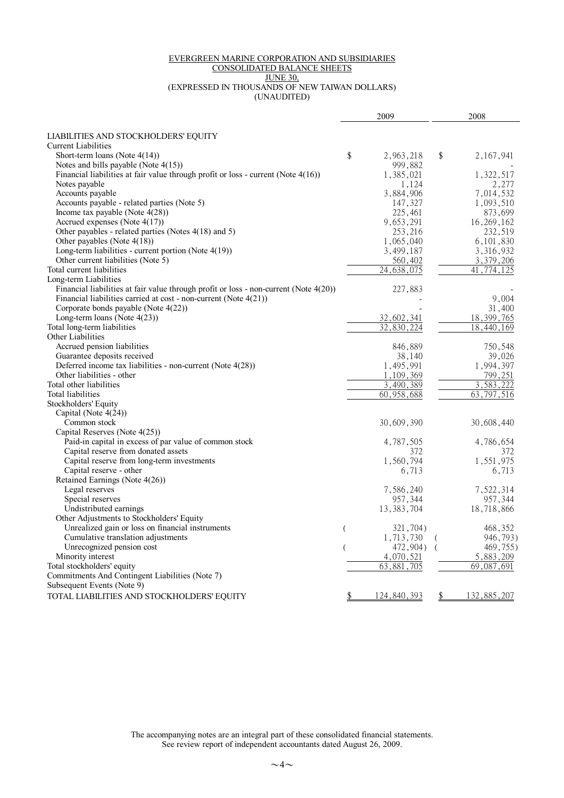#### EVERGREEN MARINE CORPORATION AND SUBSIDIARIES

#### CONSOLIDATED BALANCE SHEETS

JUNE 30,

(EXPRESSED IN THOUSANDS OF NEW TAIWAN DOLLARS) (UNAUDITED)

|                                                                                          |    | 2009         | 2008              |
|------------------------------------------------------------------------------------------|----|--------------|-------------------|
| LIABILITIES AND STOCKHOLDERS' EQUITY                                                     |    |              |                   |
| <b>Current Liabilities</b>                                                               |    |              |                   |
| Short-term loans (Note $4(14)$ )                                                         | \$ | 2,963,218    | \$<br>2,167,941   |
| Notes and bills payable (Note $4(15)$ )                                                  |    | 999,882      |                   |
| Financial liabilities at fair value through profit or loss - current (Note 4(16))        |    | 1,385,021    | 1,322,517         |
| Notes payable                                                                            |    | 1,124        | 2,277             |
| Accounts payable                                                                         |    | 3,884,906    | 7,014,532         |
| Accounts payable - related parties (Note 5)                                              |    | 147,327      | 1,093,510         |
| Income tax payable (Note $4(28)$ )                                                       |    | 225,461      | 873,699           |
| Accrued expenses (Note $4(17)$ )                                                         |    | 9,653,291    | 16, 269, 162      |
| Other payables - related parties (Notes 4(18) and 5)                                     |    | 253,216      | 232,519           |
| Other payables (Note $4(18)$ )                                                           |    | 1,065,040    | 6, 101, 830       |
| Long-term liabilities - current portion (Note 4(19))                                     |    | 3,499,187    | 3,316,932         |
| Other current liabilities (Note 5)                                                       |    | 560,402      | 3,379,206         |
| Total current liabilities                                                                |    | 24,638,075   | 41<br>.774.125    |
| Long-term Liabilities                                                                    |    |              |                   |
| Financial liabilities at fair value through profit or loss - non-current (Note $4(20)$ ) |    | 227,883      |                   |
| Financial liabilities carried at cost - non-current (Note 4(21))                         |    |              | 9,004             |
| Corporate bonds payable (Note 4(22))                                                     |    |              | 31,400            |
| Long-term loans (Note $4(23)$ )                                                          |    | 32,602,341   | 18, 399, 765      |
| Total long-term liabilities                                                              |    | 32,830,224   | 18,440,169        |
| Other Liabilities                                                                        |    |              |                   |
| Accrued pension liabilities                                                              |    | 846,889      | 750,548           |
| Guarantee deposits received                                                              |    | 38,140       | 39,026            |
| Deferred income tax liabilities - non-current (Note 4(28))                               |    | 1,495,991    | 1,994,397         |
| Other liabilities - other                                                                |    | 1,109,369    | 799,251           |
| Total other liabilities                                                                  |    | 3.490.389    | 3.583.222         |
| Total liabilities                                                                        |    | 60,958,688   | 63,797,516        |
| Stockholders' Equity                                                                     |    |              |                   |
| Capital (Note 4(24))                                                                     |    |              |                   |
| Common stock                                                                             |    | 30,609,390   | 30,608,440        |
| Capital Reserves (Note 4(25))                                                            |    |              |                   |
| Paid-in capital in excess of par value of common stock                                   |    | 4,787,505    | 4,786,654         |
| Capital reserve from donated assets                                                      |    | 372          | 372               |
| Capital reserve from long-term investments                                               |    | 1,560,794    | 1,551,975         |
| Capital reserve - other                                                                  |    | 6,713        | 6,713             |
| Retained Earnings (Note 4(26))                                                           |    |              |                   |
| Legal reserves                                                                           |    | 7,586,240    | 7,522,314         |
| Special reserves                                                                         |    | 957,344      | 957,344           |
| Undistributed earnings                                                                   |    | 13, 383, 704 | 18,718,866        |
| Other Adjustments to Stockholders' Equity                                                |    |              |                   |
| Unrealized gain or loss on financial instruments                                         | (  | 321,704)     | 468,352           |
| Cumulative translation adjustments                                                       |    | 1,713,730    | 946,793)          |
| Unrecognized pension cost                                                                |    | 472,904)     | 469,755)          |
| Minority interest                                                                        |    | 4,070,521    | 5,883,209         |
| Total stockholders' equity                                                               |    | 63,881,705   | 69,087,691        |
| Commitments And Contingent Liabilities (Note 7)                                          |    |              |                   |
| Subsequent Events (Note 9)                                                               |    |              |                   |
| TOTAL LIABILITIES AND STOCKHOLDERS' EQUITY                                               | \$ | 124,840,393  | \$<br>132,885,207 |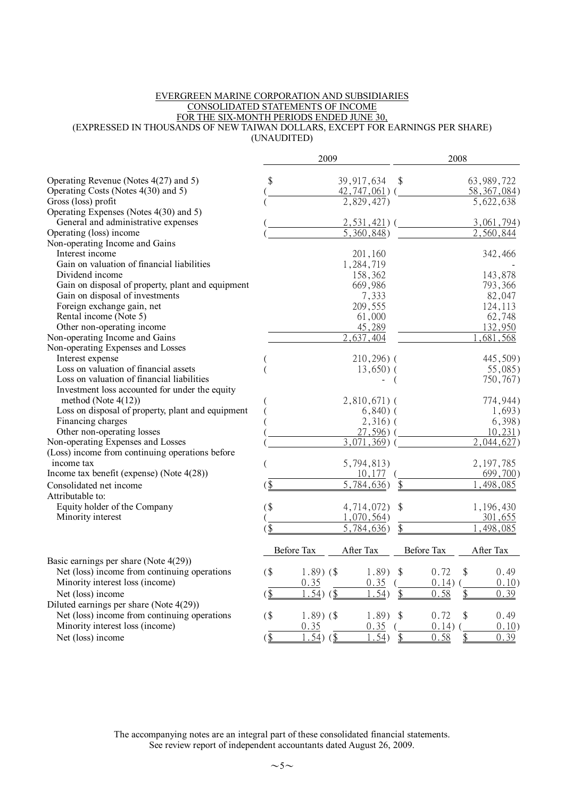#### EVERGREEN MARINE CORPORATION AND SUBSIDIARIES CONSOLIDATED STATEMENTS OF INCOME FOR THE SIX-MONTH PERIODS ENDED JUNE 30, (EXPRESSED IN THOUSANDS OF NEW TAIWAN DOLLARS, EXCEPT FOR EARNINGS PER SHARE) (UNAUDITED)

|                                                                                     |               | 2009                    |                          |                         | 2008       |                     |  |  |
|-------------------------------------------------------------------------------------|---------------|-------------------------|--------------------------|-------------------------|------------|---------------------|--|--|
| Operating Revenue (Notes 4(27) and 5)                                               | \$            |                         | 39, 917, 634             | \$                      |            | 63,989,722          |  |  |
| Operating Costs (Notes 4(30) and 5)                                                 |               |                         | $42,747,061$ (           |                         |            | 58, 367, 084)       |  |  |
| Gross (loss) profit                                                                 |               |                         | 2,829,427                |                         |            | 5,622,638           |  |  |
| Operating Expenses (Notes 4(30) and 5)                                              |               |                         |                          |                         |            |                     |  |  |
| General and administrative expenses                                                 |               |                         | 2, 531, 421              |                         |            | 3,061,794)          |  |  |
| Operating (loss) income                                                             |               |                         | 5,360,848)               |                         |            | 2,560,844           |  |  |
| Non-operating Income and Gains                                                      |               |                         |                          |                         |            |                     |  |  |
| Interest income                                                                     |               |                         | 201,160                  |                         |            | 342,466             |  |  |
| Gain on valuation of financial liabilities                                          |               |                         | 1,284,719                |                         |            |                     |  |  |
| Dividend income                                                                     |               |                         | 158,362                  |                         |            | 143,878             |  |  |
| Gain on disposal of property, plant and equipment                                   |               |                         | 669,986                  |                         |            | 793,366             |  |  |
| Gain on disposal of investments                                                     |               |                         | 7,333                    |                         |            | 82,047              |  |  |
| Foreign exchange gain, net                                                          |               |                         | 209,555                  |                         |            | 124,113             |  |  |
| Rental income (Note 5)                                                              |               |                         | 61,000                   |                         |            | 62,748              |  |  |
| Other non-operating income                                                          |               |                         | 45,289                   |                         |            | 132,950             |  |  |
| Non-operating Income and Gains                                                      |               |                         | 2,637,404                |                         |            | 681,568             |  |  |
| Non-operating Expenses and Losses                                                   |               |                         |                          |                         |            |                     |  |  |
| Interest expense                                                                    |               |                         | $210,296$ ) (            |                         |            | 445,509)            |  |  |
| Loss on valuation of financial assets<br>Loss on valuation of financial liabilities |               |                         | $13,650$ ) (             |                         |            | $55,085$ )          |  |  |
| Investment loss accounted for under the equity                                      |               |                         |                          | $\overline{ }$          |            | 750,767)            |  |  |
| method (Note $4(12)$ )                                                              |               |                         |                          |                         |            | 774,944)            |  |  |
| Loss on disposal of property, plant and equipment                                   |               |                         | $2,810,671$ (            |                         |            |                     |  |  |
| Financing charges                                                                   |               |                         | $6,840)$ (<br>$2,316)$ ( |                         |            | 1,693)<br>$6,398$ ) |  |  |
| Other non-operating losses                                                          |               |                         | $27,596$ ) (             |                         |            | 10,231)             |  |  |
| Non-operating Expenses and Losses                                                   |               |                         | $3,071,369$ (            |                         |            | 044,627             |  |  |
| (Loss) income from continuing operations before                                     |               |                         |                          |                         |            |                     |  |  |
| income tax                                                                          |               |                         | 5,794,813)               |                         |            | 2, 197, 785         |  |  |
| Income tax benefit (expense) (Note 4(28))                                           |               |                         | 10,177                   |                         |            | 699,700)            |  |  |
| Consolidated net income                                                             | $\frac{1}{2}$ |                         | 5,784,636                | \$                      |            | 498,085             |  |  |
| Attributable to:                                                                    |               |                         |                          |                         |            |                     |  |  |
| Equity holder of the Company                                                        | $($ \$        |                         | 4,714,072)               | $\sqrt[6]{\frac{1}{2}}$ |            | 1,196,430           |  |  |
| Minority interest                                                                   |               |                         | 1,070,564)               |                         |            | 301,655             |  |  |
|                                                                                     | $($ \$        |                         | 5,784,636)               | \$                      |            | , 498, 085          |  |  |
|                                                                                     |               | Before Tax              | After Tax                |                         | Before Tax | After Tax           |  |  |
| Basic earnings per share (Note $4(29)$ )                                            |               |                         |                          |                         |            |                     |  |  |
| Net (loss) income from continuing operations                                        | $($ \$        | $1.89$ ) (\$            | $1.89$ )                 | $\mathcal{S}$           | 0.72<br>\$ | 0.49                |  |  |
| Minority interest loss (income)                                                     |               | 0.35                    | 0.35                     |                         | $0.14)$ (  | 0.10)               |  |  |
| Net (loss) income                                                                   | $\frac{1}{2}$ | $1.54)$ (\$             | 1.54)                    | \$                      | \$<br>0.58 | 0.39                |  |  |
| Diluted earnings per share (Note 4(29))                                             |               |                         |                          |                         |            |                     |  |  |
| Net (loss) income from continuing operations                                        | (             | $1.89$ ) (\$            | 1.89)                    | \$                      | \$<br>0.72 | 0.49                |  |  |
| Minority interest loss (income)                                                     |               | 0.35                    | 0.35                     |                         | 0.14)      | 0.10)               |  |  |
| Net (loss) income                                                                   | $($ \$        | $\overline{1.54}$ ) (\$ | 1.54)                    | \$                      | 0.58<br>\$ | 0.39                |  |  |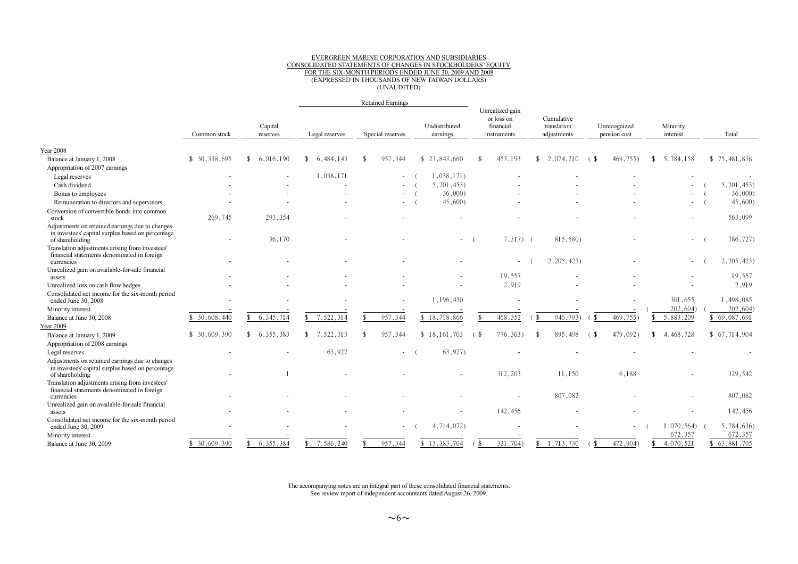## EVERGREEN MARINE CORPORATION AND SUBSIDIARIES CONSOLIDATED STATEMENTS OF CHANGES IN STOCKHOLDERS'EQUITY FOR THE SIX-MONTH PERIODS ENDED JUNE 30, 2009 AND 2008 (EXPRESSED IN THOUSANDS OF NEW TAIWAN DOLLARS) (UNAUDITED)

|                                                                                                                         |               |                     |                                 | <b>Retained Earnings</b> |                           |                                                             |                                          |                                                             |                            |              |
|-------------------------------------------------------------------------------------------------------------------------|---------------|---------------------|---------------------------------|--------------------------|---------------------------|-------------------------------------------------------------|------------------------------------------|-------------------------------------------------------------|----------------------------|--------------|
|                                                                                                                         | Common stock  | Capital<br>reserves | Legal reserves                  | Special reserves         | Undistributed<br>earnings | Unrealized gain<br>or loss on<br>financial<br>instruments   | Cumulative<br>translation<br>adjustments | Unrecognized<br>pension cost                                | Minority<br>interest       | Total        |
| <b>Year 2008</b>                                                                                                        |               |                     |                                 |                          |                           |                                                             |                                          |                                                             |                            |              |
| Balance at January 1, 2008                                                                                              | \$ 30,338,695 | 6,016,190           | 6.484.143<br>$\mathbf{\hat{x}}$ | 957,344                  | \$23,843,660              | 453,193                                                     | $\mathbb{S}$<br>2,074,210                | 469,755)<br>(\$                                             | 5,784,158<br>$\mathbf{\$}$ | \$75,481,838 |
| Appropriation of 2007 earnings                                                                                          |               |                     |                                 |                          |                           |                                                             |                                          |                                                             |                            |              |
| Legal reserves                                                                                                          |               |                     | 1,038,171                       |                          | 1,038,171)                |                                                             |                                          |                                                             |                            |              |
| Cash dividend                                                                                                           |               |                     |                                 |                          | 5,201,453                 |                                                             |                                          |                                                             |                            | 5, 201, 453  |
| Bonus to employees                                                                                                      |               |                     |                                 |                          | 36,000                    |                                                             |                                          |                                                             |                            | 36,000       |
| Remuneration to directors and supervisors                                                                               |               |                     |                                 |                          | 45,600                    |                                                             |                                          |                                                             | $\sim$                     | 45,600)      |
| Conversion of convertible bonds into common                                                                             |               |                     |                                 |                          |                           |                                                             |                                          |                                                             |                            |              |
| stock                                                                                                                   | 269,745       | 293,354             |                                 |                          |                           |                                                             |                                          |                                                             |                            | 563,099      |
| Adjustments on retained earnings due to changes<br>in investees' capital surplus based on percentage<br>of shareholding |               | 36,170              |                                 |                          |                           | $7,317$ (                                                   | 815,580)                                 |                                                             | $\sim$                     | 786,727)     |
| Translation adjustments arising from investees'<br>financial statements denominated in foreign<br>currencies            |               |                     |                                 |                          |                           |                                                             | 2,205,423                                |                                                             |                            | 2, 205, 423) |
| Unrealized gain on available-for-sale financial                                                                         |               |                     |                                 |                          |                           |                                                             |                                          |                                                             |                            |              |
| assets                                                                                                                  |               |                     |                                 |                          |                           | 19,557                                                      |                                          |                                                             |                            | 19,557       |
| Unrealized loss on cash flow hedges                                                                                     |               |                     |                                 |                          |                           | 2.919                                                       |                                          |                                                             |                            | 2,919        |
| Consolidated net income for the six-month period<br>ended June 30, 2008                                                 |               |                     |                                 |                          | 1,196,430                 |                                                             |                                          |                                                             | 301,655                    | 1,498,085    |
| Minority interest                                                                                                       |               |                     |                                 |                          |                           |                                                             |                                          |                                                             | 202,604)                   | 202,604      |
| Balance at June 30, 2008                                                                                                | \$30,608,440  | 6, 345, 714         | 7,522,314                       | 957,344                  | \$18,718,866              | 468,352                                                     | 946,793)                                 | 469,755)                                                    | 5,883,209                  | \$69,087,691 |
| <b>Year 2009</b>                                                                                                        |               |                     |                                 |                          |                           |                                                             |                                          |                                                             |                            |              |
| Balance at January 1, 2009                                                                                              | \$30,609,390  | 6, 355, 383         | 7,522,313                       | 957,344                  | \$18.161.703              | 776,363)<br>6. \$                                           | 895,498<br>-8                            | 479,092)<br>G S                                             | 4,468,728                  | \$67,714,904 |
| Appropriation of 2008 earnings                                                                                          |               |                     |                                 |                          |                           |                                                             |                                          |                                                             |                            |              |
| Legal reserves                                                                                                          |               |                     | 63,927                          | $\sim$                   | 63,927)                   |                                                             |                                          |                                                             |                            |              |
| Adjustments on retained earnings due to changes<br>in investees' capital surplus based on percentage<br>of shareholding |               |                     |                                 |                          |                           | 312,203                                                     | 11,150                                   | 6,188                                                       |                            | 329,542      |
| Translation adjustments arising from investees'<br>financial statements denominated in foreign<br>currencies            |               |                     |                                 |                          |                           |                                                             | 807,082                                  |                                                             |                            | 807,082      |
| Unrealized gain on available-for-sale financial                                                                         |               |                     |                                 |                          |                           |                                                             |                                          |                                                             |                            |              |
| assets                                                                                                                  |               |                     |                                 |                          |                           | 142,456                                                     |                                          |                                                             |                            | 142,456      |
| Consolidated net income for the six-month period<br>ended June 30, 2009                                                 |               |                     |                                 |                          | 4,714,072)                |                                                             |                                          |                                                             | 1,070,564)                 | 5,784,636)   |
| Minority interest                                                                                                       |               |                     |                                 |                          |                           |                                                             |                                          |                                                             | 672,357                    | 672,357      |
| Balance at June 30, 2009                                                                                                | \$30.609.390  | 6.355.384           | 7,586,240                       | 957,344                  | \$13,383,704              | 321,704)<br>$\left( \begin{array}{c} s \end{array} \right)$ | 1,713,730<br>\$                          | 472,904)<br>$\left( \begin{array}{c} s \end{array} \right)$ | 4,070,521<br>\$            | 63,881,705   |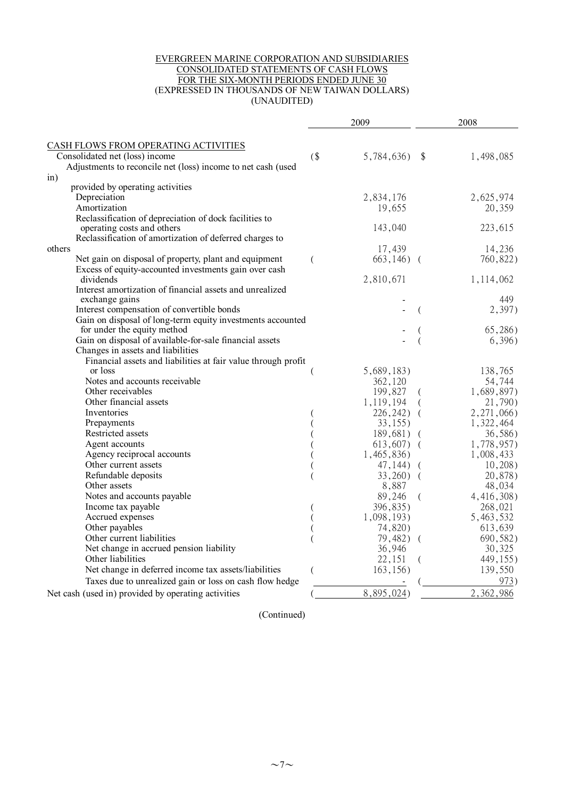#### EVERGREEN MARINE CORPORATION AND SUBSIDIARIES CONSOLIDATED STATEMENTS OF CASH FLOWS FOR THE SIX-MONTH PERIODS ENDED JUNE 30 (EXPRESSED IN THOUSANDS OF NEW TAIWAN DOLLARS) (UNAUDITED)

|                                                               |        | 2009         |                           | 2008         |
|---------------------------------------------------------------|--------|--------------|---------------------------|--------------|
| CASH FLOWS FROM OPERATING ACTIVITIES                          |        |              |                           |              |
| Consolidated net (loss) income                                | $($ \$ | 5,784,636)   | $\boldsymbol{\mathsf{S}}$ | 1,498,085    |
| Adjustments to reconcile net (loss) income to net cash (used  |        |              |                           |              |
| $\sin)$                                                       |        |              |                           |              |
| provided by operating activities                              |        |              |                           |              |
| Depreciation                                                  |        | 2,834,176    |                           | 2,625,974    |
| Amortization                                                  |        | 19,655       |                           | 20,359       |
| Reclassification of depreciation of dock facilities to        |        |              |                           |              |
| operating costs and others                                    |        | 143,040      |                           | 223,615      |
| Reclassification of amortization of deferred charges to       |        |              |                           |              |
| others                                                        |        | 17,439       |                           | 14,236       |
| Net gain on disposal of property, plant and equipment         | (      | $663,146)$ ( |                           | 760,822)     |
| Excess of equity-accounted investments gain over cash         |        |              |                           |              |
| dividends                                                     |        | 2,810,671    |                           | 1,114,062    |
| Interest amortization of financial assets and unrealized      |        |              |                           |              |
| exchange gains                                                |        |              |                           | 449          |
| Interest compensation of convertible bonds                    |        |              |                           | 2,397)       |
| Gain on disposal of long-term equity investments accounted    |        |              |                           |              |
| for under the equity method                                   |        |              |                           | (65, 286)    |
| Gain on disposal of available-for-sale financial assets       |        |              |                           | 6,396)       |
| Changes in assets and liabilities                             |        |              |                           |              |
| Financial assets and liabilities at fair value through profit |        |              |                           |              |
| or loss                                                       |        | 5,689,183)   |                           | 138,765      |
| Notes and accounts receivable                                 |        | 362,120      |                           | 54,744       |
| Other receivables                                             |        | 199,827      |                           | 1,689,897)   |
| Other financial assets                                        |        | 1,119,194    |                           | 21,790)      |
| Inventories                                                   |        | $226,242$ (  |                           | 2, 271, 066) |
| Prepayments                                                   |        | 33,155       |                           | 1,322,464    |
| Restricted assets                                             |        | $189,681)$ ( |                           | 36,586)      |
| Agent accounts                                                |        | $613,607$ (  |                           | 1,778,957)   |
| Agency reciprocal accounts                                    |        | 1,465,836)   |                           | 1,008,433    |
| Other current assets                                          |        | $47,144$ ) ( |                           | 10,208)      |
| Refundable deposits                                           |        | $33,260$ (   |                           | 20,878)      |
| Other assets                                                  |        | 8,887        |                           | 48,034       |
| Notes and accounts payable                                    |        | 89,246       | $\left($                  | 4,416,308)   |
| Income tax payable                                            |        | 396,835)     |                           | 268,021      |
| Accrued expenses                                              |        | 1,098,193)   |                           | 5,463,532    |
| Other payables                                                |        | 74,820)      |                           | 613,639      |
| Other current liabilities                                     |        | 79,482) (    |                           | 690,582)     |
| Net change in accrued pension liability                       |        | 36,946       |                           | 30,325       |
| Other liabilities                                             |        | 22,151       | - (                       | 449,155)     |
| Net change in deferred income tax assets/liabilities          |        | 163,156)     |                           | 139,550      |
| Taxes due to unrealized gain or loss on cash flow hedge       |        |              |                           | 973)         |
|                                                               |        |              |                           |              |
| Net cash (used in) provided by operating activities           |        | 8,895,024)   |                           | 2,362,986    |

(Continued)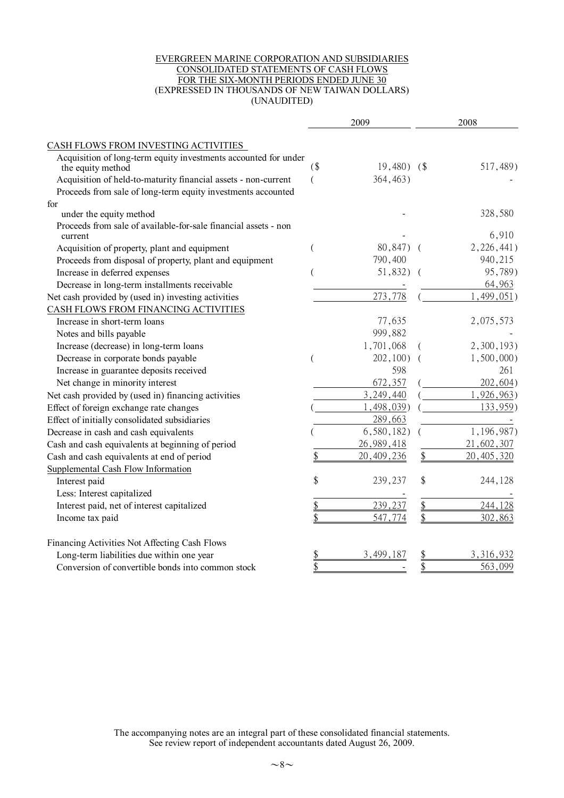#### EVERGREEN MARINE CORPORATION AND SUBSIDIARIES CONSOLIDATED STATEMENTS OF CASH FLOWS FOR THE SIX-MONTH PERIODS ENDED JUNE 30 (EXPRESSED IN THOUSANDS OF NEW TAIWAN DOLLARS) (UNAUDITED)

|                                                                                      |                         | 2009         | 2008          |              |
|--------------------------------------------------------------------------------------|-------------------------|--------------|---------------|--------------|
| CASH FLOWS FROM INVESTING ACTIVITIES                                                 |                         |              |               |              |
| Acquisition of long-term equity investments accounted for under<br>the equity method | $($ \$                  | $19,480$ $($ |               | 517,489)     |
| Acquisition of held-to-maturity financial assets - non-current                       |                         | 364,463)     |               |              |
| Proceeds from sale of long-term equity investments accounted                         |                         |              |               |              |
| for                                                                                  |                         |              |               |              |
| under the equity method                                                              |                         |              |               | 328,580      |
| Proceeds from sale of available-for-sale financial assets - non<br>current           |                         |              |               | 6,910        |
| Acquisition of property, plant and equipment                                         |                         | 80,847)      |               | 2,226,441)   |
| Proceeds from disposal of property, plant and equipment                              |                         | 790,400      |               | 940, 215     |
| Increase in deferred expenses                                                        |                         | 51,832)      |               | 95,789)      |
| Decrease in long-term installments receivable                                        |                         |              |               | 64,963       |
| Net cash provided by (used in) investing activities                                  |                         | 273,778      |               | 499,051)     |
| CASH FLOWS FROM FINANCING ACTIVITIES                                                 |                         |              |               |              |
| Increase in short-term loans                                                         |                         | 77,635       |               | 2,075,573    |
| Notes and bills payable                                                              |                         | 999,882      |               |              |
| Increase (decrease) in long-term loans                                               |                         | 1,701,068    |               | 2,300,193)   |
| Decrease in corporate bonds payable                                                  |                         | 202,100)     |               | 1,500,000    |
| Increase in guarantee deposits received                                              |                         | 598          |               | 261          |
| Net change in minority interest                                                      |                         | 672,357      |               | 202,604)     |
| Net cash provided by (used in) financing activities                                  |                         | 3,249,440    |               | 1,926,963)   |
| Effect of foreign exchange rate changes                                              |                         | , 498, 039)  |               | 133,959)     |
| Effect of initially consolidated subsidiaries                                        |                         | 289,663      |               |              |
| Decrease in cash and cash equivalents                                                |                         | 6,580,182)   |               | 1,196,987)   |
| Cash and cash equivalents at beginning of period                                     |                         | 26, 989, 418 |               | 21,602,307   |
| Cash and cash equivalents at end of period                                           |                         | 20, 409, 236 | \$            | 20, 405, 320 |
| Supplemental Cash Flow Information                                                   |                         |              |               |              |
| Interest paid                                                                        | \$                      | 239,237      | \$            | 244,128      |
| Less: Interest capitalized                                                           |                         |              |               |              |
| Interest paid, net of interest capitalized                                           |                         | 239,237      | \$            | 244,128      |
| Income tax paid                                                                      |                         | 547,774      | \$            | 302,863      |
| Financing Activities Not Affecting Cash Flows                                        |                         |              |               |              |
| Long-term liabilities due within one year                                            | $\frac{1}{2}$           | 3,499,187    | $\frac{1}{2}$ | 3,316,932    |
| Conversion of convertible bonds into common stock                                    | $\overline{\mathbf{B}}$ |              | \$            | 563,099      |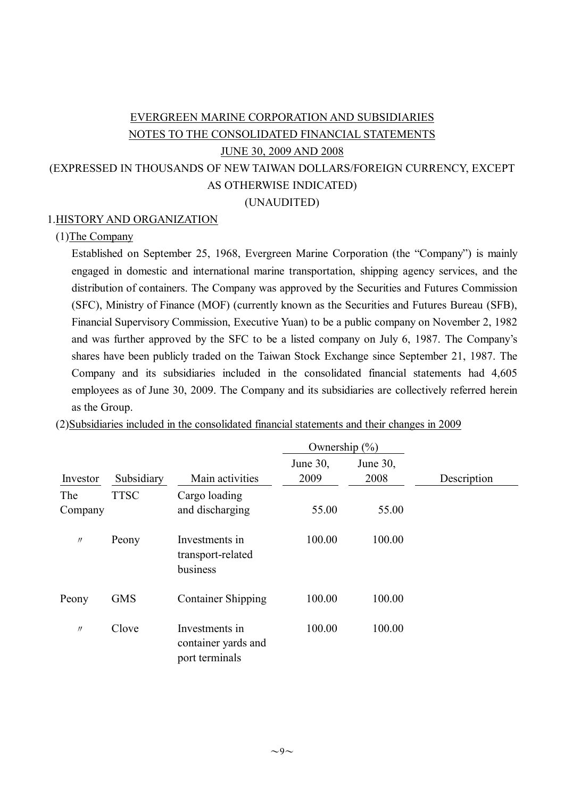# EVERGREEN MARINE CORPORATION AND SUBSIDIARIES NOTES TO THE CONSOLIDATED FINANCIAL STATEMENTS JUNE 30, 2009 AND 2008 (EXPRESSED IN THOUSANDS OF NEW TAIWAN DOLLARS/FOREIGN CURRENCY, EXCEPT AS OTHERWISE INDICATED)

(UNAUDITED)

## 1.HISTORY AND ORGANIZATION

## (1)The Company

Established on September 25, 1968, Evergreen Marine Corporation (the "Company") is mainly engaged in domestic and international marine transportation, shipping agency services, and the distribution of containers. The Company was approved by the Securities and Futures Commission (SFC), Ministry of Finance (MOF) (currently known as the Securities and Futures Bureau (SFB), Financial Supervisory Commission, Executive Yuan) to be a public company on November 2, 1982 and was further approved by the SFC to be a listed company on July 6, 1987. The Company's shares have been publicly traded on the Taiwan Stock Exchange since September 21, 1987. The Company and its subsidiaries included in the consolidated financial statements had 4,605 employees as of June 30, 2009. The Company and its subsidiaries are collectively referred herein as the Group.

|                |             |                                                         | Ownership $(\% )$ |                  |             |
|----------------|-------------|---------------------------------------------------------|-------------------|------------------|-------------|
| Investor       | Subsidiary  | Main activities                                         | June 30,<br>2009  | June 30,<br>2008 | Description |
| The<br>Company | <b>TTSC</b> | Cargo loading<br>and discharging                        | 55.00             | 55.00            |             |
| $\prime\prime$ | Peony       | Investments in<br>transport-related<br>business         | 100.00            | 100.00           |             |
| Peony          | <b>GMS</b>  | <b>Container Shipping</b>                               | 100.00            | 100.00           |             |
| $\prime\prime$ | Clove       | Investments in<br>container yards and<br>port terminals | 100.00            | 100.00           |             |

(2)Subsidiaries included in the consolidated financial statements and their changes in 2009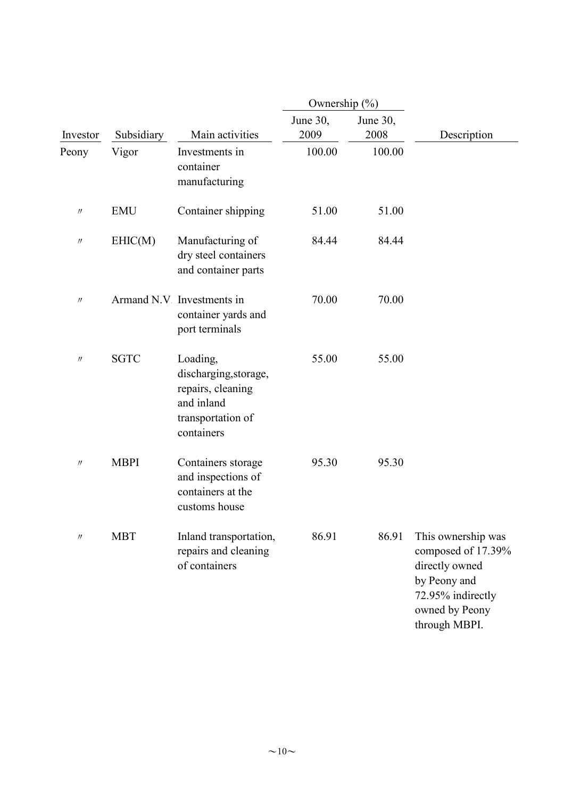|                   |             |                                                                                                         | Ownership (%)    |                  |                                                                                                                                    |
|-------------------|-------------|---------------------------------------------------------------------------------------------------------|------------------|------------------|------------------------------------------------------------------------------------------------------------------------------------|
| Investor          | Subsidiary  | Main activities                                                                                         | June 30,<br>2009 | June 30,<br>2008 | Description                                                                                                                        |
| Peony             | Vigor       | Investments in<br>container<br>manufacturing                                                            | 100.00           | 100.00           |                                                                                                                                    |
| $^{\prime\prime}$ | <b>EMU</b>  | Container shipping                                                                                      | 51.00            | 51.00            |                                                                                                                                    |
| $^{\prime\prime}$ | EHIC(M)     | Manufacturing of<br>dry steel containers<br>and container parts                                         | 84.44            | 84.44            |                                                                                                                                    |
| $^{\prime\prime}$ |             | Armand N.V Investments in<br>container yards and<br>port terminals                                      | 70.00            | 70.00            |                                                                                                                                    |
| $^{\prime\prime}$ | <b>SGTC</b> | Loading,<br>discharging, storage,<br>repairs, cleaning<br>and inland<br>transportation of<br>containers | 55.00            | 55.00            |                                                                                                                                    |
| $\prime\prime$    | <b>MBPI</b> | Containers storage<br>and inspections of<br>containers at the<br>customs house                          | 95.30            | 95.30            |                                                                                                                                    |
| $^{\prime\prime}$ | <b>MBT</b>  | Inland transportation,<br>repairs and cleaning<br>of containers                                         | 86.91            | 86.91            | This ownership was<br>composed of 17.39%<br>directly owned<br>by Peony and<br>72.95% indirectly<br>owned by Peony<br>through MBPI. |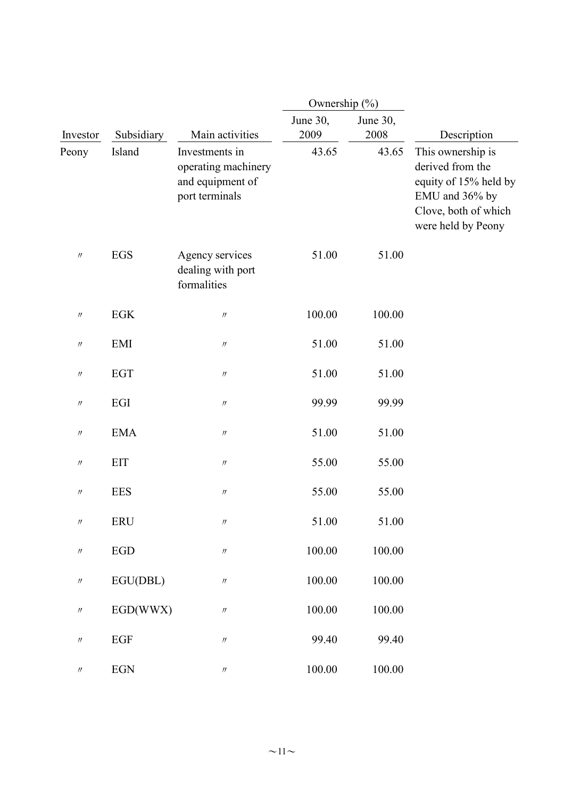|                               |             |                                                                             | Ownership (%)    |                  |                                                                                                                                |
|-------------------------------|-------------|-----------------------------------------------------------------------------|------------------|------------------|--------------------------------------------------------------------------------------------------------------------------------|
| Investor                      | Subsidiary  | Main activities                                                             | June 30,<br>2009 | June 30,<br>2008 | Description                                                                                                                    |
| Peony                         | Island      | Investments in<br>operating machinery<br>and equipment of<br>port terminals | 43.65            | 43.65            | This ownership is<br>derived from the<br>equity of 15% held by<br>EMU and 36% by<br>Clove, both of which<br>were held by Peony |
| $\prime\prime$                | <b>EGS</b>  | Agency services<br>dealing with port<br>formalities                         | 51.00            | 51.00            |                                                                                                                                |
| $\prime\prime$                | EGK         | $\prime\prime$                                                              | 100.00           | 100.00           |                                                                                                                                |
| $\prime\prime$                | EMI         | $\prime\prime$                                                              | 51.00            | 51.00            |                                                                                                                                |
| $\prime\prime$                | <b>EGT</b>  | $\prime\prime$                                                              | 51.00            | 51.00            |                                                                                                                                |
| $\prime\prime$                | EGI         | $\ensuremath{\mathnormal{H}}$                                               | 99.99            | 99.99            |                                                                                                                                |
| $^{\prime\prime}$             | <b>EMA</b>  | $\ensuremath{\mathnormal{H}}$                                               | 51.00            | 51.00            |                                                                                                                                |
| $\prime\prime$                | <b>EIT</b>  | $\prime\prime$                                                              | 55.00            | 55.00            |                                                                                                                                |
| $\prime\prime$                | <b>EES</b>  | $\prime\prime$                                                              | 55.00            | 55.00            |                                                                                                                                |
| $^{\prime\prime}$             | ERU         | $^{\prime\prime}$                                                           | 51.00            | 51.00            |                                                                                                                                |
| $\ensuremath{\mathnormal{H}}$ | ${\rm EGD}$ | $\ensuremath{\mathnormal{H}}$                                               | 100.00           | 100.00           |                                                                                                                                |
| $\ensuremath{\mathnormal{H}}$ | EGU(DBL)    | $\prime\prime$                                                              | 100.00           | 100.00           |                                                                                                                                |
| $\prime\prime$                | EGD(WWX)    | $\prime\prime$                                                              | 100.00           | 100.00           |                                                                                                                                |
| $\prime\prime$                | EGF         | $\prime\prime$                                                              | 99.40            | 99.40            |                                                                                                                                |
| $\prime\prime$                | $EGN$       | $\ensuremath{\mathnormal{H}}$                                               | 100.00           | 100.00           |                                                                                                                                |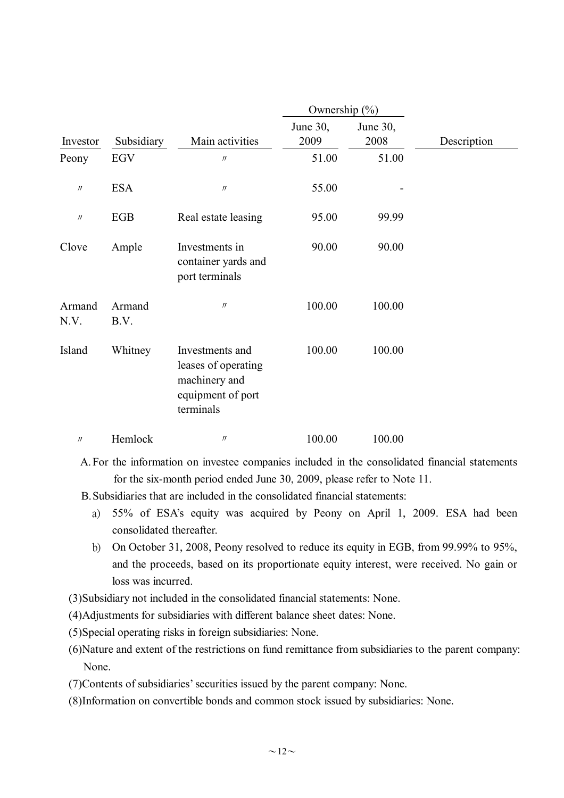|                   |                |                                                                                           | Ownership $(\% )$ |                  |             |
|-------------------|----------------|-------------------------------------------------------------------------------------------|-------------------|------------------|-------------|
| Investor          | Subsidiary     | Main activities                                                                           | June 30,<br>2009  | June 30,<br>2008 | Description |
| Peony             | EGV            | $^{\prime\prime}$                                                                         | 51.00             | 51.00            |             |
| $\prime\prime$    | <b>ESA</b>     | $\prime$                                                                                  | 55.00             |                  |             |
| $\prime\prime$    | EGB            | Real estate leasing                                                                       | 95.00             | 99.99            |             |
| Clove             | Ample          | Investments in<br>container yards and<br>port terminals                                   | 90.00             | 90.00            |             |
| Armand<br>N.V.    | Armand<br>B.V. | $\ensuremath{\mathnormal{H}}$                                                             | 100.00            | 100.00           |             |
| Island            | Whitney        | Investments and<br>leases of operating<br>machinery and<br>equipment of port<br>terminals | 100.00            | 100.00           |             |
| $^{\prime\prime}$ | Hemlock        | $\prime\prime$                                                                            | 100.00            | 100.00           |             |

A.For the information on investee companies included in the consolidated financial statements for the six-month period ended June 30, 2009, please refer to Note 11.

B.Subsidiaries that are included in the consolidated financial statements:

- a) 55% of ESA's equity was acquired by Peony on April 1, 2009. ESA had been consolidated thereafter.
- b) On October 31, 2008, Peony resolved to reduce its equity in EGB, from 99.99% to 95%, and the proceeds, based on its proportionate equity interest, were received. No gain or loss was incurred.

(3)Subsidiary not included in the consolidated financial statements: None.

(4)Adjustments for subsidiaries with different balance sheet dates: None.

(5)Special operating risks in foreign subsidiaries: None.

(6)Nature and extent of the restrictions on fund remittance from subsidiaries to the parent company: None.

(7)Contents of subsidiaries'securities issued by the parent company: None.

(8)Information on convertible bonds and common stock issued by subsidiaries: None.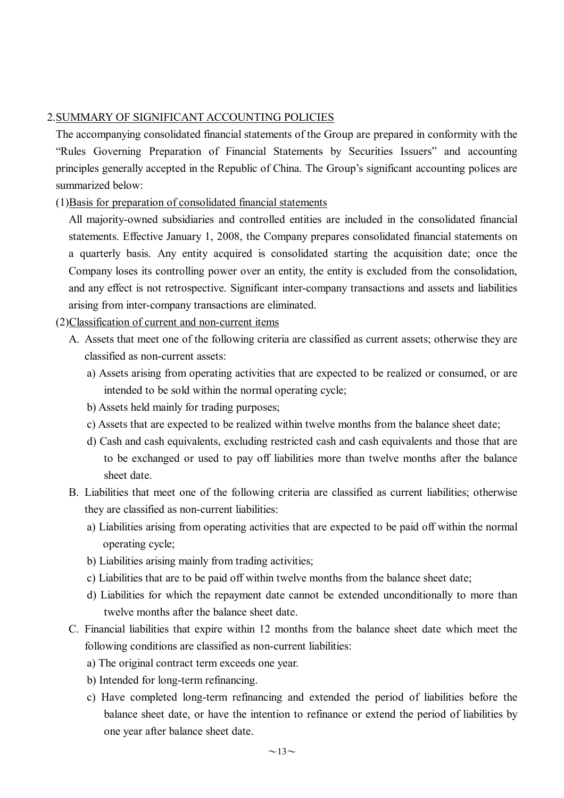### 2.SUMMARY OF SIGNIFICANT ACCOUNTING POLICIES

The accompanying consolidated financial statements of the Group are prepared in conformity with the "Rules Governing Preparation of Financial Statements by Securities Issuers" and accounting principles generally accepted in the Republic of China. The Group's significant accounting polices are summarized below:

## (1)Basis for preparation of consolidated financial statements

All majority-owned subsidiaries and controlled entities are included in the consolidated financial statements. Effective January 1, 2008, the Company prepares consolidated financial statements on a quarterly basis. Any entity acquired is consolidated starting the acquisition date; once the Company loses its controlling power over an entity, the entity is excluded from the consolidation, and any effect is not retrospective. Significant inter-company transactions and assets and liabilities arising from inter-company transactions are eliminated.

## (2)Classification of current and non-current items

- A. Assets that meet one of the following criteria are classified as current assets; otherwise they are classified as non-current assets:
	- a) Assets arising from operating activities that are expected to be realized or consumed, or are intended to be sold within the normal operating cycle;
	- b) Assets held mainly for trading purposes;
	- c) Assets that are expected to be realized within twelve months from the balance sheet date;
	- d) Cash and cash equivalents, excluding restricted cash and cash equivalents and those that are to be exchanged or used to pay off liabilities more than twelve months after the balance sheet date.
- B. Liabilities that meet one of the following criteria are classified as current liabilities; otherwise they are classified as non-current liabilities:
	- a) Liabilities arising from operating activities that are expected to be paid off within the normal operating cycle;
	- b) Liabilities arising mainly from trading activities;
	- c) Liabilities that are to be paid off within twelve months from the balance sheet date;
	- d) Liabilities for which the repayment date cannot be extended unconditionally to more than twelve months after the balance sheet date.
- C. Financial liabilities that expire within 12 months from the balance sheet date which meet the following conditions are classified as non-current liabilities:
	- a) The original contract term exceeds one year.
	- b) Intended for long-term refinancing.
	- c) Have completed long-term refinancing and extended the period of liabilities before the balance sheet date, or have the intention to refinance or extend the period of liabilities by one year after balance sheet date.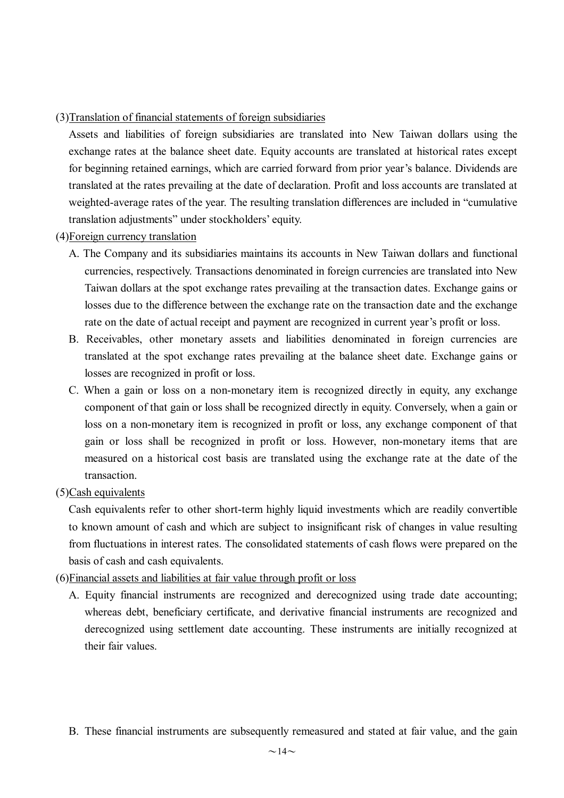### (3)Translation of financial statements of foreign subsidiaries

Assets and liabilities of foreign subsidiaries are translated into New Taiwan dollars using the exchange rates at the balance sheet date. Equity accounts are translated at historical rates except for beginning retained earnings, which are carried forward from prior year's balance. Dividends are translated at the rates prevailing at the date of declaration. Profit and loss accounts are translated at weighted-average rates of the year. The resulting translation differences are included in "cumulative translation adjustments" under stockholders'equity.

## (4)Foreign currency translation

- A. The Company and its subsidiaries maintains its accounts in New Taiwan dollars and functional currencies, respectively. Transactions denominated in foreign currencies are translated into New Taiwan dollars at the spot exchange rates prevailing at the transaction dates. Exchange gains or losses due to the difference between the exchange rate on the transaction date and the exchange rate on the date of actual receipt and payment are recognized in current year's profit or loss.
- B. Receivables, other monetary assets and liabilities denominated in foreign currencies are translated at the spot exchange rates prevailing at the balance sheet date. Exchange gains or losses are recognized in profit or loss.
- C. When a gain or loss on a non-monetary item is recognized directly in equity, any exchange component of that gain or loss shall be recognized directly in equity. Conversely, when a gain or loss on a non-monetary item is recognized in profit or loss, any exchange component of that gain or loss shall be recognized in profit or loss. However, non-monetary items that are measured on a historical cost basis are translated using the exchange rate at the date of the transaction.
- (5)Cash equivalents

Cash equivalents refer to other short-term highly liquid investments which are readily convertible to known amount of cash and which are subject to insignificant risk of changes in value resulting from fluctuations in interest rates. The consolidated statements of cash flows were prepared on the basis of cash and cash equivalents.

- (6)Financial assets and liabilities at fair value through profit or loss
	- A. Equity financial instruments are recognized and derecognized using trade date accounting; whereas debt, beneficiary certificate, and derivative financial instruments are recognized and derecognized using settlement date accounting. These instruments are initially recognized at their fair values.
	- B. These financial instruments are subsequently remeasured and stated at fair value, and the gain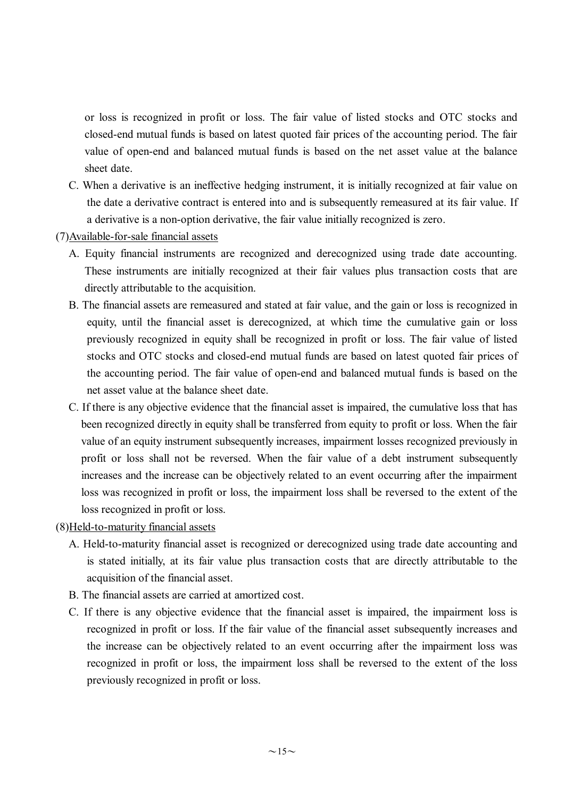or loss is recognized in profit or loss. The fair value of listed stocks and OTC stocks and closed-end mutual funds is based on latest quoted fair prices of the accounting period. The fair value of open-end and balanced mutual funds is based on the net asset value at the balance sheet date.

- C. When a derivative is an ineffective hedging instrument, it is initially recognized at fair value on the date a derivative contract is entered into and is subsequently remeasured at its fair value. If a derivative is a non-option derivative, the fair value initially recognized is zero.
- (7)Available-for-sale financial assets
	- A. Equity financial instruments are recognized and derecognized using trade date accounting. These instruments are initially recognized at their fair values plus transaction costs that are directly attributable to the acquisition.
	- B. The financial assets are remeasured and stated at fair value, and the gain or loss is recognized in equity, until the financial asset is derecognized, at which time the cumulative gain or loss previously recognized in equity shall be recognized in profit or loss. The fair value of listed stocks and OTC stocks and closed-end mutual funds are based on latest quoted fair prices of the accounting period. The fair value of open-end and balanced mutual funds is based on the net asset value at the balance sheet date.
	- C. If there is any objective evidence that the financial asset is impaired, the cumulative loss that has been recognized directly in equity shall be transferred from equity to profit or loss. When the fair value of an equity instrument subsequently increases, impairment losses recognized previously in profit or loss shall not be reversed. When the fair value of a debt instrument subsequently increases and the increase can be objectively related to an event occurring after the impairment loss was recognized in profit or loss, the impairment loss shall be reversed to the extent of the loss recognized in profit or loss.
- (8)Held-to-maturity financial assets
	- A. Held-to-maturity financial asset is recognized or derecognized using trade date accounting and is stated initially, at its fair value plus transaction costs that are directly attributable to the acquisition of the financial asset.
	- B. The financial assets are carried at amortized cost.
	- C. If there is any objective evidence that the financial asset is impaired, the impairment loss is recognized in profit or loss. If the fair value of the financial asset subsequently increases and the increase can be objectively related to an event occurring after the impairment loss was recognized in profit or loss, the impairment loss shall be reversed to the extent of the loss previously recognized in profit or loss.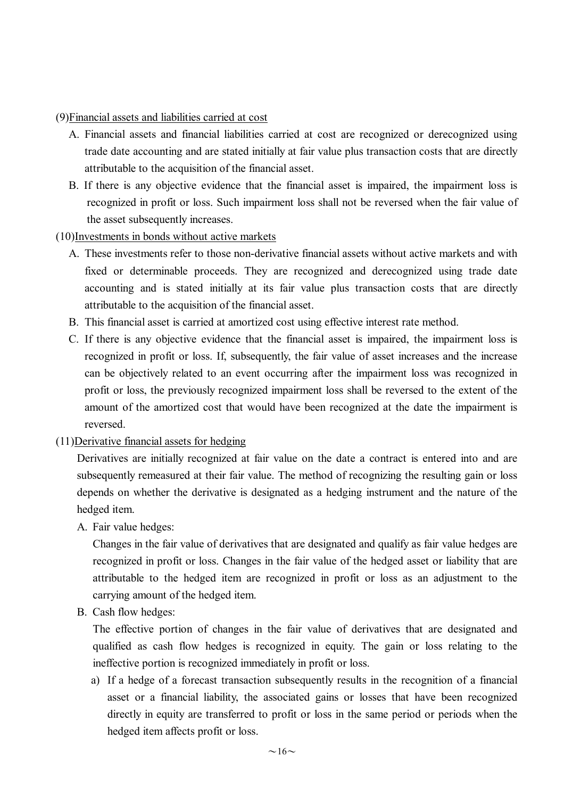(9)Financial assets and liabilities carried at cost

- A. Financial assets and financial liabilities carried at cost are recognized or derecognized using trade date accounting and are stated initially at fair value plus transaction costs that are directly attributable to the acquisition of the financial asset.
- B. If there is any objective evidence that the financial asset is impaired, the impairment loss is recognized in profit or loss. Such impairment loss shall not be reversed when the fair value of the asset subsequently increases.

## (10)Investments in bonds without active markets

- A. These investments refer to those non-derivative financial assets without active markets and with fixed or determinable proceeds. They are recognized and derecognized using trade date accounting and is stated initially at its fair value plus transaction costs that are directly attributable to the acquisition of the financial asset.
- B. This financial asset is carried at amortized cost using effective interest rate method.
- C. If there is any objective evidence that the financial asset is impaired, the impairment loss is recognized in profit or loss. If, subsequently, the fair value of asset increases and the increase can be objectively related to an event occurring after the impairment loss was recognized in profit or loss, the previously recognized impairment loss shall be reversed to the extent of the amount of the amortized cost that would have been recognized at the date the impairment is reversed.
- (11)Derivative financial assets for hedging

Derivatives are initially recognized at fair value on the date a contract is entered into and are subsequently remeasured at their fair value. The method of recognizing the resulting gain or loss depends on whether the derivative is designated as a hedging instrument and the nature of the hedged item.

A. Fair value hedges:

Changes in the fair value of derivatives that are designated and qualify as fair value hedges are recognized in profit or loss. Changes in the fair value of the hedged asset or liability that are attributable to the hedged item are recognized in profit or loss as an adjustment to the carrying amount of the hedged item.

B. Cash flow hedges:

The effective portion of changes in the fair value of derivatives that are designated and qualified as cash flow hedges is recognized in equity. The gain or loss relating to the ineffective portion is recognized immediately in profit or loss.

a) If a hedge of a forecast transaction subsequently results in the recognition of a financial asset or a financial liability, the associated gains or losses that have been recognized directly in equity are transferred to profit or loss in the same period or periods when the hedged item affects profit or loss.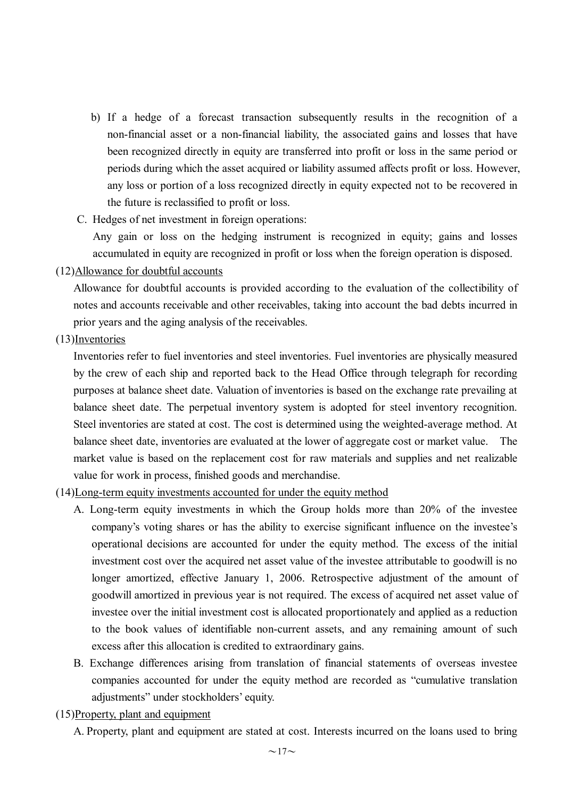- b) If a hedge of a forecast transaction subsequently results in the recognition of a non-financial asset or a non-financial liability, the associated gains and losses that have been recognized directly in equity are transferred into profit or loss in the same period or periods during which the asset acquired or liability assumed affects profit or loss. However, any loss or portion of a loss recognized directly in equity expected not to be recovered in the future is reclassified to profit or loss.
- C. Hedges of net investment in foreign operations:

Any gain or loss on the hedging instrument is recognized in equity; gains and losses accumulated in equity are recognized in profit or loss when the foreign operation is disposed.

#### (12)Allowance for doubtful accounts

Allowance for doubtful accounts is provided according to the evaluation of the collectibility of notes and accounts receivable and other receivables, taking into account the bad debts incurred in prior years and the aging analysis of the receivables.

(13)Inventories

Inventories refer to fuel inventories and steel inventories. Fuel inventories are physically measured by the crew of each ship and reported back to the Head Office through telegraph for recording purposes at balance sheet date. Valuation of inventories is based on the exchange rate prevailing at balance sheet date. The perpetual inventory system is adopted for steel inventory recognition. Steel inventories are stated at cost. The cost is determined using the weighted-average method. At balance sheet date, inventories are evaluated at the lower of aggregate cost or market value. The market value is based on the replacement cost for raw materials and supplies and net realizable value for work in process, finished goods and merchandise.

## (14)Long-term equity investments accounted for under the equity method

- A. Long-term equity investments in which the Group holds more than 20% of the investee company's voting shares or has the ability to exercise significant influence on the investee's operational decisions are accounted for under the equity method. The excess of the initial investment cost over the acquired net asset value of the investee attributable to goodwill is no longer amortized, effective January 1, 2006. Retrospective adjustment of the amount of goodwill amortized in previous year is not required. The excess of acquired net asset value of investee over the initial investment cost is allocated proportionately and applied as a reduction to the book values of identifiable non-current assets, and any remaining amount of such excess after this allocation is credited to extraordinary gains.
- B. Exchange differences arising from translation of financial statements of overseas investee companies accounted for under the equity method are recorded as "cumulative translation adjustments" under stockholders'equity.
- (15)Property, plant and equipment
	- A. Property, plant and equipment are stated at cost. Interests incurred on the loans used to bring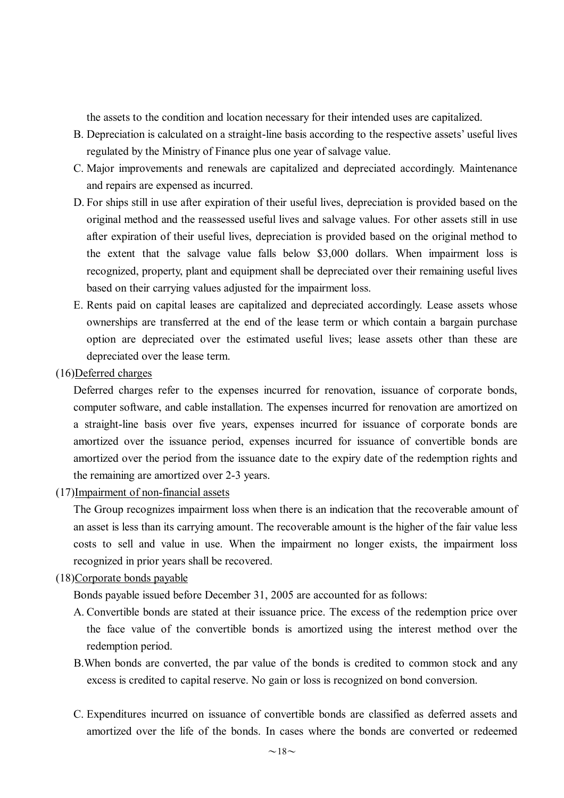the assets to the condition and location necessary for their intended uses are capitalized.

- B. Depreciation is calculated on a straight-line basis according to the respective assets'useful lives regulated by the Ministry of Finance plus one year of salvage value.
- C. Major improvements and renewals are capitalized and depreciated accordingly. Maintenance and repairs are expensed as incurred.
- D. For ships still in use after expiration of their useful lives, depreciation is provided based on the original method and the reassessed useful lives and salvage values. For other assets still in use after expiration of their useful lives, depreciation is provided based on the original method to the extent that the salvage value falls below \$3,000 dollars. When impairment loss is recognized, property, plant and equipment shall be depreciated over their remaining useful lives based on their carrying values adjusted for the impairment loss.
- E. Rents paid on capital leases are capitalized and depreciated accordingly. Lease assets whose ownerships are transferred at the end of the lease term or which contain a bargain purchase option are depreciated over the estimated useful lives; lease assets other than these are depreciated over the lease term.
- (16)Deferred charges

Deferred charges refer to the expenses incurred for renovation, issuance of corporate bonds, computer software, and cable installation. The expenses incurred for renovation are amortized on a straight-line basis over five years, expenses incurred for issuance of corporate bonds are amortized over the issuance period, expenses incurred for issuance of convertible bonds are amortized over the period from the issuance date to the expiry date of the redemption rights and the remaining are amortized over 2-3 years.

(17)Impairment of non-financial assets

The Group recognizes impairment loss when there is an indication that the recoverable amount of an asset is less than its carrying amount. The recoverable amount is the higher of the fair value less costs to sell and value in use. When the impairment no longer exists, the impairment loss recognized in prior years shall be recovered.

#### (18)Corporate bonds payable

Bonds payable issued before December 31, 2005 are accounted for as follows:

- A. Convertible bonds are stated at their issuance price. The excess of the redemption price over the face value of the convertible bonds is amortized using the interest method over the redemption period.
- B.When bonds are converted, the par value of the bonds is credited to common stock and any excess is credited to capital reserve. No gain or loss is recognized on bond conversion.
- C. Expenditures incurred on issuance of convertible bonds are classified as deferred assets and amortized over the life of the bonds. In cases where the bonds are converted or redeemed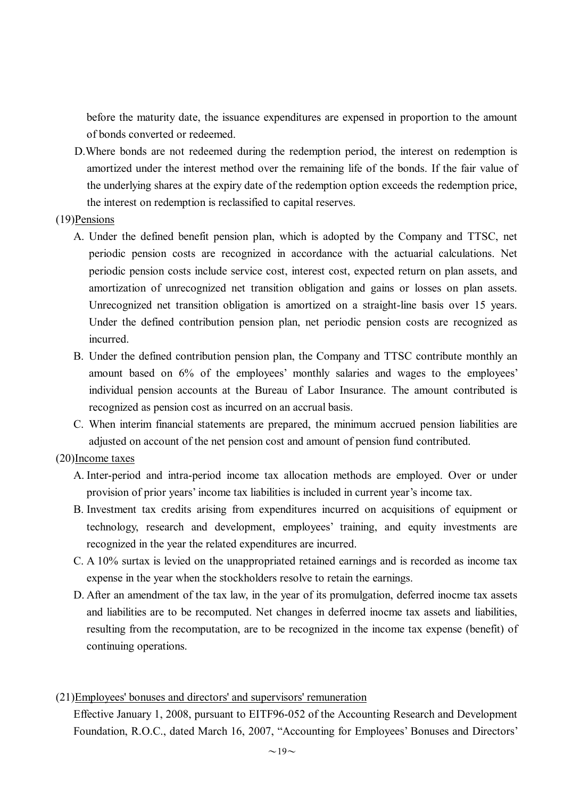before the maturity date, the issuance expenditures are expensed in proportion to the amount of bonds converted or redeemed.

D.Where bonds are not redeemed during the redemption period, the interest on redemption is amortized under the interest method over the remaining life of the bonds. If the fair value of the underlying shares at the expiry date of the redemption option exceeds the redemption price, the interest on redemption is reclassified to capital reserves.

#### (19)Pensions

- A. Under the defined benefit pension plan, which is adopted by the Company and TTSC, net periodic pension costs are recognized in accordance with the actuarial calculations. Net periodic pension costs include service cost, interest cost, expected return on plan assets, and amortization of unrecognized net transition obligation and gains or losses on plan assets. Unrecognized net transition obligation is amortized on a straight-line basis over 15 years. Under the defined contribution pension plan, net periodic pension costs are recognized as incurred.
- B. Under the defined contribution pension plan, the Company and TTSC contribute monthly an amount based on 6% of the employees' monthly salaries and wages to the employees' individual pension accounts at the Bureau of Labor Insurance. The amount contributed is recognized as pension cost as incurred on an accrual basis.
- C. When interim financial statements are prepared, the minimum accrued pension liabilities are adjusted on account of the net pension cost and amount of pension fund contributed.

#### (20)Income taxes

- A. Inter-period and intra-period income tax allocation methods are employed. Over or under provision of prior years'income tax liabilities is included in current year's income tax.
- B. Investment tax credits arising from expenditures incurred on acquisitions of equipment or technology, research and development, employees' training, and equity investments are recognized in the year the related expenditures are incurred.
- C. A 10% surtax is levied on the unappropriated retained earnings and is recorded as income tax expense in the year when the stockholders resolve to retain the earnings.
- D. After an amendment of the tax law, in the year of its promulgation, deferred inocme tax assets and liabilities are to be recomputed. Net changes in deferred inocme tax assets and liabilities, resulting from the recomputation, are to be recognized in the income tax expense (benefit) of continuing operations.

(21)Employees' bonuses and directors' and supervisors' remuneration

Effective January 1, 2008, pursuant to EITF96-052 of the Accounting Research and Development Foundation, R.O.C., dated March 16, 2007, "Accounting for Employees' Bonuses and Directors'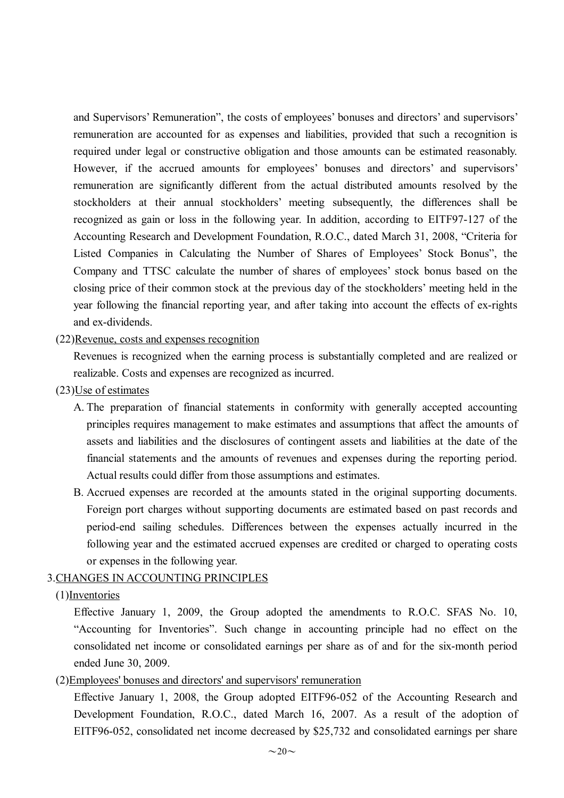and Supervisors'Remuneration", the costs of employees'bonuses and directors'and supervisors' remuneration are accounted for as expenses and liabilities, provided that such a recognition is required under legal or constructive obligation and those amounts can be estimated reasonably. However, if the accrued amounts for employees' bonuses and directors' and supervisors' remuneration are significantly different from the actual distributed amounts resolved by the stockholders at their annual stockholders' meeting subsequently, the differences shall be recognized as gain or loss in the following year. In addition, according to EITF97-127 of the Accounting Research and Development Foundation, R.O.C., dated March 31, 2008, "Criteria for Listed Companies in Calculating the Number of Shares of Employees' Stock Bonus", the Company and TTSC calculate the number of shares of employees' stock bonus based on the closing price of their common stock at the previous day of the stockholders'meeting held in the year following the financial reporting year, and after taking into account the effects of ex-rights and ex-dividends.

## (22)Revenue, costs and expenses recognition

Revenues is recognized when the earning process is substantially completed and are realized or realizable. Costs and expenses are recognized as incurred.

- (23)Use of estimates
	- A. The preparation of financial statements in conformity with generally accepted accounting principles requires management to make estimates and assumptions that affect the amounts of assets and liabilities and the disclosures of contingent assets and liabilities at the date of the financial statements and the amounts of revenues and expenses during the reporting period. Actual results could differ from those assumptions and estimates.
	- B. Accrued expenses are recorded at the amounts stated in the original supporting documents. Foreign port charges without supporting documents are estimated based on past records and period-end sailing schedules. Differences between the expenses actually incurred in the following year and the estimated accrued expenses are credited or charged to operating costs or expenses in the following year.

## 3.CHANGES IN ACCOUNTING PRINCIPLES

#### (1)Inventories

Effective January 1, 2009, the Group adopted the amendments to R.O.C. SFAS No. 10, "Accounting for Inventories". Such change in accounting principle had no effect on the consolidated net income or consolidated earnings per share as of and for the six-month period ended June 30, 2009.

(2)Employees' bonuses and directors' and supervisors' remuneration

Effective January 1, 2008, the Group adopted EITF96-052 of the Accounting Research and Development Foundation, R.O.C., dated March 16, 2007. As a result of the adoption of EITF96-052, consolidated net income decreased by \$25,732 and consolidated earnings per share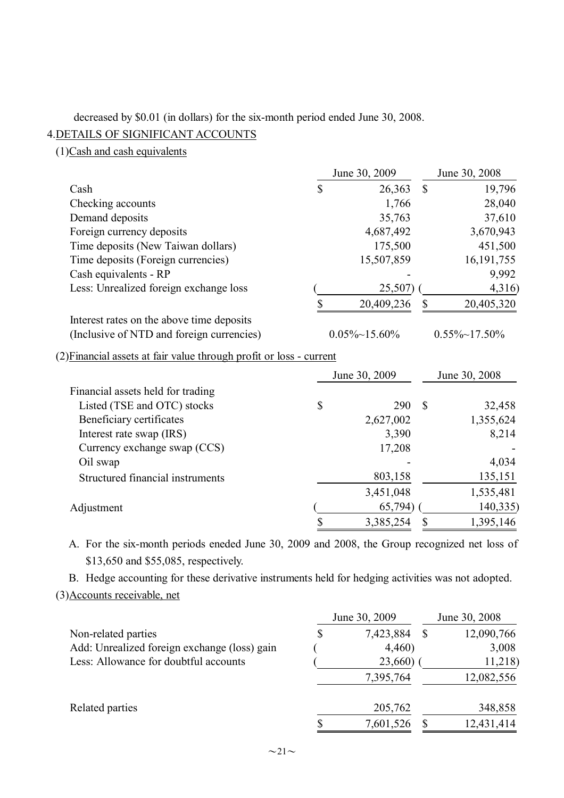## decreased by \$0.01 (in dollars) for the six-month period ended June 30, 2008.

# 4.DETAILS OF SIGNIFICANT ACCOUNTS

(1)Cash and cash equivalents

|                                                                     | June 30, 2009 |                       |               | June 30, 2008         |  |  |
|---------------------------------------------------------------------|---------------|-----------------------|---------------|-----------------------|--|--|
| Cash                                                                | \$            | 26,363                | $\mathcal{S}$ | 19,796                |  |  |
| Checking accounts                                                   |               | 1,766                 |               | 28,040                |  |  |
| Demand deposits                                                     |               | 35,763                |               | 37,610                |  |  |
| Foreign currency deposits                                           |               | 4,687,492             |               | 3,670,943             |  |  |
| Time deposits (New Taiwan dollars)                                  |               | 175,500               |               | 451,500               |  |  |
| Time deposits (Foreign currencies)                                  |               | 15,507,859            |               | 16, 191, 755          |  |  |
| Cash equivalents - RP                                               |               |                       |               | 9,992                 |  |  |
| Less: Unrealized foreign exchange loss                              |               | 25,507)               |               | 4,316)                |  |  |
|                                                                     | \$            | 20,409,236            | \$            | 20,405,320            |  |  |
| Interest rates on the above time deposits                           |               |                       |               |                       |  |  |
| (Inclusive of NTD and foreign currencies)                           |               | $0.05\% \sim 15.60\%$ |               | $0.55\% \sim 17.50\%$ |  |  |
| (2) Financial assets at fair value through profit or loss - current |               |                       |               |                       |  |  |
|                                                                     |               | June 30, 2009         |               | June 30, 2008         |  |  |
| Financial assets held for trading                                   |               |                       |               |                       |  |  |
| Listed (TSE and OTC) stocks                                         | \$            | 290                   | <sup>\$</sup> | 32,458                |  |  |
| Beneficiary certificates                                            |               | 2,627,002             |               | 1,355,624             |  |  |
| Interest rate swap (IRS)                                            |               | 3,390                 |               | 8,214                 |  |  |
| Currency exchange swap (CCS)                                        |               | 17,208                |               |                       |  |  |
| Oil swap                                                            |               |                       |               | 4,034                 |  |  |
| Structured financial instruments                                    |               | 803,158               |               | 135,151               |  |  |
|                                                                     |               | 3,451,048             |               | 1,535,481             |  |  |
| Adjustment                                                          |               | 65,794)               |               | 140,335)              |  |  |
|                                                                     | \$            | 3,385,254             | \$            | 1,395,146             |  |  |
|                                                                     |               |                       |               |                       |  |  |

A. For the six-month periods eneded June 30, 2009 and 2008, the Group recognized net loss of \$13,650 and \$55,085, respectively.

B. Hedge accounting for these derivative instruments held for hedging activities was not adopted. (3)Accounts receivable, net

|                                              | June 30, 2009   | June 30, 2008 |            |
|----------------------------------------------|-----------------|---------------|------------|
| Non-related parties                          | \$<br>7,423,884 | S             | 12,090,766 |
| Add: Unrealized foreign exchange (loss) gain | 4,460)          |               | 3,008      |
| Less: Allowance for doubtful accounts        | 23,660)         |               | 11,218)    |
|                                              | 7,395,764       |               | 12,082,556 |
| Related parties                              | 205,762         |               | 348,858    |
|                                              | 7,601,526       |               | 12,431,414 |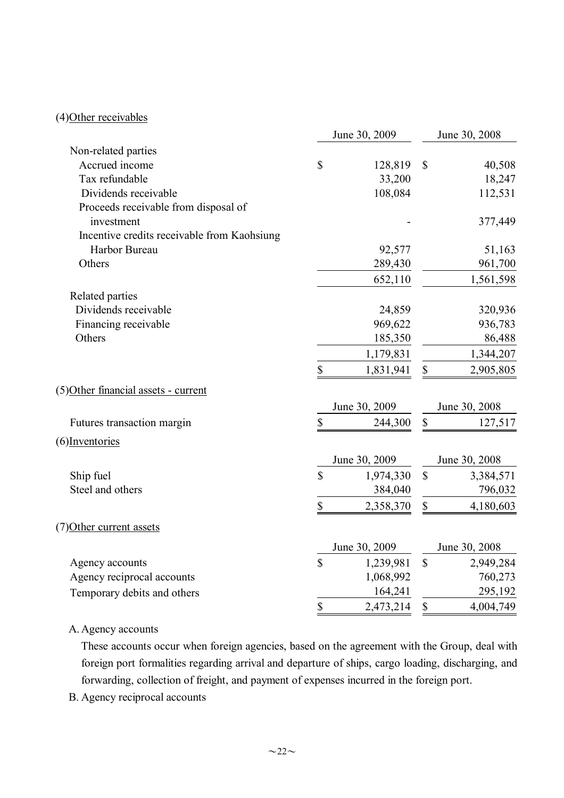# (4)Other receivables

|                                             | June 30, 2009     |               | June 30, 2008             |               |
|---------------------------------------------|-------------------|---------------|---------------------------|---------------|
| Non-related parties                         |                   |               |                           |               |
| Accrued income                              | $\mathcal{S}$     | 128,819       | $\boldsymbol{\mathsf{S}}$ | 40,508        |
| Tax refundable                              |                   | 33,200        |                           | 18,247        |
| Dividends receivable                        |                   | 108,084       |                           | 112,531       |
| Proceeds receivable from disposal of        |                   |               |                           |               |
| investment                                  |                   |               |                           | 377,449       |
| Incentive credits receivable from Kaohsiung |                   |               |                           |               |
| Harbor Bureau                               |                   | 92,577        |                           | 51,163        |
| Others                                      |                   | 289,430       |                           | 961,700       |
|                                             |                   | 652,110       |                           | 1,561,598     |
| Related parties                             |                   |               |                           |               |
| Dividends receivable                        |                   | 24,859        |                           | 320,936       |
| Financing receivable                        |                   | 969,622       |                           | 936,783       |
| Others                                      |                   | 185,350       |                           | 86,488        |
|                                             |                   | 1,179,831     |                           | 1,344,207     |
|                                             | \$                | 1,831,941     | $\mathbb S$               | 2,905,805     |
| (5) Other financial assets - current        |                   |               |                           |               |
|                                             |                   | June 30, 2009 |                           | June 30, 2008 |
| Futures transaction margin                  | \$                | 244,300       | $\mathbb S$               | 127,517       |
| (6) Inventories                             |                   |               |                           |               |
|                                             |                   | June 30, 2009 |                           | June 30, 2008 |
| Ship fuel                                   | $\mathbf S$       | 1,974,330     | $\mathbb{S}$              | 3,384,571     |
| Steel and others                            |                   | 384,040       |                           | 796,032       |
|                                             | \$                | 2,358,370     | $\mathbb S$               | 4,180,603     |
| (7) Other current assets                    |                   |               |                           |               |
|                                             |                   | June 30, 2009 |                           | June 30, 2008 |
| Agency accounts                             | $\mathcal{S}$     | 1,239,981     | $\mathbb{S}$              | 2,949,284     |
| Agency reciprocal accounts                  |                   | 1,068,992     |                           | 760,273       |
| Temporary debits and others                 |                   | 164,241       |                           | 295,192       |
|                                             | $\boldsymbol{\$}$ | 2,473,214     | \$                        | 4,004,749     |
|                                             |                   |               |                           |               |

# A. Agency accounts

These accounts occur when foreign agencies, based on the agreement with the Group, deal with foreign port formalities regarding arrival and departure of ships, cargo loading, discharging, and forwarding, collection of freight, and payment of expenses incurred in the foreign port.

B. Agency reciprocal accounts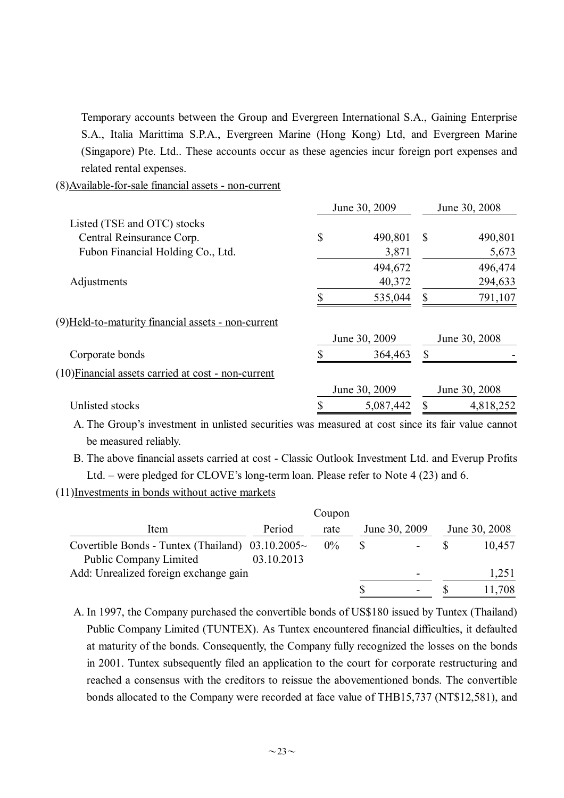Temporary accounts between the Group and Evergreen International S.A., Gaining Enterprise S.A., Italia Marittima S.P.A., Evergreen Marine (Hong Kong) Ltd, and Evergreen Marine (Singapore) Pte. Ltd.. These accounts occur as these agencies incur foreign port expenses and related rental expenses.

(8)Available-for-sale financial assets - non-current

|                                                     | June 30, 2009 |               | June 30, 2008 |               |
|-----------------------------------------------------|---------------|---------------|---------------|---------------|
| Listed (TSE and OTC) stocks                         |               |               |               |               |
| Central Reinsurance Corp.                           | \$            | 490,801       | <sup>S</sup>  | 490,801       |
| Fubon Financial Holding Co., Ltd.                   |               | 3,871         |               | 5,673         |
|                                                     |               | 494,672       |               | 496,474       |
| Adjustments                                         |               | 40,372        |               | 294,633       |
|                                                     |               | 535,044       | S             | 791,107       |
| (9) Held-to-maturity financial assets - non-current |               |               |               |               |
|                                                     |               | June 30, 2009 |               | June 30, 2008 |
| Corporate bonds                                     |               | 364,463       | $\mathbf S$   |               |
| (10) Financial assets carried at cost - non-current |               |               |               |               |
|                                                     |               | June 30, 2009 |               | June 30, 2008 |
| Unlisted stocks                                     |               | 5,087,442     |               | 4,818,252     |

A. The Group's investment in unlisted securities was measured at cost since its fair value cannot be measured reliably.

B. The above financial assets carried at cost - Classic Outlook Investment Ltd. and Everup Profits Ltd. – were pledged for CLOVE's long-term loan. Please refer to Note 4 (23) and 6.

(11)Investments in bonds without active markets

|                                                       |            | Coupon |               |                          |               |
|-------------------------------------------------------|------------|--------|---------------|--------------------------|---------------|
| Item                                                  | Period     | rate   | June 30, 2009 |                          | June 30, 2008 |
| Covertible Bonds - Tuntex (Thailand) $03.10.2005\sim$ |            | $0\%$  |               | $\overline{\phantom{a}}$ | 10,457        |
| <b>Public Company Limited</b>                         | 03.10.2013 |        |               |                          |               |
| Add: Unrealized foreign exchange gain                 |            |        |               | $\overline{\phantom{0}}$ | 1,251         |
|                                                       |            |        |               | -                        | 11,708        |

A. In 1997, the Company purchased the convertible bonds of US\$180 issued by Tuntex (Thailand) Public Company Limited (TUNTEX). As Tuntex encountered financial difficulties, it defaulted at maturity of the bonds. Consequently, the Company fully recognized the losses on the bonds in 2001. Tuntex subsequently filed an application to the court for corporate restructuring and reached a consensus with the creditors to reissue the abovementioned bonds. The convertible bonds allocated to the Company were recorded at face value of THB15,737 (NT\$12,581), and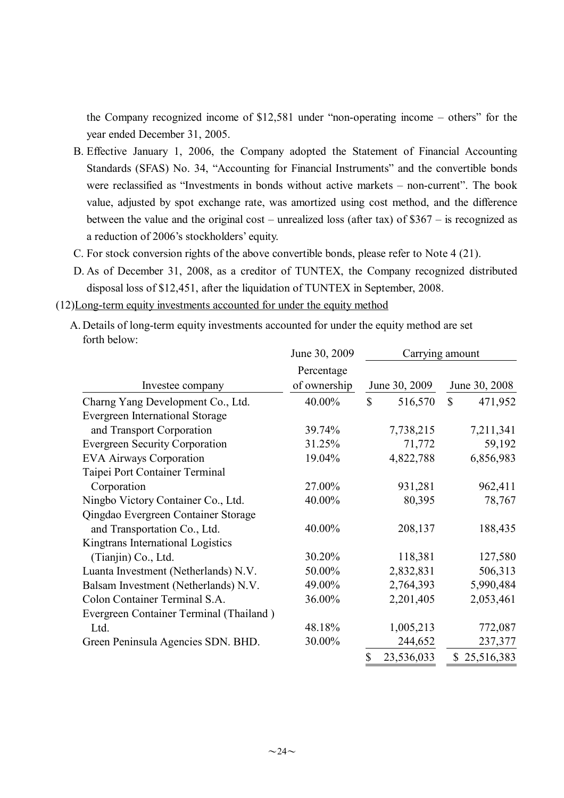the Company recognized income of \$12,581 under "non-operating income – others" for the year ended December 31, 2005.

- B. Effective January 1, 2006, the Company adopted the Statement of Financial Accounting Standards (SFAS) No. 34, "Accounting for Financial Instruments" and the convertible bonds were reclassified as "Investments in bonds without active markets – non-current". The book value, adjusted by spot exchange rate, was amortized using cost method, and the difference between the value and the original cost – unrealized loss (after tax) of \$367 – is recognized as a reduction of 2006's stockholders'equity.
- C. For stock conversion rights of the above convertible bonds, please refer to Note 4 (21).
- D. As of December 31, 2008, as a creditor of TUNTEX, the Company recognized distributed disposal loss of \$12,451, after the liquidation of TUNTEX in September, 2008.

(12)Long-term equity investments accounted for under the equity method

A. Details of long-term equity investments accounted for under the equity method are set forth below:  $30, 2000$ 

|                                         | June 30, 2009 |              | Carrying amount |             |               |
|-----------------------------------------|---------------|--------------|-----------------|-------------|---------------|
|                                         | Percentage    |              |                 |             |               |
| Investee company                        | of ownership  |              | June 30, 2009   |             | June 30, 2008 |
| Charng Yang Development Co., Ltd.       | 40.00%        | \$           | 516,570         | $\mathbf S$ | 471,952       |
| <b>Evergreen International Storage</b>  |               |              |                 |             |               |
| and Transport Corporation               | 39.74%        |              | 7,738,215       |             | 7,211,341     |
| <b>Evergreen Security Corporation</b>   | 31.25%        |              | 71,772          |             | 59,192        |
| <b>EVA Airways Corporation</b>          | 19.04%        |              | 4,822,788       |             | 6,856,983     |
| Taipei Port Container Terminal          |               |              |                 |             |               |
| Corporation                             | 27.00%        |              | 931,281         |             | 962,411       |
| Ningbo Victory Container Co., Ltd.      | 40.00%        |              | 80,395          |             | 78,767        |
| Qingdao Evergreen Container Storage     |               |              |                 |             |               |
| and Transportation Co., Ltd.            | 40.00%        |              | 208,137         |             | 188,435       |
| Kingtrans International Logistics       |               |              |                 |             |               |
| (Tianjin) Co., Ltd.                     | 30.20%        |              | 118,381         |             | 127,580       |
| Luanta Investment (Netherlands) N.V.    | 50.00%        |              | 2,832,831       |             | 506,313       |
| Balsam Investment (Netherlands) N.V.    | 49.00%        |              | 2,764,393       |             | 5,990,484     |
| Colon Container Terminal S.A.           | 36.00%        |              | 2,201,405       |             | 2,053,461     |
| Evergreen Container Terminal (Thailand) |               |              |                 |             |               |
| Ltd.                                    | 48.18%        |              | 1,005,213       |             | 772,087       |
| Green Peninsula Agencies SDN. BHD.      | 30.00%        |              | 244,652         |             | 237,377       |
|                                         |               | $\mathbb{S}$ | 23,536,033      |             | \$25,516,383  |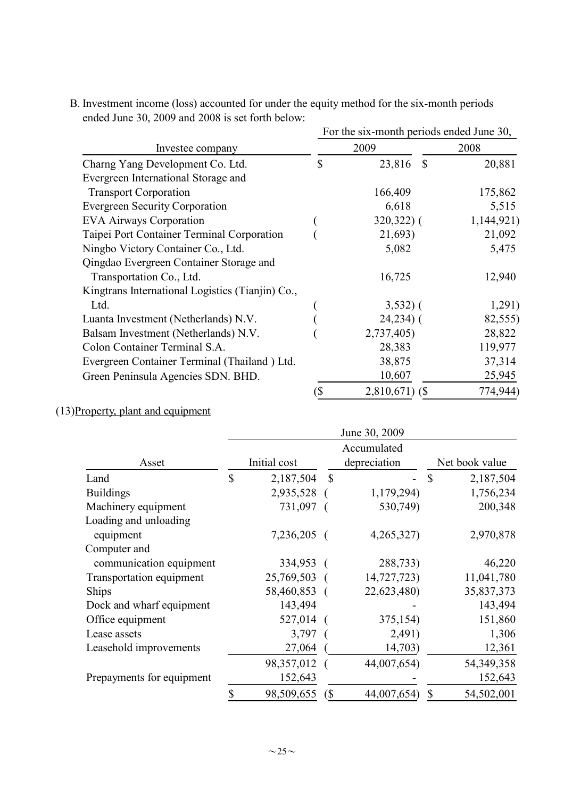|                                                  | For the six-month periods ended June 30, |                         |            |  |  |
|--------------------------------------------------|------------------------------------------|-------------------------|------------|--|--|
| Investee company                                 |                                          | 2009                    | 2008       |  |  |
| Charng Yang Development Co. Ltd.                 | \$                                       | $\mathcal{S}$<br>23,816 | 20,881     |  |  |
| Evergreen International Storage and              |                                          |                         |            |  |  |
| <b>Transport Corporation</b>                     |                                          | 166,409                 | 175,862    |  |  |
| <b>Evergreen Security Corporation</b>            |                                          | 6,618                   | 5,515      |  |  |
| <b>EVA Airways Corporation</b>                   |                                          | $320,322$ ) (           | 1,144,921) |  |  |
| Taipei Port Container Terminal Corporation       |                                          | 21,693)                 | 21,092     |  |  |
| Ningbo Victory Container Co., Ltd.               |                                          | 5,082                   | 5,475      |  |  |
| Qingdao Evergreen Container Storage and          |                                          |                         |            |  |  |
| Transportation Co., Ltd.                         |                                          | 16,725                  | 12,940     |  |  |
| Kingtrans International Logistics (Tianjin) Co., |                                          |                         |            |  |  |
| Ltd.                                             |                                          | $3,532)$ (              | 1,291)     |  |  |
| Luanta Investment (Netherlands) N.V.             |                                          | $24,234$ ) (            | 82,555)    |  |  |
| Balsam Investment (Netherlands) N.V.             |                                          | 2,737,405)              | 28,822     |  |  |
| Colon Container Terminal S.A.                    |                                          | 28,383                  | 119,977    |  |  |
| Evergreen Container Terminal (Thailand) Ltd.     |                                          | 38,875                  | 37,314     |  |  |
| Green Peninsula Agencies SDN. BHD.               |                                          | 10,607                  | 25,945     |  |  |
|                                                  | (\$                                      | $2,810,671$ (\$)        | 774,944)   |  |  |

B. Investment income (loss) accounted for under the equity method for the six-month periods ended June 30, 2009 and 2008 is set forth below:

# (13)Property, plant and equipment

|                           |              |              |                             | June 30, 2009 |                |            |
|---------------------------|--------------|--------------|-----------------------------|---------------|----------------|------------|
| Asset                     | Initial cost |              | Accumulated<br>depreciation |               | Net book value |            |
| Land                      | \$           | 2,187,504    | $\mathbb{S}$                |               | $\mathbb{S}$   | 2,187,504  |
| <b>Buildings</b>          |              | 2,935,528 (  |                             | 1,179,294)    |                | 1,756,234  |
| Machinery equipment       |              | 731,097 (    |                             | 530,749)      |                | 200,348    |
| Loading and unloading     |              |              |                             |               |                |            |
| equipment                 |              | 7,236,205 (  |                             | 4,265,327)    |                | 2,970,878  |
| Computer and              |              |              |                             |               |                |            |
| communication equipment   |              | 334,953 (    |                             | 288,733)      |                | 46,220     |
| Transportation equipment  |              | 25,769,503 ( |                             | 14,727,723)   |                | 11,041,780 |
| Ships                     |              | 58,460,853 ( |                             | 22,623,480)   |                | 35,837,373 |
| Dock and wharf equipment  |              | 143,494      |                             |               |                | 143,494    |
| Office equipment          |              | 527,014 (    |                             | 375,154)      |                | 151,860    |
| Lease assets              |              | 3,797        |                             | 2,491)        |                | 1,306      |
| Leasehold improvements    |              | 27,064       |                             | 14,703)       |                | 12,361     |
|                           |              | 98,357,012 ( |                             | 44,007,654)   |                | 54,349,358 |
| Prepayments for equipment |              | 152,643      |                             |               |                | 152,643    |
|                           | \$           | 98,509,655   | $\left( \text{\$} \right)$  | 44,007,654)   | $\mathbb{S}$   | 54,502,001 |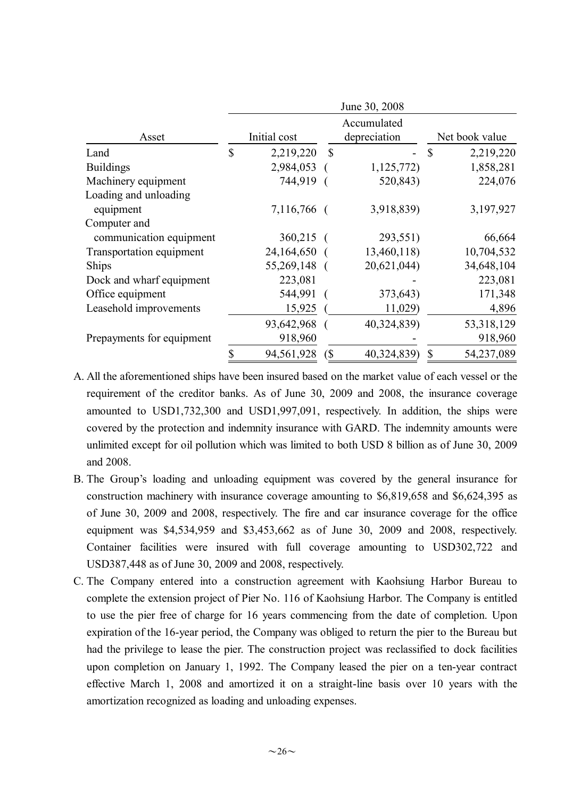|                           |              |              |               | June 30, 2008 |               |                |
|---------------------------|--------------|--------------|---------------|---------------|---------------|----------------|
|                           |              |              |               | Accumulated   |               |                |
| Asset                     |              | Initial cost |               | depreciation  |               | Net book value |
| Land                      | $\mathbb{S}$ | 2,219,220    | <sup>\$</sup> |               | <sup>\$</sup> | 2,219,220      |
| <b>Buildings</b>          |              | 2,984,053    |               | 1,125,772)    |               | 1,858,281      |
| Machinery equipment       |              | 744,919      |               | 520,843)      |               | 224,076        |
| Loading and unloading     |              |              |               |               |               |                |
| equipment                 |              | 7,116,766 (  |               | 3,918,839)    |               | 3,197,927      |
| Computer and              |              |              |               |               |               |                |
| communication equipment   |              | $360,215$ (  |               | 293,551)      |               | 66,664         |
| Transportation equipment  |              | 24,164,650   |               | 13,460,118)   |               | 10,704,532     |
| Ships                     |              | 55,269,148 ( |               | 20,621,044)   |               | 34,648,104     |
| Dock and wharf equipment  |              | 223,081      |               |               |               | 223,081        |
| Office equipment          |              | 544,991      |               | 373,643)      |               | 171,348        |
| Leasehold improvements    |              | 15,925       |               | 11,029)       |               | 4,896          |
|                           |              | 93,642,968 ( |               | 40,324,839)   |               | 53,318,129     |
| Prepayments for equipment |              | 918,960      |               |               |               | 918,960        |
|                           |              | 94,561,928   | (             | 40,324,839)   | \$            | 54,237,089     |

- A. All the aforementioned ships have been insured based on the market value of each vessel or the requirement of the creditor banks. As of June 30, 2009 and 2008, the insurance coverage amounted to USD1,732,300 and USD1,997,091, respectively. In addition, the ships were covered by the protection and indemnity insurance with GARD. The indemnity amounts were unlimited except for oil pollution which was limited to both USD 8 billion as of June 30, 2009 and 2008.
- B. The Group's loading and unloading equipment was covered by the general insurance for construction machinery with insurance coverage amounting to \$6,819,658 and \$6,624,395 as of June 30, 2009 and 2008, respectively. The fire and car insurance coverage for the office equipment was \$4,534,959 and \$3,453,662 as of June 30, 2009 and 2008, respectively. Container facilities were insured with full coverage amounting to USD302,722 and USD387,448 as of June 30, 2009 and 2008, respectively.
- C. The Company entered into a construction agreement with Kaohsiung Harbor Bureau to complete the extension project of Pier No. 116 of Kaohsiung Harbor. The Company is entitled to use the pier free of charge for 16 years commencing from the date of completion. Upon expiration of the 16-year period, the Company was obliged to return the pier to the Bureau but had the privilege to lease the pier. The construction project was reclassified to dock facilities upon completion on January 1, 1992. The Company leased the pier on a ten-year contract effective March 1, 2008 and amortized it on a straight-line basis over 10 years with the amortization recognized as loading and unloading expenses.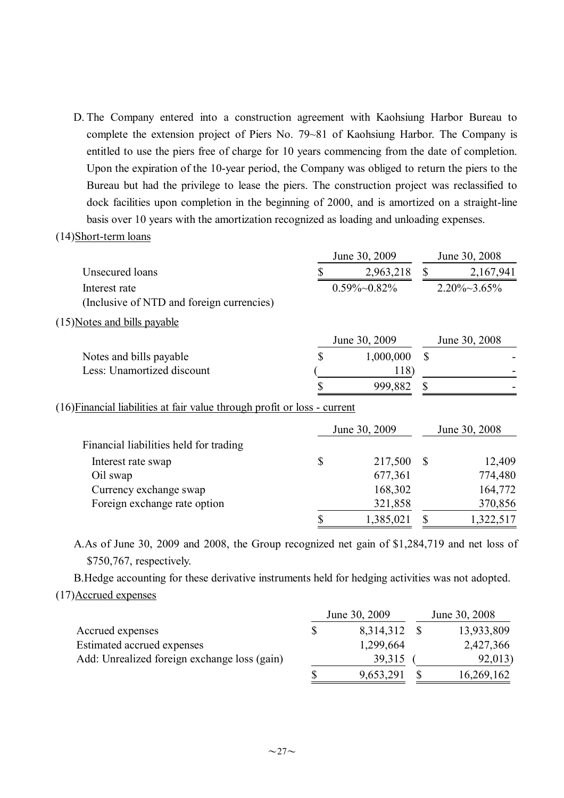D. The Company entered into a construction agreement with Kaohsiung Harbor Bureau to complete the extension project of Piers No. 79~81 of Kaohsiung Harbor. The Company is entitled to use the piers free of charge for 10 years commencing from the date of completion. Upon the expiration of the 10-year period, the Company was obliged to return the piers to the Bureau but had the privilege to lease the piers. The construction project was reclassified to dock facilities upon completion in the beginning of 2000, and is amortized on a straight-line basis over 10 years with the amortization recognized as loading and unloading expenses.

#### (14)Short-term loans

|                                                            | June 30, 2009 |                      |    | June 30, 2008        |
|------------------------------------------------------------|---------------|----------------------|----|----------------------|
| Unsecured loans                                            |               | 2,963,218            |    | 2,167,941            |
| Interest rate<br>(Inclusive of NTD and foreign currencies) |               | $0.59\% \sim 0.82\%$ |    | $2.20\% \sim 3.65\%$ |
| (15) Notes and bills payable                               |               |                      |    |                      |
|                                                            |               | June 30, 2009        |    | June 30, 2008        |
| Notes and bills payable                                    | S             | 1,000,000            | \$ |                      |
| Less: Unamortized discount                                 |               | 118)                 |    |                      |
|                                                            |               | 999,882              |    |                      |

(16)Financial liabilities at fair value through profit or loss - current

|                                        | June 30, 2009 |  | June 30, 2008 |
|----------------------------------------|---------------|--|---------------|
| Financial liabilities held for trading |               |  |               |
| Interest rate swap                     | 217,500       |  | 12,409        |
| Oil swap                               | 677,361       |  | 774,480       |
| Currency exchange swap                 | 168,302       |  | 164,772       |
| Foreign exchange rate option           | 321,858       |  | 370,856       |
|                                        | 1,385,021     |  | 1,322,517     |

A.As of June 30, 2009 and 2008, the Group recognized net gain of \$1,284,719 and net loss of \$750,767, respectively.

B.Hedge accounting for these derivative instruments held for hedging activities was not adopted. (17)Accrued expenses

|                                              | June 30, 2009 | June 30, 2008 |            |  |
|----------------------------------------------|---------------|---------------|------------|--|
| Accrued expenses                             | 8,314,312     |               | 13,933,809 |  |
| Estimated accrued expenses                   | 1,299,664     |               | 2,427,366  |  |
| Add: Unrealized foreign exchange loss (gain) | 39,315        |               | 92,013)    |  |
|                                              | 9,653,291     |               | 16,269,162 |  |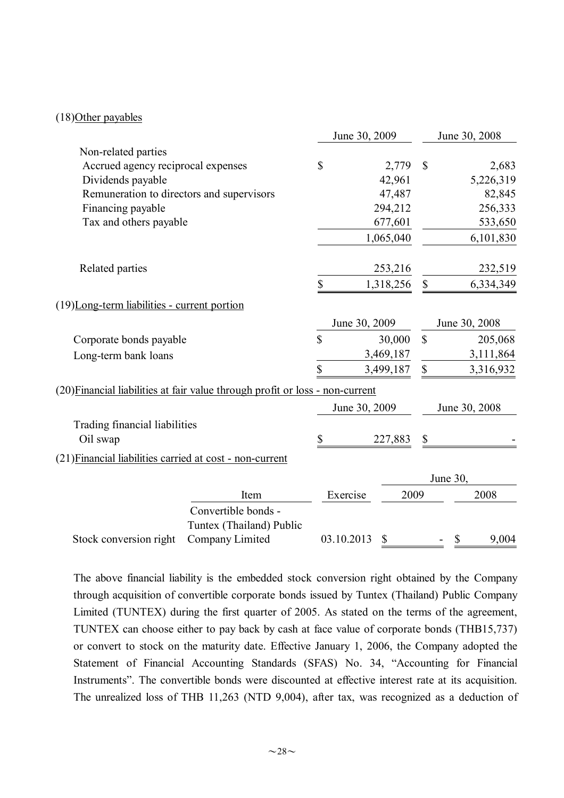### (18)Other payables

|                                                          |                                                                               | June 30, 2009 |               | June 30, 2008 |                           |                                    |
|----------------------------------------------------------|-------------------------------------------------------------------------------|---------------|---------------|---------------|---------------------------|------------------------------------|
| Non-related parties                                      |                                                                               |               |               |               |                           |                                    |
| Accrued agency reciprocal expenses                       |                                                                               | \$            |               | 2,779         | $\mathcal{S}$             | 2,683                              |
| Dividends payable                                        |                                                                               |               |               | 42,961        |                           | 5,226,319                          |
| Remuneration to directors and supervisors                |                                                                               |               |               | 47,487        |                           | 82,845                             |
| Financing payable                                        |                                                                               |               |               | 294,212       |                           | 256,333                            |
| Tax and others payable                                   |                                                                               |               |               | 677,601       |                           | 533,650                            |
|                                                          |                                                                               |               |               | 1,065,040     |                           | 6,101,830                          |
| Related parties                                          |                                                                               |               |               | 253,216       |                           | 232,519                            |
|                                                          |                                                                               | \$            |               | 1,318,256     | \$                        | 6,334,349                          |
| (19)Long-term liabilities - current portion              |                                                                               |               |               |               |                           |                                    |
|                                                          |                                                                               |               | June 30, 2009 |               |                           | June 30, 2008                      |
| Corporate bonds payable                                  |                                                                               | $\mathcal{S}$ |               | 30,000        | $\mathbb{S}$              | 205,068                            |
| Long-term bank loans                                     |                                                                               |               |               | 3,469,187     |                           | 3,111,864                          |
|                                                          |                                                                               | \$            |               | 3,499,187     | $\boldsymbol{\mathsf{S}}$ | 3,316,932                          |
|                                                          | (20) Financial liabilities at fair value through profit or loss - non-current |               |               |               |                           |                                    |
|                                                          |                                                                               |               | June 30, 2009 |               |                           | June 30, 2008                      |
| Trading financial liabilities                            |                                                                               |               |               |               |                           |                                    |
| Oil swap                                                 |                                                                               | \$            |               | 227,883       | \$                        |                                    |
| (21) Financial liabilities carried at cost - non-current |                                                                               |               |               |               |                           |                                    |
|                                                          |                                                                               |               |               |               |                           | June 30,                           |
|                                                          | Item                                                                          |               | Exercise      | 2009          |                           | 2008                               |
|                                                          | Convertible bonds -                                                           |               |               |               |                           |                                    |
|                                                          | Tuntex (Thailand) Public                                                      |               |               |               |                           |                                    |
| Stock conversion right                                   | Company Limited                                                               |               | 03.10.2013    | \$            |                           | 9,004<br>$\boldsymbol{\mathsf{S}}$ |

The above financial liability is the embedded stock conversion right obtained by the Company through acquisition of convertible corporate bonds issued by Tuntex (Thailand) Public Company Limited (TUNTEX) during the first quarter of 2005. As stated on the terms of the agreement, TUNTEX can choose either to pay back by cash at face value of corporate bonds (THB15,737) or convert to stock on the maturity date. Effective January 1, 2006, the Company adopted the Statement of Financial Accounting Standards (SFAS) No. 34, "Accounting for Financial Instruments". The convertible bonds were discounted at effective interest rate at its acquisition. The unrealized loss of THB 11,263 (NTD 9,004), after tax, was recognized as a deduction of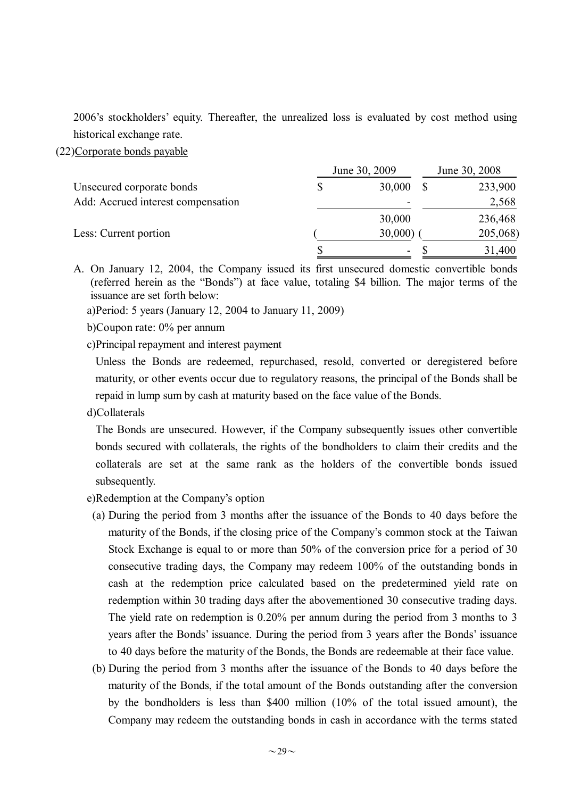2006's stockholders' equity. Thereafter, the unrealized loss is evaluated by cost method using historical exchange rate.

(22)Corporate bonds payable

|                                    | June 30, 2009            | June 30, 2008 |          |  |
|------------------------------------|--------------------------|---------------|----------|--|
| Unsecured corporate bonds          | 30,000                   |               | 233,900  |  |
| Add: Accrued interest compensation | $\overline{\phantom{0}}$ |               | 2,568    |  |
|                                    | 30,000                   |               | 236,468  |  |
| Less: Current portion              | 30,000                   |               | 205,068) |  |
|                                    | $\overline{\phantom{a}}$ |               | 31,400   |  |

A. On January 12, 2004, the Company issued its first unsecured domestic convertible bonds (referred herein as the "Bonds") at face value, totaling \$4 billion. The major terms of the issuance are set forth below:

a)Period: 5 years (January 12, 2004 to January 11, 2009)

b)Coupon rate: 0% per annum

c)Principal repayment and interest payment

Unless the Bonds are redeemed, repurchased, resold, converted or deregistered before maturity, or other events occur due to regulatory reasons, the principal of the Bonds shall be repaid in lump sum by cash at maturity based on the face value of the Bonds.

d)Collaterals

The Bonds are unsecured. However, if the Company subsequently issues other convertible bonds secured with collaterals, the rights of the bondholders to claim their credits and the collaterals are set at the same rank as the holders of the convertible bonds issued subsequently.

- e)Redemption at the Company's option
	- (a) During the period from 3 months after the issuance of the Bonds to 40 days before the maturity of the Bonds, if the closing price of the Company's common stock at the Taiwan Stock Exchange is equal to or more than 50% of the conversion price for a period of 30 consecutive trading days, the Company may redeem 100% of the outstanding bonds in cash at the redemption price calculated based on the predetermined yield rate on redemption within 30 trading days after the abovementioned 30 consecutive trading days. The yield rate on redemption is 0.20% per annum during the period from 3 months to 3 years after the Bonds'issuance. During the period from 3 years after the Bonds'issuance to 40 days before the maturity of the Bonds, the Bonds are redeemable at their face value.
- (b) During the period from 3 months after the issuance of the Bonds to 40 days before the maturity of the Bonds, if the total amount of the Bonds outstanding after the conversion by the bondholders is less than \$400 million (10% of the total issued amount), the Company may redeem the outstanding bonds in cash in accordance with the terms stated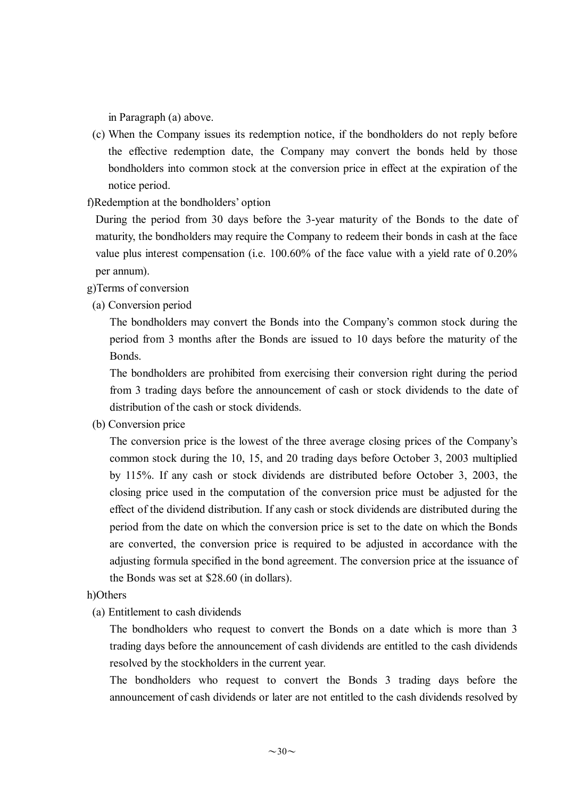in Paragraph (a) above.

- (c) When the Company issues its redemption notice, if the bondholders do not reply before the effective redemption date, the Company may convert the bonds held by those bondholders into common stock at the conversion price in effect at the expiration of the notice period.
- f)Redemption at the bondholders'option

During the period from 30 days before the 3-year maturity of the Bonds to the date of maturity, the bondholders may require the Company to redeem their bonds in cash at the face value plus interest compensation (i.e. 100.60% of the face value with a yield rate of 0.20% per annum).

g)Terms of conversion

(a) Conversion period

The bondholders may convert the Bonds into the Company's common stock during the period from 3 months after the Bonds are issued to 10 days before the maturity of the Bonds.

The bondholders are prohibited from exercising their conversion right during the period from 3 trading days before the announcement of cash or stock dividends to the date of distribution of the cash or stock dividends.

(b) Conversion price

The conversion price is the lowest of the three average closing prices of the Company's common stock during the 10, 15, and 20 trading days before October 3, 2003 multiplied by 115%. If any cash or stock dividends are distributed before October 3, 2003, the closing price used in the computation of the conversion price must be adjusted for the effect of the dividend distribution. If any cash or stock dividends are distributed during the period from the date on which the conversion price is set to the date on which the Bonds are converted, the conversion price is required to be adjusted in accordance with the adjusting formula specified in the bond agreement. The conversion price at the issuance of the Bonds was set at \$28.60 (in dollars).

#### h)Others

(a) Entitlement to cash dividends

The bondholders who request to convert the Bonds on a date which is more than 3 trading days before the announcement of cash dividends are entitled to the cash dividends resolved by the stockholders in the current year.

The bondholders who request to convert the Bonds 3 trading days before the announcement of cash dividends or later are not entitled to the cash dividends resolved by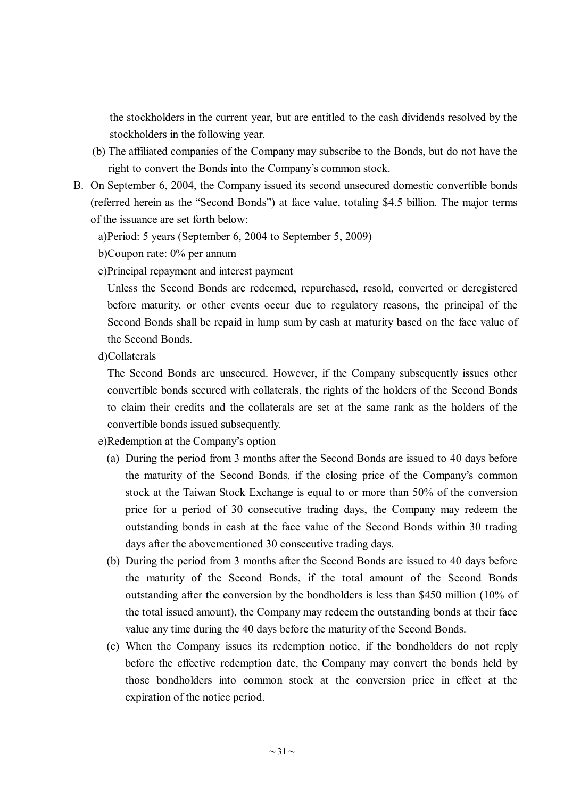the stockholders in the current year, but are entitled to the cash dividends resolved by the stockholders in the following year.

- (b) The affiliated companies of the Company may subscribe to the Bonds, but do not have the right to convert the Bonds into the Company's common stock.
- B. On September 6, 2004, the Company issued its second unsecured domestic convertible bonds (referred herein as the "Second Bonds") at face value, totaling \$4.5 billion. The major terms of the issuance are set forth below:
	- a)Period: 5 years (September 6, 2004 to September 5, 2009)
	- b)Coupon rate: 0% per annum
	- c)Principal repayment and interest payment

Unless the Second Bonds are redeemed, repurchased, resold, converted or deregistered before maturity, or other events occur due to regulatory reasons, the principal of the Second Bonds shall be repaid in lump sum by cash at maturity based on the face value of the Second Bonds.

d)Collaterals

The Second Bonds are unsecured. However, if the Company subsequently issues other convertible bonds secured with collaterals, the rights of the holders of the Second Bonds to claim their credits and the collaterals are set at the same rank as the holders of the convertible bonds issued subsequently.

e)Redemption at the Company's option

- (a) During the period from 3 months after the Second Bonds are issued to 40 days before the maturity of the Second Bonds, if the closing price of the Company's common stock at the Taiwan Stock Exchange is equal to or more than 50% of the conversion price for a period of 30 consecutive trading days, the Company may redeem the outstanding bonds in cash at the face value of the Second Bonds within 30 trading days after the abovementioned 30 consecutive trading days.
- (b) During the period from 3 months after the Second Bonds are issued to 40 days before the maturity of the Second Bonds, if the total amount of the Second Bonds outstanding after the conversion by the bondholders is less than \$450 million (10% of the total issued amount), the Company may redeem the outstanding bonds at their face value any time during the 40 days before the maturity of the Second Bonds.
- (c) When the Company issues its redemption notice, if the bondholders do not reply before the effective redemption date, the Company may convert the bonds held by those bondholders into common stock at the conversion price in effect at the expiration of the notice period.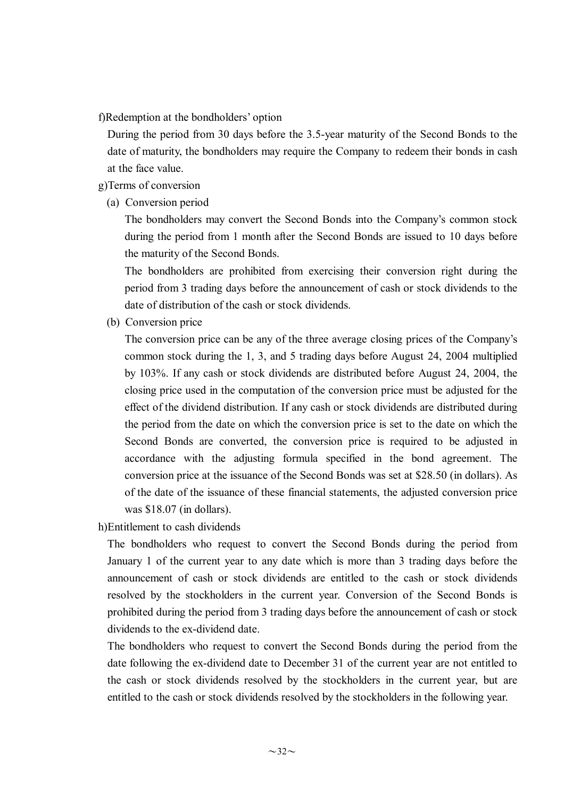f)Redemption at the bondholders'option

During the period from 30 days before the 3.5-year maturity of the Second Bonds to the date of maturity, the bondholders may require the Company to redeem their bonds in cash at the face value.

### g)Terms of conversion

(a) Conversion period

The bondholders may convert the Second Bonds into the Company's common stock during the period from 1 month after the Second Bonds are issued to 10 days before the maturity of the Second Bonds.

The bondholders are prohibited from exercising their conversion right during the period from 3 trading days before the announcement of cash or stock dividends to the date of distribution of the cash or stock dividends.

(b) Conversion price

The conversion price can be any of the three average closing prices of the Company's common stock during the 1, 3, and 5 trading days before August 24, 2004 multiplied by 103%. If any cash or stock dividends are distributed before August 24, 2004, the closing price used in the computation of the conversion price must be adjusted for the effect of the dividend distribution. If any cash or stock dividends are distributed during the period from the date on which the conversion price is set to the date on which the Second Bonds are converted, the conversion price is required to be adjusted in accordance with the adjusting formula specified in the bond agreement. The conversion price at the issuance of the Second Bonds was set at \$28.50 (in dollars). As of the date of the issuance of these financial statements, the adjusted conversion price was \$18.07 (in dollars).

h)Entitlement to cash dividends

The bondholders who request to convert the Second Bonds during the period from January 1 of the current year to any date which is more than 3 trading days before the announcement of cash or stock dividends are entitled to the cash or stock dividends resolved by the stockholders in the current year. Conversion of the Second Bonds is prohibited during the period from 3 trading days before the announcement of cash or stock dividends to the ex-dividend date.

The bondholders who request to convert the Second Bonds during the period from the date following the ex-dividend date to December 31 of the current year are not entitled to the cash or stock dividends resolved by the stockholders in the current year, but are entitled to the cash or stock dividends resolved by the stockholders in the following year.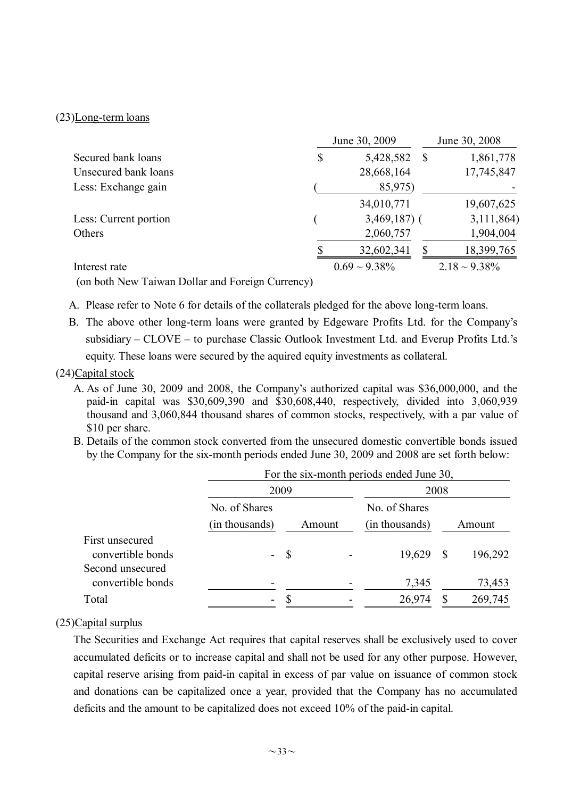#### (23)Long-term loans

|                       |    | June 30, 2009      |                    |
|-----------------------|----|--------------------|--------------------|
| Secured bank loans    | \$ | 5,428,582          | 1,861,778          |
| Unsecured bank loans  |    | 28,668,164         | 17,745,847         |
| Less: Exchange gain   |    |                    |                    |
|                       |    | 34,010,771         | 19,607,625         |
| Less: Current portion |    | $3,469,187$ (      | 3,111,864)         |
| Others                |    | 2,060,757          | 1,904,004          |
|                       |    | 32,602,341         | 18,399,765         |
| Interest rate         |    | $0.69 \sim 9.38\%$ | $2.18 \sim 9.38\%$ |

(on both New Taiwan Dollar and Foreign Currency)

A. Please refer to Note 6 for details of the collaterals pledged for the above long-term loans.

B. The above other long-term loans were granted by Edgeware Profits Ltd. for the Company's subsidiary – CLOVE – to purchase Classic Outlook Investment Ltd. and Everup Profits Ltd.'s equity. These loans were secured by the aquired equity investments as collateral.

## (24)Capital stock

- A. As of June 30, 2009 and 2008, the Company's authorized capital was \$36,000,000, and the paid-in capital was \$30,609,390 and \$30,608,440, respectively, divided into 3,060,939 thousand and 3,060,844 thousand shares of common stocks, respectively, with a par value of \$10 per share.
- B. Details of the common stock converted from the unsecured domestic convertible bonds issued by the Company for the six-month periods ended June 30, 2009 and 2008 are set forth below:

|                                       | For the six-month periods ended June 30, |      |        |                |   |         |  |  |
|---------------------------------------|------------------------------------------|------|--------|----------------|---|---------|--|--|
|                                       | 2009                                     |      |        | 2008           |   |         |  |  |
|                                       | No. of Shares                            |      |        | No. of Shares  |   |         |  |  |
|                                       | (in thousands)                           |      | Amount | (in thousands) |   | Amount  |  |  |
| First unsecured<br>convertible bonds  | Ξ.                                       | - \$ |        | 19,629         | S | 196,292 |  |  |
| Second unsecured<br>convertible bonds |                                          |      |        | 7,345          |   | 73,453  |  |  |
| Total                                 |                                          |      |        | 26,974         |   | 269,745 |  |  |

## (25)Capital surplus

The Securities and Exchange Act requires that capital reserves shall be exclusively used to cover accumulated deficits or to increase capital and shall not be used for any other purpose. However, capital reserve arising from paid-in capital in excess of par value on issuance of common stock and donations can be capitalized once a year, provided that the Company has no accumulated deficits and the amount to be capitalized does not exceed 10% of the paid-in capital.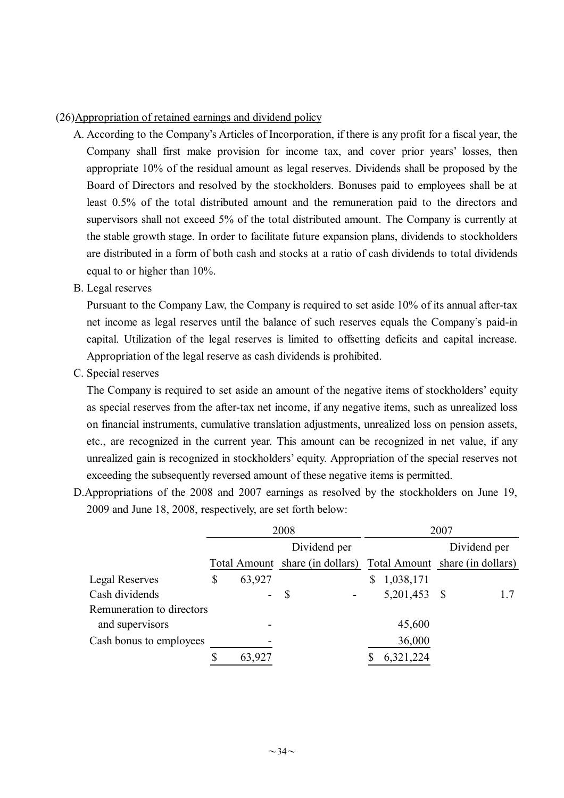## (26)Appropriation of retained earnings and dividend policy

- A. According to the Company's Articles of Incorporation, if there is any profit for a fiscal year, the Company shall first make provision for income tax, and cover prior years' losses, then appropriate 10% of the residual amount as legal reserves. Dividends shall be proposed by the Board of Directors and resolved by the stockholders. Bonuses paid to employees shall be at least 0.5% of the total distributed amount and the remuneration paid to the directors and supervisors shall not exceed 5% of the total distributed amount. The Company is currently at the stable growth stage. In order to facilitate future expansion plans, dividends to stockholders are distributed in a form of both cash and stocks at a ratio of cash dividends to total dividends equal to or higher than 10%.
- B. Legal reserves

Pursuant to the Company Law, the Company is required to set aside 10% of its annual after-tax net income as legal reserves until the balance of such reserves equals the Company's paid-in capital. Utilization of the legal reserves is limited to offsetting deficits and capital increase. Appropriation of the legal reserve as cash dividends is prohibited.

C. Special reserves

The Company is required to set aside an amount of the negative items of stockholders'equity as special reserves from the after-tax net income, if any negative items, such as unrealized loss on financial instruments, cumulative translation adjustments, unrealized loss on pension assets, etc., are recognized in the current year. This amount can be recognized in net value, if any unrealized gain is recognized in stockholders'equity. Appropriation of the special reserves not exceeding the subsequently reversed amount of these negative items is permitted.

D.Appropriations of the 2008 and 2007 earnings as resolved by the stockholders on June 19, 2009 and June 18, 2008, respectively, are set forth below:

|                           | 2008 |        |                                 | 2007 |                                 |              |     |
|---------------------------|------|--------|---------------------------------|------|---------------------------------|--------------|-----|
|                           |      |        | Dividend per                    |      |                                 | Dividend per |     |
|                           |      |        | Total Amount share (in dollars) |      | Total Amount share (in dollars) |              |     |
| Legal Reserves            | \$   | 63,927 |                                 |      | 1,038,171                       |              |     |
| Cash dividends            |      | -      | \$                              |      | 5,201,453                       | -S           | 1.7 |
| Remuneration to directors |      |        |                                 |      |                                 |              |     |
| and supervisors           |      |        |                                 |      | 45,600                          |              |     |
| Cash bonus to employees   |      |        |                                 |      | 36,000                          |              |     |
|                           |      | 63,927 |                                 |      | 6,321,224                       |              |     |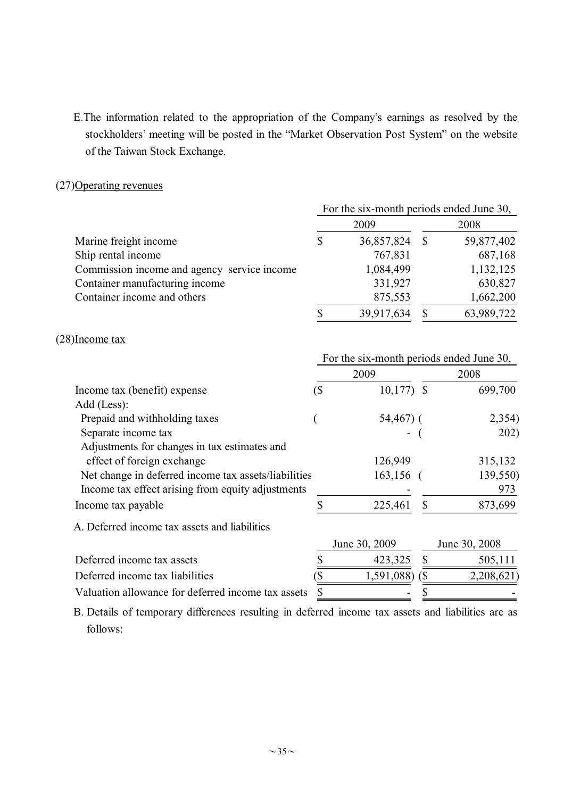E.The information related to the appropriation of the Company's earnings as resolved by the stockholders'meeting will be posted in the "Market Observation Post System" on the website of the Taiwan Stock Exchange.

## (27)Operating revenues

|                                             | For the six-month periods ended June 30, |            |      |            |  |
|---------------------------------------------|------------------------------------------|------------|------|------------|--|
|                                             |                                          | 2009       | 2008 |            |  |
| Marine freight income                       | \$                                       | 36,857,824 |      | 59,877,402 |  |
| Ship rental income                          |                                          | 767,831    |      | 687,168    |  |
| Commission income and agency service income |                                          | 1,084,499  |      | 1,132,125  |  |
| Container manufacturing income              |                                          | 331,927    |      | 630,827    |  |
| Container income and others                 |                                          | 875,553    |      | 1,662,200  |  |
|                                             |                                          | 39,917,634 |      | 63,989,722 |  |

#### (28)Income tax

|                                                      | For the six-month periods ended June 30, |               |                             |               |  |
|------------------------------------------------------|------------------------------------------|---------------|-----------------------------|---------------|--|
|                                                      |                                          | 2009          | 2008                        |               |  |
| Income tax (benefit) expense                         | $($ \$                                   | $10,177$ \$   |                             | 699,700       |  |
| Add (Less):                                          |                                          |               |                             |               |  |
| Prepaid and withholding taxes                        |                                          | $54,467$ ) (  |                             | 2,354)        |  |
| Separate income tax                                  |                                          |               |                             | 202)          |  |
| Adjustments for changes in tax estimates and         |                                          |               |                             |               |  |
| effect of foreign exchange                           |                                          | 126,949       |                             | 315,132       |  |
| Net change in deferred income tax assets/liabilities |                                          | $163, 156$ (  |                             | 139,550)      |  |
| Income tax effect arising from equity adjustments    |                                          |               |                             | 973           |  |
| Income tax payable                                   |                                          | 225,461       |                             | 873,699       |  |
| A. Deferred income tax assets and liabilities        |                                          |               |                             |               |  |
|                                                      |                                          | June 30, 2009 |                             | June 30, 2008 |  |
| Deferred income tax assets                           |                                          | 423,325       |                             | 505,111       |  |
| Deferred income tax liabilities                      |                                          | 1,591,088)    | $\left( \mathcal{S}\right)$ | 2,208,621     |  |
| Valuation allowance for deferred income tax assets   |                                          |               |                             |               |  |

B. Details of temporary differences resulting in deferred income tax assets and liabilities are as follows: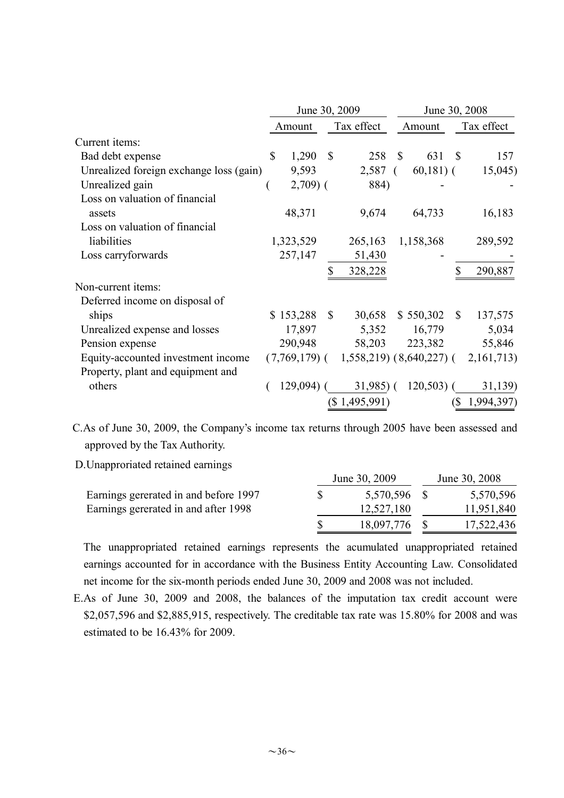|                                         |              | June 30, 2009 |                           |                                          | June 30, 2008 |             |              |                  |
|-----------------------------------------|--------------|---------------|---------------------------|------------------------------------------|---------------|-------------|--------------|------------------|
|                                         |              | Amount        |                           | Tax effect                               |               | Amount      | Tax effect   |                  |
| Current items:                          |              |               |                           |                                          |               |             |              |                  |
| Bad debt expense                        | $\mathbb{S}$ | 1,290         | $\mathbb{S}$              | 258                                      | $\mathbb{S}$  | 631         | $\mathbf S$  | 157              |
| Unrealized foreign exchange loss (gain) |              | 9,593         |                           | 2,587                                    | $\sqrt{2}$    | $60,181)$ ( |              | 15,045)          |
| Unrealized gain                         |              | $2,709$ (     |                           | 884)                                     |               |             |              |                  |
| Loss on valuation of financial          |              |               |                           |                                          |               |             |              |                  |
| assets                                  |              | 48,371        |                           | 9,674                                    |               | 64,733      |              | 16,183           |
| Loss on valuation of financial          |              |               |                           |                                          |               |             |              |                  |
| liabilities                             |              | 1,323,529     |                           | 265,163                                  |               | 1,158,368   |              | 289,592          |
| Loss carryforwards                      |              | 257,147       |                           | 51,430                                   |               |             |              |                  |
|                                         |              |               |                           | 328,228                                  |               |             |              | 290,887          |
| Non-current items:                      |              |               |                           |                                          |               |             |              |                  |
| Deferred income on disposal of          |              |               |                           |                                          |               |             |              |                  |
| ships                                   |              | \$153,288     | $\boldsymbol{\mathsf{S}}$ | 30,658                                   |               | \$550,302   | $\mathbb{S}$ | 137,575          |
| Unrealized expense and losses           |              | 17,897        |                           | 5,352                                    |               | 16,779      |              | 5,034            |
| Pension expense                         |              | 290,948       |                           | 58,203                                   |               | 223,382     |              | 55,846           |
| Equity-accounted investment income      |              |               |                           | $(7,769,179)$ ( 1,558,219) (8,640,227) ( |               |             |              | 2, 161, 713)     |
| Property, plant and equipment and       |              |               |                           |                                          |               |             |              |                  |
| others                                  |              |               |                           | $129,094$ ( $31,985$ ) (                 |               | $120,503$ ( |              | 31,139)          |
|                                         |              |               |                           | (\$1,495,991)                            |               |             |              | $(S\ 1,994,397)$ |

C.As of June 30, 2009, the Company's income tax returns through 2005 have been assessed and approved by the Tax Authority.

D.Unapproriated retained earnings

|                                       | June 30, 2009 | June 30, 2008 |            |  |
|---------------------------------------|---------------|---------------|------------|--|
| Earnings gererated in and before 1997 | 5,570,596 \$  |               | 5,570,596  |  |
| Earnings gererated in and after 1998  | 12,527,180    |               | 11,951,840 |  |
|                                       | 18,097,776 \$ |               | 17,522,436 |  |

The unappropriated retained earnings represents the acumulated unappropriated retained earnings accounted for in accordance with the Business Entity Accounting Law. Consolidated net income for the six-month periods ended June 30, 2009 and 2008 was not included.

E.As of June 30, 2009 and 2008, the balances of the imputation tax credit account were \$2,057,596 and \$2,885,915, respectively. The creditable tax rate was 15.80% for 2008 and was estimated to be 16.43% for 2009.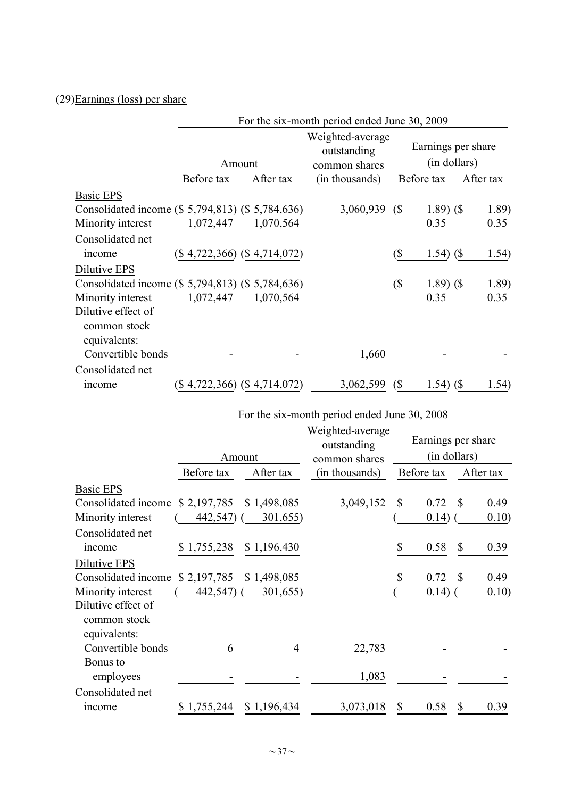# (29)Earnings (loss) per share

|                                                                  |               |                                 | For the six-month period ended June 30, 2009                     |                                    |                    |                              |           |
|------------------------------------------------------------------|---------------|---------------------------------|------------------------------------------------------------------|------------------------------------|--------------------|------------------------------|-----------|
|                                                                  | Amount        |                                 | Weighted-average<br>outstanding<br>common shares                 | Earnings per share<br>(in dollars) |                    |                              |           |
|                                                                  | Before tax    | After tax                       | (in thousands)                                                   |                                    | Before tax         |                              | After tax |
| <b>Basic EPS</b>                                                 |               |                                 |                                                                  |                                    |                    |                              |           |
| Consolidated income (\$ 5,794,813) (\$ 5,784,636)                |               |                                 | 3,060,939                                                        | (                                  | $1.89)$ (\$        |                              | 1.89)     |
| Minority interest                                                | 1,072,447     | 1,070,564                       |                                                                  |                                    | 0.35               |                              | 0.35      |
| Consolidated net<br>income                                       |               | $(\$4,722,366)$ $(\$4,714,072)$ |                                                                  | (\$                                | 1.54)              | $\left( \mathcal{S} \right)$ | 1.54)     |
| Dilutive EPS                                                     |               |                                 |                                                                  |                                    |                    |                              |           |
| Consolidated income (\$ 5,794,813) (\$ 5,784,636)                |               |                                 |                                                                  | $(\$\)$                            | $1.89)$ (\$        |                              | 1.89)     |
| Minority interest<br>Dilutive effect of<br>common stock          | 1,072,447     | 1,070,564                       |                                                                  |                                    | 0.35               |                              | 0.35      |
| equivalents:<br>Convertible bonds                                |               |                                 | 1,660                                                            |                                    |                    |                              |           |
| Consolidated net                                                 |               |                                 |                                                                  |                                    |                    |                              |           |
| income                                                           |               | (\$4,722,366) (\$4,714,072)     | 3,062,599                                                        | (                                  | $1.54)$ (\$        |                              | 1.54)     |
|                                                                  |               |                                 | For the six-month period ended June 30, 2008<br>Weighted-average |                                    | Earnings per share |                              |           |
|                                                                  |               | Amount                          | outstanding<br>common shares                                     | (in dollars)                       |                    |                              |           |
|                                                                  | Before tax    | After tax                       | (in thousands)                                                   |                                    | Before tax         |                              | After tax |
| <b>Basic EPS</b>                                                 |               |                                 |                                                                  |                                    |                    |                              |           |
| Consolidated income                                              | \$2,197,785   | \$1,498,085                     | 3,049,152                                                        | \$                                 | 0.72               | \$                           | 0.49      |
| Minority interest                                                | 442,547) (    | 301,655)                        |                                                                  |                                    | 0.14)              |                              | 0.10)     |
| Consolidated net                                                 |               |                                 |                                                                  |                                    |                    |                              |           |
| income                                                           |               | \$1,755,238 \$1,196,430         |                                                                  | \$                                 | 0.58               | $\$$                         | 0.39      |
| Dilutive EPS                                                     |               |                                 |                                                                  | \$                                 | 0.72               | $\mathbb{S}$                 | 0.49      |
| Consolidated income \$2,197,785 \$1,498,085<br>Minority interest | $442,547$ ) ( | 301,655)                        |                                                                  |                                    | $0.14)$ (          |                              | 0.10)     |
| Dilutive effect of<br>common stock                               |               |                                 |                                                                  |                                    |                    |                              |           |
| equivalents:                                                     |               |                                 |                                                                  |                                    |                    |                              |           |
| Convertible bonds                                                | 6             | 4                               | 22,783                                                           |                                    |                    |                              |           |
| Bonus to<br>employees                                            |               |                                 | 1,083                                                            |                                    |                    |                              |           |
| Consolidated net<br>income                                       |               | $$1,755,244$ $$1,196,434$       | 3,073,018                                                        | \$                                 | 0.58               | $\mathbb{S}$                 | 0.39      |
|                                                                  |               |                                 |                                                                  |                                    |                    |                              |           |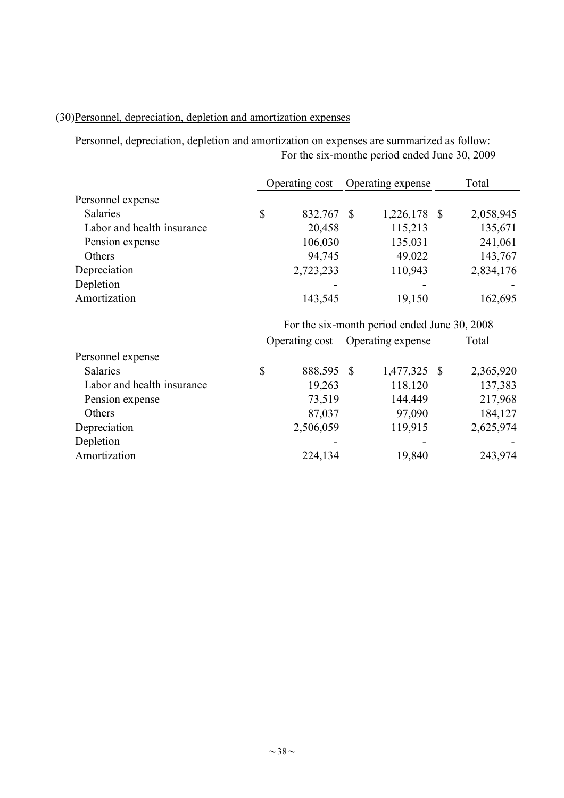## (30)Personnel, depreciation, depletion and amortization expenses

Personnel, depreciation, depletion and amortization on expenses are summarized as follow: For the six-monthe period ended June 30, 2009

|                            | Operating cost                               |                | Operating expense |                   |  | Total     |  |  |
|----------------------------|----------------------------------------------|----------------|-------------------|-------------------|--|-----------|--|--|
| Personnel expense          |                                              |                |                   |                   |  |           |  |  |
| Salaries                   | $\mathbb{S}$                                 | 832,767 \$     |                   | 1,226,178 \$      |  | 2,058,945 |  |  |
| Labor and health insurance |                                              | 20,458         |                   | 115,213           |  | 135,671   |  |  |
| Pension expense            |                                              | 106,030        |                   | 135,031           |  | 241,061   |  |  |
| Others                     |                                              | 94,745         |                   | 49,022            |  | 143,767   |  |  |
| Depreciation               |                                              | 2,723,233      |                   | 110,943           |  | 2,834,176 |  |  |
| Depletion                  |                                              |                |                   |                   |  |           |  |  |
| Amortization               |                                              | 143,545        |                   | 19,150            |  | 162,695   |  |  |
|                            | For the six-month period ended June 30, 2008 |                |                   |                   |  |           |  |  |
|                            |                                              | Operating cost |                   | Operating expense |  | Total     |  |  |
| Personnel expense          |                                              |                |                   |                   |  |           |  |  |
| Salaries                   | $\mathbb{S}$                                 | 888,595 \$     |                   | 1,477,325 \$      |  | 2,365,920 |  |  |
| Labor and health insurance |                                              | 19,263         |                   | 118,120           |  | 137,383   |  |  |
| Pension expense            |                                              | 73,519         |                   | 144,449           |  | 217,968   |  |  |
| Others                     |                                              | 87,037         |                   | 97,090            |  | 184,127   |  |  |
| Depreciation               |                                              | 2,506,059      |                   | 119,915           |  | 2,625,974 |  |  |
| Depletion                  |                                              |                |                   |                   |  |           |  |  |
| Amortization               |                                              | 224,134        |                   | 19,840            |  | 243,974   |  |  |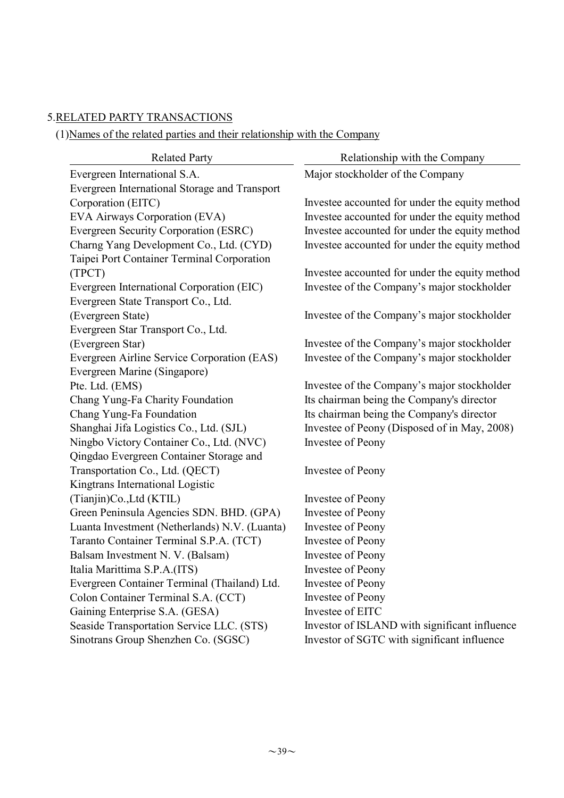## 5.RELATED PARTY TRANSACTIONS

(1)Names of the related parties and their relationship with the Company

| <b>Related Party</b>                          | Relationship with the Company                  |  |  |  |  |  |
|-----------------------------------------------|------------------------------------------------|--|--|--|--|--|
| Evergreen International S.A.                  | Major stockholder of the Company               |  |  |  |  |  |
| Evergreen International Storage and Transport |                                                |  |  |  |  |  |
| Corporation (EITC)                            | Investee accounted for under the equity method |  |  |  |  |  |
| EVA Airways Corporation (EVA)                 | Investee accounted for under the equity method |  |  |  |  |  |
| Evergreen Security Corporation (ESRC)         | Investee accounted for under the equity method |  |  |  |  |  |
| Charng Yang Development Co., Ltd. (CYD)       | Investee accounted for under the equity method |  |  |  |  |  |
| Taipei Port Container Terminal Corporation    |                                                |  |  |  |  |  |
| (TPCT)                                        | Investee accounted for under the equity method |  |  |  |  |  |
| Evergreen International Corporation (EIC)     | Investee of the Company's major stockholder    |  |  |  |  |  |
| Evergreen State Transport Co., Ltd.           |                                                |  |  |  |  |  |
| (Evergreen State)                             | Investee of the Company's major stockholder    |  |  |  |  |  |
| Evergreen Star Transport Co., Ltd.            |                                                |  |  |  |  |  |
| (Evergreen Star)                              | Investee of the Company's major stockholder    |  |  |  |  |  |
| Evergreen Airline Service Corporation (EAS)   | Investee of the Company's major stockholder    |  |  |  |  |  |
| Evergreen Marine (Singapore)                  |                                                |  |  |  |  |  |
| Pte. Ltd. (EMS)                               | Investee of the Company's major stockholder    |  |  |  |  |  |
| Chang Yung-Fa Charity Foundation              | Its chairman being the Company's director      |  |  |  |  |  |
| Chang Yung-Fa Foundation                      | Its chairman being the Company's director      |  |  |  |  |  |
| Shanghai Jifa Logistics Co., Ltd. (SJL)       | Investee of Peony (Disposed of in May, 2008)   |  |  |  |  |  |
| Ningbo Victory Container Co., Ltd. (NVC)      | Investee of Peony                              |  |  |  |  |  |
| Qingdao Evergreen Container Storage and       |                                                |  |  |  |  |  |
| Transportation Co., Ltd. (QECT)               | Investee of Peony                              |  |  |  |  |  |
| Kingtrans International Logistic              |                                                |  |  |  |  |  |
| (Tianjin)Co., Ltd (KTIL)                      | Investee of Peony                              |  |  |  |  |  |
| Green Peninsula Agencies SDN. BHD. (GPA)      | Investee of Peony                              |  |  |  |  |  |
| Luanta Investment (Netherlands) N.V. (Luanta) | Investee of Peony                              |  |  |  |  |  |
| Taranto Container Terminal S.P.A. (TCT)       | Investee of Peony                              |  |  |  |  |  |
| Balsam Investment N. V. (Balsam)              | <b>Investee of Peony</b>                       |  |  |  |  |  |
| Italia Marittima S.P.A.(ITS)                  | Investee of Peony                              |  |  |  |  |  |
| Evergreen Container Terminal (Thailand) Ltd.  | Investee of Peony                              |  |  |  |  |  |
| Colon Container Terminal S.A. (CCT)           | <b>Investee of Peony</b>                       |  |  |  |  |  |
| Gaining Enterprise S.A. (GESA)                | Investee of EITC                               |  |  |  |  |  |
| Seaside Transportation Service LLC. (STS)     | Investor of ISLAND with significant influence  |  |  |  |  |  |
| Sinotrans Group Shenzhen Co. (SGSC)           | Investor of SGTC with significant influence    |  |  |  |  |  |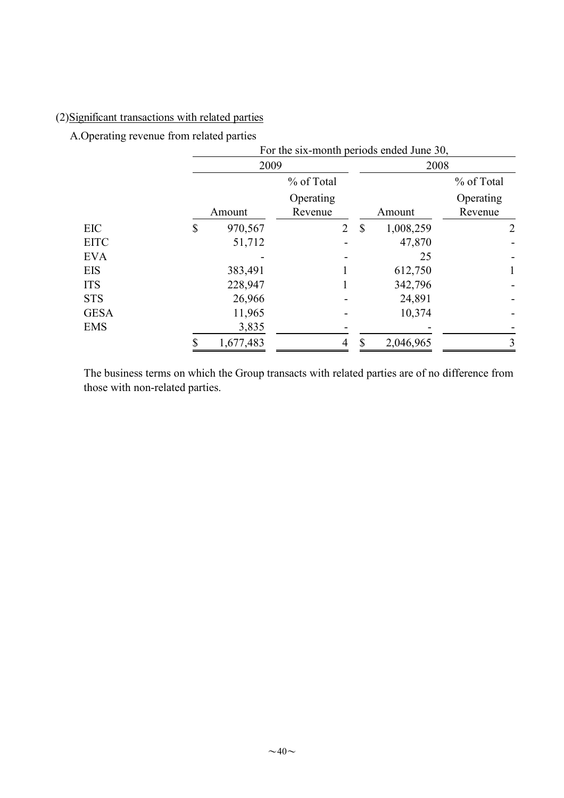## (2)Significant transactions with related parties

A.Operating revenue from related parties

|             | For the six-month periods ended June 30, |                |               |           |                |  |  |  |  |  |
|-------------|------------------------------------------|----------------|---------------|-----------|----------------|--|--|--|--|--|
|             | 2009                                     |                |               | 2008      |                |  |  |  |  |  |
|             |                                          | % of Total     |               |           | % of Total     |  |  |  |  |  |
|             |                                          | Operating      |               |           | Operating      |  |  |  |  |  |
|             | Amount                                   | Revenue        |               | Amount    | Revenue        |  |  |  |  |  |
| <b>EIC</b>  | \$<br>970,567                            | $\overline{2}$ | $\mathcal{S}$ | 1,008,259 | $\overline{2}$ |  |  |  |  |  |
| <b>EITC</b> | 51,712                                   |                |               | 47,870    |                |  |  |  |  |  |
| <b>EVA</b>  |                                          |                |               | 25        |                |  |  |  |  |  |
| <b>EIS</b>  | 383,491                                  |                |               | 612,750   | $\mathbf{1}$   |  |  |  |  |  |
| <b>ITS</b>  | 228,947                                  |                |               | 342,796   |                |  |  |  |  |  |
| <b>STS</b>  | 26,966                                   |                |               | 24,891    |                |  |  |  |  |  |
| <b>GESA</b> | 11,965                                   |                |               | 10,374    |                |  |  |  |  |  |
| <b>EMS</b>  | 3,835                                    |                |               |           |                |  |  |  |  |  |
|             | 1,677,483                                |                |               | 2,046,965 | 3              |  |  |  |  |  |

The business terms on which the Group transacts with related parties are of no difference from those with non-related parties.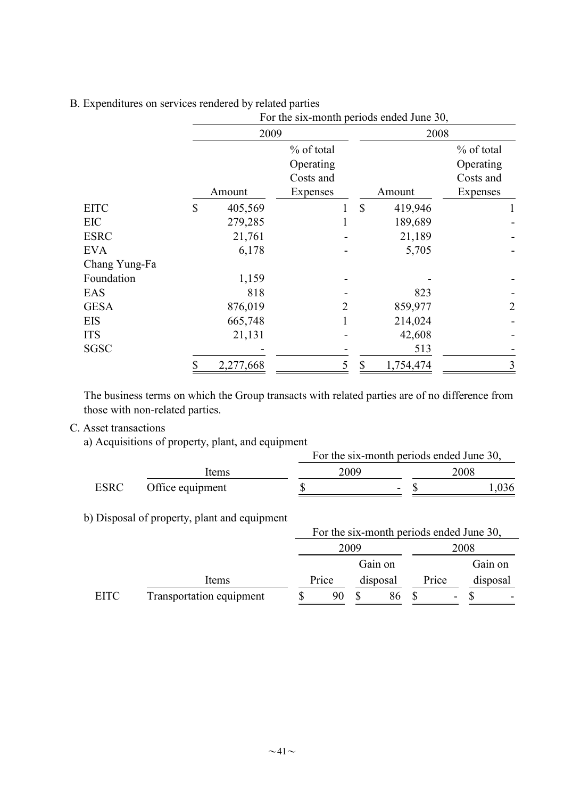|               |              | For the six-month periods ended June 30, |           |   |      |           |                |  |  |  |  |
|---------------|--------------|------------------------------------------|-----------|---|------|-----------|----------------|--|--|--|--|
|               |              | 2009                                     |           |   | 2008 |           |                |  |  |  |  |
|               |              | % of total                               |           |   |      |           | % of total     |  |  |  |  |
|               |              |                                          | Operating |   |      |           | Operating      |  |  |  |  |
|               |              |                                          | Costs and |   |      |           | Costs and      |  |  |  |  |
|               |              | Amount                                   | Expenses  |   |      | Amount    | Expenses       |  |  |  |  |
| <b>EITC</b>   | $\mathbb{S}$ | 405,569                                  |           |   | \$   | 419,946   |                |  |  |  |  |
| EIC           |              | 279,285                                  |           |   |      | 189,689   |                |  |  |  |  |
| <b>ESRC</b>   |              | 21,761                                   |           |   |      | 21,189    |                |  |  |  |  |
| <b>EVA</b>    |              | 6,178                                    |           |   |      | 5,705     |                |  |  |  |  |
| Chang Yung-Fa |              |                                          |           |   |      |           |                |  |  |  |  |
| Foundation    |              | 1,159                                    |           |   |      |           |                |  |  |  |  |
| EAS           |              | 818                                      |           |   |      | 823       |                |  |  |  |  |
| <b>GESA</b>   |              | 876,019                                  |           | 2 |      | 859,977   | $\overline{2}$ |  |  |  |  |
| <b>EIS</b>    |              | 665,748                                  |           |   |      | 214,024   |                |  |  |  |  |
| <b>ITS</b>    |              | 21,131                                   |           |   |      | 42,608    |                |  |  |  |  |
| <b>SGSC</b>   |              |                                          |           |   |      | 513       |                |  |  |  |  |
|               |              | 2,277,668                                |           | 5 | \$   | 1,754,474 | 3              |  |  |  |  |

### B. Expenditures on services rendered by related parties

The business terms on which the Group transacts with related parties are of no difference from those with non-related parties.

C. Asset transactions

a) Acquisitions of property, plant, and equipment

|             | <i>Requisitions</i> of property, plant, and equipment |      | For the six-month periods ended June 30, |      |  |  |  |  |  |
|-------------|-------------------------------------------------------|------|------------------------------------------|------|--|--|--|--|--|
|             | Items                                                 | 2009 |                                          | 2008 |  |  |  |  |  |
| <b>ESRC</b> | Office equipment                                      |      |                                          | .036 |  |  |  |  |  |

b) Disposal of property, plant and equipment

|             |                                 |       |  | For the six-month periods ended June 30, |       |   |          |  |
|-------------|---------------------------------|-------|--|------------------------------------------|-------|---|----------|--|
|             |                                 | 2009  |  |                                          | 2008  |   |          |  |
|             |                                 |       |  | Gain on                                  |       |   | Gain on  |  |
|             | Items                           | Price |  | disposal                                 | Price |   | disposal |  |
| <b>EITC</b> | <b>Transportation equipment</b> | 90    |  | 86                                       |       | - |          |  |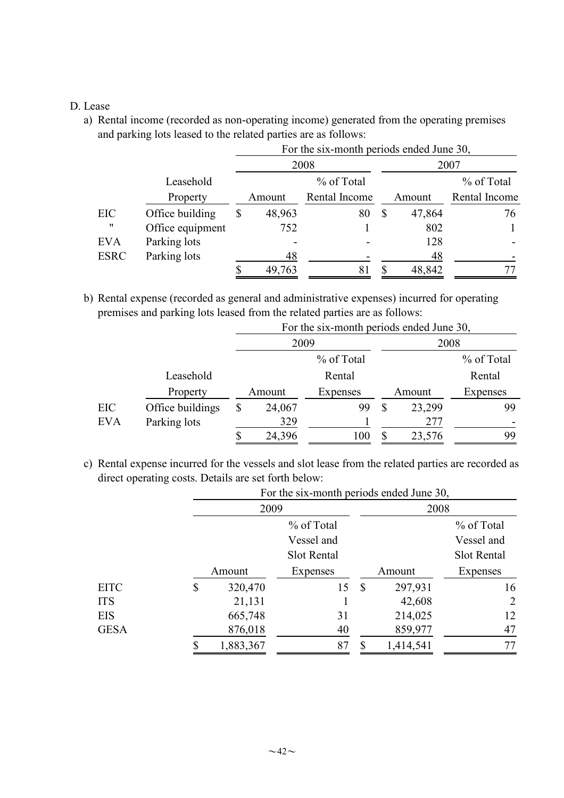#### D. Lease

a) Rental income (recorded as non-operating income) generated from the operating premises and parking lots leased to the related parties are as follows:

|                   |                  | For the six-month periods ended June 30, |               |    |        |               |  |  |  |  |  |
|-------------------|------------------|------------------------------------------|---------------|----|--------|---------------|--|--|--|--|--|
|                   |                  |                                          | 2008          |    | 2007   |               |  |  |  |  |  |
|                   | Leasehold        |                                          | % of Total    |    |        | % of Total    |  |  |  |  |  |
|                   | Property         | Amount                                   | Rental Income |    | Amount | Rental Income |  |  |  |  |  |
| EIC               | Office building  | 48,963                                   | 80            | \$ | 47,864 | 76            |  |  |  |  |  |
| $^{\prime\prime}$ | Office equipment | 752                                      |               |    | 802    |               |  |  |  |  |  |
| <b>EVA</b>        | Parking lots     |                                          |               |    | 128    |               |  |  |  |  |  |
| <b>ESRC</b>       | Parking lots     | 48                                       |               |    | 48     |               |  |  |  |  |  |
|                   |                  | 49,763                                   | 81            |    | 48,842 |               |  |  |  |  |  |

b) Rental expense (recorded as general and administrative expenses) incurred for operating premises and parking lots leased from the related parties are as follows:

|            |                  | For the six-month periods ended June 30, |        |            |  |        |            |  |  |  |
|------------|------------------|------------------------------------------|--------|------------|--|--------|------------|--|--|--|
|            |                  |                                          | 2009   |            |  | 2008   |            |  |  |  |
|            |                  |                                          |        | % of Total |  |        | % of Total |  |  |  |
|            | Leasehold        |                                          |        | Rental     |  |        | Rental     |  |  |  |
|            | Property         |                                          | Amount | Expenses   |  | Amount | Expenses   |  |  |  |
| EIC        | Office buildings | S                                        | 24,067 | 99         |  | 23,299 | 99         |  |  |  |
| <b>EVA</b> | Parking lots     |                                          | 329    |            |  | 277    |            |  |  |  |
|            |                  |                                          | 24,396 | 100        |  | 23,576 | 99         |  |  |  |

c) Rental expense incurred for the vessels and slot lease from the related parties are recorded as direct operating costs. Details are set forth below:

|             |               | For the six-month periods ended June 30, |               |           |             |  |  |  |
|-------------|---------------|------------------------------------------|---------------|-----------|-------------|--|--|--|
|             | 2009          |                                          |               | 2008      |             |  |  |  |
|             |               | % of Total                               |               |           | % of Total  |  |  |  |
|             |               | Vessel and                               |               |           | Vessel and  |  |  |  |
|             |               | Slot Rental                              |               |           | Slot Rental |  |  |  |
|             | Amount        | Expenses                                 |               | Amount    | Expenses    |  |  |  |
| <b>EITC</b> | \$<br>320,470 | 15                                       | $\mathcal{S}$ | 297,931   | 16          |  |  |  |
| <b>ITS</b>  | 21,131        |                                          |               | 42,608    | 2           |  |  |  |
| <b>EIS</b>  | 665,748       | 31                                       |               | 214,025   | 12          |  |  |  |
| GESA        | 876,018       | 40                                       |               | 859,977   | 47          |  |  |  |
|             | 1,883,367     | 87                                       |               | 1,414,541 | 77          |  |  |  |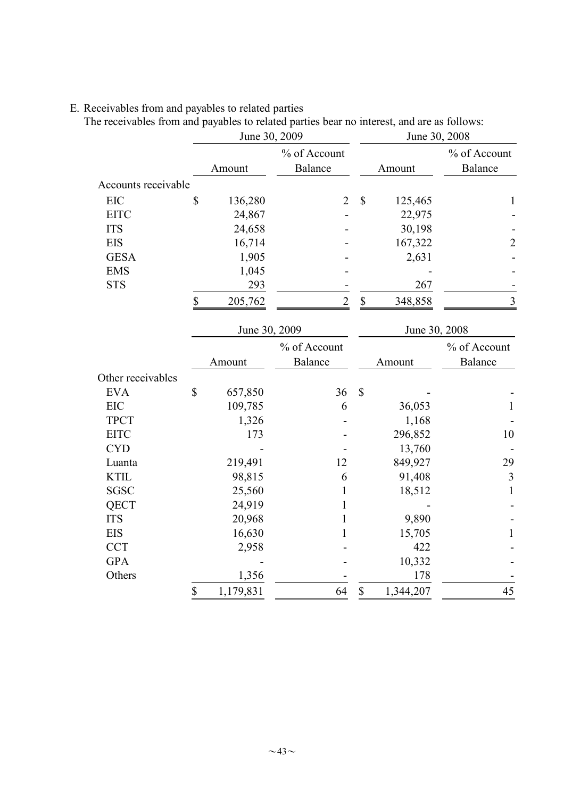### E. Receivables from and payables to related parties

The receivables from and payables to related parties bear no interest, and are as follows:

|                     |                        | June 30, 2009 |                |                           | June 30, 2008 |                |  |  |
|---------------------|------------------------|---------------|----------------|---------------------------|---------------|----------------|--|--|
|                     |                        |               | % of Account   |                           |               | % of Account   |  |  |
|                     |                        | Amount        | Balance        |                           | Amount        | Balance        |  |  |
| Accounts receivable |                        |               |                |                           |               |                |  |  |
| <b>EIC</b>          | \$                     | 136,280       | $\overline{2}$ | $\mathbb{S}$              | 125,465       | $\mathbf{1}$   |  |  |
| <b>EITC</b>         |                        | 24,867        |                |                           | 22,975        |                |  |  |
| <b>ITS</b>          |                        | 24,658        |                |                           | 30,198        |                |  |  |
| <b>EIS</b>          |                        | 16,714        |                |                           | 167,322       | $\overline{c}$ |  |  |
| <b>GESA</b>         |                        | 1,905         |                |                           | 2,631         |                |  |  |
| <b>EMS</b>          |                        | 1,045         |                |                           |               |                |  |  |
| <b>STS</b>          |                        | 293           |                |                           | 267           |                |  |  |
|                     | \$                     | 205,762       | $\overline{2}$ | $\boldsymbol{\mathsf{S}}$ | 348,858       | $\overline{3}$ |  |  |
|                     |                        | June 30, 2009 |                |                           | June 30, 2008 |                |  |  |
|                     |                        |               | % of Account   |                           |               | % of Account   |  |  |
|                     |                        | Amount        | <b>Balance</b> |                           | Amount        | <b>Balance</b> |  |  |
| Other receivables   |                        |               |                |                           |               |                |  |  |
| <b>EVA</b>          | \$                     | 657,850       | 36             | \$                        |               |                |  |  |
| EIC                 |                        | 109,785       | 6              |                           | 36,053        | $\mathbf{1}$   |  |  |
| <b>TPCT</b>         |                        | 1,326         |                |                           | 1,168         |                |  |  |
| <b>EITC</b>         |                        | 173           |                |                           | 296,852       | 10             |  |  |
| <b>CYD</b>          |                        |               |                |                           | 13,760        |                |  |  |
| Luanta              |                        | 219,491       | 12             |                           | 849,927       | 29             |  |  |
| <b>KTIL</b>         |                        | 98,815        | 6              |                           | 91,408        | $\mathfrak{Z}$ |  |  |
| <b>SGSC</b>         |                        | 25,560        | 1              |                           | 18,512        | $\mathbf{1}$   |  |  |
| QECT                |                        | 24,919        |                |                           |               |                |  |  |
| <b>ITS</b>          |                        | 20,968        | 1              |                           | 9,890         |                |  |  |
| <b>EIS</b>          |                        | 16,630        | 1              |                           | 15,705        | $\mathbf{1}$   |  |  |
| <b>CCT</b>          |                        | 2,958         |                |                           | 422           |                |  |  |
| <b>GPA</b>          |                        |               |                |                           | 10,332        |                |  |  |
| Others              |                        | 1,356         |                |                           | 178           |                |  |  |
|                     | $\sqrt{\frac{2}{\pi}}$ | 1,179,831     | 64             | $\sqrt{\frac{2}{\pi}}$    | 1,344,207     | 45             |  |  |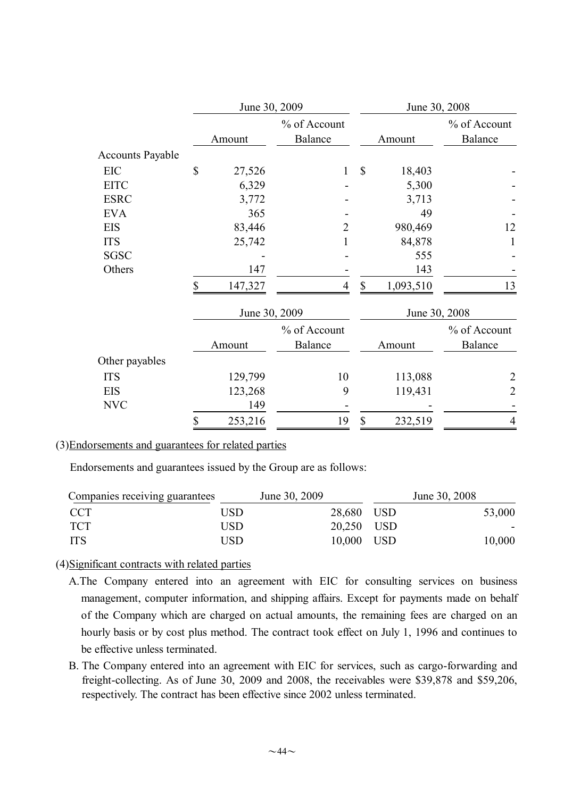|                         | June 30, 2009 |               |                         |               | June 30, 2008 |                         |  |  |
|-------------------------|---------------|---------------|-------------------------|---------------|---------------|-------------------------|--|--|
|                         |               | Amount        | % of Account<br>Balance |               | Amount        | % of Account<br>Balance |  |  |
| <b>Accounts Payable</b> |               |               |                         |               |               |                         |  |  |
| EIC                     | \$            | 27,526        | 1                       | \$            | 18,403        |                         |  |  |
| <b>EITC</b>             |               | 6,329         |                         |               | 5,300         |                         |  |  |
| <b>ESRC</b>             |               | 3,772         |                         |               | 3,713         |                         |  |  |
| <b>EVA</b>              |               | 365           |                         |               | 49            |                         |  |  |
| EIS                     |               | 83,446        | 2                       |               | 980,469       | 12                      |  |  |
| <b>ITS</b>              |               | 25,742        |                         |               | 84,878        |                         |  |  |
| SGSC                    |               |               |                         |               | 555           |                         |  |  |
| Others                  |               | 147           |                         |               | 143           |                         |  |  |
|                         | \$            | 147,327       | 4                       | $\mathbb{S}$  | 1,093,510     | 13                      |  |  |
|                         |               | June 30, 2009 |                         | June 30, 2008 |               |                         |  |  |
|                         |               |               | % of Account            |               |               | % of Account            |  |  |
|                         |               | Amount        | <b>Balance</b>          |               | Amount        | Balance                 |  |  |
| Other payables          |               |               |                         |               |               |                         |  |  |
| <b>ITS</b>              |               | 129,799       | 10                      |               | 113,088       | 2                       |  |  |
| <b>EIS</b>              |               | 123,268       | 9                       |               | 119,431       | $\overline{2}$          |  |  |
| <b>NVC</b>              |               | 149           |                         |               |               |                         |  |  |
|                         | \$            | 253,216       | 19                      | \$            | 232,519       | 4                       |  |  |

#### (3)Endorsements and guarantees for related parties

Endorsements and guarantees issued by the Group are as follows:

| Companies receiving guarantees |      | June 30, 2009 |            | June 30, 2008 |
|--------------------------------|------|---------------|------------|---------------|
| <b>CCT</b>                     | USD. | 28,680 USD    |            | 53,000        |
| <b>TCT</b>                     | USD  |               | 20,250 USD | $\sim$        |
| ITS                            | USD  |               | 10,000 USD | 10,000        |

(4)Significant contracts with related parties

- A.The Company entered into an agreement with EIC for consulting services on business management, computer information, and shipping affairs. Except for payments made on behalf of the Company which are charged on actual amounts, the remaining fees are charged on an hourly basis or by cost plus method. The contract took effect on July 1, 1996 and continues to be effective unless terminated.
- B. The Company entered into an agreement with EIC for services, such as cargo-forwarding and freight-collecting. As of June 30, 2009 and 2008, the receivables were \$39,878 and \$59,206, respectively. The contract has been effective since 2002 unless terminated.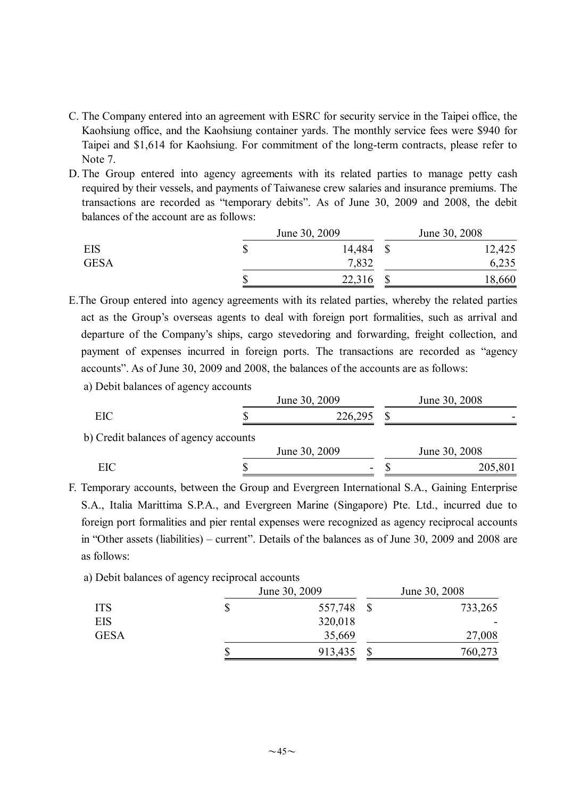- C. The Company entered into an agreement with ESRC for security service in the Taipei office, the Kaohsiung office, and the Kaohsiung container yards. The monthly service fees were \$940 for Taipei and \$1,614 for Kaohsiung. For commitment of the long-term contracts, please refer to Note 7.
- D. The Group entered into agency agreements with its related parties to manage petty cash required by their vessels, and payments of Taiwanese crew salaries and insurance premiums. The transactions are recorded as "temporary debits". As of June 30, 2009 and 2008, the debit balances of the account are as follows:

|             | June 30, 2009 | June 30, 2008 |  |        |
|-------------|---------------|---------------|--|--------|
| EIS         | Φ             | 14,484        |  | 12,425 |
| <b>GESA</b> |               | 7,832         |  | 6,235  |
|             | w             | 22,316        |  | 18,660 |

- E.The Group entered into agency agreements with its related parties, whereby the related parties act as the Group's overseas agents to deal with foreign port formalities, such as arrival and departure of the Company's ships, cargo stevedoring and forwarding, freight collection, and payment of expenses incurred in foreign ports. The transactions are recorded as "agency accounts". As of June 30, 2009 and 2008, the balances of the accounts are as follows:
	- a) Debit balances of agency accounts

|                                       | June 30, 2009 | June 30, 2008 |  |  |
|---------------------------------------|---------------|---------------|--|--|
| EIC                                   | 226,295       |               |  |  |
| b) Credit balances of agency accounts |               |               |  |  |
|                                       | June 30, 2009 | June 30, 2008 |  |  |

EIC \$ - \$ 205,801

F. Temporary accounts, between the Group and Evergreen International S.A., Gaining Enterprise S.A., Italia Marittima S.P.A., and Evergreen Marine (Singapore) Pte. Ltd., incurred due to foreign port formalities and pier rental expenses were recognized as agency reciprocal accounts in "Other assets (liabilities) – current". Details of the balances as of June 30, 2009 and 2008 are as follows:

a) Debit balances of agency reciprocal accounts

|             | June 30, 2009 | June 30, 2008 |         |  |
|-------------|---------------|---------------|---------|--|
| <b>ITS</b>  | 557,748       |               | 733,265 |  |
| EIS         | 320,018       |               |         |  |
| <b>GESA</b> | 35,669        |               | 27,008  |  |
|             | 913,435       |               | 760,273 |  |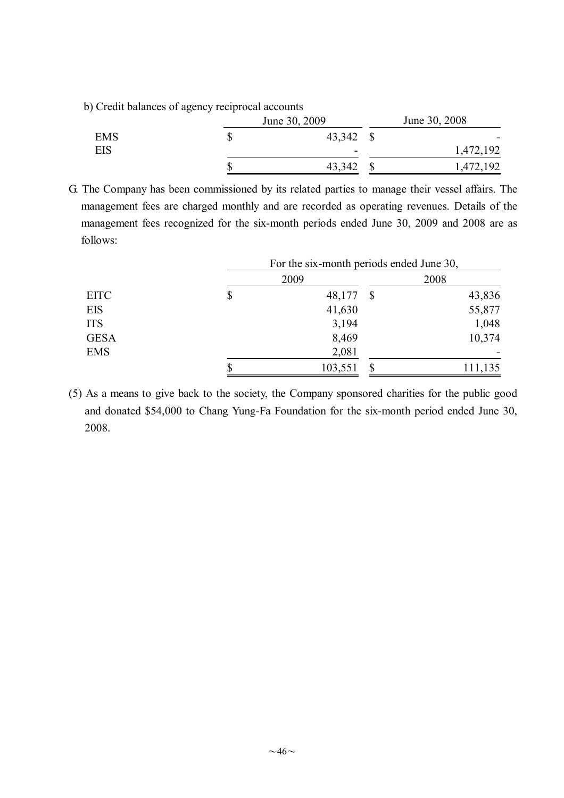b) Credit balances of agency reciprocal accounts

|            | June 30, 2009 | June 30, 2008            |  |  |
|------------|---------------|--------------------------|--|--|
| <b>EMS</b> | 43,342 \$     | $\overline{\phantom{0}}$ |  |  |
| EIS        | -             | 1,472,192                |  |  |
|            | 43,342        | ,472,192                 |  |  |

G. The Company has been commissioned by its related parties to manage their vessel affairs. The management fees are charged monthly and are recorded as operating revenues. Details of the management fees recognized for the six-month periods ended June 30, 2009 and 2008 are as follows:

|             |    | For the six-month periods ended June 30, |               |         |
|-------------|----|------------------------------------------|---------------|---------|
|             |    | 2009                                     |               | 2008    |
| <b>EITC</b> | \$ | 48,177                                   | <sup>\$</sup> | 43,836  |
| <b>EIS</b>  |    | 41,630                                   |               | 55,877  |
| <b>ITS</b>  |    | 3,194                                    |               | 1,048   |
| <b>GESA</b> |    | 8,469                                    |               | 10,374  |
| <b>EMS</b>  |    | 2,081                                    |               |         |
|             | \$ | 103,551                                  |               | 111,135 |

(5) As a means to give back to the society, the Company sponsored charities for the public good and donated \$54,000 to Chang Yung-Fa Foundation for the six-month period ended June 30, 2008.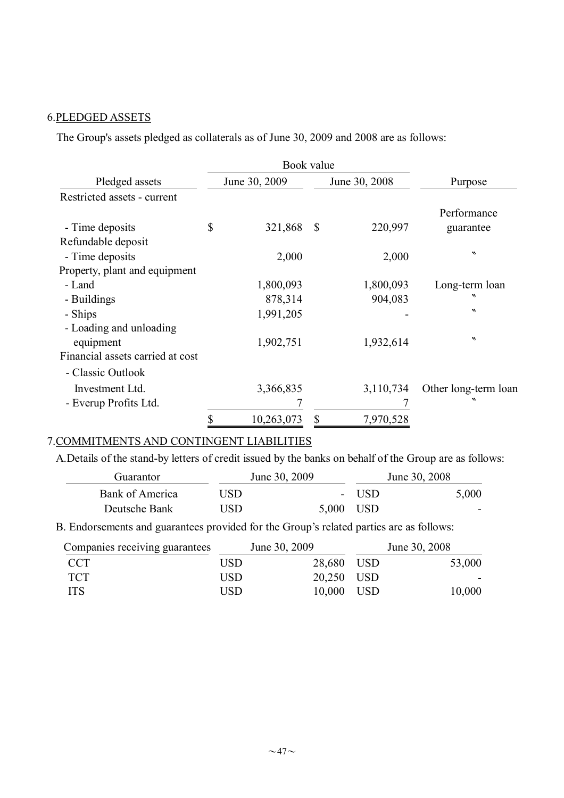#### 6.PLEDGED ASSETS

The Group's assets pledged as collaterals as of June 30, 2009 and 2008 are as follows:

|                                      | Book value       |                           |               |                            |
|--------------------------------------|------------------|---------------------------|---------------|----------------------------|
| Pledged assets                       | June 30, 2009    |                           | June 30, 2008 | Purpose                    |
| Restricted assets - current          |                  |                           |               |                            |
| - Time deposits                      | \$<br>321,868    | $\boldsymbol{\mathsf{S}}$ | 220,997       | Performance<br>guarantee   |
| Refundable deposit                   |                  |                           |               |                            |
| - Time deposits                      | 2,000            |                           | 2,000         | $\boldsymbol{v}$           |
| Property, plant and equipment        |                  |                           |               |                            |
| - Land                               | 1,800,093        |                           | 1,800,093     | Long-term loan             |
| - Buildings                          | 878,314          |                           | 904,083       | ᄿ                          |
| - Ships                              | 1,991,205        |                           |               | $\boldsymbol{\mathcal{N}}$ |
| - Loading and unloading<br>equipment | 1,902,751        |                           | 1,932,614     | $\boldsymbol{\mathcal{N}}$ |
| Financial assets carried at cost     |                  |                           |               |                            |
| - Classic Outlook                    |                  |                           |               |                            |
| Investment Ltd.                      | 3,366,835        |                           | 3,110,734     | Other long-term loan       |
| - Everup Profits Ltd.                |                  |                           |               | ᄿ                          |
|                                      | \$<br>10,263,073 | \$                        | 7,970,528     |                            |

### 7.COMMITMENTS AND CONTINGENT LIABILITIES

A.Details of the stand-by letters of credit issued by the banks on behalf of the Group are as follows:

| Guarantor       |     | June 30, 2009 | June 30, 2008 |       |  |
|-----------------|-----|---------------|---------------|-------|--|
| Bank of America | USD |               | - USD         | 5,000 |  |
| Deutsche Bank   | USD | 5,000 USD     |               | -     |  |

B. Endorsements and guarantees provided for the Group's related parties are as follows:

| Companies receiving guarantees |      | June 30, 2009 | June 30, 2008 |        |  |
|--------------------------------|------|---------------|---------------|--------|--|
| – CCT                          | USD. | 28,680 USD    |               | 53,000 |  |
| - TCT                          | USD. | 20,250 USD    |               |        |  |
| <b>TTS</b>                     | USD  | 10,000 USD    |               | 10,000 |  |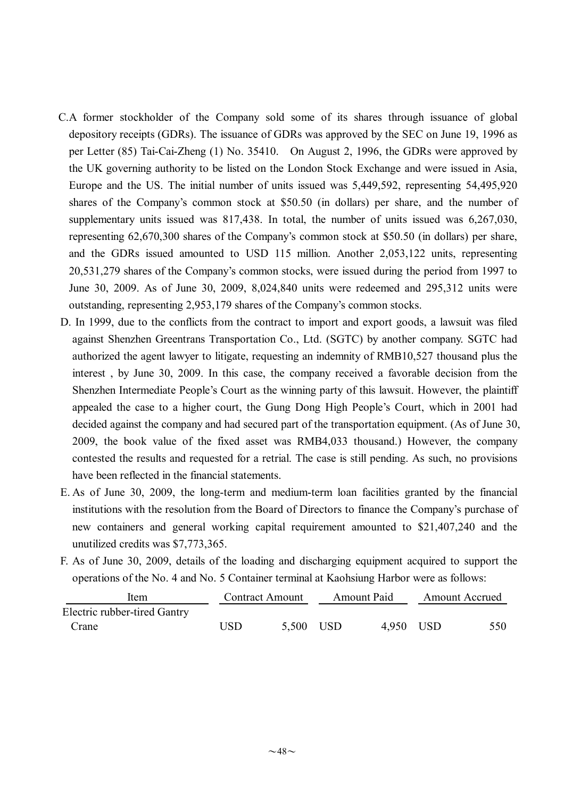- C.A former stockholder of the Company sold some of its shares through issuance of global depository receipts (GDRs). The issuance of GDRs was approved by the SEC on June 19, 1996 as per Letter (85) Tai-Cai-Zheng (1) No. 35410. On August 2, 1996, the GDRs were approved by the UK governing authority to be listed on the London Stock Exchange and were issued in Asia, Europe and the US. The initial number of units issued was 5,449,592, representing 54,495,920 shares of the Company's common stock at \$50.50 (in dollars) per share, and the number of supplementary units issued was 817,438. In total, the number of units issued was 6,267,030, representing 62,670,300 shares of the Company's common stock at \$50.50 (in dollars) per share, and the GDRs issued amounted to USD 115 million. Another 2,053,122 units, representing 20,531,279 shares of the Company's common stocks, were issued during the period from 1997 to June 30, 2009. As of June 30, 2009, 8,024,840 units were redeemed and 295,312 units were outstanding, representing 2,953,179 shares of the Company's common stocks.
- D. In 1999, due to the conflicts from the contract to import and export goods, a lawsuit was filed against Shenzhen Greentrans Transportation Co., Ltd. (SGTC) by another company. SGTC had authorized the agent lawyer to litigate, requesting an indemnity of RMB10,527 thousand plus the interest , by June 30, 2009. In this case, the company received a favorable decision from the Shenzhen Intermediate People's Court as the winning party of this lawsuit. However, the plaintiff appealed the case to a higher court, the Gung Dong High People's Court, which in 2001 had decided against the company and had secured part of the transportation equipment. (As of June 30, 2009, the book value of the fixed asset was RMB4,033 thousand.) However, the company contested the results and requested for a retrial. The case is still pending. As such, no provisions have been reflected in the financial statements.
- E. As of June 30, 2009, the long-term and medium-term loan facilities granted by the financial institutions with the resolution from the Board of Directors to finance the Company's purchase of new containers and general working capital requirement amounted to \$21,407,240 and the unutilized credits was \$7,773,365.
- F. As of June 30, 2009, details of the loading and discharging equipment acquired to support the operations of the No. 4 and No. 5 Container terminal at Kaohsiung Harbor were as follows:

| Item                         |     | <b>Contract Amount</b> |  | <b>Amount Paid</b> |  | <b>Amount Accrued</b> |  |
|------------------------------|-----|------------------------|--|--------------------|--|-----------------------|--|
| Electric rubber-tired Gantry |     |                        |  |                    |  |                       |  |
| Crane                        | USD | 5,500 USD              |  | 4,950 USD          |  | 550                   |  |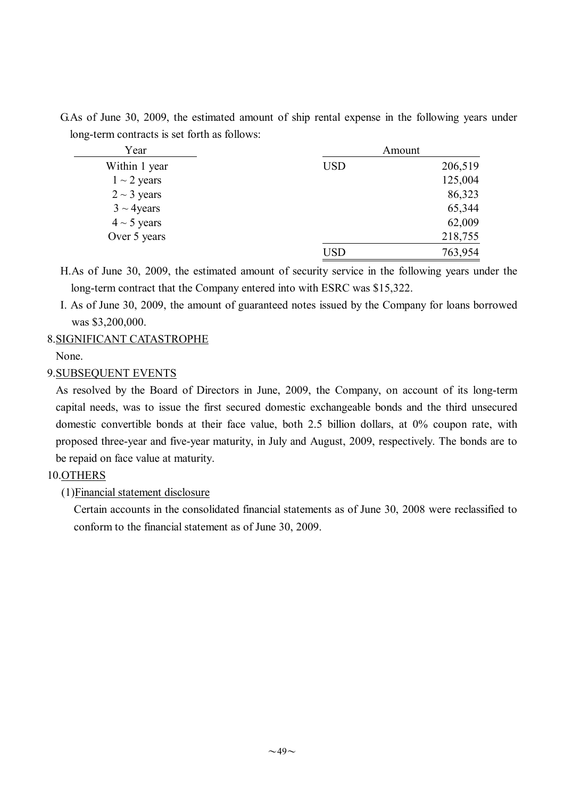G.As of June 30, 2009, the estimated amount of ship rental expense in the following years under long-term contracts is set forth as follows:

| Year             |            | Amount  |
|------------------|------------|---------|
| Within 1 year    | <b>USD</b> | 206,519 |
| $1 \sim 2$ years |            | 125,004 |
| $2 \sim 3$ years |            | 86,323  |
| $3 \sim 4$ years |            | 65,344  |
| $4 \sim 5$ years |            | 62,009  |
| Over 5 years     |            | 218,755 |
|                  | USD        | 763,954 |

H.As of June 30, 2009, the estimated amount of security service in the following years under the long-term contract that the Company entered into with ESRC was \$15,322.

I. As of June 30, 2009, the amount of guaranteed notes issued by the Company for loans borrowed was \$3,200,000.

### 8.SIGNIFICANT CATASTROPHE

None.

#### 9.SUBSEQUENT EVENTS

As resolved by the Board of Directors in June, 2009, the Company, on account of its long-term capital needs, was to issue the first secured domestic exchangeable bonds and the third unsecured domestic convertible bonds at their face value, both 2.5 billion dollars, at 0% coupon rate, with proposed three-year and five-year maturity, in July and August, 2009, respectively. The bonds are to be repaid on face value at maturity.

### 10.OTHERS

(1)Financial statement disclosure

Certain accounts in the consolidated financial statements as of June 30, 2008 were reclassified to conform to the financial statement as of June 30, 2009.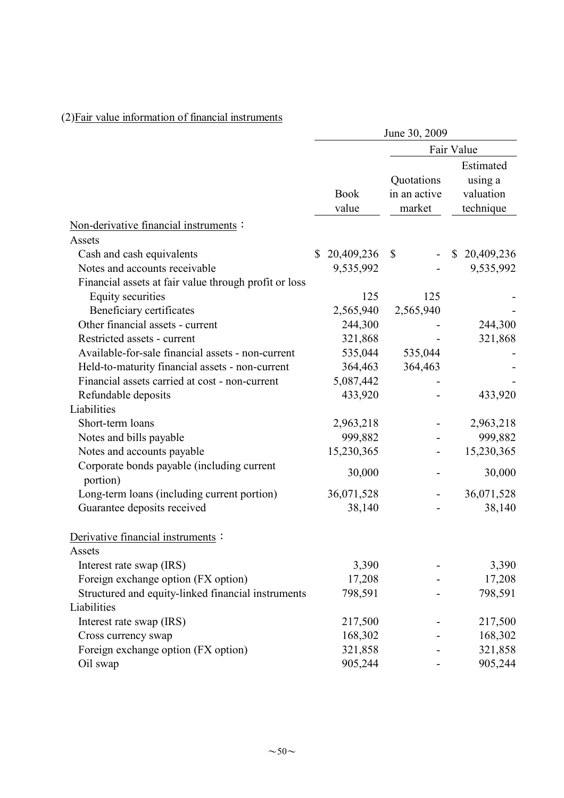|                                                        | June 30, 2009        |                                      |                                                |  |  |  |  |  |  |  |
|--------------------------------------------------------|----------------------|--------------------------------------|------------------------------------------------|--|--|--|--|--|--|--|
|                                                        |                      |                                      | Fair Value                                     |  |  |  |  |  |  |  |
|                                                        | <b>Book</b><br>value | Quotations<br>in an active<br>market | Estimated<br>using a<br>valuation<br>technique |  |  |  |  |  |  |  |
| Non-derivative financial instruments :                 |                      |                                      |                                                |  |  |  |  |  |  |  |
| Assets                                                 |                      |                                      |                                                |  |  |  |  |  |  |  |
| Cash and cash equivalents                              | 20,409,236<br>\$     | $\mathbb{S}$                         | \$20,409,236                                   |  |  |  |  |  |  |  |
| Notes and accounts receivable                          | 9,535,992            |                                      | 9,535,992                                      |  |  |  |  |  |  |  |
| Financial assets at fair value through profit or loss  |                      |                                      |                                                |  |  |  |  |  |  |  |
| Equity securities                                      | 125                  | 125                                  |                                                |  |  |  |  |  |  |  |
| Beneficiary certificates                               | 2,565,940            | 2,565,940                            |                                                |  |  |  |  |  |  |  |
| Other financial assets - current                       | 244,300              |                                      | 244,300                                        |  |  |  |  |  |  |  |
| Restricted assets - current                            | 321,868              |                                      | 321,868                                        |  |  |  |  |  |  |  |
| Available-for-sale financial assets - non-current      | 535,044              | 535,044                              |                                                |  |  |  |  |  |  |  |
| Held-to-maturity financial assets - non-current        | 364,463              | 364,463                              |                                                |  |  |  |  |  |  |  |
| Financial assets carried at cost - non-current         | 5,087,442            |                                      |                                                |  |  |  |  |  |  |  |
| Refundable deposits                                    | 433,920              |                                      | 433,920                                        |  |  |  |  |  |  |  |
| Liabilities                                            |                      |                                      |                                                |  |  |  |  |  |  |  |
| Short-term loans                                       | 2,963,218            |                                      | 2,963,218                                      |  |  |  |  |  |  |  |
| Notes and bills payable                                | 999,882              |                                      | 999,882                                        |  |  |  |  |  |  |  |
| Notes and accounts payable                             | 15,230,365           |                                      | 15,230,365                                     |  |  |  |  |  |  |  |
| Corporate bonds payable (including current<br>portion) | 30,000               |                                      | 30,000                                         |  |  |  |  |  |  |  |
| Long-term loans (including current portion)            | 36,071,528           |                                      | 36,071,528                                     |  |  |  |  |  |  |  |
| Guarantee deposits received                            | 38,140               |                                      | 38,140                                         |  |  |  |  |  |  |  |
|                                                        |                      |                                      |                                                |  |  |  |  |  |  |  |
| Derivative financial instruments :                     |                      |                                      |                                                |  |  |  |  |  |  |  |
| Assets                                                 |                      |                                      |                                                |  |  |  |  |  |  |  |
| Interest rate swap (IRS)                               | 3,390                |                                      | 3,390                                          |  |  |  |  |  |  |  |
| Foreign exchange option (FX option)                    | 17,208               |                                      | 17,208                                         |  |  |  |  |  |  |  |
| Structured and equity-linked financial instruments     | 798,591              |                                      | 798,591                                        |  |  |  |  |  |  |  |
| Liabilities                                            |                      |                                      |                                                |  |  |  |  |  |  |  |
| Interest rate swap (IRS)                               | 217,500              |                                      | 217,500                                        |  |  |  |  |  |  |  |
| Cross currency swap                                    | 168,302              |                                      | 168,302                                        |  |  |  |  |  |  |  |
| Foreign exchange option (FX option)                    | 321,858              |                                      | 321,858                                        |  |  |  |  |  |  |  |
| Oil swap                                               | 905,244              |                                      | 905,244                                        |  |  |  |  |  |  |  |

# (2)Fair value information of financial instruments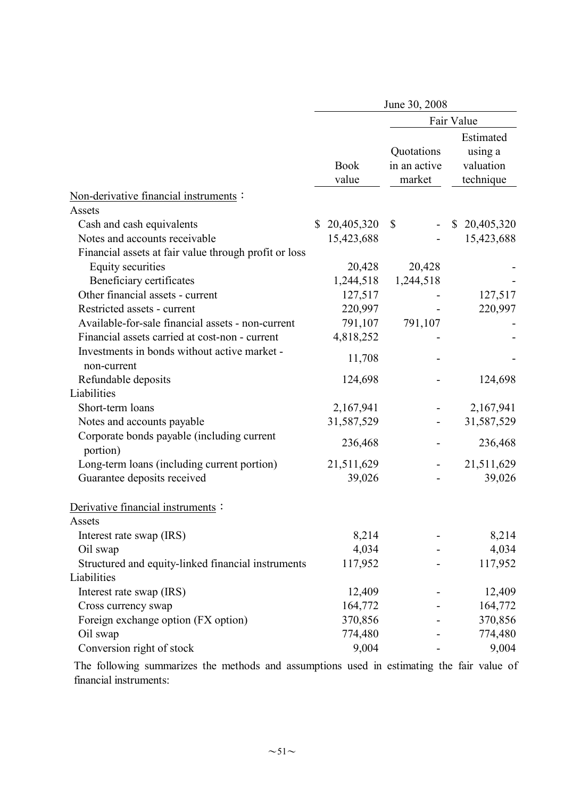|                                                             |                      | June 30, 2008                        |                                                |  |  |  |  |  |  |
|-------------------------------------------------------------|----------------------|--------------------------------------|------------------------------------------------|--|--|--|--|--|--|
|                                                             | Fair Value           |                                      |                                                |  |  |  |  |  |  |
|                                                             | <b>Book</b><br>value | Quotations<br>in an active<br>market | Estimated<br>using a<br>valuation<br>technique |  |  |  |  |  |  |
| Non-derivative financial instruments:                       |                      |                                      |                                                |  |  |  |  |  |  |
| Assets                                                      |                      |                                      |                                                |  |  |  |  |  |  |
| Cash and cash equivalents                                   | 20,405,320<br>\$     | \$                                   | 20,405,320<br>\$                               |  |  |  |  |  |  |
| Notes and accounts receivable                               | 15,423,688           |                                      | 15,423,688                                     |  |  |  |  |  |  |
| Financial assets at fair value through profit or loss       |                      |                                      |                                                |  |  |  |  |  |  |
| Equity securities                                           | 20,428               | 20,428                               |                                                |  |  |  |  |  |  |
| Beneficiary certificates                                    | 1,244,518            | 1,244,518                            |                                                |  |  |  |  |  |  |
| Other financial assets - current                            | 127,517              |                                      | 127,517                                        |  |  |  |  |  |  |
| Restricted assets - current                                 | 220,997              |                                      | 220,997                                        |  |  |  |  |  |  |
| Available-for-sale financial assets - non-current           | 791,107              | 791,107                              |                                                |  |  |  |  |  |  |
| Financial assets carried at cost-non - current              | 4,818,252            |                                      |                                                |  |  |  |  |  |  |
| Investments in bonds without active market -<br>non-current | 11,708               |                                      |                                                |  |  |  |  |  |  |
| Refundable deposits                                         | 124,698              |                                      | 124,698                                        |  |  |  |  |  |  |
| Liabilities                                                 |                      |                                      |                                                |  |  |  |  |  |  |
| Short-term loans                                            | 2,167,941            |                                      | 2,167,941                                      |  |  |  |  |  |  |
| Notes and accounts payable                                  | 31,587,529           |                                      | 31,587,529                                     |  |  |  |  |  |  |
| Corporate bonds payable (including current<br>portion)      | 236,468              |                                      | 236,468                                        |  |  |  |  |  |  |
| Long-term loans (including current portion)                 | 21,511,629           |                                      | 21,511,629                                     |  |  |  |  |  |  |
| Guarantee deposits received                                 | 39,026               |                                      | 39,026                                         |  |  |  |  |  |  |
| Derivative financial instruments:                           |                      |                                      |                                                |  |  |  |  |  |  |
| Assets                                                      |                      |                                      |                                                |  |  |  |  |  |  |
| Interest rate swap (IRS)                                    | 8,214                |                                      | 8,214                                          |  |  |  |  |  |  |
| Oil swap                                                    | 4,034                |                                      | 4,034                                          |  |  |  |  |  |  |
| Structured and equity-linked financial instruments          | 117,952              |                                      | 117,952                                        |  |  |  |  |  |  |
| Liabilities                                                 |                      |                                      |                                                |  |  |  |  |  |  |
| Interest rate swap (IRS)                                    | 12,409               |                                      | 12,409                                         |  |  |  |  |  |  |
| Cross currency swap                                         | 164,772              |                                      | 164,772                                        |  |  |  |  |  |  |
| Foreign exchange option (FX option)                         | 370,856              |                                      | 370,856                                        |  |  |  |  |  |  |
| Oil swap                                                    | 774,480              |                                      | 774,480                                        |  |  |  |  |  |  |
| Conversion right of stock                                   | 9,004                |                                      | 9,004                                          |  |  |  |  |  |  |

The following summarizes the methods and assumptions used in estimating the fair value of financial instruments: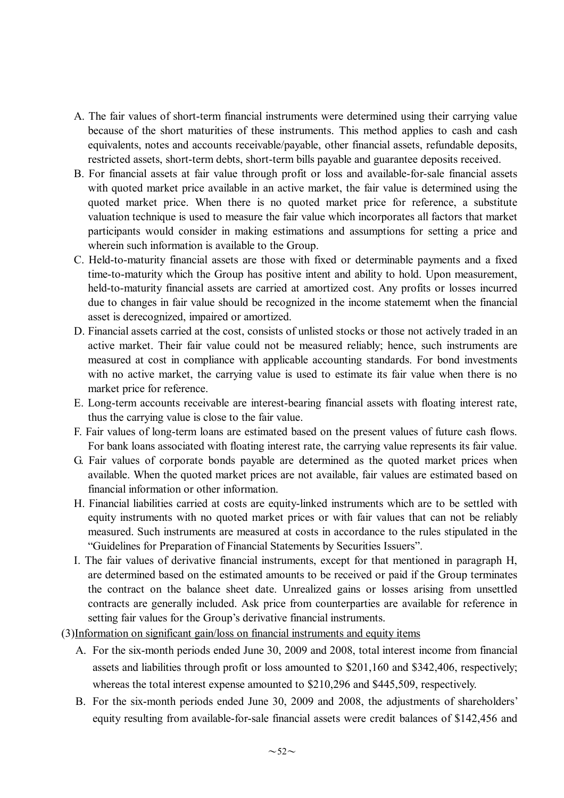- A. The fair values of short-term financial instruments were determined using their carrying value because of the short maturities of these instruments. This method applies to cash and cash equivalents, notes and accounts receivable/payable, other financial assets, refundable deposits, restricted assets, short-term debts, short-term bills payable and guarantee deposits received.
- B. For financial assets at fair value through profit or loss and available-for-sale financial assets with quoted market price available in an active market, the fair value is determined using the quoted market price. When there is no quoted market price for reference, a substitute valuation technique is used to measure the fair value which incorporates all factors that market participants would consider in making estimations and assumptions for setting a price and wherein such information is available to the Group.
- C. Held-to-maturity financial assets are those with fixed or determinable payments and a fixed time-to-maturity which the Group has positive intent and ability to hold. Upon measurement, held-to-maturity financial assets are carried at amortized cost. Any profits or losses incurred due to changes in fair value should be recognized in the income statememt when the financial asset is derecognized, impaired or amortized.
- D. Financial assets carried at the cost, consists of unlisted stocks or those not actively traded in an active market. Their fair value could not be measured reliably; hence, such instruments are measured at cost in compliance with applicable accounting standards. For bond investments with no active market, the carrying value is used to estimate its fair value when there is no market price for reference.
- E. Long-term accounts receivable are interest-bearing financial assets with floating interest rate, thus the carrying value is close to the fair value.
- F. Fair values of long-term loans are estimated based on the present values of future cash flows. For bank loans associated with floating interest rate, the carrying value represents its fair value.
- G. Fair values of corporate bonds payable are determined as the quoted market prices when available. When the quoted market prices are not available, fair values are estimated based on financial information or other information.
- H. Financial liabilities carried at costs are equity-linked instruments which are to be settled with equity instruments with no quoted market prices or with fair values that can not be reliably measured. Such instruments are measured at costs in accordance to the rules stipulated in the "Guidelines for Preparation of Financial Statements by Securities Issuers".
- I. The fair values of derivative financial instruments, except for that mentioned in paragraph H, are determined based on the estimated amounts to be received or paid if the Group terminates the contract on the balance sheet date. Unrealized gains or losses arising from unsettled contracts are generally included. Ask price from counterparties are available for reference in setting fair values for the Group's derivative financial instruments.
- (3)Information on significant gain/loss on financial instruments and equity items
	- A. For the six-month periods ended June 30, 2009 and 2008, total interest income from financial assets and liabilities through profit or loss amounted to \$201,160 and \$342,406, respectively; whereas the total interest expense amounted to \$210,296 and \$445,509, respectively.
	- B. For the six-month periods ended June 30, 2009 and 2008, the adjustments of shareholders' equity resulting from available-for-sale financial assets were credit balances of \$142,456 and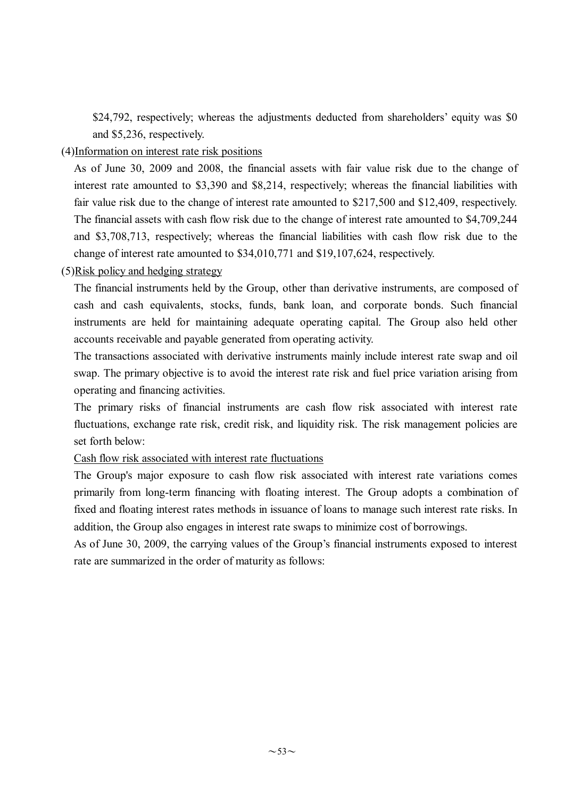\$24,792, respectively; whereas the adjustments deducted from shareholders' equity was \$0 and \$5,236, respectively.

### (4)Information on interest rate risk positions

As of June 30, 2009 and 2008, the financial assets with fair value risk due to the change of interest rate amounted to \$3,390 and \$8,214, respectively; whereas the financial liabilities with fair value risk due to the change of interest rate amounted to \$217,500 and \$12,409, respectively. The financial assets with cash flow risk due to the change of interest rate amounted to \$4,709,244 and \$3,708,713, respectively; whereas the financial liabilities with cash flow risk due to the change of interest rate amounted to \$34,010,771 and \$19,107,624, respectively.

### (5)Risk policy and hedging strategy

The financial instruments held by the Group, other than derivative instruments, are composed of cash and cash equivalents, stocks, funds, bank loan, and corporate bonds. Such financial instruments are held for maintaining adequate operating capital. The Group also held other accounts receivable and payable generated from operating activity.

The transactions associated with derivative instruments mainly include interest rate swap and oil swap. The primary objective is to avoid the interest rate risk and fuel price variation arising from operating and financing activities.

The primary risks of financial instruments are cash flow risk associated with interest rate fluctuations, exchange rate risk, credit risk, and liquidity risk. The risk management policies are set forth below:

#### Cash flow risk associated with interest rate fluctuations

The Group's major exposure to cash flow risk associated with interest rate variations comes primarily from long-term financing with floating interest. The Group adopts a combination of fixed and floating interest rates methods in issuance of loans to manage such interest rate risks. In addition, the Group also engages in interest rate swaps to minimize cost of borrowings.

As of June 30, 2009, the carrying values of the Group's financial instruments exposed to interest rate are summarized in the order of maturity as follows: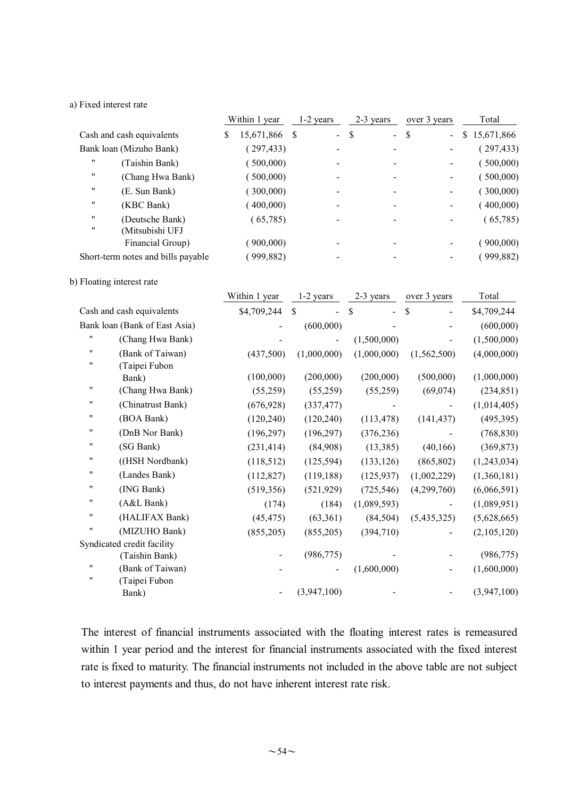#### a) Fixed interest rate

|                                              | Within 1 year |               | $1-2$ years | 2-3 years    | over 3 years           | Total        |  |
|----------------------------------------------|---------------|---------------|-------------|--------------|------------------------|--------------|--|
| Cash and cash equivalents                    | \$            | 15,671,866 \$ | $\sim$      | \$<br>$\sim$ | - \$<br>$\blacksquare$ | \$15,671,866 |  |
| Bank loan (Mizuho Bank)                      |               | (297, 433)    |             |              |                        | (297, 433)   |  |
| $^{\prime\prime}$<br>(Taishin Bank)          |               | (500,000)     |             |              |                        | (500,000)    |  |
| "<br>(Chang Hwa Bank)                        |               | (500,000)     |             |              |                        | (500,000)    |  |
| $^{\prime\prime}$<br>(E. Sun Bank)           |               | (300,000)     |             |              |                        | (300,000)    |  |
| "<br>(KBC Bank)                              |               | (400,000)     |             |              |                        | (400,000)    |  |
| "<br>(Deutsche Bank)<br>"<br>(Mitsubishi UFJ |               | (65,785)      |             |              |                        | (65,785)     |  |
| Financial Group)                             |               | (900,000)     |             |              |                        | (900,000)    |  |
| Short-term notes and bills payable           |               | 999,882       |             |              |                        | (999,882)    |  |

#### b) Floating interest rate

|                    |                               | Within 1 year | 1-2 years     | 2-3 years            | over 3 years  | Total       |
|--------------------|-------------------------------|---------------|---------------|----------------------|---------------|-------------|
|                    | Cash and cash equivalents     | \$4,709,244   | <sup>\$</sup> | \$<br>$\overline{a}$ | \$            | \$4,709,244 |
|                    | Bank loan (Bank of East Asia) |               | (600,000)     |                      |               | (600,000)   |
| 11                 | (Chang Hwa Bank)              |               |               | (1,500,000)          |               | (1,500,000) |
| 11                 | (Bank of Taiwan)              | (437,500)     | (1,000,000)   | (1,000,000)          | (1, 562, 500) | (4,000,000) |
| 11                 | (Taipei Fubon                 |               |               |                      |               |             |
|                    | Bank)                         | (100,000)     | (200,000)     | (200,000)            | (500,000)     | (1,000,000) |
| 11                 | (Chang Hwa Bank)              | (55,259)      | (55,259)      | (55,259)             | (69,074)      | (234, 851)  |
| 11                 | (Chinatrust Bank)             | (676, 928)    | (337, 477)    |                      |               | (1,014,405) |
| 11                 | (BOA Bank)                    | (120, 240)    | (120, 240)    | (113, 478)           | (141, 437)    | (495, 395)  |
| 11                 | (DnB Nor Bank)                | (196, 297)    | (196, 297)    | (376, 236)           |               | (768, 830)  |
| 11                 | (SG Bank)                     | (231, 414)    | (84,908)      | (13, 385)            | (40, 166)     | (369, 873)  |
| 11                 | ((HSH Nordbank)               | (118, 512)    | (125, 594)    | (133, 126)           | (865, 802)    | (1,243,034) |
| "                  | (Landes Bank)                 | (112, 827)    | (119, 188)    | (125, 937)           | (1,002,229)   | (1,360,181) |
| 11                 | (ING Bank)                    | (519, 356)    | (521, 929)    | (725, 546)           | (4,299,760)   | (6,066,591) |
| "                  | (A&L Bank)                    | (174)         | (184)         | (1,089,593)          |               | (1,089,951) |
| 11                 | (HALIFAX Bank)                | (45, 475)     | (63,361)      | (84, 504)            | (5,435,325)   | (5,628,665) |
| $\pmb{\mathsf{H}}$ | (MIZUHO Bank)                 | (855,205)     | (855,205)     | (394,710)            |               | (2,105,120) |
|                    | Syndicated credit facility    |               |               |                      |               |             |
|                    | (Taishin Bank)                |               | (986, 775)    |                      |               | (986, 775)  |
| 11                 | (Bank of Taiwan)              |               |               | (1,600,000)          |               | (1,600,000) |
| $\pmb{\mathsf{H}}$ | (Taipei Fubon                 |               |               |                      |               |             |
|                    | Bank)                         |               | (3,947,100)   |                      |               | (3,947,100) |

The interest of financial instruments associated with the floating interest rates is remeasured within 1 year period and the interest for financial instruments associated with the fixed interest rate is fixed to maturity. The financial instruments not included in the above table are not subject to interest payments and thus, do not have inherent interest rate risk.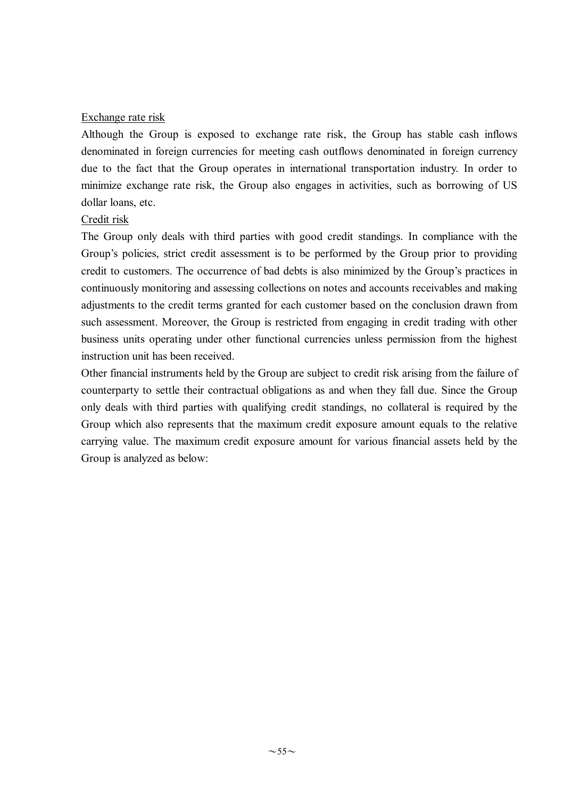#### Exchange rate risk

Although the Group is exposed to exchange rate risk, the Group has stable cash inflows denominated in foreign currencies for meeting cash outflows denominated in foreign currency due to the fact that the Group operates in international transportation industry. In order to minimize exchange rate risk, the Group also engages in activities, such as borrowing of US dollar loans, etc.

#### Credit risk

The Group only deals with third parties with good credit standings. In compliance with the Group's policies, strict credit assessment is to be performed by the Group prior to providing credit to customers. The occurrence of bad debts is also minimized by the Group's practices in continuously monitoring and assessing collections on notes and accounts receivables and making adjustments to the credit terms granted for each customer based on the conclusion drawn from such assessment. Moreover, the Group is restricted from engaging in credit trading with other business units operating under other functional currencies unless permission from the highest instruction unit has been received.

Other financial instruments held by the Group are subject to credit risk arising from the failure of counterparty to settle their contractual obligations as and when they fall due. Since the Group only deals with third parties with qualifying credit standings, no collateral is required by the Group which also represents that the maximum credit exposure amount equals to the relative carrying value. The maximum credit exposure amount for various financial assets held by the Group is analyzed as below: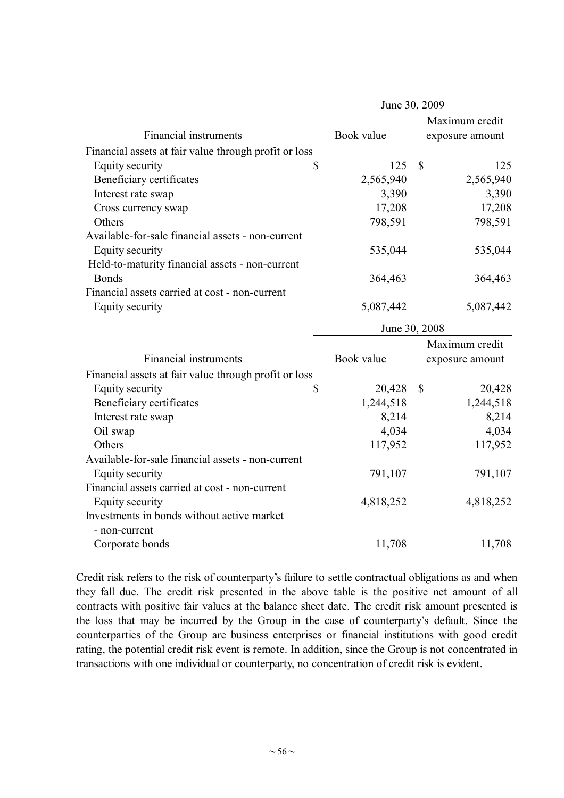|                                                       | June 30, 2009 |                         |  |  |  |  |  |  |
|-------------------------------------------------------|---------------|-------------------------|--|--|--|--|--|--|
|                                                       |               | Maximum credit          |  |  |  |  |  |  |
| Financial instruments                                 | Book value    | exposure amount         |  |  |  |  |  |  |
| Financial assets at fair value through profit or loss |               |                         |  |  |  |  |  |  |
| Equity security<br>\$                                 | 125           | $\mathbb{S}$<br>125     |  |  |  |  |  |  |
| Beneficiary certificates                              | 2,565,940     | 2,565,940               |  |  |  |  |  |  |
| Interest rate swap                                    | 3,390         | 3,390                   |  |  |  |  |  |  |
| Cross currency swap                                   | 17,208        | 17,208                  |  |  |  |  |  |  |
| Others                                                | 798,591       | 798,591                 |  |  |  |  |  |  |
| Available-for-sale financial assets - non-current     |               |                         |  |  |  |  |  |  |
| Equity security                                       | 535,044       | 535,044                 |  |  |  |  |  |  |
| Held-to-maturity financial assets - non-current       |               |                         |  |  |  |  |  |  |
| <b>Bonds</b>                                          | 364,463       | 364,463                 |  |  |  |  |  |  |
| Financial assets carried at cost - non-current        |               |                         |  |  |  |  |  |  |
| Equity security                                       | 5,087,442     | 5,087,442               |  |  |  |  |  |  |
|                                                       |               | June 30, 2008           |  |  |  |  |  |  |
|                                                       |               | Maximum credit          |  |  |  |  |  |  |
| <b>Financial instruments</b>                          | Book value    | exposure amount         |  |  |  |  |  |  |
| Financial assets at fair value through profit or loss |               |                         |  |  |  |  |  |  |
| Equity security<br>\$                                 | 20,428        | $\mathcal{S}$<br>20,428 |  |  |  |  |  |  |
| Beneficiary certificates                              | 1,244,518     | 1,244,518               |  |  |  |  |  |  |
| Interest rate swap                                    | 8,214         | 8,214                   |  |  |  |  |  |  |
| Oil swap                                              | 4,034         | 4,034                   |  |  |  |  |  |  |
| Others                                                | 117,952       | 117,952                 |  |  |  |  |  |  |
| Available-for-sale financial assets - non-current     |               |                         |  |  |  |  |  |  |
| Equity security                                       | 791,107       | 791,107                 |  |  |  |  |  |  |
| Financial assets carried at cost - non-current        |               |                         |  |  |  |  |  |  |
| Equity security                                       | 4,818,252     | 4,818,252               |  |  |  |  |  |  |
| Investments in bonds without active market            |               |                         |  |  |  |  |  |  |
| - non-current                                         |               |                         |  |  |  |  |  |  |
| Corporate bonds                                       | 11,708        | 11,708                  |  |  |  |  |  |  |
|                                                       |               |                         |  |  |  |  |  |  |

Credit risk refers to the risk of counterparty's failure to settle contractual obligations as and when they fall due. The credit risk presented in the above table is the positive net amount of all contracts with positive fair values at the balance sheet date. The credit risk amount presented is the loss that may be incurred by the Group in the case of counterparty's default. Since the counterparties of the Group are business enterprises or financial institutions with good credit rating, the potential credit risk event is remote. In addition, since the Group is not concentrated in transactions with one individual or counterparty, no concentration of credit risk is evident.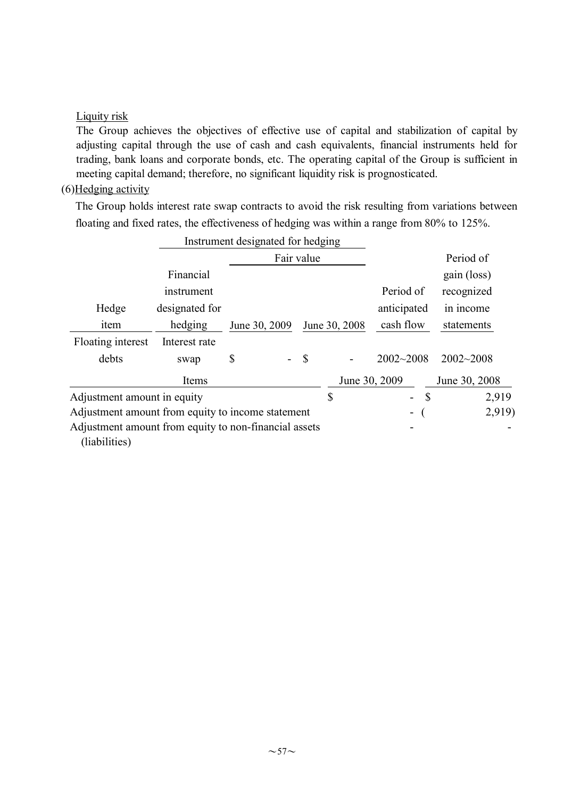### Liquity risk

The Group achieves the objectives of effective use of capital and stabilization of capital by adjusting capital through the use of cash and cash equivalents, financial instruments held for trading, bank loans and corporate bonds, etc. The operating capital of the Group is sufficient in meeting capital demand; therefore, no significant liquidity risk is prognosticated.

### (6)Hedging activity

The Group holds interest rate swap contracts to avoid the risk resulting from variations between floating and fixed rates, the effectiveness of hedging was within a range from 80% to 125%.

|                                                                        | Instrument designated for hedging |               |               |                              |                                           |               |
|------------------------------------------------------------------------|-----------------------------------|---------------|---------------|------------------------------|-------------------------------------------|---------------|
|                                                                        |                                   |               | Fair value    |                              |                                           | Period of     |
|                                                                        | Financial                         |               |               |                              |                                           | gain (loss)   |
|                                                                        | instrument                        |               |               |                              | Period of                                 | recognized    |
| Hedge                                                                  | designated for                    |               |               |                              | anticipated                               | in income     |
| item                                                                   | hedging                           | June 30, 2009 |               | June 30, 2008                | cash flow                                 | statements    |
| Floating interest                                                      | Interest rate                     |               |               |                              |                                           |               |
| debts                                                                  | swap                              | \$            | $\mathcal{S}$ | $\qquad \qquad \blacksquare$ | $2002 - 2008$                             | $2002 - 2008$ |
|                                                                        | Items                             |               |               | June 30, 2009                |                                           | June 30, 2008 |
| Adjustment amount in equity                                            |                                   |               |               | \$                           | $\mathcal{S}$<br>$\overline{\phantom{0}}$ | 2,919         |
| Adjustment amount from equity to income statement                      |                                   |               |               |                              | -                                         | 2,919)        |
| Adjustment amount from equity to non-financial assets<br>(liabilities) |                                   |               |               |                              |                                           |               |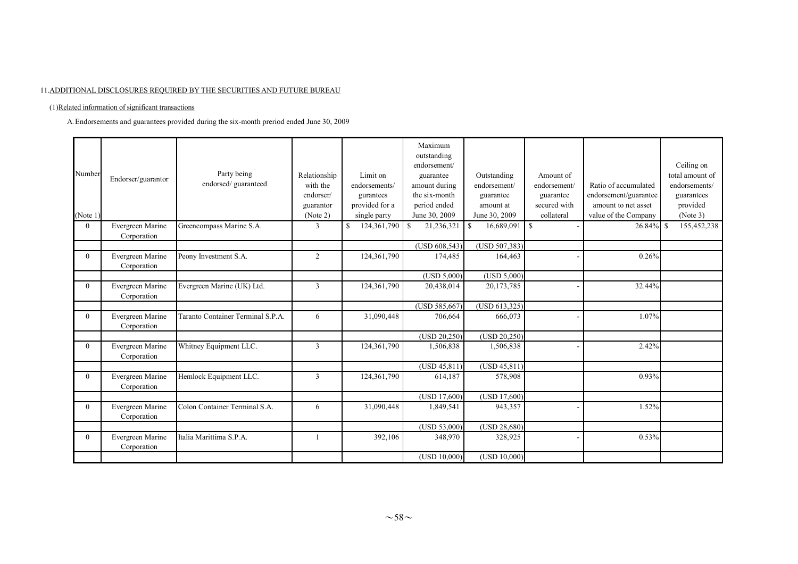#### 11.ADDITIONAL DISCLOSURES REQUIRED BY THE SECURITIES AND FUTURE BUREAU

#### (1)Related information of significant transactions

A.Endorsements and guarantees provided during the six-month preriod ended June 30, 2009

| Number<br>(Note 1) | Endorser/guarantor              | Party being<br>endorsed/guaranteed | Relationship<br>with the<br>endorser/<br>guarantor<br>(Note 2) | Limit on<br>endorsements/<br>gurantees<br>provided for a<br>single party | Maximum<br>outstanding<br>endorsement/<br>guarantee<br>amount during<br>the six-month<br>period ended<br>June 30, 2009 | Outstanding<br>endorsement/<br>guarantee<br>amount at<br>June 30, 2009 | Amount of<br>endorsement/<br>guarantee<br>secured with<br>collateral | Ratio of accumulated<br>endorsement/guarantee<br>amount to net asset<br>value of the Company | Ceiling on<br>total amount of<br>endorsements/<br>guarantees<br>provided<br>(Note 3) |
|--------------------|---------------------------------|------------------------------------|----------------------------------------------------------------|--------------------------------------------------------------------------|------------------------------------------------------------------------------------------------------------------------|------------------------------------------------------------------------|----------------------------------------------------------------------|----------------------------------------------------------------------------------------------|--------------------------------------------------------------------------------------|
| $\theta$           | Evergreen Marine<br>Corporation | Greencompass Marine S.A.           | 3                                                              | 124,361,790<br>\$                                                        | -S<br>21,236,321                                                                                                       | -S<br>16,689,091                                                       | <sup>\$</sup>                                                        | $26.84\%$ \$                                                                                 | 155,452,238                                                                          |
|                    |                                 |                                    |                                                                |                                                                          | (USD 608,543)                                                                                                          | (USD 507,383)                                                          |                                                                      |                                                                                              |                                                                                      |
| $\theta$           | Evergreen Marine<br>Corporation | Peony Investment S.A.              | $\overline{2}$                                                 | 124,361,790                                                              | 174,485                                                                                                                | 164,463                                                                |                                                                      | 0.26%                                                                                        |                                                                                      |
|                    |                                 |                                    |                                                                |                                                                          | (USD 5,000)                                                                                                            | (USD 5,000)                                                            |                                                                      |                                                                                              |                                                                                      |
| $\Omega$           | Evergreen Marine<br>Corporation | Evergreen Marine (UK) Ltd.         | 3                                                              | 124,361,790                                                              | 20,438,014                                                                                                             | 20,173,785                                                             |                                                                      | 32.44%                                                                                       |                                                                                      |
|                    |                                 |                                    |                                                                |                                                                          | (USD 585, 667)                                                                                                         | (USD 613, 325)                                                         |                                                                      |                                                                                              |                                                                                      |
| $\theta$           | Evergreen Marine<br>Corporation | Taranto Container Terminal S.P.A.  | 6                                                              | 31,090,448                                                               | 706,664                                                                                                                | 666,073                                                                |                                                                      | 1.07%                                                                                        |                                                                                      |
|                    |                                 |                                    |                                                                |                                                                          | (USD 20,250)                                                                                                           | (USD 20, 250)                                                          |                                                                      |                                                                                              |                                                                                      |
| $\theta$           | Evergreen Marine<br>Corporation | Whitney Equipment LLC.             | $\overline{3}$                                                 | 124,361,790                                                              | 1,506,838                                                                                                              | 1,506,838                                                              |                                                                      | 2.42%                                                                                        |                                                                                      |
|                    |                                 |                                    |                                                                |                                                                          | (USD 45,811)                                                                                                           | (USD 45, 811)                                                          |                                                                      |                                                                                              |                                                                                      |
| $\theta$           | Evergreen Marine<br>Corporation | Hemlock Equipment LLC.             | 3                                                              | 124,361,790                                                              | 614,187                                                                                                                | 578,908                                                                |                                                                      | 0.93%                                                                                        |                                                                                      |
|                    |                                 |                                    |                                                                |                                                                          | (USD 17,600)                                                                                                           | (USD 17,600)                                                           |                                                                      |                                                                                              |                                                                                      |
| $\theta$           | Evergreen Marine<br>Corporation | Colon Container Terminal S.A.      | 6                                                              | 31,090,448                                                               | 1,849,541                                                                                                              | 943,357                                                                |                                                                      | 1.52%                                                                                        |                                                                                      |
|                    |                                 |                                    |                                                                |                                                                          | (USD 53,000)                                                                                                           | (USD 28,680)                                                           |                                                                      |                                                                                              |                                                                                      |
| $\mathbf{0}$       | Evergreen Marine<br>Corporation | Italia Marittima S.P.A.            |                                                                | 392,106                                                                  | 348.970                                                                                                                | 328,925                                                                |                                                                      | 0.53%                                                                                        |                                                                                      |
|                    |                                 |                                    |                                                                |                                                                          | (USD 10,000)                                                                                                           | (USD 10,000)                                                           |                                                                      |                                                                                              |                                                                                      |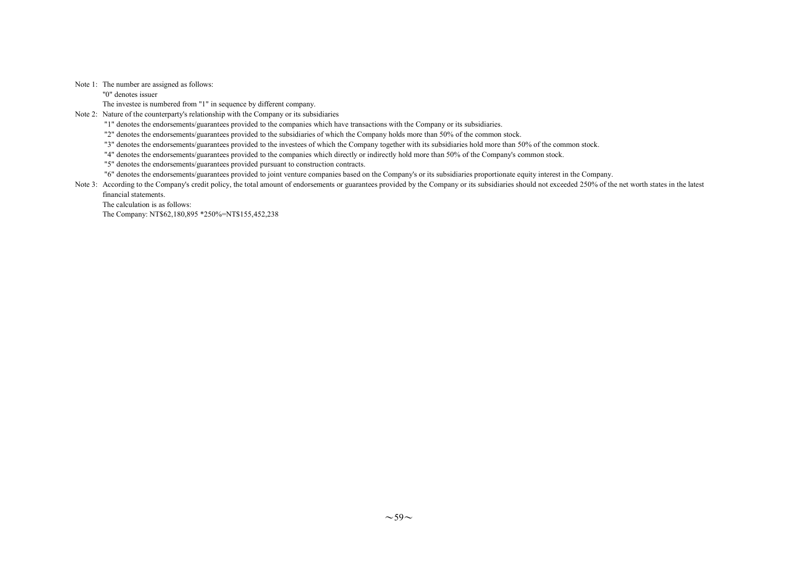#### Note 1: The number are assigned as follows:

"0" denotes issuer

The investee is numbered from "1" in sequence by different company.

Note 2: Nature of the counterparty's relationship with the Company or its subsidiaries

"1" denotes the endorsements/guarantees provided to the companies which have transactions with the Company or its subsidiaries.

"2" denotes the endorsements/guarantees provided to the subsidiaries of which the Company holds more than 50% of the common stock.

"3" denotes the endorsements/guarantees provided to the investees of which the Company together with its subsidiaries hold more than 50% of the common stock.

"4" denotes the endorsements/guarantees provided to the companies which directly or indirectly hold more than 50% of the Company's common stock.

"5" denotes the endorsements/guarantees provided pursuant to construction contracts.

"6" denotes the endorsements/guarantees provided to joint venture companies based on the Company's or its subsidiaries proportionate equity interest in the Company.

Note 3: According to the Company's credit policy, the total amount of endorsements or guarantees provided by the Company or its subsidiaries should not exceeded 250% of the net worth states in the latest financial statements.

The calculation is as follows:

The Company: NT\$62,180,895 \*250%=NT\$155,452,238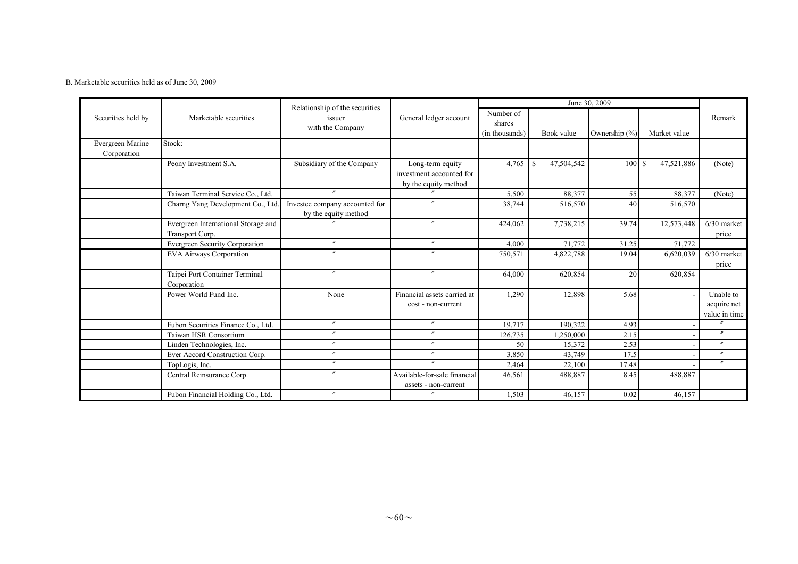#### B. Marketable securities held as of June 30, 2009

|                                 |                                                        | Relationship of the securities                         |                                                                      |                                       | June 30, 2009               |               |              |                                           |  |  |
|---------------------------------|--------------------------------------------------------|--------------------------------------------------------|----------------------------------------------------------------------|---------------------------------------|-----------------------------|---------------|--------------|-------------------------------------------|--|--|
| Securities held by              | Marketable securities<br>issuer<br>with the Company    |                                                        | General ledger account                                               | Number of<br>shares<br>(in thousands) | Book value                  | Ownership (%) | Market value | Remark                                    |  |  |
| Evergreen Marine<br>Corporation | Stock:                                                 |                                                        |                                                                      |                                       |                             |               |              |                                           |  |  |
|                                 | Peony Investment S.A.                                  | Subsidiary of the Company                              | Long-term equity<br>investment accounted for<br>by the equity method | 4,765                                 | 47,504,542<br><sup>\$</sup> | 100S          | 47,521,886   | (Note)                                    |  |  |
|                                 | Taiwan Terminal Service Co., Ltd.                      | $\theta$                                               |                                                                      | 5,500                                 | 88,377                      | 55            | 88,377       | (Note)                                    |  |  |
|                                 | Charng Yang Development Co., Ltd                       | Investee company accounted for<br>by the equity method |                                                                      | 38,744                                | 516,570                     | 40            | 516,570      |                                           |  |  |
|                                 | Evergreen International Storage and<br>Transport Corp. |                                                        | $\prime\prime$                                                       | 424,062                               | 7,738,215                   | 39.74         | 12,573,448   | $6/30$ market<br>price                    |  |  |
|                                 | Evergreen Security Corporation                         | $\prime\prime$                                         | $\prime\prime$                                                       | 4,000                                 | 71,772                      | 31.25         | 71,772       |                                           |  |  |
|                                 | <b>EVA Airways Corporation</b>                         |                                                        |                                                                      | 750,571                               | 4,822,788                   | 19.04         | 6,620,039    | $6/30$ market<br>price                    |  |  |
|                                 | Taipei Port Container Terminal<br>Corporation          | $^{\prime\prime}$                                      | $^{\prime\prime}$                                                    | 64,000                                | 620,854                     | 20            | 620,854      |                                           |  |  |
|                                 | Power World Fund Inc.                                  | None                                                   | Financial assets carried at<br>cost - non-current                    | 1,290                                 | 12,898                      | 5.68          |              | Unable to<br>acquire net<br>value in time |  |  |
|                                 | Fubon Securities Finance Co., Ltd.                     | $^{\prime\prime}$                                      | $\prime\prime$                                                       | 19,717                                | 190,322                     | 4.93          |              | $\overline{''}$                           |  |  |
|                                 | Taiwan HSR Consortium                                  | $^{\prime\prime}$                                      | $^{\prime\prime}$                                                    | 126,735                               | 1,250,000                   | 2.15          |              | $^{\prime\prime}$                         |  |  |
|                                 | Linden Technologies, Inc.                              | $^{\prime\prime}$                                      | $\prime\prime$                                                       | 50                                    | 15,372                      | 2.53          |              | $\prime\prime$                            |  |  |
|                                 | Ever Accord Construction Corp.                         | $\prime\prime$                                         | $^{\prime\prime}$                                                    | 3,850                                 | 43,749                      | 17.5          |              | $\prime\prime$                            |  |  |
|                                 | TopLogis, Inc.                                         | $^{\prime\prime}$                                      | $\prime\prime$                                                       | 2,464                                 | 22,100                      | 17.48         |              | $\prime\prime$                            |  |  |
|                                 | Central Reinsurance Corp.                              | $\boldsymbol{''}$                                      | Available-for-sale financial<br>assets - non-current                 | 46,561                                | 488,887                     | 8.45          | 488,887      |                                           |  |  |
|                                 | Fubon Financial Holding Co., Ltd.                      |                                                        |                                                                      | 1,503                                 | 46,157                      | 0.02          | 46,157       |                                           |  |  |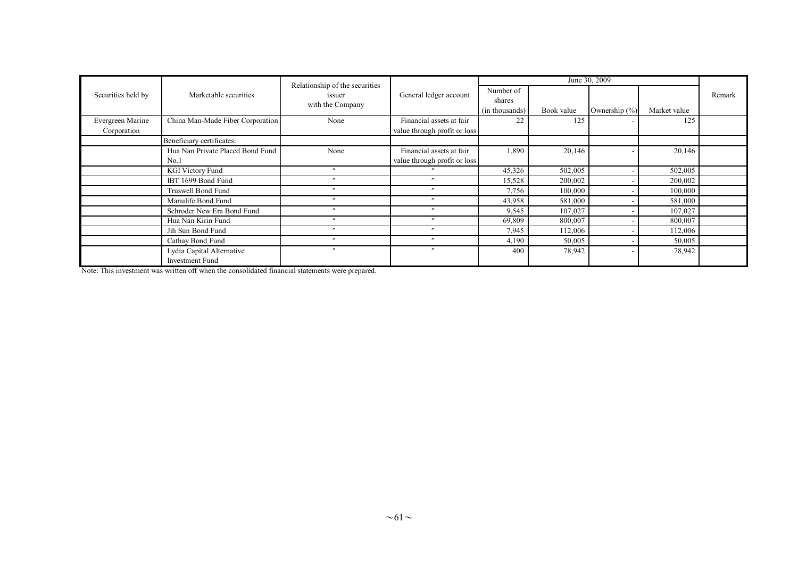|                    |                                                     | Relationship of the securities |                              |                                       |            |                   |              |        |
|--------------------|-----------------------------------------------------|--------------------------------|------------------------------|---------------------------------------|------------|-------------------|--------------|--------|
| Securities held by | Marketable securities                               | issuer<br>with the Company     | General ledger account       | Number of<br>shares<br>(in thousands) | Book value | Ownership $(\% )$ | Market value | Remark |
| Evergreen Marine   | China Man-Made Fiber Corporation                    | None                           | Financial assets at fair     | 22                                    | 125        |                   | 125          |        |
| Corporation        |                                                     |                                | value through profit or loss |                                       |            |                   |              |        |
|                    | Beneficiary certificates:                           |                                |                              |                                       |            |                   |              |        |
|                    | Hua Nan Private Placed Bond Fund                    | None                           | Financial assets at fair     | 1,890                                 | 20,146     |                   | 20,146       |        |
|                    | No.1                                                |                                | value through profit or loss |                                       |            |                   |              |        |
|                    | <b>KGI Victory Fund</b>                             | $^{\prime\prime}$              |                              | 45,326                                | 502,005    |                   | 502,005      |        |
|                    | IBT 1699 Bond Fund                                  | $\boldsymbol{''}$              | $\overline{a}$               | 15,528                                | 200,002    |                   | 200,002      |        |
|                    | <b>Truswell Bond Fund</b>                           |                                |                              | 7,756                                 | 100,000    |                   | 100,000      |        |
|                    | Manulife Bond Fund                                  | $\boldsymbol{''}$              | $\boldsymbol{''}$            | 43,958                                | 581,000    |                   | 581,000      |        |
|                    | Schroder New Era Bond Fund                          | $^{\prime\prime}$              | $\mathbf{r}$                 | 9,545                                 | 107,027    |                   | 107,027      |        |
|                    | Hua Nan Kirin Fund                                  | $\boldsymbol{''}$              | $\overline{u}$               | 69,809                                | 800,007    |                   | 800,007      |        |
|                    | Jih Sun Bond Fund                                   | $^{\prime\prime}$              | $\overline{u}$               | 7,945                                 | 112,006    |                   | 112,006      |        |
|                    | Cathay Bond Fund                                    | $^{\prime\prime}$              | $\overline{u}$               | 4,190                                 | 50,005     |                   | 50,005       |        |
|                    | Lydia Capital Alternative<br><b>Investment Fund</b> | $\overline{\phantom{a}}$       | $\overline{a}$               | 400                                   | 78,942     |                   | 78,942       |        |

Note: This investment was written off when the consolidated financial statements were prepared.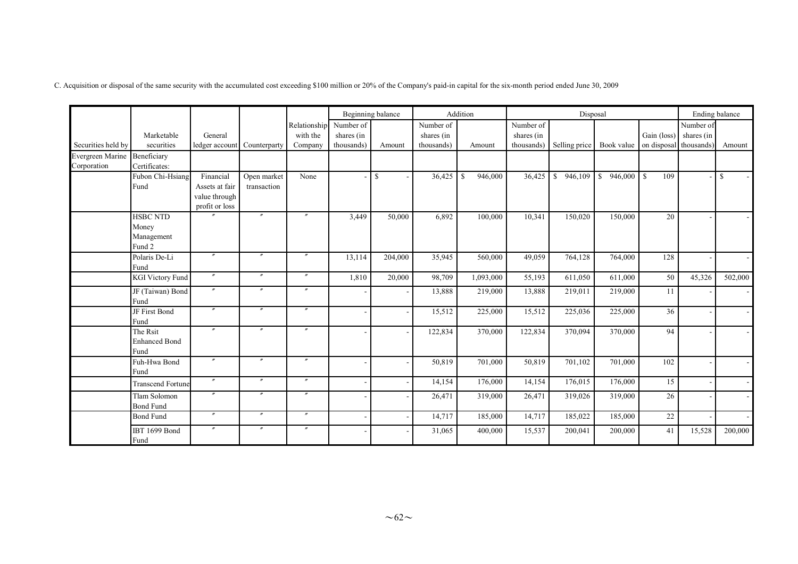C. Acquisition or disposal of the same security with the accumulated cost exceeding \$100 million or 20% of the Company's paid-in capital for the six-month period ended June 30, 2009

|                                             |                                                  |                                                                |                            |                                     |                                       | Beginning balance |                                       | Addition                |                                       | Disposal      |            |                                                  |           | Ending balance           |
|---------------------------------------------|--------------------------------------------------|----------------------------------------------------------------|----------------------------|-------------------------------------|---------------------------------------|-------------------|---------------------------------------|-------------------------|---------------------------------------|---------------|------------|--------------------------------------------------|-----------|--------------------------|
| Securities held by                          | Marketable<br>securities                         | General<br>ledger account                                      | Counterparty               | Relationship<br>with the<br>Company | Number of<br>shares (in<br>thousands) | Amount            | Number of<br>shares (in<br>thousands) | Amount                  | Number of<br>shares (in<br>thousands) | Selling price | Book value | Gain (loss) shares (in<br>on disposal thousands) | Number of | Amount                   |
| Evergreen Marine Beneficiary<br>Corporation | Certificates:                                    |                                                                |                            |                                     |                                       |                   |                                       |                         |                                       |               |            |                                                  |           |                          |
|                                             | Fubon Chi-Hsiang<br>Fund                         | Financial<br>Assets at fair<br>value through<br>profit or loss | Open market<br>transaction | None                                |                                       | $\mathbb{S}$      | 36,425                                | 946,000<br>$\mathbb{S}$ | 36,425                                | \$946,109     | \$946,000  | $\mathbf S$<br>109                               |           | <sup>S</sup>             |
|                                             | <b>HSBC NTD</b><br>Money<br>Management<br>Fund 2 |                                                                | $\prime$                   | $\prime\prime$                      | 3,449                                 | 50,000            | 6,892                                 | 100,000                 | 10,341                                | 150,020       | 150,000    | 20                                               |           |                          |
|                                             | Polaris De-Li<br>Fund                            |                                                                | $\prime$                   | $^{\prime\prime}$                   | 13,114                                | 204,000           | 35,945                                | 560,000                 | 49,059                                | 764,128       | 764,000    | 128                                              |           |                          |
|                                             | <b>KGI Victory Fund</b>                          | $\prime\prime$                                                 | $^{\prime\prime}$          | $^{\prime\prime}$                   | 1,810                                 | 20,000            | 98,709                                | 1,093,000               | 55,193                                | 611,050       | 611,000    | 50                                               | 45,326    | 502,000                  |
|                                             | JF (Taiwan) Bond<br>Fund                         | $^{\prime\prime}$                                              | $^{\prime\prime}$          | $^{\prime\prime}$                   |                                       |                   | 13,888                                | 219,000                 | 13,888                                | 219,011       | 219,000    | 11                                               |           | $\sim$                   |
|                                             | JF First Bond<br>Fund                            |                                                                | $\mathbf{v}$               | $\prime\prime$                      | $\overline{a}$                        |                   | 15,512                                | 225,000                 | 15,512                                | 225,036       | 225,000    | 36                                               |           |                          |
|                                             | The Rsit<br><b>Enhanced Bond</b><br>Fund         | $^{\prime\prime}$                                              | $^{\prime\prime}$          | $^{\prime\prime}$                   |                                       |                   | 122,834                               | 370,000                 | 122,834                               | 370,094       | 370,000    | 94                                               |           |                          |
|                                             | Fuh-Hwa Bond<br>Fund                             | $^{\prime\prime}$                                              | $\mathbf{v}$               | $^{\prime\prime}$                   |                                       |                   | 50,819                                | 701,000                 | 50,819                                | 701,102       | 701,000    | 102                                              |           |                          |
|                                             | <b>Transcend Fortune</b>                         | $^{\prime\prime}$                                              | $\prime\prime$             | $^{\prime\prime}$                   | $\overline{\phantom{a}}$              |                   | 14,154                                | 176,000                 | 14,154                                | 176,015       | 176,000    | 15                                               |           |                          |
|                                             | Tlam Solomon<br><b>Bond Fund</b>                 |                                                                | $^{\prime\prime}$          |                                     | $\overline{a}$                        |                   | 26,471                                | 319,000                 | 26,471                                | 319,026       | 319,000    | 26                                               |           |                          |
|                                             | <b>Bond Fund</b>                                 | $\prime\prime$                                                 | $^{\prime\prime}$          | $\prime\prime$                      | $\overline{\phantom{a}}$              |                   | 14,717                                | 185,000                 | 14,717                                | 185,022       | 185,000    | 22                                               |           | $\overline{\phantom{a}}$ |
|                                             | <b>IBT 1699 Bond</b><br>Fund                     | $^{\prime\prime}$                                              | $^{\prime\prime}$          | $\prime\prime$                      |                                       |                   | 31,065                                | 400,000                 | 15,537                                | 200,041       | 200,000    | 41                                               | 15,528    | 200,000                  |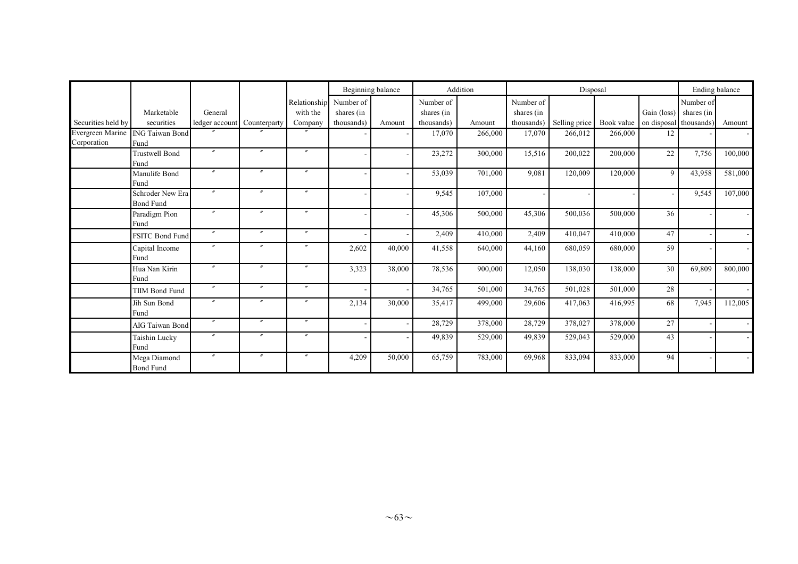|                                 |                                      |                   |                   |                   |            | Beginning balance |            | Addition |            | Disposal      |                                   |              |            | Ending balance |
|---------------------------------|--------------------------------------|-------------------|-------------------|-------------------|------------|-------------------|------------|----------|------------|---------------|-----------------------------------|--------------|------------|----------------|
|                                 |                                      |                   |                   | Relationship      | Number of  |                   | Number of  |          | Number of  |               |                                   |              | Number of  |                |
|                                 | Marketable                           | General           |                   | with the          | shares (in |                   | shares (in |          | shares (in |               |                                   | Gain (loss)  | shares (in |                |
| Securities held by              | securities                           | ledger account    | Counterparty      | Company           | thousands) | Amount            | thousands) | Amount   | thousands) | Selling price | Book value on disposal thousands) |              |            | Amount         |
| Evergreen Marine<br>Corporation | ING Taiwan Bond<br>Fund              |                   |                   |                   |            |                   | 17,070     | 266,000  | 17,070     | 266,012       | 266,000                           | 12           |            |                |
|                                 | <b>Trustwell Bond</b><br>Fund        | $^{\prime\prime}$ | $\prime$          | $^{\prime\prime}$ |            |                   | 23,272     | 300,000  | 15,516     | 200,022       | 200,000                           | 22           | 7,756      | 100,000        |
|                                 | Manulife Bond<br>Fund                | $^{\prime\prime}$ | $\boldsymbol{''}$ | $\boldsymbol{''}$ |            |                   | 53,039     | 701,000  | 9,081      | 120,009       | 120,000                           | $\mathbf{Q}$ | 43,958     | 581,000        |
|                                 | Schroder New Era<br><b>Bond Fund</b> | $^{\prime\prime}$ | $\overline{u}$    | $\boldsymbol{''}$ |            |                   | 9,545      | 107,000  |            |               |                                   |              | 9,545      | 107,000        |
|                                 | Paradigm Pion<br>Fund                | $^{\prime\prime}$ | $\prime$          |                   |            |                   | 45,306     | 500,000  | 45,306     | 500,036       | 500,000                           | 36           |            |                |
|                                 | FSITC Bond Fund                      | $\boldsymbol{''}$ | $\overline{u}$    | $\boldsymbol{''}$ |            |                   | 2,409      | 410,000  | 2,409      | 410.047       | 410,000                           | 47           |            |                |
|                                 | Capital Income<br>Fund               | $^{\prime\prime}$ | $^{\prime\prime}$ | $^{\prime\prime}$ | 2,602      | 40,000            | 41,558     | 640,000  | 44,160     | 680,059       | 680,000                           | 59           |            |                |
|                                 | Hua Nan Kirin<br>Fund                | $^{\prime\prime}$ | $\prime$          | $^{\prime\prime}$ | 3,323      | 38,000            | 78,536     | 900,000  | 12,050     | 138,030       | 138,000                           | 30           | 69,809     | 800,000        |
|                                 | <b>TIIM Bond Fund</b>                | $^{\prime\prime}$ | $\overline{r}$    |                   |            |                   | 34,765     | 501,000  | 34,765     | 501,028       | 501,000                           | 28           |            |                |
|                                 | Jih Sun Bond<br>Fund                 | $\prime$          | $\mathbf{r}$      | $^{\prime\prime}$ | 2,134      | 30,000            | 35,417     | 499,000  | 29,606     | 417,063       | 416,995                           | 68           | 7,945      | 112,005        |
|                                 | AIG Taiwan Bond                      | $^{\prime\prime}$ | $^{\prime\prime}$ | $^{\prime\prime}$ |            |                   | 28,729     | 378,000  | 28,729     | 378,027       | 378,000                           | 27           |            |                |
|                                 | Taishin Lucky<br>Fund                | $\prime$          | $\prime$          | $^{\prime\prime}$ |            |                   | 49,839     | 529,000  | 49,839     | 529,043       | 529,000                           | 43           |            |                |
|                                 | Mega Diamond<br><b>Bond Fund</b>     | $^{\prime\prime}$ | $\overline{''}$   | $^{\prime\prime}$ | 4,209      | 50,000            | 65,759     | 783,000  | 69,968     | 833,094       | 833,000                           | 94           |            |                |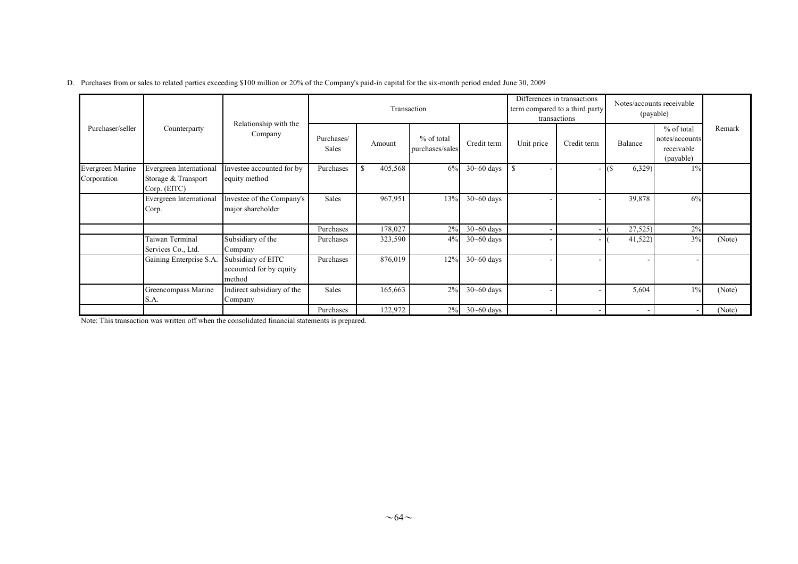|                                 |                                                                |                                                         |                     |               | Transaction                   |                |                          | Differences in transactions<br>term compared to a third party<br>transactions | Notes/accounts receivable<br>(payable) |                                                           |        |
|---------------------------------|----------------------------------------------------------------|---------------------------------------------------------|---------------------|---------------|-------------------------------|----------------|--------------------------|-------------------------------------------------------------------------------|----------------------------------------|-----------------------------------------------------------|--------|
| Purchaser/seller                | Counterparty                                                   | Relationship with the<br>Company                        | Purchases/<br>Sales | Amount        | % of total<br>purchases/sales | Credit term    | Unit price               | Credit term                                                                   | Balance                                | $%$ of total<br>notes/accounts<br>receivable<br>(payable) | Remark |
| Evergreen Marine<br>Corporation | Evergreen International<br>Storage & Transport<br>Corp. (EITC) | Investee accounted for by<br>equity method              | Purchases           | 405,568<br>-S | 6%                            | $30 - 60$ days | \$                       |                                                                               | 6,329<br>$-$ (\$)                      | $1\%$                                                     |        |
|                                 | Evergreen International<br>Corp.                               | Investee of the Company's<br>major shareholder          | Sales               | 967,951       | 13%                           | $30 - 60$ days |                          |                                                                               | 39,878                                 | 6%                                                        |        |
|                                 |                                                                |                                                         | Purchases           | 178,027       | 2%                            | $30 - 60$ days |                          | - 1                                                                           | 27,525)                                | 2%                                                        |        |
|                                 | Taiwan Terminal<br>Services Co., Ltd.                          | Subsidiary of the<br>Company                            | Purchases           | 323,590       | 4%                            | $30 - 60$ days |                          |                                                                               | 41,522)                                | 3%                                                        | (Note) |
|                                 | Gaining Enterprise S.A.                                        | Subsidiary of EITC<br>accounted for by equity<br>method | Purchases           | 876,019       | 12%                           | $30 - 60$ days |                          |                                                                               |                                        |                                                           |        |
|                                 | Greencompass Marine<br>S.A.                                    | Indirect subsidiary of the<br>Company                   | Sales               | 165,663       | 2%                            | $30 - 60$ days | $\overline{\phantom{a}}$ |                                                                               | 5,604                                  | 1%                                                        | (Note) |
|                                 |                                                                |                                                         | Purchases           | 122,972       | $2\%$                         | $30 - 60$ days |                          |                                                                               |                                        |                                                           | (Note) |

#### D. Purchases from or sales to related parties exceeding \$100 million or 20% of the Company's paid-in capital for the six-month period ended June 30, 2009

Note: This transaction was written off when the consolidated financial statements is prepared.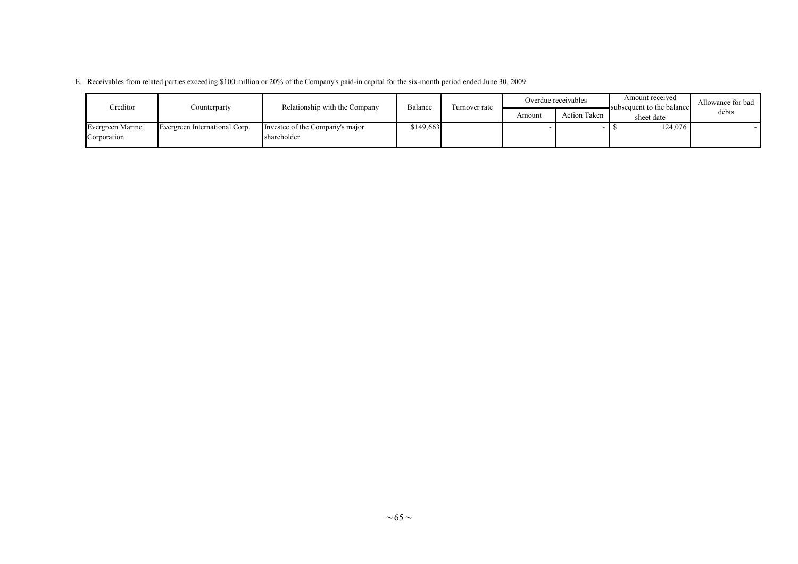| E. Receivables from related parties exceeding \$100 million or 20% of the Company's paid-in capital for the six-month period ended June 30, 2009 |  |
|--------------------------------------------------------------------------------------------------------------------------------------------------|--|
|--------------------------------------------------------------------------------------------------------------------------------------------------|--|

| Creditor                        | Counterparty                  | Relationship with the Company                  | Balance   | Turnover rate |        | Overdue receivables | Amount received<br>subsequent to the balance | Allowance for bad |
|---------------------------------|-------------------------------|------------------------------------------------|-----------|---------------|--------|---------------------|----------------------------------------------|-------------------|
|                                 |                               |                                                |           |               | Amount | <b>Action Taken</b> | sheet date                                   | debts             |
| Evergreen Marine<br>Corporation | Evergreen International Corp. | Investee of the Company's major<br>shareholder | \$149,663 |               |        |                     | 124.076                                      |                   |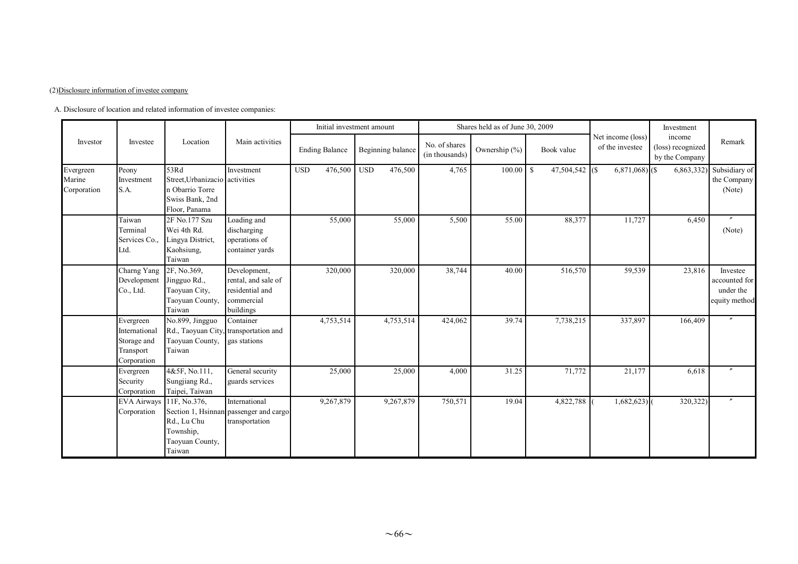#### (2)Disclosure information of investee company

A. Disclosure of location and related information of investee companies:

|                                    |                                                                       |                                                                                               |                                                                                   |            | Initial investment amount |              |                   |                                 | Shares held as of June 30, 2009 |                                  |                                      | Investment                                    |                                                         |
|------------------------------------|-----------------------------------------------------------------------|-----------------------------------------------------------------------------------------------|-----------------------------------------------------------------------------------|------------|---------------------------|--------------|-------------------|---------------------------------|---------------------------------|----------------------------------|--------------------------------------|-----------------------------------------------|---------------------------------------------------------|
| Investor                           | Investee                                                              | Location                                                                                      | Main activities                                                                   |            | <b>Ending Balance</b>     |              | Beginning balance | No. of shares<br>(in thousands) | Ownership (%)                   | Book value                       | Net income (loss)<br>of the investee | income<br>(loss) recognized<br>by the Company | Remark                                                  |
| Evergreen<br>Marine<br>Corporation | Peony<br>Investment<br>S.A.                                           | 53Rd<br>Street, Urbanizacio activities<br>n Obarrio Torre<br>Swiss Bank, 2nd<br>Floor, Panama | Investment                                                                        | <b>USD</b> | 476,500                   | $_{\rm USD}$ | 476,500           | 4,765                           | 100.00                          | 47,504,542 (\$)<br><sup>\$</sup> | $6,871,068$ (\$)                     | 6,863,332                                     | Subsidiary of<br>the Company<br>(Note)                  |
|                                    | Taiwan<br>Terminal<br>Services Co.,<br>Ltd.                           | 2F No.177 Szu<br>Wei 4th Rd.<br>Lingya District,<br>Kaohsiung,<br>Taiwan                      | Loading and<br>discharging<br>operations of<br>container yards                    |            | 55,000                    |              | 55,000            | 5,500                           | 55.00                           | 88,377                           | 11,727                               | 6,450                                         | (Note)                                                  |
|                                    | Charng Yang<br>Development<br>Co., Ltd.                               | 2F, No.369,<br>Jingguo Rd.,<br>Taoyuan City,<br>Taoyuan County,<br>Taiwan                     | Development,<br>rental, and sale of<br>residential and<br>commercial<br>buildings |            | 320,000                   |              | 320,000           | 38,744                          | 40.00                           | 516,570                          | 59,539                               | 23,816                                        | Investee<br>accounted for<br>under the<br>equity method |
|                                    | Evergreen<br>International<br>Storage and<br>Transport<br>Corporation | No.899, Jingguo<br>Rd., Taoyuan City, transportation and<br>Taoyuan County,<br>Taiwan         | Container<br>gas stations                                                         |            | 4,753,514                 |              | 4,753,514         | 424,062                         | 39.74                           | 7,738,215                        | 337,897                              | 166,409                                       |                                                         |
|                                    | Evergreen<br>Security<br>Corporation                                  | 4&5F, No.111,<br>Sungjiang Rd.,<br>Taipei, Taiwan                                             | General security<br>guards services                                               |            | 25,000                    |              | 25,000            | 4,000                           | 31.25                           | 71,772                           | 21,177                               | 6,618                                         |                                                         |
|                                    | EVA Airways 11F, No.376,<br>Corporation                               | Rd., Lu Chu<br>Township,<br>Taoyuan County,<br>Taiwan                                         | International<br>Section 1, Hsinnan passenger and cargo<br>transportation         |            | 9,267,879                 |              | 9,267,879         | 750,571                         | 19.04                           | 4,822,788                        | 1,682,623                            | 320,322)                                      |                                                         |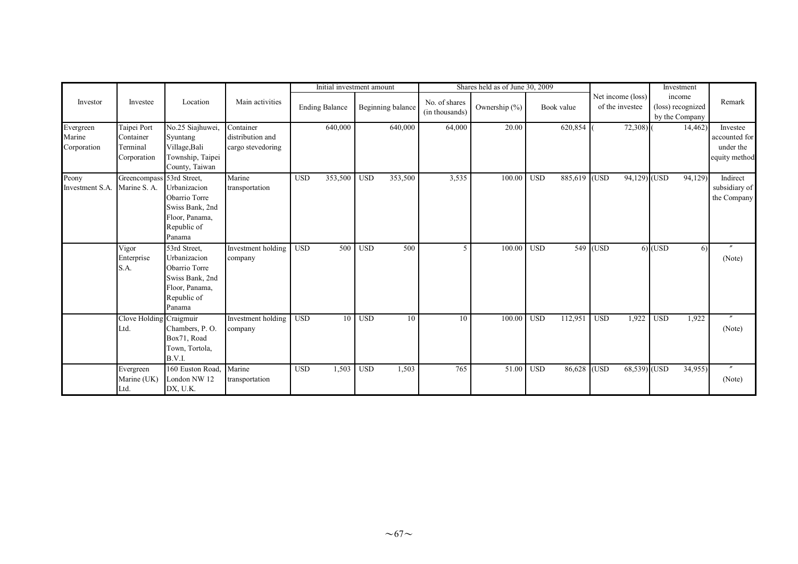|                                    |                                                     |                                                                                                             |                                                    | Initial investment amount |                       |              |                   | Shares held as of June 30, 2009 |                  |                       | Investment   |                                      |            |                                               |                                                         |
|------------------------------------|-----------------------------------------------------|-------------------------------------------------------------------------------------------------------------|----------------------------------------------------|---------------------------|-----------------------|--------------|-------------------|---------------------------------|------------------|-----------------------|--------------|--------------------------------------|------------|-----------------------------------------------|---------------------------------------------------------|
| Investor                           | Investee                                            | Location                                                                                                    | Main activities                                    |                           | <b>Ending Balance</b> |              | Beginning balance | No. of shares<br>(in thousands) | Ownership $(\%)$ | Book value            |              | Net income (loss)<br>of the investee |            | income<br>(loss) recognized<br>by the Company | Remark                                                  |
| Evergreen<br>Marine<br>Corporation | Taipei Port<br>Container<br>Terminal<br>Corporation | No.25 Siajhuwei,<br>Syuntang<br>Village, Bali<br>Township, Taipei<br>County, Taiwan                         | Container<br>distribution and<br>cargo stevedoring |                           | 640,000               |              | 640,000           | 64,000                          | 20.00            | 620,854               |              | $72,308$ )                           |            | 14,462                                        | Investee<br>accounted for<br>under the<br>equity method |
| Peony<br>nvestment S.A.            | Greencompass 53rd Street,<br>Marine S. A.           | Urbanizacion<br>Obarrio Torre<br>Swiss Bank, 2nd<br>Floor, Panama,<br>Republic of<br>Panama                 | Marine<br>transportation                           | <b>USD</b>                | 353,500               | $_{\rm USD}$ | 353,500           | 3,535                           | 100.00           | <b>USD</b>            | 885,619 (USD | $94,129$ (USD                        |            | 94,129)                                       | Indirect<br>subsidiary of<br>the Company                |
|                                    | Vigor<br>Enterprise<br>S.A.                         | 53rd Street,<br>Urbanizacion<br>Obarrio Torre<br>Swiss Bank, 2nd<br>Floor, Panama,<br>Republic of<br>Panama | Investment holding<br>company                      | <b>USD</b>                | 500                   | <b>USD</b>   | 500               | 5                               | 100.00           | <b>USD</b>            | 549 (USD     |                                      | $6)$ (USD  | 6)                                            | $\prime$<br>(Note)                                      |
|                                    | Clove Holding Craigmuir<br>Ltd.                     | Chambers, P.O.<br>Box71, Road<br>Town, Tortola,<br>B.V.I.                                                   | Investment holding<br>company                      | <b>USD</b>                | 10                    | <b>USD</b>   | 10                | 10                              | 100.00           | <b>USD</b><br>112,951 | <b>USD</b>   | 1,922                                | <b>USD</b> | 1,922                                         | $\prime\prime$<br>(Note)                                |
|                                    | Evergreen<br>Marine (UK)<br>Ltd.                    | 160 Euston Road.<br>London NW 12<br>DX, U.K.                                                                | Marine<br>transportation                           | <b>USD</b>                | 1,503                 | <b>USD</b>   | 1,503             | 765                             | 51.00            | <b>USD</b>            | 86,628 (USD  | 68,539) (USD                         |            | 34,955)                                       | $\prime\prime$<br>(Note)                                |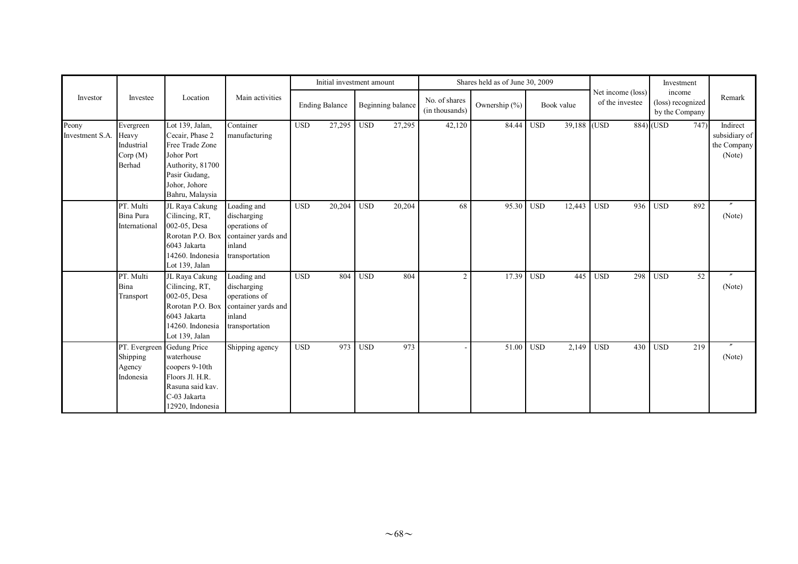|                          |                                                               |                                                                                                                                              | Main activities                                                                                |            | Initial investment amount |            |                   | Shares held as of June 30, 2009 |               |                  |             |                                      |     |                                               | Investment |                                                    |
|--------------------------|---------------------------------------------------------------|----------------------------------------------------------------------------------------------------------------------------------------------|------------------------------------------------------------------------------------------------|------------|---------------------------|------------|-------------------|---------------------------------|---------------|------------------|-------------|--------------------------------------|-----|-----------------------------------------------|------------|----------------------------------------------------|
| Investor                 | Investee                                                      | Location                                                                                                                                     |                                                                                                |            | <b>Ending Balance</b>     |            | Beginning balance | No. of shares<br>(in thousands) | Ownership (%) |                  | Book value  | Net income (loss)<br>of the investee |     | income<br>(loss) recognized<br>by the Company |            | Remark                                             |
| Peony<br>Investment S.A. | Evergreen<br>Heavy<br>Industrial<br>Corp(M)<br>Berhad         | Lot 139, Jalan,<br>Cecair, Phase 2<br>Free Trade Zone<br>Johor Port<br>Authority, 81700<br>Pasir Gudang,<br>Johor, Johore<br>Bahru, Malaysia | Container<br>manufacturing                                                                     | <b>USD</b> | 27,295                    | <b>USD</b> | 27,295            | 42,120                          | 84.44 USD     |                  | 39,188 (USD |                                      |     | $884)$ (USD                                   | 747        | Indirect<br>subsidiary of<br>the Company<br>(Note) |
|                          | PT. Multi<br>Bina Pura<br>International                       | JL Raya Cakung<br>Cilincing, RT,<br>002-05, Desa<br>Rorotan P.O. Box<br>6043 Jakarta<br>14260. Indonesia<br>Lot 139, Jalan                   | Loading and<br>discharging<br>operations of<br>container yards and<br>inland<br>transportation | <b>USD</b> | 20,204                    | <b>USD</b> | 20,204            | 68                              | 95.30         | USD <sub>1</sub> | 12,443      | <b>USD</b>                           | 936 | <b>USD</b>                                    | 892        | $^{\prime\prime}$<br>(Note)                        |
|                          | PT. Multi<br>Bina<br>Transport                                | JL Raya Cakung<br>Cilincing, RT,<br>002-05, Desa<br>Rorotan P.O. Box<br>6043 Jakarta<br>14260. Indonesia<br>Lot 139, Jalan                   | Loading and<br>discharging<br>operations of<br>container yards and<br>inland<br>transportation | <b>USD</b> | 804                       | <b>USD</b> | 804               | 2                               | 17.39         | <b>USD</b>       | 445         | <b>USD</b>                           | 298 | <b>USD</b>                                    | 52         | (Note)                                             |
|                          | PT. Evergreen Gedung Price<br>Shipping<br>Agency<br>Indonesia | waterhouse<br>coopers 9-10th<br>Floors Jl. H.R.<br>Rasuna said kav.<br>C-03 Jakarta<br>12920, Indonesia                                      | Shipping agency                                                                                | <b>USD</b> | 973                       | <b>USD</b> | 973               |                                 | 51.00         | <b>USD</b>       | 2,149       | <b>USD</b>                           | 430 | <b>USD</b>                                    | 219        | (Note)                                             |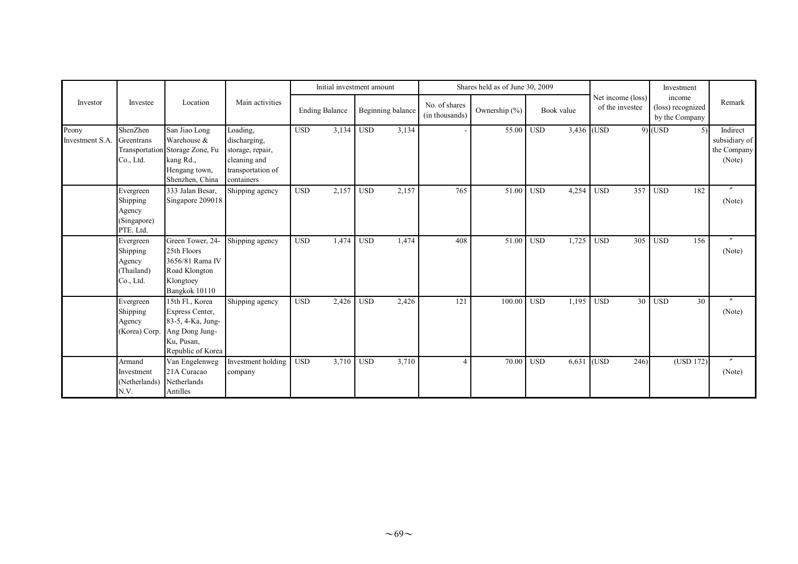|                          |                                                             |                                                                                                                  | Main activities                                                                                 |            |                       | Initial investment amount |                   | Shares held as of June 30, 2009 |                   |            |            |                                      |     |                                               | Investment |                                                    |
|--------------------------|-------------------------------------------------------------|------------------------------------------------------------------------------------------------------------------|-------------------------------------------------------------------------------------------------|------------|-----------------------|---------------------------|-------------------|---------------------------------|-------------------|------------|------------|--------------------------------------|-----|-----------------------------------------------|------------|----------------------------------------------------|
| Investor                 | Investee                                                    | Location                                                                                                         |                                                                                                 |            | <b>Ending Balance</b> |                           | Beginning balance | No. of shares<br>(in thousands) | Ownership $(\% )$ |            | Book value | Net income (loss)<br>of the investee |     | income<br>(loss) recognized<br>by the Company |            | Remark                                             |
| Peony<br>Investment S.A. | ShenZhen<br>Greentrans<br>Co., Ltd.                         | San Jiao Long<br>Warehouse &<br>Transportation Storage Zone, Fu<br>kang Rd.,<br>Hengang town,<br>Shenzhen, China | Loading,<br>discharging,<br>storage, repair,<br>cleaning and<br>transportation of<br>containers | <b>USD</b> | 3,134                 | <b>USD</b>                | 3,134             |                                 | 55.00             | <b>USD</b> | 3,436 (USD |                                      |     | $9)$ (USD                                     | 5)         | Indirect<br>subsidiary of<br>the Company<br>(Note) |
|                          | Evergreen<br>Shipping<br>Agency<br>(Singapore)<br>PTE. Ltd. | 333 Jalan Besar,<br>Singapore 209018                                                                             | Shipping agency                                                                                 | <b>USD</b> | 2,157                 | <b>USD</b>                | 2,157             | 765                             | 51.00             | <b>USD</b> | 4,254      | <b>USD</b>                           | 357 | <b>USD</b>                                    | 182        | $\overline{''}$<br>(Note)                          |
|                          | Evergreen<br>Shipping<br>Agency<br>(Thailand)<br>Co., Ltd.  | Green Tower, 24-<br>25th Floors<br>3656/81 Rama IV<br>Road Klongton<br>Klongtoey<br>Bangkok 10110                | Shipping agency                                                                                 | <b>USD</b> | 1,474                 | <b>USD</b>                | 1,474             | 408                             | 51.00             | <b>USD</b> | 1,725      | <b>USD</b>                           | 305 | <b>USD</b>                                    | 156        | (Note)                                             |
|                          | Evergreen<br>Shipping<br>Agency<br>(Korea) Corp.            | 15th Fl., Korea<br>Express Center,<br>83-5, 4-Ka, Jung-<br>Ang Dong Jung-<br>Ku, Pusan,<br>Republic of Korea     | Shipping agency                                                                                 | <b>USD</b> | 2,426                 | <b>USD</b>                | 2,426             | 121                             | 100.00            | <b>USD</b> | 1,195      | <b>USD</b>                           | 30  | <b>USD</b>                                    | 30         | $\prime$<br>(Note)                                 |
|                          | Armand<br>Investment<br>(Netherlands)<br>N.V.               | Van Engelenweg<br>21A Curacao<br>Netherlands<br>Antilles                                                         | Investment holding<br>company                                                                   | <b>USD</b> | 3,710                 | <b>USD</b>                | 3,710             | 4                               | 70.00             | <b>USD</b> | 6,631      | (USD)                                | 246 |                                               | (USD 172)  | $\boldsymbol{''}$<br>(Note)                        |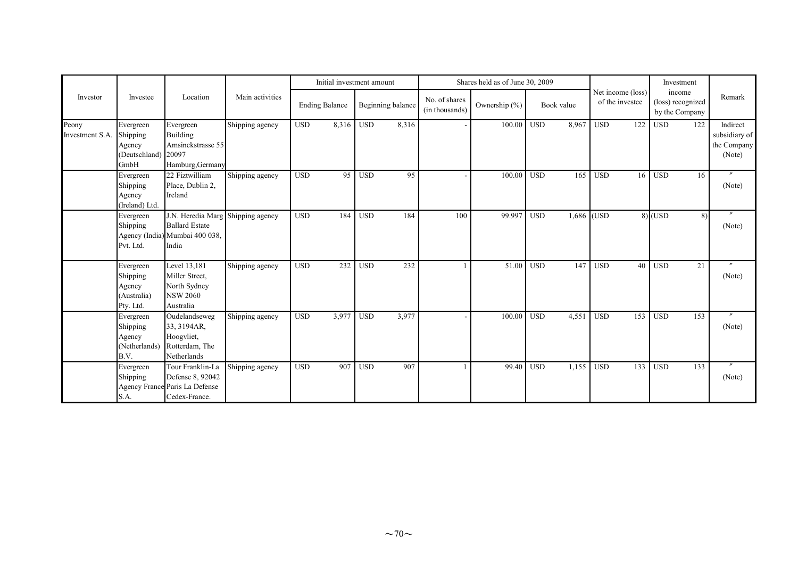|                          |                                                                |                                                                                                       | Main activities |            | Initial investment amount |            |                   | Shares held as of June 30, 2009 |                   | Net income (loss) |            | Investment      |     |                                               |     |                                                    |
|--------------------------|----------------------------------------------------------------|-------------------------------------------------------------------------------------------------------|-----------------|------------|---------------------------|------------|-------------------|---------------------------------|-------------------|-------------------|------------|-----------------|-----|-----------------------------------------------|-----|----------------------------------------------------|
| Investor                 | Investee                                                       | Location                                                                                              |                 |            | <b>Ending Balance</b>     |            | Beginning balance | No. of shares<br>(in thousands) | Ownership $(\% )$ |                   | Book value | of the investee |     | income<br>(loss) recognized<br>by the Company |     | Remark                                             |
| Peony<br>Investment S.A. | Evergreen<br>Shipping<br>Agency<br>(Deutschland) 20097<br>GmbH | Evergreen<br><b>Building</b><br>Amsinckstrasse 55<br>Hamburg, Germany                                 | Shipping agency | <b>USD</b> | 8,316                     | <b>USD</b> | 8,316             |                                 | 100.00            | <b>USD</b>        | 8,967      | <b>USD</b>      | 122 | <b>USD</b>                                    | 122 | Indirect<br>subsidiary of<br>the Company<br>(Note) |
|                          | Evergreen<br>Shipping<br>Agency<br>(Ireland) Ltd.              | 22 Fiztwilliam<br>Place, Dublin 2,<br>Ireland                                                         | Shipping agency | <b>USD</b> | 95                        | <b>USD</b> | 95                |                                 | 100.00            | <b>USD</b>        | 165        | <b>USD</b>      | 16  | <b>USD</b>                                    | 16  | $\prime\prime$<br>(Note)                           |
|                          | Evergreen<br>Shipping<br>Pvt. Ltd.                             | J.N. Heredia Marg Shipping agency<br><b>Ballard Estate</b><br>Agency (India) Mumbai 400 038,<br>India |                 | <b>USD</b> | 184                       | <b>USD</b> | 184               | 100                             | 99.997            | <b>USD</b>        | 1,686 (USD |                 |     | $8)$ (USD                                     | 8)  | (Note)                                             |
|                          | Evergreen<br>Shipping<br>Agency<br>(Australia)<br>Pty. Ltd.    | Level 13,181<br>Miller Street,<br>North Sydney<br><b>NSW 2060</b><br>Australia                        | Shipping agency | <b>USD</b> | 232                       | <b>USD</b> | 232               |                                 | 51.00             | <b>USD</b>        | 147        | <b>USD</b>      | 40  | <b>USD</b>                                    | 21  | (Note)                                             |
|                          | Evergreen<br>Shipping<br>Agency<br>B.V.                        | Oudelandseweg<br>33, 3194AR,<br>Hoogvliet,<br>(Netherlands) Rotterdam, The<br>Netherlands             | Shipping agency | <b>USD</b> | 3,977                     | <b>USD</b> | 3,977             |                                 | 100.00            | <b>USD</b>        | 4,551      | <b>USD</b>      | 153 | <b>USD</b>                                    | 153 | $\prime\prime$<br>(Note)                           |
|                          | Evergreen<br>Shipping<br>S.A.                                  | Tour Franklin-La<br>Defense 8, 92042<br>Agency France Paris La Defense<br>Cedex-France.               | Shipping agency | <b>USD</b> | 907                       | <b>USD</b> | 907               |                                 | 99.40             | <b>USD</b>        | 1,155      | <b>USD</b>      | 133 | <b>USD</b>                                    | 133 | (Note)                                             |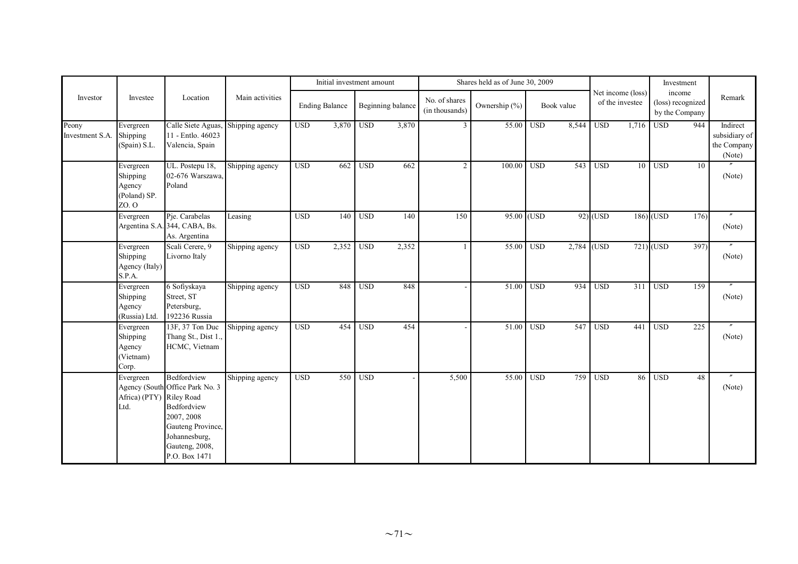|                          |                                                          |                                                                                                                                                      |                 |                  | Initial investment amount |            |                   | Shares held as of June 30, 2009 |               |            |            |                                      |                 | Investment                                    |                 |                                                    |
|--------------------------|----------------------------------------------------------|------------------------------------------------------------------------------------------------------------------------------------------------------|-----------------|------------------|---------------------------|------------|-------------------|---------------------------------|---------------|------------|------------|--------------------------------------|-----------------|-----------------------------------------------|-----------------|----------------------------------------------------|
| Investor                 | Investee                                                 | Location                                                                                                                                             | Main activities |                  | <b>Ending Balance</b>     |            | Beginning balance | No. of shares<br>(in thousands) | Ownership (%) |            | Book value | Net income (loss)<br>of the investee |                 | income<br>(loss) recognized<br>by the Company |                 | Remark                                             |
| Peony<br>Investment S.A. | Evergreen<br>Shipping<br>(Spain) S.L.                    | Calle Siete Aguas,<br>11 - Entlo. 46023<br>Valencia, Spain                                                                                           | Shipping agency | <b>USD</b>       | 3,870                     | <b>USD</b> | 3,870             | $\overline{3}$                  | 55.00         | <b>USD</b> | 8,544      | <b>USD</b>                           | 1,716           | <b>USD</b>                                    | 944             | Indirect<br>subsidiary of<br>the Company<br>(Note) |
|                          | Evergreen<br>Shipping<br>Agency<br>(Poland) SP.<br>ZO. O | UL. Postepu 18,<br>02-676 Warszawa,<br>Poland                                                                                                        | Shipping agency | $\overline{USD}$ | 662                       | <b>USD</b> | 662               | $\overline{2}$                  | 100.00        | <b>USD</b> | 543        | <b>USD</b>                           | $\overline{10}$ | <b>USD</b>                                    | $\overline{10}$ | (Note)                                             |
|                          | Evergreen                                                | Pje. Carabelas<br>Argentina S.A. 344, CABA, Bs.<br>As. Argentina                                                                                     | Leasing         | <b>USD</b>       | 140                       | <b>USD</b> | 140               | 150                             | 95.00 (USD    |            |            | $92)$ (USD                           |                 | $186$ (USD                                    | 176             | (Note)                                             |
|                          | Evergreen<br>Shipping<br>Agency (Italy)<br>S.P.A.        | Scali Cerere, 9<br>Livorno Italy                                                                                                                     | Shipping agency | <b>USD</b>       | 2,352                     | <b>USD</b> | 2,352             |                                 | 55.00         | <b>USD</b> |            | $2,784$ (USD                         |                 | $721)$ (USD                                   | 397)            | (Note)                                             |
|                          | Evergreen<br>Shipping<br>Agency<br>(Russia) Ltd.         | 6 Sofiyskaya<br>Street, ST<br>Petersburg,<br>192236 Russia                                                                                           | Shipping agency | <b>USD</b>       | 848                       | <b>USD</b> | 848               |                                 | 51.00         | <b>USD</b> | 934        | <b>USD</b>                           | 311             | <b>USD</b>                                    | 159             | $\prime\prime$<br>(Note)                           |
|                          | Evergreen<br>Shipping<br>Agency<br>(Vietnam)<br>Corp.    | 13F, 37 Ton Duc<br>Thang St., Dist 1.,<br>HCMC, Vietnam                                                                                              | Shipping agency | <b>USD</b>       | 454                       | <b>USD</b> | 454               |                                 | 51.00         | <b>USD</b> | 547        | <b>USD</b>                           | 441             | <b>USD</b>                                    | 225             | (Note)                                             |
|                          | Evergreen<br>Africa) (PTY) Riley Road<br>Ltd.            | Bedfordview<br>Agency (South Office Park No. 3<br>Bedfordview<br>2007, 2008<br>Gauteng Province,<br>Johannesburg,<br>Gauteng, 2008,<br>P.O. Box 1471 | Shipping agency | $_{\rm USD}$     | 550                       | <b>USD</b> |                   | 5,500                           | 55.00         | <b>USD</b> | 759        | <b>USD</b>                           | 86              | <b>USD</b>                                    | 48              | $^{\prime\prime}$<br>(Note)                        |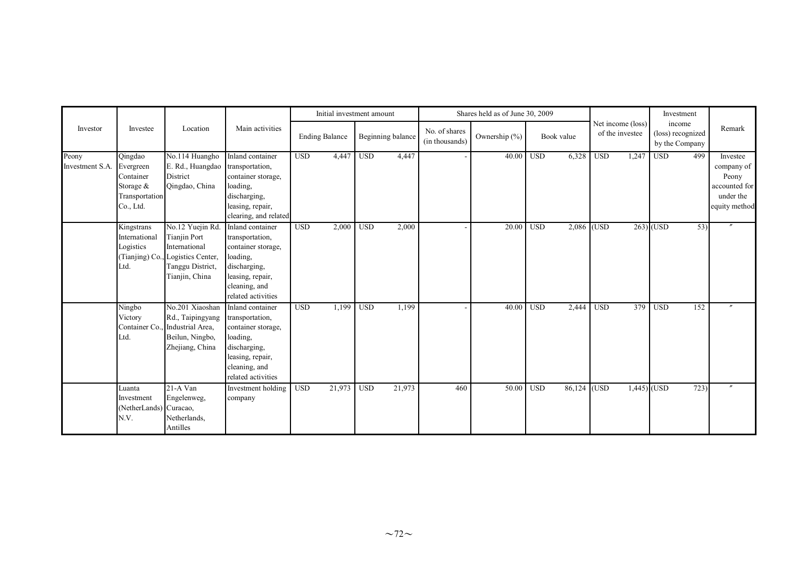|                          |                                                                               |                                                                                                                     |                                                                                                                                                  |                  | Initial investment amount |            |                   |                                 | Shares held as of June 30, 2009 |            |             |            |                                      | Investment                                    |      |                                                                                |
|--------------------------|-------------------------------------------------------------------------------|---------------------------------------------------------------------------------------------------------------------|--------------------------------------------------------------------------------------------------------------------------------------------------|------------------|---------------------------|------------|-------------------|---------------------------------|---------------------------------|------------|-------------|------------|--------------------------------------|-----------------------------------------------|------|--------------------------------------------------------------------------------|
| Investor                 | Investee                                                                      | Location                                                                                                            | Main activities                                                                                                                                  |                  | <b>Ending Balance</b>     |            | Beginning balance | No. of shares<br>(in thousands) | Ownership (%)                   |            | Book value  |            | Net income (loss)<br>of the investee | income<br>(loss) recognized<br>by the Company |      | Remark                                                                         |
| Peony<br>Investment S.A. | Qingdao<br>Evergreen<br>Container<br>Storage &<br>Transportation<br>Co., Ltd. | No.114 Huangho<br>E. Rd., Huangdao transportation,<br>District<br>Oingdao, China                                    | Inland container<br>container storage,<br>loading,<br>discharging,<br>leasing, repair,<br>clearing, and related                                  | USD <sub>1</sub> | 4,447                     | <b>USD</b> | 4,447             |                                 | 40.00                           | <b>USD</b> | 6,328       | <b>USD</b> | 1,247                                | $\overline{USD}$                              | 499  | Investee<br>company of<br>Peony<br>accounted for<br>under the<br>equity method |
|                          | Kingstrans<br>International<br>Logistics<br>(Tianjing) Co.,<br>Ltd.           | No.12 Yuejin Rd.<br><b>Tianjin Port</b><br>International<br>Logistics Center,<br>Tanggu District,<br>Tianjin, China | Inland container<br>transportation,<br>container storage,<br>loading,<br>discharging,<br>leasing, repair,<br>cleaning, and<br>related activities | <b>USD</b>       | 2,000                     | <b>USD</b> | 2,000             |                                 | 20.00                           | <b>USD</b> | 2,086 (USD  |            |                                      | $263)$ (USD                                   | 53)  | $^{\prime\prime}$                                                              |
|                          | Ningbo<br>Victory<br>Container Co<br>Ltd.                                     | No.201 Xiaoshan<br>Rd., Taipingyang<br>Industrial Area.<br>Beilun, Ningbo,<br>Zhejiang, China                       | Inland container<br>transportation,<br>container storage,<br>loading,<br>discharging,<br>leasing, repair,<br>cleaning, and<br>related activities | <b>USD</b>       | 1,199                     | <b>USD</b> | 1,199             |                                 | 40.00                           | <b>USD</b> | 2,444       | <b>USD</b> | 379                                  | <b>USD</b>                                    | 152  |                                                                                |
|                          | Luanta<br>Investment<br>(NetherLands) Curacao,<br>N.V.                        | 21-A Van<br>Engelenweg,<br>Netherlands,<br>Antilles                                                                 | Investment holding<br>company                                                                                                                    | <b>USD</b>       | 21,973                    | <b>USD</b> | 21,973            | 460                             | 50.00                           | <b>USD</b> | 86,124 (USD |            | $1,445$ (USD                         |                                               | 723) | $^{\prime\prime}$                                                              |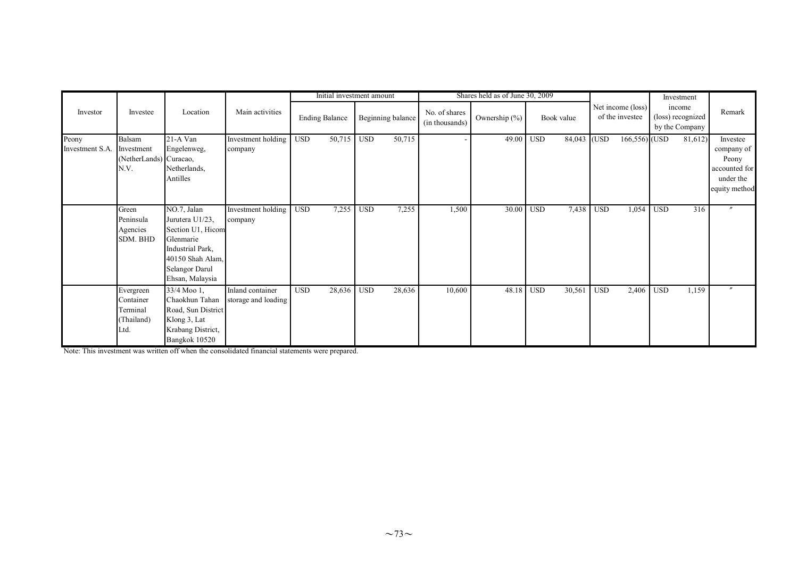|                          |                                                          |                                                                                                                                               |                                         |            | Initial investment amount |            |                   |                                 | Shares held as of June 30, 2009 |            |             |            |                                      |            | Investment                                    |                                                                                |
|--------------------------|----------------------------------------------------------|-----------------------------------------------------------------------------------------------------------------------------------------------|-----------------------------------------|------------|---------------------------|------------|-------------------|---------------------------------|---------------------------------|------------|-------------|------------|--------------------------------------|------------|-----------------------------------------------|--------------------------------------------------------------------------------|
| Investor                 | Investee                                                 | Location                                                                                                                                      | Main activities                         |            | <b>Ending Balance</b>     |            | Beginning balance | No. of shares<br>(in thousands) | Ownership (%)                   |            | Book value  |            | Net income (loss)<br>of the investee |            | income<br>(loss) recognized<br>by the Company | Remark                                                                         |
| Peony<br>Investment S.A. | Balsam<br>Investment<br>(NetherLands) Curacao,<br>N.V.   | 21-A Van<br>Engelenweg,<br>Netherlands,<br>Antilles                                                                                           | Investment holding<br>company           | <b>USD</b> | 50,715                    | <b>USD</b> | 50,715            |                                 | 49.00                           | <b>USD</b> | 84,043 (USD |            | 166,556) (USD                        |            | 81,612)                                       | Investee<br>company of<br>Peony<br>accounted for<br>under the<br>equity method |
|                          | Green<br>Peninsula<br>Agencies<br>SDM. BHD               | NO.7, Jalan<br>Jurutera U1/23,<br>Section U1, Hicom<br>Glenmarie<br>Industrial Park,<br>40150 Shah Alam,<br>Selangor Darul<br>Ehsan, Malaysia | Investment holding<br>company           | <b>USD</b> | 7,255                     | <b>USD</b> | 7,255             | 1,500                           | 30.00                           | <b>USD</b> | 7,438       | <b>USD</b> | 1,054                                | <b>USD</b> | 316                                           | $\prime$                                                                       |
|                          | Evergreen<br>Container<br>Terminal<br>(Thailand)<br>Ltd. | 33/4 Moo 1,<br>Chaokhun Tahan<br>Road, Sun District<br>Klong 3, Lat<br>Krabang District,<br>Bangkok 10520                                     | Inland container<br>storage and loading | <b>USD</b> | 28,636                    | <b>USD</b> | 28,636            | 10,600                          | 48.18                           | <b>USD</b> | 30,561      | <b>USD</b> | 2,406                                | <b>USD</b> | 1,159                                         | $^{\prime\prime}$                                                              |

Note: This investment was written off when the consolidated financial statements were prepared.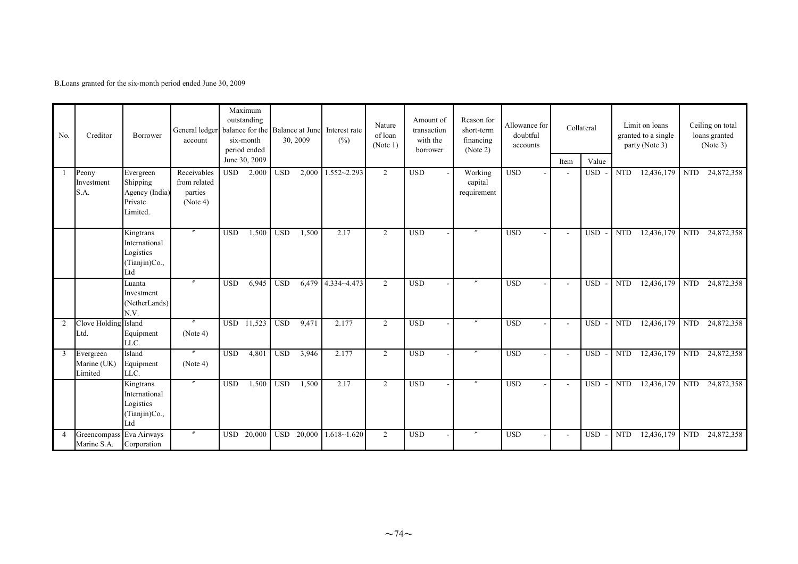B.Loans granted for the six-month period ended June 30, 2009

| No.            | Creditor                                | Borrower                                                         | General ledger<br>account                          |            | Maximum<br>outstanding<br>balance for the Balance at June<br>six-month<br>period ended<br>June 30, 2009 |            | 30, 2009   | Interest rate<br>(%) | Nature<br>of loan<br>(Note 1) | Amount of<br>transaction<br>with the<br>borrower | Reason for<br>short-term<br>financing<br>(Note 2) | Allowance for<br>doubtful<br>accounts |      | Collateral          |            | Limit on loans<br>granted to a single<br>party (Note 3) |            | Ceiling on total<br>loans granted<br>(Note 3) |
|----------------|-----------------------------------------|------------------------------------------------------------------|----------------------------------------------------|------------|---------------------------------------------------------------------------------------------------------|------------|------------|----------------------|-------------------------------|--------------------------------------------------|---------------------------------------------------|---------------------------------------|------|---------------------|------------|---------------------------------------------------------|------------|-----------------------------------------------|
|                | Peony<br>Investment<br>S.A.             | Evergreen<br>Shipping<br>Agency (India)<br>Private<br>Limited.   | Receivables<br>from related<br>parties<br>(Note 4) | <b>USD</b> | 2,000                                                                                                   | <b>USD</b> | 2,000      | $1.552 - 2.293$      | $\overline{2}$                | <b>USD</b>                                       | Working<br>capital<br>requirement                 | $_{\rm USD}$                          | Item | Value<br><b>USD</b> | <b>NTD</b> | 12,436,179                                              | <b>NTD</b> | 24,872,358                                    |
|                |                                         | Kingtrans<br>International<br>Logistics<br>(Tianjin)Co.,<br>Ltd  |                                                    | <b>USD</b> | 1,500                                                                                                   | <b>USD</b> | 1,500      | 2.17                 | $\overline{2}$                | <b>USD</b>                                       |                                                   | <b>USD</b>                            |      | <b>USD</b>          | <b>NTD</b> | 12,436,179                                              | <b>NTD</b> | 24,872,358                                    |
|                |                                         | Luanta<br>Investment<br>(NetherLands)<br>N.V.                    | $^{\prime\prime}$                                  | <b>USD</b> | 6,945                                                                                                   | <b>USD</b> |            | 6,479 4.334~4.473    | 2                             | <b>USD</b>                                       | $^{\prime\prime}$                                 | <b>USD</b>                            |      | <b>USD</b>          | <b>NTD</b> | 12,436,179                                              | <b>NTD</b> | 24,872,358                                    |
| 2              | Clove Holding Island<br>Ltd.            | Equipment<br>LLC.                                                | (Note 4)                                           |            | USD 11,523                                                                                              | <b>USD</b> | 9,471      | 2.177                | 2                             | <b>USD</b>                                       | $\overline{''}$                                   | <b>USD</b>                            |      | USD-                | <b>NTD</b> | 12,436,179                                              | <b>NTD</b> | 24,872,358                                    |
| 3              | Evergreen<br>Marine (UK)<br>Limited     | Island<br>Equipment<br>LLC.                                      | $^{\prime\prime}$<br>(Note 4)                      | <b>USD</b> | 4,801                                                                                                   | <b>USD</b> | 3,946      | 2.177                | 2                             | <b>USD</b>                                       | $\theta$                                          | <b>USD</b>                            |      | USD-                | <b>NTD</b> | 12,436,179                                              | <b>NTD</b> | 24,872,358                                    |
|                |                                         | Kingtrans<br>International<br>Logistics<br>(Tianjin)Co.,<br>Ltd. | $\prime\prime$                                     | <b>USD</b> | 1,500                                                                                                   | <b>USD</b> | 1,500      | 2.17                 | 2                             | $\overline{USD}$                                 | $\prime\prime$                                    | <b>USD</b>                            |      | <b>USD</b>          | <b>NTD</b> | 12,436,179                                              | <b>NTD</b> | 24,872,358                                    |
| $\overline{4}$ | Greencompass Eva Airways<br>Marine S.A. | Corporation                                                      |                                                    |            | USD 20,000                                                                                              |            | USD 20,000 | $1.618 - 1.620$      | 2                             | <b>USD</b>                                       | $^{\prime\prime}$                                 | <b>USD</b>                            |      | <b>USD</b>          | <b>NTD</b> | 12,436,179                                              | <b>NTD</b> | 24,872,358                                    |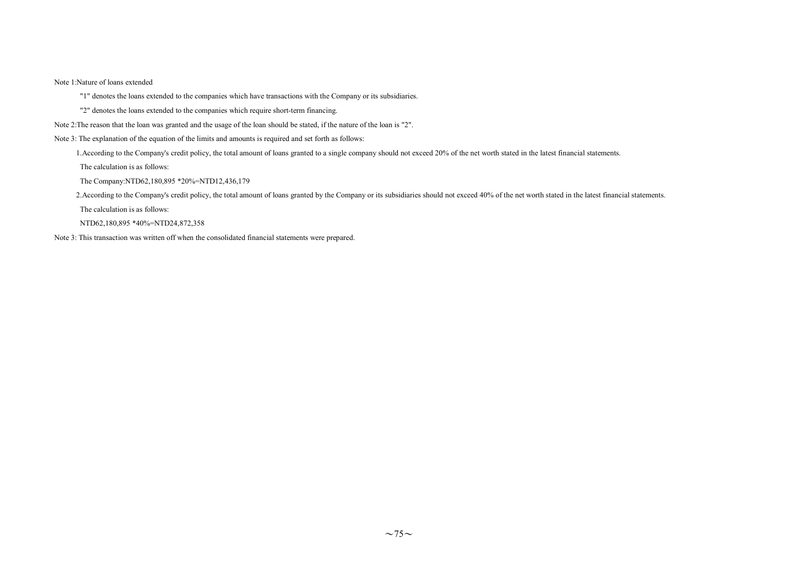#### Note 1:Nature of loans extended

"1" denotes the loans extended to the companies which have transactions with the Company or its subsidiaries.

"2" denotes the loans extended to the companies which require short-term financing.

- Note 2:The reason that the loan was granted and the usage of the loan should be stated, if the nature of the loan is "2".
- Note 3: The explanation of the equation of the limits and amounts is required and set forth as follows:

1.According to the Company's credit policy, the total amount of loans granted to a single company should not exceed 20% of the net worth stated in the latest financial statements.

The calculation is as follows:

The Company:NTD62,180,895 \*20%=NTD12,436,179

2. According to the Company's credit policy, the total amount of loans granted by the Company or its subsidiaries should not exceed 40% of the net worth stated in the latest financial statements.

The calculation is as follows:

NTD62,180,895 \*40%=NTD24,872,358

Note 3: This transaction was written off when the consolidated financial statements were prepared.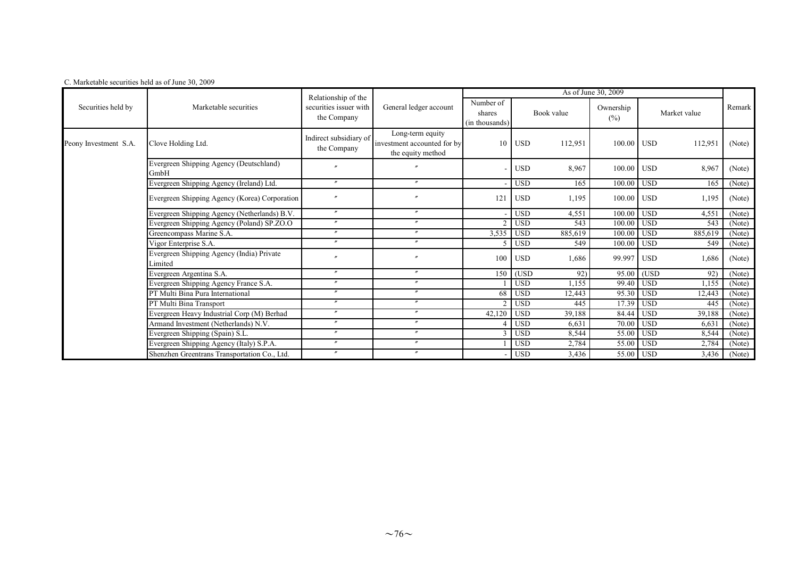| C. Marketable securities held as of June 30, 2009 |  |
|---------------------------------------------------|--|
|---------------------------------------------------|--|

|                       |                                                      | Relationship of the                   |                                                                      |                                       |                       | As of June 30, 2009                                                                                                                                                                                                                                                                         |                      |        |
|-----------------------|------------------------------------------------------|---------------------------------------|----------------------------------------------------------------------|---------------------------------------|-----------------------|---------------------------------------------------------------------------------------------------------------------------------------------------------------------------------------------------------------------------------------------------------------------------------------------|----------------------|--------|
| Securities held by    | Marketable securities                                | securities issuer with<br>the Company | General ledger account                                               | Number of<br>shares<br>(in thousands) | Book value            | Ownership<br>Market value<br>$(\%)$<br>100.00 USD<br>112,951<br>100.00 USD<br>8,967<br>100.00 USD<br>165<br>100.00 USD<br>1,195<br>100.00 USD<br>4,551<br>100.00 USD<br>543<br>100.00 USD<br>885,619<br>100.00 USD<br>549<br>99.997 USD<br>1,686<br>95.00 (USD<br>92)<br>99.40 USD<br>1,155 | Remark               |        |
| Peony Investment S.A. | Clove Holding Ltd.                                   | Indirect subsidiary of<br>the Company | Long-term equity<br>investment accounted for by<br>the equity method | 10                                    | <b>USD</b><br>112,951 |                                                                                                                                                                                                                                                                                             |                      | (Note) |
|                       | Evergreen Shipping Agency (Deutschland)<br>GmbH      |                                       |                                                                      |                                       | <b>USD</b><br>8,967   |                                                                                                                                                                                                                                                                                             |                      | (Note) |
|                       | Evergreen Shipping Agency (Ireland) Ltd.             | $^{\prime\prime}$                     | $^{\prime\prime}$                                                    |                                       | <b>USD</b><br>165     |                                                                                                                                                                                                                                                                                             |                      | (Note) |
|                       | Evergreen Shipping Agency (Korea) Corporation        |                                       |                                                                      | 121                                   | <b>USD</b><br>1,195   |                                                                                                                                                                                                                                                                                             |                      | (Note) |
|                       | Evergreen Shipping Agency (Netherlands) B.V.         | $\prime\prime$                        | $^{\prime\prime}$                                                    |                                       | <b>USD</b><br>4,551   |                                                                                                                                                                                                                                                                                             |                      | (Note) |
|                       | Evergreen Shipping Agency (Poland) SP.ZO.O           | $\prime\prime$                        | $\overline{ }$                                                       | $\mathcal{D}$                         | <b>USD</b><br>543     |                                                                                                                                                                                                                                                                                             |                      | (Note) |
|                       | Greencompass Marine S.A.                             | $\theta$                              | $\mathbf{v}$                                                         | 3,535                                 | 885,619<br><b>USD</b> |                                                                                                                                                                                                                                                                                             |                      | (Note) |
|                       | Vigor Enterprise S.A.                                | $\boldsymbol{''}$                     | $^{\prime\prime}$                                                    |                                       | <b>USD</b><br>549     |                                                                                                                                                                                                                                                                                             |                      | (Note) |
|                       | Evergreen Shipping Agency (India) Private<br>Limited |                                       |                                                                      | 100                                   | <b>USD</b><br>1,686   |                                                                                                                                                                                                                                                                                             |                      | (Note) |
|                       | Evergreen Argentina S.A.                             | $\boldsymbol{''}$                     | $\prime\prime$                                                       | 150                                   | (USD<br>92)           |                                                                                                                                                                                                                                                                                             |                      | (Note) |
|                       | Evergreen Shipping Agency France S.A.                | $\prime\prime$                        | $^{\prime\prime}$                                                    |                                       | $_{\rm USD}$<br>1,155 |                                                                                                                                                                                                                                                                                             |                      | (Note) |
|                       | PT Multi Bina Pura International                     | $\boldsymbol{''}$                     | $^{\prime\prime}$                                                    | 68                                    | <b>USD</b><br>12,443  | 95.30                                                                                                                                                                                                                                                                                       | <b>USD</b><br>12,443 | (Note) |
|                       | PT Multi Bina Transport                              | $^{\prime\prime}$                     | $^{\prime\prime}$                                                    | $\mathcal{L}$                         | <b>USD</b><br>445     |                                                                                                                                                                                                                                                                                             | 17.39 USD<br>445     | (Note) |
|                       | Evergreen Heavy Industrial Corp (M) Berhad           | $^{\prime\prime}$                     | $\prime\prime$                                                       | 42,120                                | <b>USD</b><br>39,188  | 84.44 USD                                                                                                                                                                                                                                                                                   | 39,188               | (Note) |
|                       | Armand Investment (Netherlands) N.V.                 | $\prime\prime$                        | $^{\prime\prime}$                                                    |                                       | <b>USD</b><br>6,631   | 70.00                                                                                                                                                                                                                                                                                       | <b>USD</b><br>6,631  | (Note) |
|                       | Evergreen Shipping (Spain) S.L.                      | $^{\prime\prime}$                     | $\prime\prime$                                                       | $\mathcal{R}$                         | <b>USD</b><br>8,544   |                                                                                                                                                                                                                                                                                             | 55.00 USD<br>8,544   | (Note) |
|                       | Evergreen Shipping Agency (Italy) S.P.A.             | $\boldsymbol{''}$                     | $^{\prime\prime}$                                                    |                                       | <b>USD</b><br>2,784   |                                                                                                                                                                                                                                                                                             | 55.00 USD<br>2,784   | (Note) |
|                       | Shenzhen Greentrans Transportation Co., Ltd.         | $^{\prime\prime}$                     | $^{\prime\prime}$                                                    |                                       | <b>USD</b><br>3,436   |                                                                                                                                                                                                                                                                                             | 55.00 USD<br>3,436   | (Note) |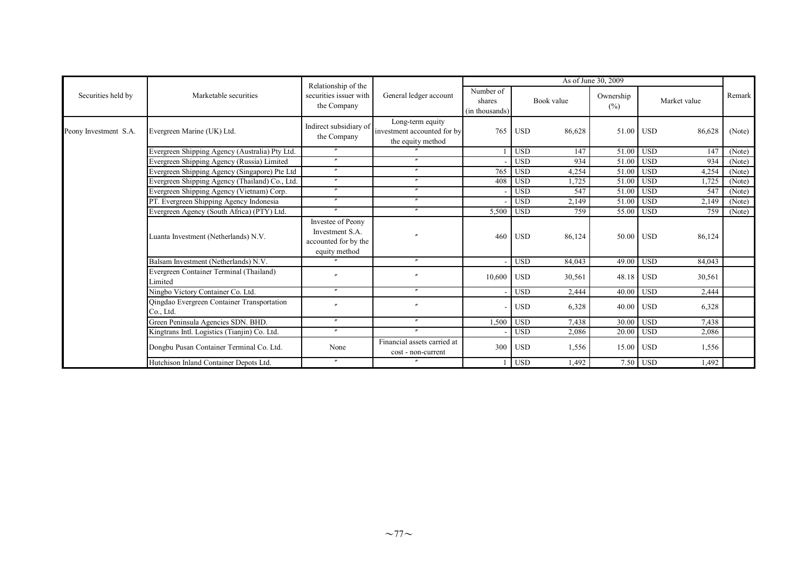|                       |                                                         | Relationship of the                                                           |                                                                      |                                       |            | As of June 30, 2009 |                     |            |              |        |
|-----------------------|---------------------------------------------------------|-------------------------------------------------------------------------------|----------------------------------------------------------------------|---------------------------------------|------------|---------------------|---------------------|------------|--------------|--------|
| Securities held by    | Marketable securities                                   | securities issuer with<br>the Company                                         | General ledger account                                               | Number of<br>shares<br>(in thousands) | Book value |                     | Ownership<br>$(\%)$ |            | Market value | Remark |
| Peony Investment S.A. | Evergreen Marine (UK) Ltd.                              | Indirect subsidiary of<br>the Company                                         | Long-term equity<br>investment accounted for by<br>the equity method | 765                                   | <b>USD</b> | 86,628              | 51.00               | <b>USD</b> | 86,628       | (Note) |
|                       | Evergreen Shipping Agency (Australia) Pty Ltd.          |                                                                               |                                                                      |                                       | <b>USD</b> | 147                 | 51.00               | <b>USD</b> | 147          | (Note) |
|                       | Evergreen Shipping Agency (Russia) Limited              | $\prime\prime$                                                                | $\prime$                                                             |                                       | <b>USD</b> | 934                 | 51.00               | <b>USD</b> | 934          | (Note) |
|                       | Evergreen Shipping Agency (Singapore) Pte Ltd           | $\overline{v}$                                                                | $^{\prime\prime}$                                                    | 765                                   | <b>USD</b> | 4,254               | 51.00               | <b>USD</b> | 4,254        | (Note) |
|                       | Evergreen Shipping Agency (Thailand) Co., Ltd.          | $^{\prime\prime}$                                                             | $\prime\prime$                                                       | 408                                   | <b>USD</b> | .725                | 51.00               | <b>USD</b> | 1,725        | (Note) |
|                       | Evergreen Shipping Agency (Vietnam) Corp.               | $^{\prime\prime}$                                                             | $\prime\prime$                                                       |                                       | <b>USD</b> | 547                 | 51.00               | <b>USD</b> | 547          | (Note) |
|                       | PT. Evergreen Shipping Agency Indonesia                 | $^{\prime\prime}$                                                             | $^{\prime\prime}$                                                    |                                       | <b>USD</b> | 2,149               | 51.00               | <b>USD</b> | 2,149        | (Note) |
|                       | Evergreen Agency (South Africa) (PTY) Ltd.              | $\prime\prime$                                                                | $^{\prime\prime}$                                                    | 5,500                                 | <b>USD</b> | 759                 | 55.00               | <b>USD</b> | 759          | (Note) |
|                       | Luanta Investment (Netherlands) N.V.                    | Investee of Peony<br>Investment S.A.<br>accounted for by the<br>equity method |                                                                      | 460                                   | <b>USD</b> | 86,124              | 50.00               | <b>USD</b> | 86,124       |        |
|                       | Balsam Investment (Netherlands) N.V.                    |                                                                               | $\prime\prime$                                                       |                                       | <b>USD</b> | 84,043              | 49.00               | <b>USD</b> | 84,043       |        |
|                       | Evergreen Container Terminal (Thailand)<br>Limited      | $\overline{u}$                                                                | $\boldsymbol{r}$                                                     | 10,600                                | <b>USD</b> | 30,561              | 48.18               | <b>USD</b> | 30,561       |        |
|                       | Ningbo Victory Container Co. Ltd.                       | $\prime\prime$                                                                | $\prime\prime$                                                       |                                       | <b>USD</b> | 2,444               | 40.00               | <b>USD</b> | 2,444        |        |
|                       | Qingdao Evergreen Container Transportation<br>Co., Ltd. | $\overline{v}$                                                                | $^{\prime\prime}$                                                    |                                       | <b>USD</b> | 6,328               | 40.00               | <b>USD</b> | 6,328        |        |
|                       | Green Peninsula Agencies SDN. BHD.                      | $^{\prime\prime}$                                                             | $\prime\prime$                                                       | 1,500                                 | <b>USD</b> | 7,438               | 30.00               | <b>USD</b> | 7,438        |        |
|                       | Kingtrans Intl. Logistics (Tianjin) Co. Ltd.            | $^{\prime\prime}$                                                             | $\prime\prime$                                                       |                                       | <b>USD</b> | 2,086               | 20.00               | <b>USD</b> | 2,086        |        |
|                       | Dongbu Pusan Container Terminal Co. Ltd.                | None                                                                          | Financial assets carried at<br>cost - non-current                    | 300                                   | <b>USD</b> | 1,556               | 15.00               | <b>USD</b> | 1,556        |        |
|                       | Hutchison Inland Container Depots Ltd.                  | $^{\prime\prime}$                                                             | $^{\prime\prime}$                                                    |                                       | <b>USD</b> | 1,492               |                     | 7.50 USD   | 1,492        |        |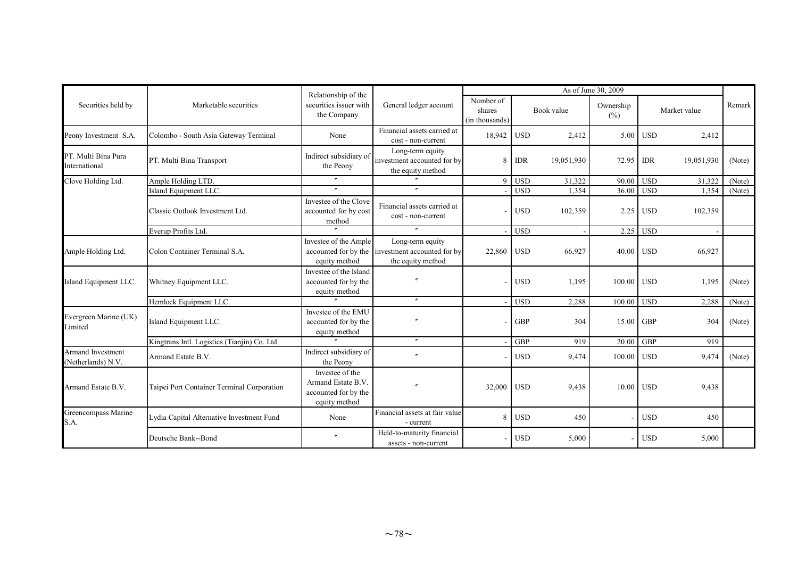|                                         | As of June 30, 2009<br>Relationship of the   |                                                                                |                                                                                           |                                       |            |            |                  |            |              |        |
|-----------------------------------------|----------------------------------------------|--------------------------------------------------------------------------------|-------------------------------------------------------------------------------------------|---------------------------------------|------------|------------|------------------|------------|--------------|--------|
| Securities held by                      | Marketable securities                        | securities issuer with<br>the Company                                          | General ledger account                                                                    | Number of<br>shares<br>(in thousands) |            | Book value | Ownership<br>(%) |            | Market value | Remark |
| Peony Investment S.A.                   | Colombo - South Asia Gateway Terminal        | None                                                                           | Financial assets carried at<br>cost - non-current                                         | 18,942                                | <b>USD</b> | 2,412      | 5.00             | <b>USD</b> | 2,412        |        |
| PT. Multi Bina Pura<br>International    | PT. Multi Bina Transport                     | Indirect subsidiary of<br>the Peony                                            | Long-term equity<br>investment accounted for by<br>the equity method                      | $\mathbf{8}$                          | <b>IDR</b> | 19,051,930 | 72.95            | <b>IDR</b> | 19,051,930   | (Note) |
| Clove Holding Ltd.                      | Ample Holding LTD.                           | $\prime\prime$                                                                 |                                                                                           | $\overline{9}$                        | <b>USD</b> | 31,322     | 90.00            | <b>USD</b> | 31,322       | (Note) |
|                                         | Island Equipment LLC.                        | $\overline{''}$                                                                | $^{\prime\prime}$                                                                         |                                       | <b>USD</b> | 1,354      | 36.00            | <b>USD</b> | 1,354        | (Note) |
|                                         | Classic Outlook Investment Ltd.              | Investee of the Clove<br>accounted for by cost<br>method                       | Financial assets carried at<br>cost - non-current                                         |                                       | <b>USD</b> | 102,359    | 2.25             | <b>USD</b> | 102,359      |        |
|                                         | Everup Profits Ltd.                          |                                                                                | $\overline{''}$                                                                           |                                       | <b>USD</b> |            |                  | 2.25 USD   |              |        |
| Ample Holding Ltd.                      | Colon Container Terminal S.A.                | Investee of the Ample<br>equity method                                         | Long-term equity<br>accounted for by the investment accounted for by<br>the equity method | 22,860                                | <b>USD</b> | 66,927     | 40.00            | <b>USD</b> | 66,927       |        |
| Island Equipment LLC.                   | Whitney Equipment LLC.                       | Investee of the Island<br>accounted for by the<br>equity method                |                                                                                           |                                       | <b>USD</b> | 1,195      | 100.00           | <b>USD</b> | 1,195        | (Note) |
|                                         | Hemlock Equipment LLC.                       |                                                                                | $^{\prime\prime}$                                                                         |                                       | <b>USD</b> | 2,288      | 100.00 USD       |            | 2,288        | (Note) |
| Evergreen Marine (UK)<br>Limited        | Island Equipment LLC.                        | Investee of the EMU<br>accounted for by the<br>equity method                   |                                                                                           |                                       | <b>GBP</b> | 304        | 15.00            | <b>GBP</b> | 304          | (Note) |
|                                         | Kingtrans Intl. Logistics (Tianjin) Co. Ltd. |                                                                                | $\prime\prime$                                                                            |                                       | <b>GBP</b> | 919        | 20.00            | <b>GBP</b> | 919          |        |
| Armand Investment<br>(Netherlands) N.V. | Armand Estate B.V.                           | Indirect subsidiary of<br>the Peony                                            | $\overline{ }$                                                                            |                                       | <b>USD</b> | 9,474      | 100.00           | <b>USD</b> | 9,474        | (Note) |
| Armand Estate B.V.                      | Taipei Port Container Terminal Corporation   | Investee of the<br>Armand Estate B.V.<br>accounted for by the<br>equity method |                                                                                           | 32,000                                | <b>USD</b> | 9,438      | 10.00 USD        |            | 9,438        |        |
| Greencompass Marine<br>S.A.             | Lydia Capital Alternative Investment Fund    | None                                                                           | Financial assets at fair value<br>- current                                               | 8                                     | <b>USD</b> | 450        |                  | <b>USD</b> | 450          |        |
|                                         | Deutsche Bank--Bond                          | $\overline{''}$                                                                | Held-to-maturity financial<br>assets - non-current                                        |                                       | <b>USD</b> | 5,000      |                  | <b>USD</b> | 5,000        |        |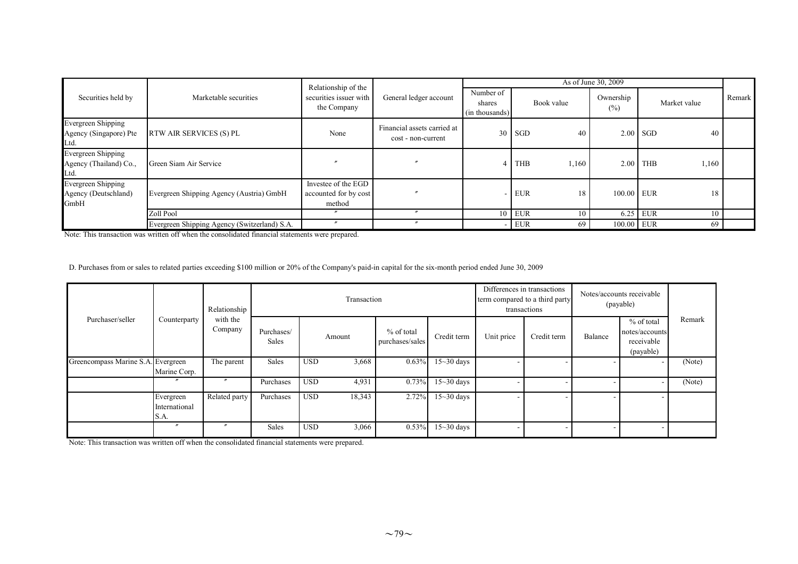|                                                     |                                              | Relationship of the                                    |                                                   |                                       |                     | As of June 30, 2009 |                     |        |
|-----------------------------------------------------|----------------------------------------------|--------------------------------------------------------|---------------------------------------------------|---------------------------------------|---------------------|---------------------|---------------------|--------|
| Securities held by                                  | Marketable securities                        | securities issuer with<br>the Company                  | General ledger account                            | Number of<br>shares<br>(in thousands) | Book value          | Ownership<br>(%)    | Market value        | Remark |
| Evergreen Shipping<br>Agency (Singapore) Pte<br>Ltd | RTW AIR SERVICES (S) PL                      | None                                                   | Financial assets carried at<br>cost - non-current |                                       | $30$ SGD<br>40      |                     | $2.00$ SGD<br>40    |        |
| Evergreen Shipping<br>Agency (Thailand) Co.,<br>Ltd | Green Siam Air Service                       |                                                        |                                                   |                                       | <b>THB</b><br>1,160 |                     | $2.00$ THB<br>1,160 |        |
| Evergreen Shipping<br>Agency (Deutschland)<br>GmbH  | Evergreen Shipping Agency (Austria) GmbH     | Investee of the EGD<br>accounted for by cost<br>method |                                                   |                                       | <b>EUR</b><br>18    | 100.00 EUR          | 18                  |        |
|                                                     | Zoll Pool                                    |                                                        | $\boldsymbol{r}$                                  |                                       | $10$ EUR<br>10      |                     | 6.25 EUR<br>10      |        |
|                                                     | Evergreen Shipping Agency (Switzerland) S.A. | $\boldsymbol{\prime}$                                  |                                                   |                                       | EUR<br>69           | 100.00 EUR          | -69                 |        |

Note: This transaction was written off when the consolidated financial statements were prepared.

D. Purchases from or sales to related parties exceeding \$100 million or 20% of the Company's paid-in capital for the six-month period ended June 30, 2009

|                                    |                                    | Relationship        |                     |            | Transaction |                               |              | term compared to a third party | Differences in transactions<br>transactions | Notes/accounts receivable<br>(payable) |                                                         |        |
|------------------------------------|------------------------------------|---------------------|---------------------|------------|-------------|-------------------------------|--------------|--------------------------------|---------------------------------------------|----------------------------------------|---------------------------------------------------------|--------|
| Purchaser/seller                   | Counterparty                       | with the<br>Company | Purchases/<br>Sales |            | Amount      | % of total<br>purchases/sales | Credit term  | Unit price                     | Credit term                                 | Balance                                | % of total<br>notes/accounts<br>receivable<br>(payable) | Remark |
| Greencompass Marine S.A. Evergreen | Marine Corp.                       | The parent          | Sales               | <b>USD</b> | 3,668       | 0.63%                         | $15-30$ days |                                |                                             |                                        | $\overline{\phantom{0}}$                                | (Note) |
|                                    |                                    |                     | Purchases           | <b>USD</b> | 4,931       | 0.73%                         | $15-30$ days |                                |                                             |                                        |                                                         | (Note) |
|                                    | Evergreen<br>International<br>S.A. | Related party       | Purchases           | <b>USD</b> | 18,343      | 2.72%                         | $15-30$ days |                                |                                             |                                        |                                                         |        |
|                                    | $\prime\prime$                     |                     | Sales               | <b>USD</b> | 3,066       | 0.53%                         | $15-30$ days |                                |                                             |                                        |                                                         |        |

Note: This transaction was written off when the consolidated financial statements were prepared.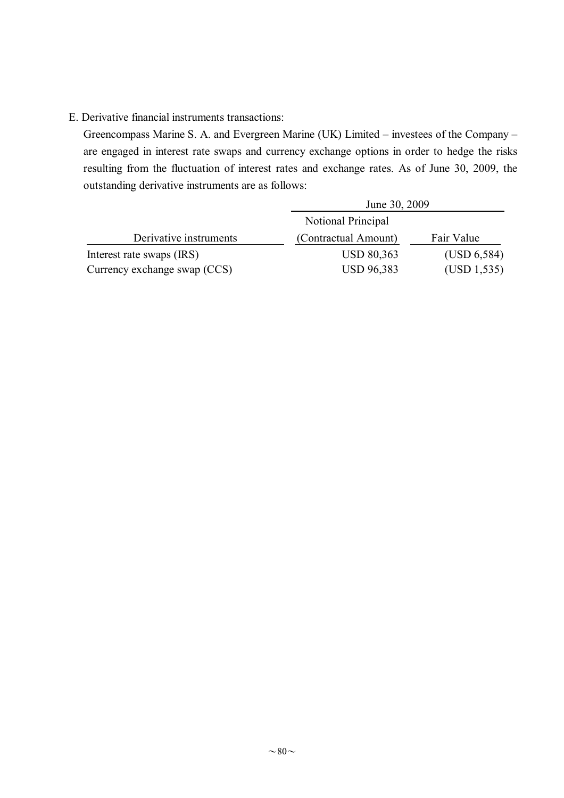# E. Derivative financial instruments transactions:

Greencompass Marine S. A. and Evergreen Marine (UK) Limited – investees of the Company – are engaged in interest rate swaps and currency exchange options in order to hedge the risks resulting from the fluctuation of interest rates and exchange rates. As of June 30, 2009, the outstanding derivative instruments are as follows:

|                              | June 30, 2009        |              |
|------------------------------|----------------------|--------------|
|                              | Notional Principal   |              |
| Derivative instruments       | (Contractual Amount) | Fair Value   |
| Interest rate swaps (IRS)    | <b>USD 80,363</b>    | (USD 6, 584) |
| Currency exchange swap (CCS) | <b>USD 96,383</b>    | (USD 1, 535) |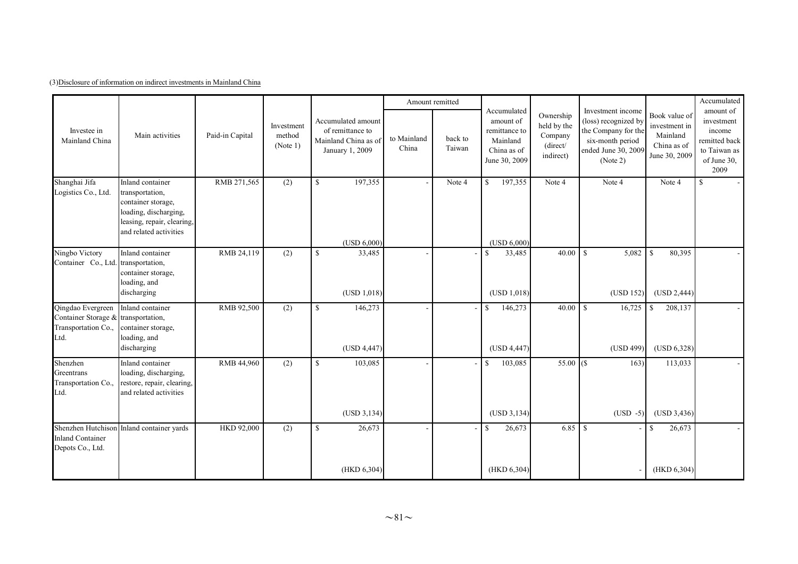| (3) Disclosure of information on indirect investments in Mainland China |
|-------------------------------------------------------------------------|
|-------------------------------------------------------------------------|

|                                                                                         |                                                                                                                                            |                 |                                  |                                                                                   | Amount remitted      |                   |                                                                                       |                                                              |                                                                                                                         |                                                                            | Accumulated                                                                               |
|-----------------------------------------------------------------------------------------|--------------------------------------------------------------------------------------------------------------------------------------------|-----------------|----------------------------------|-----------------------------------------------------------------------------------|----------------------|-------------------|---------------------------------------------------------------------------------------|--------------------------------------------------------------|-------------------------------------------------------------------------------------------------------------------------|----------------------------------------------------------------------------|-------------------------------------------------------------------------------------------|
| Investee in<br>Mainland China                                                           | Main activities                                                                                                                            | Paid-in Capital | Investment<br>method<br>(Note 1) | Accumulated amount<br>of remittance to<br>Mainland China as of<br>January 1, 2009 | to Mainland<br>China | back to<br>Taiwan | Accumulated<br>amount of<br>remittance to<br>Mainland<br>China as of<br>June 30, 2009 | Ownership<br>held by the<br>Company<br>(direct/<br>indirect) | Investment income<br>(loss) recognized by<br>the Company for the<br>six-month period<br>ended June 30, 2009<br>(Note 2) | Book value of<br>investment in<br>Mainland<br>China as of<br>June 30, 2009 | amount of<br>investment<br>income<br>remitted back<br>to Taiwan as<br>of June 30,<br>2009 |
| Shanghai Jifa<br>Logistics Co., Ltd.                                                    | Inland container<br>transportation,<br>container storage,<br>loading, discharging,<br>leasing, repair, clearing,<br>and related activities | RMB 271,565     | $\overline{(2)}$                 | $\mathbf S$<br>197,355                                                            |                      | Note 4            | 197,355<br>$\mathbf S$                                                                | Note 4                                                       | Note 4                                                                                                                  | Note 4                                                                     | $\mathbb{S}$                                                                              |
|                                                                                         |                                                                                                                                            |                 |                                  | (USD 6,000)                                                                       |                      |                   | (USD 6,000)                                                                           |                                                              |                                                                                                                         |                                                                            |                                                                                           |
| Ningbo Victory<br>Container Co., Ltd. transportation,                                   | Inland container<br>container storage,<br>loading, and                                                                                     | RMB 24,119      | (2)                              | $\mathbb{S}$<br>33,485                                                            |                      |                   | $\mathbf S$<br>33,485                                                                 | 40.00                                                        | $\mathbf S$<br>5,082                                                                                                    | $\mathbf S$<br>80,395                                                      |                                                                                           |
|                                                                                         | discharging                                                                                                                                |                 |                                  | (USD 1.018)                                                                       |                      |                   | (USD 1.018)                                                                           |                                                              | (USD 152)                                                                                                               | (USD 2, 444)                                                               |                                                                                           |
| Qingdao Evergreen<br>Container Storage & transportation,<br>Transportation Co.,<br>Ltd. | Inland container<br>container storage,<br>loading, and                                                                                     | RMB 92,500      | (2)                              | $\mathbb{S}$<br>146,273                                                           |                      |                   | $\mathbf S$<br>146,273                                                                | 40.00                                                        | $\mathbf S$<br>16,725                                                                                                   | <sup>\$</sup><br>208,137                                                   |                                                                                           |
|                                                                                         | discharging                                                                                                                                |                 |                                  | (USD 4,447)                                                                       |                      |                   | (USD 4,447)                                                                           |                                                              | (USD 499)                                                                                                               | (USD 6,328)                                                                |                                                                                           |
| Shenzhen<br>Greentrans<br>Transportation Co.,<br>Ltd.                                   | Inland container<br>loading, discharging,<br>restore, repair, clearing,<br>and related activities                                          | RMB 44,960      | (2)                              | $\mathbb{S}$<br>103,085                                                           |                      |                   | 103,085<br>$\mathbb{S}$                                                               | $55.00$ (\$)                                                 | 163)                                                                                                                    | 113,033                                                                    |                                                                                           |
|                                                                                         |                                                                                                                                            |                 |                                  | (USD 3, 134)                                                                      |                      |                   | (USD 3, 134)                                                                          |                                                              | $(USD -5)$                                                                                                              | (USD 3,436)                                                                |                                                                                           |
| <b>Inland Container</b><br>Depots Co., Ltd.                                             | Shenzhen Hutchison Inland container yards                                                                                                  | HKD 92,000      | (2)                              | $\mathbb{S}$<br>26,673                                                            |                      |                   | <sup>\$</sup><br>26,673                                                               |                                                              |                                                                                                                         | 26,673<br>$\mathbb{S}$                                                     |                                                                                           |
|                                                                                         |                                                                                                                                            |                 |                                  | (HKD 6,304)                                                                       |                      |                   | (HKD 6,304)                                                                           |                                                              |                                                                                                                         | (HKD 6, 304)                                                               |                                                                                           |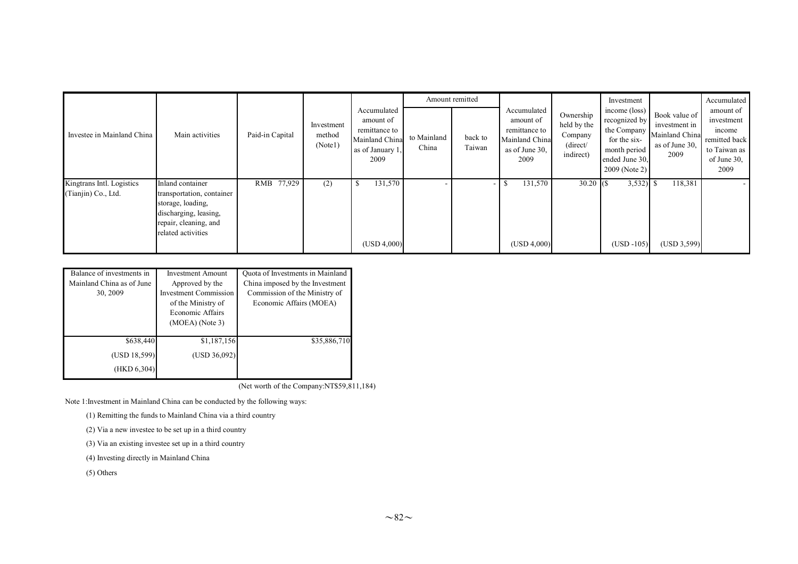|                                                  |                                                                                                                                            |                 |                                 |                                                                                         |                      | Amount remitted   |                                                                                       |                                                              | Investment                                                                                                       |                                                                            | Accumulated                                                                               |
|--------------------------------------------------|--------------------------------------------------------------------------------------------------------------------------------------------|-----------------|---------------------------------|-----------------------------------------------------------------------------------------|----------------------|-------------------|---------------------------------------------------------------------------------------|--------------------------------------------------------------|------------------------------------------------------------------------------------------------------------------|----------------------------------------------------------------------------|-------------------------------------------------------------------------------------------|
| Investee in Mainland China                       | Main activities                                                                                                                            | Paid-in Capital | Investment<br>method<br>(Note1) | Accumulated<br>amount of<br>remittance to<br>Mainland China<br>as of January 1.<br>2009 | to Mainland<br>China | back to<br>Taiwan | Accumulated<br>amount of<br>remittance to<br>Mainland China<br>as of June 30.<br>2009 | Ownership<br>held by the<br>Company<br>(direct/<br>indirect) | income (loss)<br>recognized by<br>the Company<br>for the six-<br>month period<br>ended June 30.<br>2009 (Note 2) | Book value of<br>investment in<br>Mainland China<br>as of June 30,<br>2009 | amount of<br>investment<br>income<br>remitted back<br>to Taiwan as<br>of June 30,<br>2009 |
| Kingtrans Intl. Logistics<br>(Tianjin) Co., Ltd. | Inland container<br>transportation, container<br>storage, loading,<br>discharging, leasing,<br>repair, cleaning, and<br>related activities | RMB 77,929      | (2)                             | 131,570<br>(USD 4,000)                                                                  |                      | $\sim$            | 131,570<br>(USD 4,000)                                                                | $30.20\,$ (\$)                                               | 3,532)<br>$(USD -105)$                                                                                           | 118,381<br>(USD 3, 599)                                                    |                                                                                           |

| Balance of investments in | <b>Investment Amount</b>     | Quota of Investments in Mainland |
|---------------------------|------------------------------|----------------------------------|
| Mainland China as of June | Approved by the              | China imposed by the Investment  |
| 30, 2009                  | <b>Investment Commission</b> | Commission of the Ministry of    |
|                           | of the Ministry of           | Economic Affairs (MOEA)          |
|                           | Economic Affairs             |                                  |
|                           | $(MOEA)$ (Note 3)            |                                  |
|                           |                              |                                  |
| \$638,440                 | \$1,187,156                  | \$35,886,710                     |
| (USD 18,599)              | (USD 36,092)                 |                                  |
| (HKD 6, 304)              |                              |                                  |

(Net worth of the Company:NT\$59,811,184)

Note 1:Investment in Mainland China can be conducted by the following ways:

(1) Remitting the funds to Mainland China via a third country

(2) Via a new investee to be set up in a third country

(3) Via an existing investee set up in a third country

(4) Investing directly in Mainland China

(5) Others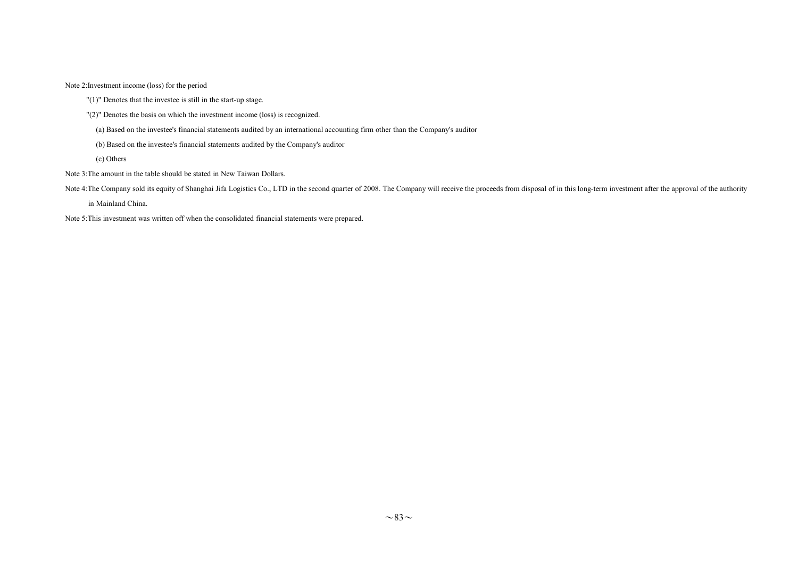Note 2:Investment income (loss) for the period

"(1)" Denotes that the investee is still in the start-up stage.

"(2)" Denotes the basis on which the investment income (loss) is recognized.

(a) Based on the investee's financial statements audited by an international accounting firm other than the Company's auditor

(b) Based on the investee's financial statements audited by the Company's auditor

(c) Others

Note 3:The amount in the table should be stated in New Taiwan Dollars.

Note 4: The Company sold its equity of Shanghai Jifa Logistics Co., LTD in the second quarter of 2008. The Company will receive the proceeds from disposal of in this long-term investment after the approval of the authority

in Mainland China.

Note 5:This investment was written off when the consolidated financial statements were prepared.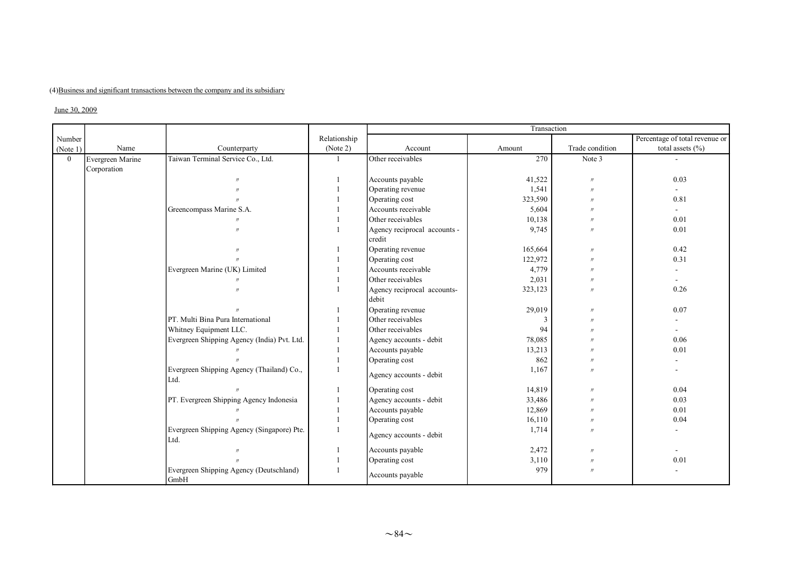## (4)Business and significant transactions between the company and its subsidiary

## June 30, 2009

|                |                  |                                                    |              |                                      | Transaction |                   |                                |
|----------------|------------------|----------------------------------------------------|--------------|--------------------------------------|-------------|-------------------|--------------------------------|
| Number         |                  |                                                    | Relationship |                                      |             |                   | Percentage of total revenue or |
| (Note 1)       | Name             | Counterparty                                       | (Note 2)     | Account                              | Amount      | Trade condition   | total assets $(\% )$           |
| $\overline{0}$ | Evergreen Marine | Taiwan Terminal Service Co., Ltd.                  |              | Other receivables                    | 270         | Note 3            |                                |
|                | Corporation      |                                                    |              |                                      |             |                   |                                |
|                |                  | $^{\prime\prime}$                                  |              | Accounts payable                     | 41,522      | $^{\prime\prime}$ | 0.03                           |
|                |                  |                                                    |              | Operating revenue                    | 1,541       | $^{\prime\prime}$ | ÷.                             |
|                |                  | $^{\prime}$                                        |              | Operating cost                       | 323,590     | $^{\prime\prime}$ | 0.81                           |
|                |                  | Greencompass Marine S.A.                           |              | Accounts receivable                  | 5,604       | $^{\prime\prime}$ | $\overline{\phantom{0}}$       |
|                |                  | $^{\prime}$                                        |              | Other receivables                    | 10,138      | $^{\prime\prime}$ | 0.01                           |
|                |                  | $^{\prime}$                                        |              | Agency reciprocal accounts -         | 9,745       | $^{\prime}$       | 0.01                           |
|                |                  |                                                    |              | credit                               |             |                   |                                |
|                |                  |                                                    |              | Operating revenue                    | 165,664     | $^{\prime\prime}$ | 0.42                           |
|                |                  | $\mathcal{U}$                                      |              | Operating cost                       | 122,972     | $\prime$          | 0.31                           |
|                |                  | Evergreen Marine (UK) Limited                      |              | Accounts receivable                  | 4,779       | $^{\prime\prime}$ |                                |
|                |                  |                                                    |              | Other receivables                    | 2,031       | $^{\prime\prime}$ |                                |
|                |                  |                                                    |              | Agency reciprocal accounts-<br>debit | 323,123     | $^{\prime}$       | 0.26                           |
|                |                  |                                                    |              | Operating revenue                    | 29,019      | $^{\prime\prime}$ | 0.07                           |
|                |                  | PT. Multi Bina Pura International                  |              | Other receivables                    |             | $^{\prime\prime}$ |                                |
|                |                  | Whitney Equipment LLC.                             |              | Other receivables                    | 94          | $^{\prime\prime}$ |                                |
|                |                  | Evergreen Shipping Agency (India) Pvt. Ltd.        |              | Agency accounts - debit              | 78,085      |                   | 0.06                           |
|                |                  |                                                    |              | Accounts payable                     | 13,213      |                   | 0.01                           |
|                |                  |                                                    |              | Operating cost                       | 862         | $^{\prime\prime}$ |                                |
|                |                  | Evergreen Shipping Agency (Thailand) Co.,<br>Ltd.  |              | Agency accounts - debit              | 1,167       | $^{\prime}$       |                                |
|                |                  |                                                    |              | Operating cost                       | 14,819      | $^{\prime\prime}$ | 0.04                           |
|                |                  | PT. Evergreen Shipping Agency Indonesia            |              | Agency accounts - debit              | 33,486      | $^{\prime}$       | 0.03                           |
|                |                  |                                                    |              | Accounts payable                     | 12,869      | $^{\prime}$       | 0.01                           |
|                |                  |                                                    |              | Operating cost                       | 16,110      | $^{\prime\prime}$ | 0.04                           |
|                |                  | Evergreen Shipping Agency (Singapore) Pte.<br>Ltd. |              | Agency accounts - debit              | 1,714       |                   | ÷.                             |
|                |                  | $^{\prime\prime}$                                  |              | Accounts payable                     | 2,472       | $^{\prime\prime}$ | $\sim$                         |
|                |                  |                                                    |              | Operating cost                       | 3,110       | $^{\prime\prime}$ | 0.01                           |
|                |                  | Evergreen Shipping Agency (Deutschland)<br>GmbH    |              | Accounts payable                     | 979         | $^{\prime\prime}$ |                                |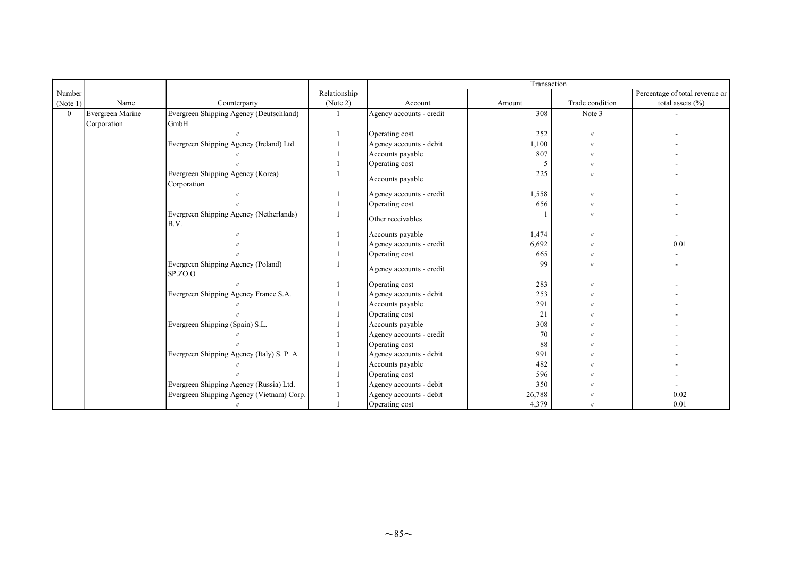|          |                  |                                                  |              |                          | Transaction |                   |                                |
|----------|------------------|--------------------------------------------------|--------------|--------------------------|-------------|-------------------|--------------------------------|
| Number   |                  |                                                  | Relationship |                          |             |                   | Percentage of total revenue or |
| (Note 1) | Name             | Counterparty                                     | (Note 2)     | Account                  | Amount      | Trade condition   | total assets $(\% )$           |
| $\theta$ | Evergreen Marine | Evergreen Shipping Agency (Deutschland)          |              | Agency accounts - credit | 308         | Note 3            |                                |
|          | Corporation      | GmbH                                             |              |                          |             |                   |                                |
|          |                  |                                                  |              | Operating cost           | 252         | $^{\prime\prime}$ |                                |
|          |                  | Evergreen Shipping Agency (Ireland) Ltd.         |              | Agency accounts - debit  | 1,100       | $^{\prime}$       |                                |
|          |                  |                                                  |              | Accounts payable         | 807         | $^{\prime}$       |                                |
|          |                  |                                                  |              | Operating cost           | -5          | $^{\prime}$       |                                |
|          |                  | Evergreen Shipping Agency (Korea)<br>Corporation |              | Accounts payable         | 225         |                   |                                |
|          |                  |                                                  |              | Agency accounts - credit | 1,558       | $^{\prime}$       |                                |
|          |                  |                                                  |              | Operating cost           | 656         | $^{\prime}$       |                                |
|          |                  | Evergreen Shipping Agency (Netherlands)<br>B.V.  |              | Other receivables        |             | $^{\prime\prime}$ |                                |
|          |                  |                                                  |              | Accounts payable         | 1,474       | $^{\prime}$       |                                |
|          |                  |                                                  |              | Agency accounts - credit | 6,692       | $\overline{u}$    | 0.01                           |
|          |                  |                                                  |              | Operating cost           | 665         | $^{\prime}$       |                                |
|          |                  | Evergreen Shipping Agency (Poland)<br>SP.ZO.O    |              | Agency accounts - credit | 99          | $^{\prime}$       |                                |
|          |                  |                                                  |              | Operating cost           | 283         | $^{\prime}$       |                                |
|          |                  | Evergreen Shipping Agency France S.A.            |              | Agency accounts - debit  | 253         |                   |                                |
|          |                  |                                                  |              | Accounts payable         | 291         |                   |                                |
|          |                  |                                                  |              | Operating cost           | 21          |                   |                                |
|          |                  | Evergreen Shipping (Spain) S.L.                  |              | Accounts payable         | 308         |                   |                                |
|          |                  |                                                  |              | Agency accounts - credit | 70          |                   |                                |
|          |                  |                                                  |              | Operating cost           | 88          |                   |                                |
|          |                  | Evergreen Shipping Agency (Italy) S. P. A.       |              | Agency accounts - debit  | 991         |                   |                                |
|          |                  |                                                  |              | Accounts payable         | 482         |                   |                                |
|          |                  |                                                  |              | Operating cost           | 596         |                   |                                |
|          |                  | Evergreen Shipping Agency (Russia) Ltd.          |              | Agency accounts - debit  | 350         |                   |                                |
|          |                  | Evergreen Shipping Agency (Vietnam) Corp.        |              | Agency accounts - debit  | 26,788      |                   | 0.02                           |
|          |                  | $^{\prime\prime}$                                |              | Operating cost           | 4,379       | $^{\prime\prime}$ | 0.01                           |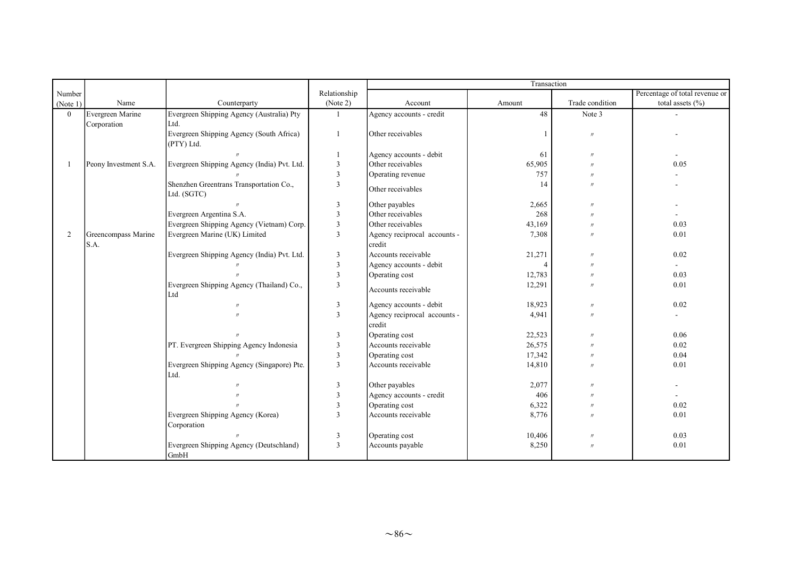|                |                       |                                                  |                         | Transaction                  |        |                   |                                |
|----------------|-----------------------|--------------------------------------------------|-------------------------|------------------------------|--------|-------------------|--------------------------------|
| Number         |                       |                                                  | Relationship            |                              |        |                   | Percentage of total revenue or |
| (Note 1)       | Name                  | Counterparty                                     | (Note 2)                | Account                      | Amount | Trade condition   | total assets $(\% )$           |
| $\theta$       | Evergreen Marine      | Evergreen Shipping Agency (Australia) Pty        |                         | Agency accounts - credit     | 48     | Note 3            |                                |
|                | Corporation           | Ltd.                                             |                         |                              |        |                   |                                |
|                |                       | Evergreen Shipping Agency (South Africa)         |                         | Other receivables            |        | $\prime$          |                                |
|                |                       | (PTY) Ltd.                                       |                         |                              |        |                   |                                |
|                |                       |                                                  |                         | Agency accounts - debit      | 61     | $^{\prime\prime}$ |                                |
|                | Peony Investment S.A. | Evergreen Shipping Agency (India) Pvt. Ltd.      | $\overline{\mathbf{3}}$ | Other receivables            | 65,905 | $^{\prime}$       | 0.05                           |
|                |                       |                                                  | $\mathbf{3}$            | Operating revenue            | 757    | $^{\prime\prime}$ |                                |
|                |                       | Shenzhen Greentrans Transportation Co.,          | $\overline{3}$          | Other receivables            | 14     | $^{\prime\prime}$ |                                |
|                |                       | Ltd. (SGTC)                                      |                         |                              |        |                   |                                |
|                |                       |                                                  | $\overline{3}$          | Other payables               | 2,665  | $^{\prime\prime}$ |                                |
|                |                       | Evergreen Argentina S.A.                         | $\overline{3}$          | Other receivables            | 268    | $^{\prime\prime}$ |                                |
|                |                       | Evergreen Shipping Agency (Vietnam) Corp.        | 3                       | Other receivables            | 43,169 |                   | 0.03                           |
| $\overline{2}$ | Greencompass Marine   | Evergreen Marine (UK) Limited                    | $\overline{3}$          | Agency reciprocal accounts - | 7,308  | $^{\prime\prime}$ | 0.01                           |
|                | S.A.                  |                                                  |                         | credit                       |        |                   |                                |
|                |                       | Evergreen Shipping Agency (India) Pvt. Ltd.      | $\overline{3}$          | Accounts receivable          | 21,271 | $^{\prime}$       | 0.02                           |
|                |                       |                                                  | $\overline{\mathbf{3}}$ | Agency accounts - debit      |        |                   | $\sim$                         |
|                |                       |                                                  | $\overline{3}$          | Operating cost               | 12,783 | $^{\prime\prime}$ | 0.03                           |
|                |                       | Evergreen Shipping Agency (Thailand) Co.,<br>Ltd | 3                       | Accounts receivable          | 12,291 |                   | 0.01                           |
|                |                       | $^{\prime}$                                      | $\mathfrak{Z}$          | Agency accounts - debit      | 18,923 | $^{\prime\prime}$ | 0.02                           |
|                |                       |                                                  | $\overline{3}$          | Agency reciprocal accounts - | 4,941  | $^{\prime\prime}$ |                                |
|                |                       |                                                  |                         | credit                       |        |                   |                                |
|                |                       |                                                  | 3                       | Operating cost               | 22,523 | $^{\prime\prime}$ | 0.06                           |
|                |                       | PT. Evergreen Shipping Agency Indonesia          | $\overline{3}$          | Accounts receivable          | 26,575 | $^{\prime}$       | 0.02                           |
|                |                       |                                                  | $\overline{3}$          | Operating cost               | 17,342 | $^{\prime\prime}$ | 0.04                           |
|                |                       | Evergreen Shipping Agency (Singapore) Pte.       | $\overline{3}$          | Accounts receivable          | 14,810 | $^{\prime\prime}$ | 0.01                           |
|                |                       | Ltd.                                             |                         |                              |        |                   |                                |
|                |                       |                                                  | $\mathbf{3}$            | Other payables               | 2,077  | $^{\prime\prime}$ |                                |
|                |                       |                                                  | $\mathbf{3}$            | Agency accounts - credit     | 406    | $^{\prime}$       |                                |
|                |                       |                                                  | $\overline{3}$          | Operating cost               | 6,322  | $^{\prime\prime}$ | 0.02                           |
|                |                       | Evergreen Shipping Agency (Korea)                | $\overline{3}$          | Accounts receivable          | 8,776  | $^{\prime\prime}$ | 0.01                           |
|                |                       | Corporation                                      |                         |                              |        |                   |                                |
|                |                       | $\mathcal{U}$                                    | 3                       | Operating cost               | 10,406 | $\prime$          | 0.03                           |
|                |                       | Evergreen Shipping Agency (Deutschland)<br>GmbH  | 3                       | Accounts payable             | 8,250  | $\prime$          | 0.01                           |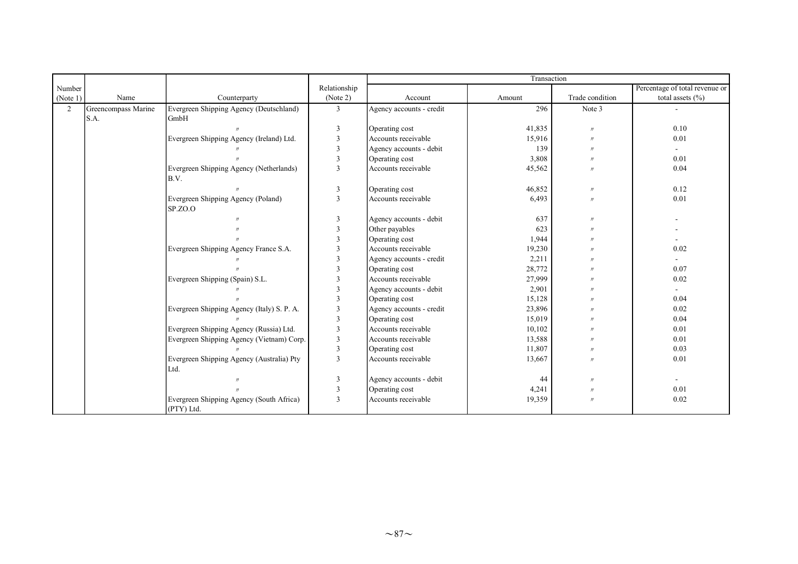|                |                     |                                            |                          |                          | Transaction |                   |                                |
|----------------|---------------------|--------------------------------------------|--------------------------|--------------------------|-------------|-------------------|--------------------------------|
| Number         |                     |                                            | Relationship             |                          |             |                   | Percentage of total revenue or |
| (Note 1)       | Name                | Counterparty                               | (Note 2)                 | Account                  | Amount      | Trade condition   | total assets $(\% )$           |
| $\overline{2}$ | Greencompass Marine | Evergreen Shipping Agency (Deutschland)    | 3                        | Agency accounts - credit | 296         | Note 3            |                                |
|                | S.A.                | GmbH                                       |                          |                          |             |                   |                                |
|                |                     |                                            | $\overline{3}$           | Operating cost           | 41,835      | $^{\prime\prime}$ | 0.10                           |
|                |                     | Evergreen Shipping Agency (Ireland) Ltd.   | $\overline{3}$           | Accounts receivable      | 15,916      | $^{\prime\prime}$ | 0.01                           |
|                |                     |                                            | 3                        | Agency accounts - debit  | 139         | $^{\prime\prime}$ |                                |
|                |                     |                                            | 3                        | Operating cost           | 3,808       | $^{\prime}$       | 0.01                           |
|                |                     | Evergreen Shipping Agency (Netherlands)    | 3                        | Accounts receivable      | 45,562      | $^{\prime}$       | 0.04                           |
|                |                     | B.V.                                       |                          |                          |             |                   |                                |
|                |                     |                                            | 3                        | Operating cost           | 46,852      | $^{\prime\prime}$ | 0.12                           |
|                |                     | Evergreen Shipping Agency (Poland)         | $\overline{3}$           | Accounts receivable      | 6,493       | $^{\prime\prime}$ | 0.01                           |
|                |                     | SP.ZO.O                                    |                          |                          |             |                   |                                |
|                |                     |                                            | 3                        | Agency accounts - debit  | 637         | $^{\prime\prime}$ |                                |
|                |                     |                                            | $\mathcal{R}$            | Other payables           | 623         | $^{\prime\prime}$ |                                |
|                |                     |                                            | $\mathbf{3}$             | Operating cost           | 1,944       |                   | $\overline{\phantom{a}}$       |
|                |                     | Evergreen Shipping Agency France S.A.      |                          | Accounts receivable      | 19,230      |                   | 0.02                           |
|                |                     |                                            | $\overline{\mathcal{E}}$ | Agency accounts - credit | 2,211       |                   |                                |
|                |                     |                                            | 3                        | Operating cost           | 28,772      |                   | 0.07                           |
|                |                     | Evergreen Shipping (Spain) S.L.            | 3                        | Accounts receivable      | 27,999      |                   | 0.02                           |
|                |                     |                                            | $\mathcal{R}$            | Agency accounts - debit  | 2,901       |                   |                                |
|                |                     |                                            | $\overline{\mathcal{E}}$ | Operating cost           | 15,128      |                   | 0.04                           |
|                |                     | Evergreen Shipping Agency (Italy) S. P. A. | 3                        | Agency accounts - credit | 23,896      |                   | 0.02                           |
|                |                     |                                            | 3                        | Operating cost           | 15,019      |                   | 0.04                           |
|                |                     | Evergreen Shipping Agency (Russia) Ltd.    | 3                        | Accounts receivable      | 10,102      |                   | 0.01                           |
|                |                     | Evergreen Shipping Agency (Vietnam) Corp.  | $\overline{3}$           | Accounts receivable      | 13,588      |                   | 0.01                           |
|                |                     |                                            | $\overline{3}$           | Operating cost           | 11,807      | $^{\prime}$       | 0.03                           |
|                |                     | Evergreen Shipping Agency (Australia) Pty  | 3                        | Accounts receivable      | 13,667      |                   | 0.01                           |
|                |                     | Ltd.                                       |                          |                          |             |                   |                                |
|                |                     |                                            | $\mathfrak{Z}$           | Agency accounts - debit  | 44          | $^{\prime\prime}$ |                                |
|                |                     |                                            | 3                        | Operating cost           | 4,241       | $^{\prime\prime}$ | 0.01                           |
|                |                     | Evergreen Shipping Agency (South Africa)   | 3                        | Accounts receivable      | 19,359      | $^{\prime}$       | 0.02                           |
|                |                     | (PTY) Ltd.                                 |                          |                          |             |                   |                                |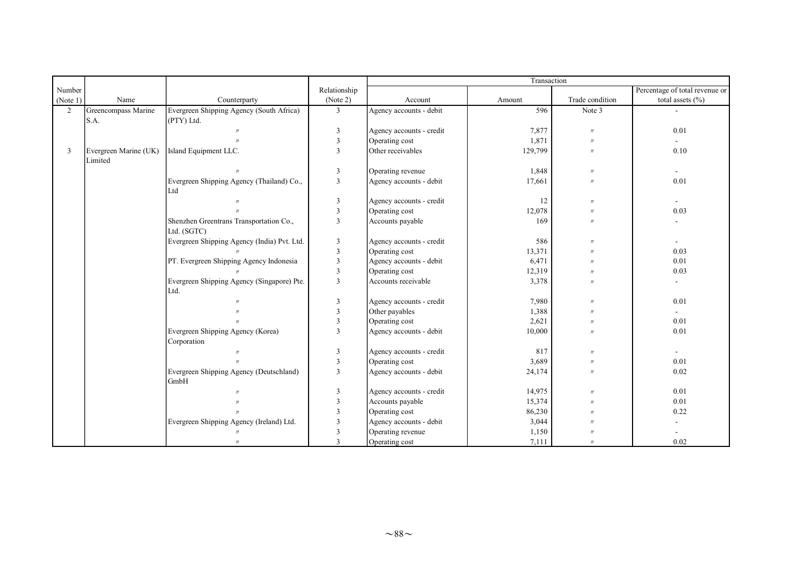|          |                       |                                             |                |                          | Transaction |                   |                                |  |  |
|----------|-----------------------|---------------------------------------------|----------------|--------------------------|-------------|-------------------|--------------------------------|--|--|
| Number   |                       |                                             | Relationship   |                          |             |                   | Percentage of total revenue or |  |  |
| (Note 1) | Name                  | Counterparty                                | (Note 2)       | Account                  | Amount      | Trade condition   | total assets $(\% )$           |  |  |
| 2        | Greencompass Marine   | Evergreen Shipping Agency (South Africa)    | $\overline{3}$ | Agency accounts - debit  | 596         | Note 3            |                                |  |  |
|          | S.A.                  | (PTY) Ltd.                                  |                |                          |             |                   |                                |  |  |
|          |                       |                                             | $\overline{3}$ | Agency accounts - credit | 7,877       | $^{\prime\prime}$ | 0.01                           |  |  |
|          |                       |                                             | $\overline{3}$ | Operating cost           | 1,871       | $^{\prime\prime}$ |                                |  |  |
| 3        | Evergreen Marine (UK) | Island Equipment LLC.                       | 3              | Other receivables        | 129,799     | $^{\prime\prime}$ | 0.10                           |  |  |
|          | Limited               |                                             |                |                          |             |                   |                                |  |  |
|          |                       |                                             | 3              | Operating revenue        | 1,848       | $^{\prime\prime}$ | $\sim$                         |  |  |
|          |                       | Evergreen Shipping Agency (Thailand) Co.,   | 3              | Agency accounts - debit  | 17,661      | $\prime$          | 0.01                           |  |  |
|          |                       | Ltd                                         |                |                          |             |                   |                                |  |  |
|          |                       | $^{\prime\prime}$                           | 3              | Agency accounts - credit | 12          | $^{\prime\prime}$ | $\sim$                         |  |  |
|          |                       |                                             | $\overline{3}$ | Operating cost           | 12,078      | $^{\prime\prime}$ | 0.03                           |  |  |
|          |                       | Shenzhen Greentrans Transportation Co.,     | 3              | Accounts payable         | 169         | $^{\prime}$       |                                |  |  |
|          |                       | Ltd. (SGTC)                                 |                |                          |             |                   |                                |  |  |
|          |                       | Evergreen Shipping Agency (India) Pvt. Ltd. | $\overline{3}$ | Agency accounts - credit | 586         |                   | $\blacksquare$                 |  |  |
|          |                       |                                             | $\overline{3}$ | Operating cost           | 13,371      |                   | 0.03                           |  |  |
|          |                       | PT. Evergreen Shipping Agency Indonesia     | $\overline{3}$ | Agency accounts - debit  | 6,471       |                   | 0.01                           |  |  |
|          |                       |                                             | $\overline{3}$ | Operating cost           | 12,319      | $^{\prime\prime}$ | 0.03                           |  |  |
|          |                       | Evergreen Shipping Agency (Singapore) Pte.  | 3              | Accounts receivable      | 3,378       | $^{\prime\prime}$ |                                |  |  |
|          |                       | Ltd.                                        |                |                          |             |                   |                                |  |  |
|          |                       |                                             | $\overline{3}$ | Agency accounts - credit | 7,980       | $^{\prime}$       | 0.01                           |  |  |
|          |                       |                                             | 3              | Other payables           | 1,388       | $^{\prime}$       | ÷.                             |  |  |
|          |                       |                                             | 3              | Operating cost           | 2,621       | $^{\prime\prime}$ | 0.01                           |  |  |
|          |                       | Evergreen Shipping Agency (Korea)           | $\overline{3}$ | Agency accounts - debit  | 10,000      | $^{\prime}$       | 0.01                           |  |  |
|          |                       | Corporation                                 |                |                          |             |                   |                                |  |  |
|          |                       | $^{\prime\prime}$                           | $\overline{3}$ | Agency accounts - credit | 817         | $^{\prime}$       |                                |  |  |
|          |                       |                                             | $\overline{3}$ | Operating cost           | 3,689       | $^{\prime\prime}$ | 0.01                           |  |  |
|          |                       | Evergreen Shipping Agency (Deutschland)     | 3              | Agency accounts - debit  | 24,174      | $^{\prime\prime}$ | 0.02                           |  |  |
|          |                       | GmbH                                        |                |                          |             |                   |                                |  |  |
|          |                       |                                             | 3              | Agency accounts - credit | 14,975      | $^{\prime\prime}$ | 0.01                           |  |  |
|          |                       |                                             | 3              | Accounts payable         | 15,374      | $\prime$          | 0.01                           |  |  |
|          |                       |                                             | $\mathbf{3}$   | Operating cost           | 86,230      |                   | 0.22                           |  |  |
|          |                       | Evergreen Shipping Agency (Ireland) Ltd.    | $\mathcal{R}$  | Agency accounts - debit  | 3,044       |                   |                                |  |  |
|          |                       | $^{\prime\prime}$                           | 3              | Operating revenue        | 1,150       |                   |                                |  |  |
|          |                       | $^{\prime\prime}$                           | 3              | Operating cost           | 7,111       | $^{\prime\prime}$ | 0.02                           |  |  |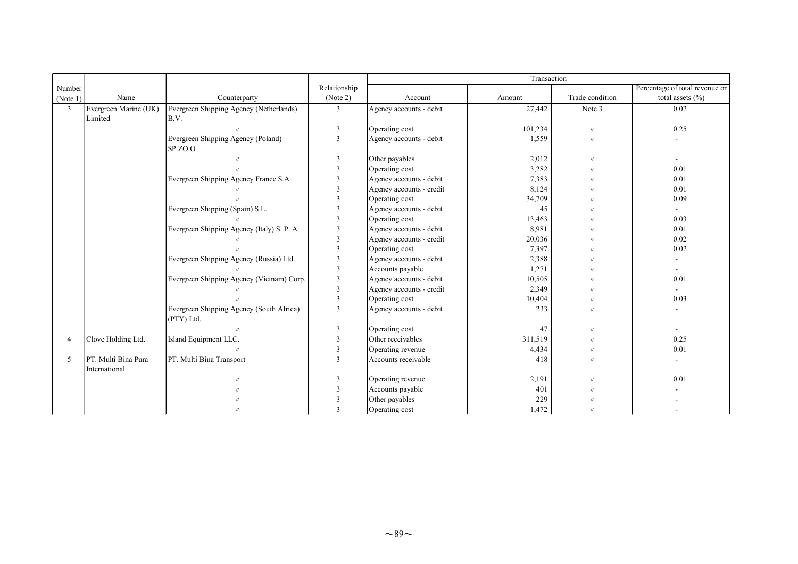|          |                       |                                            |                         |                          | Transaction |                   |                                |
|----------|-----------------------|--------------------------------------------|-------------------------|--------------------------|-------------|-------------------|--------------------------------|
| Number   |                       |                                            | Relationship            |                          |             |                   | Percentage of total revenue or |
| (Note 1) | Name                  | Counterparty                               | (Note 2)                | Account                  | Amount      | Trade condition   | total assets (%)               |
| 3        | Evergreen Marine (UK) | Evergreen Shipping Agency (Netherlands)    | $\mathfrak{Z}$          | Agency accounts - debit  | 27,442      | Note 3            | 0.02                           |
|          | Limited               | B.V.                                       |                         |                          |             |                   |                                |
|          |                       |                                            | $\overline{3}$          | Operating cost           | 101,234     | $^{\prime\prime}$ | 0.25                           |
|          |                       | Evergreen Shipping Agency (Poland)         | $\overline{3}$          | Agency accounts - debit  | 1,559       | $^{\prime\prime}$ |                                |
|          |                       | SP.ZO.O                                    |                         |                          |             |                   |                                |
|          |                       |                                            | $\overline{3}$          | Other payables           | 2,012       | $^{\prime\prime}$ |                                |
|          |                       |                                            | $\mathcal{R}$           | Operating cost           | 3,282       | $^{\prime\prime}$ | 0.01                           |
|          |                       | Evergreen Shipping Agency France S.A.      | $\mathbf{3}$            | Agency accounts - debit  | 7,383       |                   | 0.01                           |
|          |                       |                                            | $\mathcal{R}$           | Agency accounts - credit | 8,124       |                   | 0.01                           |
|          |                       |                                            | $\mathcal{R}$           | Operating cost           | 34,709      |                   | 0.09                           |
|          |                       | Evergreen Shipping (Spain) S.L.            | 3                       | Agency accounts - debit  | 45          |                   | $\blacksquare$                 |
|          |                       |                                            | 3                       | Operating cost           | 13,463      | $^{\prime}$       | 0.03                           |
|          |                       | Evergreen Shipping Agency (Italy) S. P. A. | 3                       | Agency accounts - debit  | 8,981       |                   | 0.01                           |
|          |                       |                                            | $\overline{\mathbf{3}}$ | Agency accounts - credit | 20,036      |                   | 0.02                           |
|          |                       |                                            | $\mathcal{R}$           | Operating cost           | 7,397       |                   | 0.02                           |
|          |                       | Evergreen Shipping Agency (Russia) Ltd.    | 3                       | Agency accounts - debit  | 2,388       |                   |                                |
|          |                       |                                            | $\overline{3}$          | Accounts payable         | 1,271       |                   |                                |
|          |                       | Evergreen Shipping Agency (Vietnam) Corp.  | 3                       | Agency accounts - debit  | 10,505      |                   | 0.01                           |
|          |                       |                                            | 3                       | Agency accounts - credit | 2,349       |                   | $\sim$                         |
|          |                       |                                            | $\mathbf{3}$            | Operating cost           | 10,404      | $^{\prime\prime}$ | 0.03                           |
|          |                       | Evergreen Shipping Agency (South Africa)   | 3                       | Agency accounts - debit  | 233         | $^{\prime\prime}$ |                                |
|          |                       | (PTY) Ltd.                                 |                         |                          |             |                   |                                |
|          |                       |                                            | $\overline{3}$          | Operating cost           | 47          | $^{\prime\prime}$ | $\sim$                         |
|          | Clove Holding Ltd.    | Island Equipment LLC.                      | $\mathbf{3}$            | Other receivables        | 311,519     | $^{\prime}$       | 0.25                           |
|          |                       | $^{\prime\prime}$                          | $\mathcal{R}$           | Operating revenue        | 4,434       | $^{\prime\prime}$ | 0.01                           |
| 5        | PT. Multi Bina Pura   | PT. Multi Bina Transport                   | 3                       | Accounts receivable      | 418         |                   |                                |
|          | International         |                                            |                         |                          |             |                   |                                |
|          |                       |                                            |                         | Operating revenue        | 2,191       | $^{\prime\prime}$ | 0.01                           |
|          |                       |                                            |                         | Accounts payable         | 401         |                   |                                |
|          |                       |                                            |                         | Other payables           | 229         |                   |                                |
|          |                       | $^{\prime}$                                | $\mathcal{R}$           | Operating cost           | 1,472       | $^{\prime\prime}$ |                                |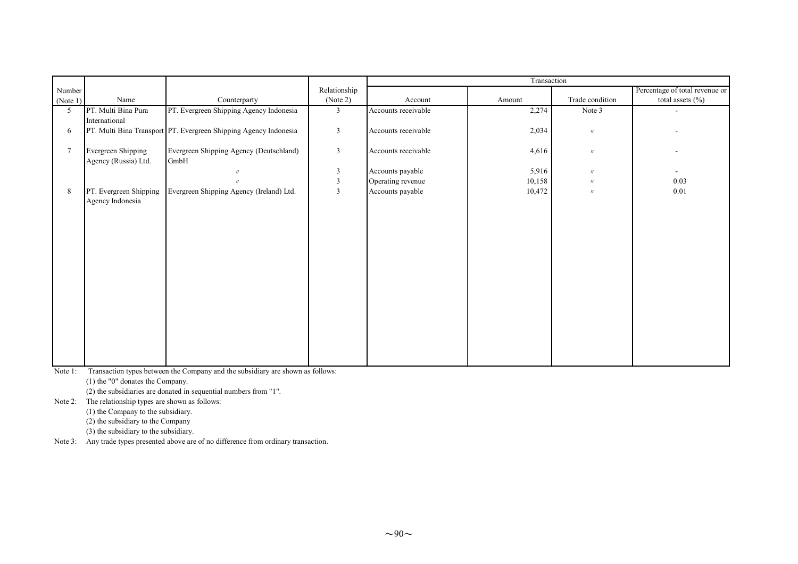|                 |                                            |                                                                  |                |                     | Transaction |                   |                                |
|-----------------|--------------------------------------------|------------------------------------------------------------------|----------------|---------------------|-------------|-------------------|--------------------------------|
| Number          |                                            |                                                                  | Relationship   |                     |             |                   | Percentage of total revenue or |
| (Note 1)        | Name                                       | Counterparty                                                     | (Note 2)       | Account             | Amount      | Trade condition   | total assets $(\% )$           |
| 5               | PT. Multi Bina Pura<br>International       | PT. Evergreen Shipping Agency Indonesia                          | $\mathbf{3}$   | Accounts receivable | 2,274       | Note 3            |                                |
| 6               |                                            | PT. Multi Bina Transport PT. Evergreen Shipping Agency Indonesia | $\mathfrak{Z}$ | Accounts receivable | 2,034       | $\prime\prime$    |                                |
| $7\phantom{.0}$ | Evergreen Shipping<br>Agency (Russia) Ltd. | Evergreen Shipping Agency (Deutschland)<br>GmbH                  | $\mathfrak{Z}$ | Accounts receivable | 4,616       | $^{\prime\prime}$ |                                |
|                 |                                            |                                                                  | 3              | Accounts payable    | 5,916       | $^{\prime\prime}$ | $\blacksquare$                 |
|                 |                                            |                                                                  | 3              | Operating revenue   | 10,158      | $\prime\prime$    | 0.03                           |
| 8               | PT. Evergreen Shipping<br>Agency Indonesia | Evergreen Shipping Agency (Ireland) Ltd.                         | 3              | Accounts payable    | 10,472      | $^{\prime\prime}$ | 0.01                           |
|                 |                                            |                                                                  |                |                     |             |                   |                                |
|                 |                                            |                                                                  |                |                     |             |                   |                                |
|                 |                                            |                                                                  |                |                     |             |                   |                                |
|                 |                                            |                                                                  |                |                     |             |                   |                                |
|                 |                                            |                                                                  |                |                     |             |                   |                                |

Note 1: Transaction types between the Company and the subsidiary are shown as follows:

(1) the "0" donates the Company.

(2) the subsidiaries are donated in sequential numbers from "1".

Note 2: The relationship types are shown as follows:

(1) the Company to the subsidiary.

(2) the subsidiary to the Company

(3) the subsidiary to the subsidiary.

Note 3: Any trade types presented above are of no difference from ordinary transaction.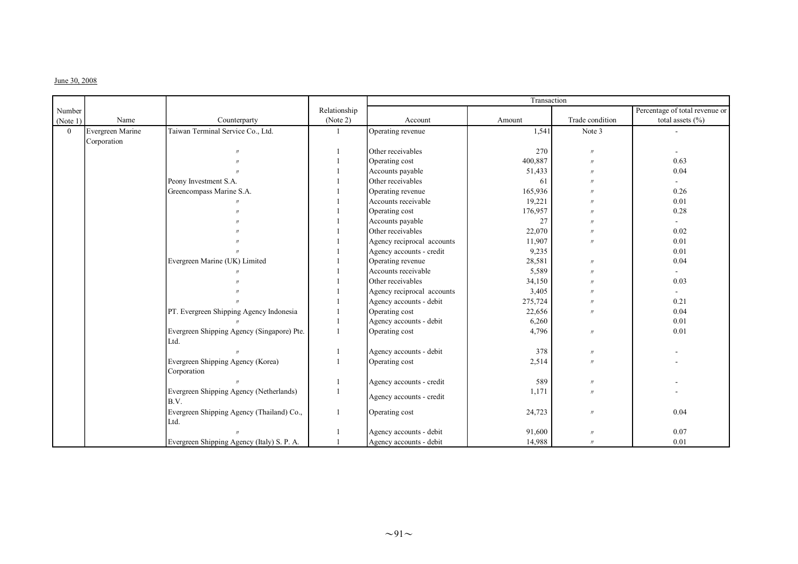#### June 30, 2008

|                |                  |                                            |              |                            | Transaction |                   |                                |
|----------------|------------------|--------------------------------------------|--------------|----------------------------|-------------|-------------------|--------------------------------|
| Number         |                  |                                            | Relationship |                            |             |                   | Percentage of total revenue or |
| (Note 1)       | Name             | Counterparty                               | (Note 2)     | Account                    | Amount      | Trade condition   | total assets $(\% )$           |
| $\overline{0}$ | Evergreen Marine | Taiwan Terminal Service Co., Ltd.          |              | Operating revenue          | 1,541       | Note 3            |                                |
|                | Corporation      |                                            |              |                            |             |                   |                                |
|                |                  |                                            |              | Other receivables          | 270         | $^{\prime\prime}$ |                                |
|                |                  |                                            |              | Operating cost             | 400,887     | $^{\prime\prime}$ | 0.63                           |
|                |                  |                                            |              | Accounts payable           | 51,433      | $^{\prime\prime}$ | 0.04                           |
|                |                  | Peony Investment S.A.                      |              | Other receivables          | 61          | $^{\prime\prime}$ | $\sim$                         |
|                |                  | Greencompass Marine S.A.                   |              | Operating revenue          | 165,936     |                   | 0.26                           |
|                |                  |                                            |              | Accounts receivable        | 19,221      | $\overline{B}$    | 0.01                           |
|                |                  |                                            |              | Operating cost             | 176,957     | $^{\prime\prime}$ | 0.28                           |
|                |                  |                                            |              | Accounts payable           | 27          | $^{\prime\prime}$ | $\sim$                         |
|                |                  |                                            |              | Other receivables          | 22,070      | $^{\prime\prime}$ | 0.02                           |
|                |                  |                                            |              | Agency reciprocal accounts | 11,907      | $^{\prime\prime}$ | 0.01                           |
|                |                  |                                            |              | Agency accounts - credit   | 9,235       |                   | 0.01                           |
|                |                  | Evergreen Marine (UK) Limited              |              | Operating revenue          | 28,581      | $^{\prime\prime}$ | 0.04                           |
|                |                  |                                            |              | Accounts receivable        | 5,589       | $^{\prime\prime}$ | $\sim$                         |
|                |                  |                                            |              | Other receivables          | 34,150      | $^{\prime\prime}$ | 0.03                           |
|                |                  |                                            |              | Agency reciprocal accounts | 3,405       | $^{\prime\prime}$ | $\sim$                         |
|                |                  |                                            |              | Agency accounts - debit    | 275,724     | $^{\prime\prime}$ | 0.21                           |
|                |                  | PT. Evergreen Shipping Agency Indonesia    |              | Operating cost             | 22,656      | $^{\prime\prime}$ | 0.04                           |
|                |                  |                                            |              | Agency accounts - debit    | 6,260       |                   | 0.01                           |
|                |                  | Evergreen Shipping Agency (Singapore) Pte. |              | Operating cost             | 4,796       | $^{\prime\prime}$ | 0.01                           |
|                |                  | Ltd.                                       |              |                            |             |                   |                                |
|                |                  |                                            |              | Agency accounts - debit    | 378         | $^{\prime\prime}$ |                                |
|                |                  | Evergreen Shipping Agency (Korea)          |              | Operating cost             | 2,514       | $^{\prime\prime}$ |                                |
|                |                  | Corporation                                |              |                            |             |                   |                                |
|                |                  |                                            |              | Agency accounts - credit   | 589         | $^{\prime\prime}$ |                                |
|                |                  | Evergreen Shipping Agency (Netherlands)    |              |                            | 1,171       | $^{\prime\prime}$ |                                |
|                |                  | B.V.                                       |              | Agency accounts - credit   |             |                   |                                |
|                |                  | Evergreen Shipping Agency (Thailand) Co.,  |              | Operating cost             | 24,723      | $^{\prime\prime}$ | 0.04                           |
|                |                  | Ltd.                                       |              |                            |             |                   |                                |
|                |                  |                                            |              | Agency accounts - debit    | 91,600      | $\prime$          | 0.07                           |
|                |                  | Evergreen Shipping Agency (Italy) S. P. A. |              | Agency accounts - debit    | 14,988      | $^{\prime\prime}$ | 0.01                           |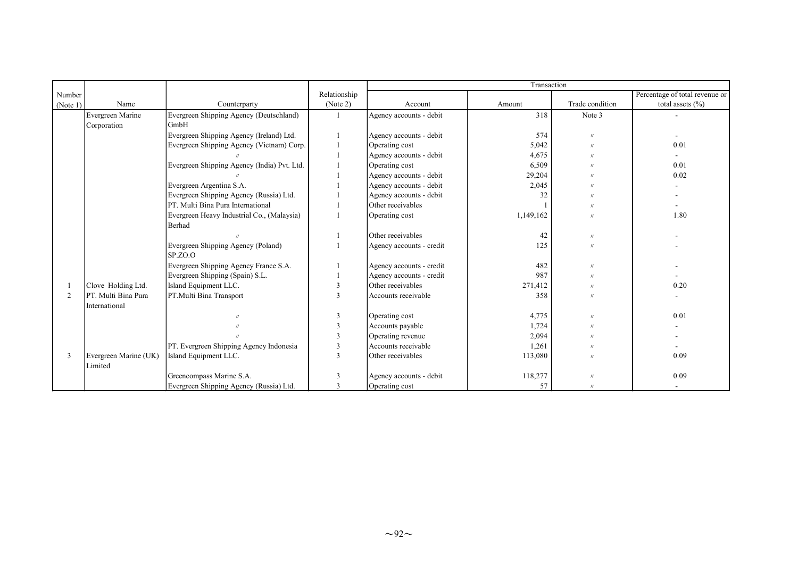|                |                       |                                             |              |                          | Transaction |                   |                                |
|----------------|-----------------------|---------------------------------------------|--------------|--------------------------|-------------|-------------------|--------------------------------|
| Number         |                       |                                             | Relationship |                          |             |                   | Percentage of total revenue or |
| (Note 1)       | Name                  | Counterparty                                | (Note 2)     | Account                  | Amount      | Trade condition   | total assets $(\% )$           |
|                | Evergreen Marine      | Evergreen Shipping Agency (Deutschland)     |              | Agency accounts - debit  | 318         | Note 3            |                                |
|                | Corporation           | GmbH                                        |              |                          |             |                   |                                |
|                |                       | Evergreen Shipping Agency (Ireland) Ltd.    |              | Agency accounts - debit  | 574         | $^{\prime}$       |                                |
|                |                       | Evergreen Shipping Agency (Vietnam) Corp.   |              | Operating cost           | 5,042       | $^{\prime}$       | 0.01                           |
|                |                       |                                             |              | Agency accounts - debit  | 4,675       |                   |                                |
|                |                       | Evergreen Shipping Agency (India) Pvt. Ltd. |              | Operating cost           | 6,509       |                   | 0.01                           |
|                |                       |                                             |              | Agency accounts - debit  | 29,204      |                   | 0.02                           |
|                |                       | Evergreen Argentina S.A.                    |              | Agency accounts - debit  | 2,045       |                   |                                |
|                |                       | Evergreen Shipping Agency (Russia) Ltd.     |              | Agency accounts - debit  | 32          |                   |                                |
|                |                       | PT. Multi Bina Pura International           |              | Other receivables        |             |                   |                                |
|                |                       | Evergreen Heavy Industrial Co., (Malaysia)  |              | Operating cost           | 1,149,162   |                   | 1.80                           |
|                |                       | Berhad                                      |              |                          |             |                   |                                |
|                |                       |                                             |              | Other receivables        | 42          | $^{\prime}$       |                                |
|                |                       | Evergreen Shipping Agency (Poland)          |              | Agency accounts - credit | 125         | $^{\prime\prime}$ |                                |
|                |                       | SPZO.                                       |              |                          |             |                   |                                |
|                |                       | Evergreen Shipping Agency France S.A.       |              | Agency accounts - credit | 482         | $^{\prime\prime}$ |                                |
|                |                       | Evergreen Shipping (Spain) S.L.             |              | Agency accounts - credit | 987         | $^{\prime}$       |                                |
|                | Clove Holding Ltd.    | Island Equipment LLC.                       |              | Other receivables        | 271,412     |                   | 0.20                           |
| $\mathfrak{D}$ | PT. Multi Bina Pura   | PT.Multi Bina Transport                     | 3            | Accounts receivable      | 358         | $^{\prime}$       |                                |
|                | International         |                                             |              |                          |             |                   |                                |
|                |                       |                                             | $\mathbf{3}$ | Operating cost           | 4,775       | $^{\prime\prime}$ | 0.01                           |
|                |                       |                                             | $\mathbf{3}$ | Accounts payable         | 1,724       | $^{\prime}$       |                                |
|                |                       |                                             | $\mathbf{R}$ | Operating revenue        | 2,094       |                   |                                |
|                |                       | PT. Evergreen Shipping Agency Indonesia     | 3            | Accounts receivable      | 1,261       |                   |                                |
| 3              | Evergreen Marine (UK) | Island Equipment LLC.                       | $\mathbf{3}$ | Other receivables        | 113,080     |                   | 0.09                           |
|                | Limited               |                                             |              |                          |             |                   |                                |
|                |                       | Greencompass Marine S.A.                    |              | Agency accounts - debit  | 118,277     | $^{\prime\prime}$ | 0.09                           |
|                |                       | Evergreen Shipping Agency (Russia) Ltd.     | $\mathbf{3}$ | Operating cost           | 57          | $^{\prime}$       |                                |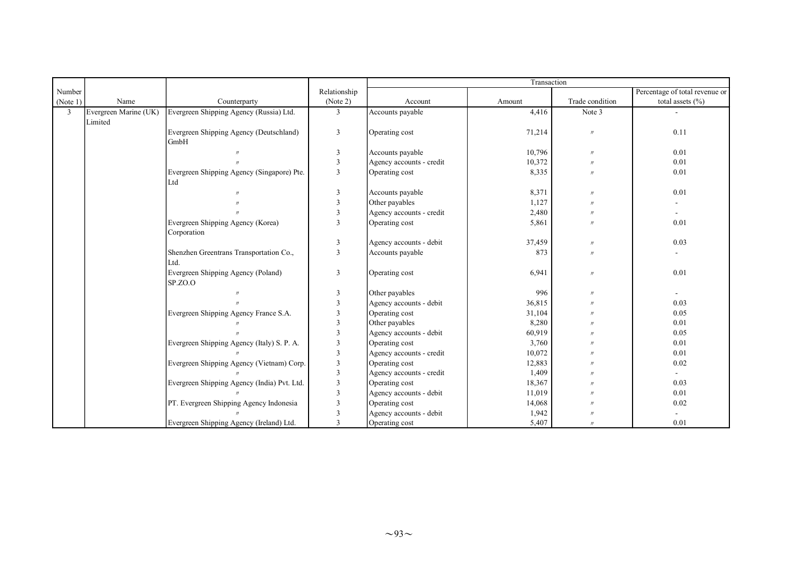|                |                                  |                                                   |                         |                          | Transaction |                   |                                |
|----------------|----------------------------------|---------------------------------------------------|-------------------------|--------------------------|-------------|-------------------|--------------------------------|
| Number         |                                  |                                                   | Relationship            |                          |             |                   | Percentage of total revenue or |
| (Note 1)       | Name                             | Counterparty                                      | (Note 2)                | Account                  | Amount      | Trade condition   | total assets $(\% )$           |
| $\overline{3}$ | Evergreen Marine (UK)<br>Limited | Evergreen Shipping Agency (Russia) Ltd.           | $\mathfrak{Z}$          | Accounts payable         | 4,416       | Note 3            |                                |
|                |                                  | Evergreen Shipping Agency (Deutschland)<br>GmbH   | 3                       | Operating cost           | 71,214      | $\prime$          | 0.11                           |
|                |                                  |                                                   | 3                       | Accounts payable         | 10,796      | $\prime$          | 0.01                           |
|                |                                  |                                                   | $\overline{3}$          | Agency accounts - credit | 10,372      | $^{\prime\prime}$ | 0.01                           |
|                |                                  | Evergreen Shipping Agency (Singapore) Pte.<br>Ltd | 3                       | Operating cost           | 8,335       | $^{\prime\prime}$ | 0.01                           |
|                |                                  |                                                   | $\overline{3}$          | Accounts payable         | 8,371       | $^{\prime\prime}$ | 0.01                           |
|                |                                  |                                                   | $\overline{3}$          | Other payables           | 1,127       | $^{\prime\prime}$ |                                |
|                |                                  |                                                   | 3                       | Agency accounts - credit | 2,480       | $^{\prime\prime}$ | ÷.                             |
|                |                                  | Evergreen Shipping Agency (Korea)<br>Corporation  | 3                       | Operating cost           | 5,861       |                   | 0.01                           |
|                |                                  |                                                   | $\overline{3}$          | Agency accounts - debit  | 37,459      | $^{\prime\prime}$ | 0.03                           |
|                |                                  | Shenzhen Greentrans Transportation Co.,<br>Ltd.   | 3                       | Accounts payable         | 873         | $^{\prime\prime}$ |                                |
|                |                                  | Evergreen Shipping Agency (Poland)<br>SP.ZO.O     | $\overline{3}$          | Operating cost           | 6,941       | $^{\prime\prime}$ | 0.01                           |
|                |                                  |                                                   | 3                       | Other payables           | 996         | $^{\prime\prime}$ | $\sim$                         |
|                |                                  |                                                   | $\mathbf{3}$            | Agency accounts - debit  | 36,815      | $^{\prime}$       | 0.03                           |
|                |                                  | Evergreen Shipping Agency France S.A.             | $\mathcal{R}$           | Operating cost           | 31,104      |                   | 0.05                           |
|                |                                  |                                                   | $\mathbf{3}$            | Other payables           | 8,280       |                   | 0.01                           |
|                |                                  |                                                   | 3                       | Agency accounts - debit  | 60,919      |                   | 0.05                           |
|                |                                  | Evergreen Shipping Agency (Italy) S. P. A.        | 3                       | Operating cost           | 3,760       |                   | 0.01                           |
|                |                                  |                                                   | $\overline{3}$          | Agency accounts - credit | 10,072      |                   | 0.01                           |
|                |                                  | Evergreen Shipping Agency (Vietnam) Corp.         | $\overline{3}$          | Operating cost           | 12,883      | $^{\prime}$       | 0.02                           |
|                |                                  |                                                   | $\overline{3}$          | Agency accounts - credit | 1,409       |                   | $\sim$                         |
|                |                                  | Evergreen Shipping Agency (India) Pvt. Ltd.       | $\overline{\mathbf{3}}$ | Operating cost           | 18,367      |                   | 0.03                           |
|                |                                  |                                                   | $\overline{\mathbf{3}}$ | Agency accounts - debit  | 11,019      |                   | 0.01                           |
|                |                                  | PT. Evergreen Shipping Agency Indonesia           | $\mathbf{3}$            | Operating cost           | 14,068      |                   | 0.02                           |
|                |                                  |                                                   | 3                       | Agency accounts - debit  | 1,942       |                   |                                |
|                |                                  | Evergreen Shipping Agency (Ireland) Ltd.          | $\overline{\mathbf{3}}$ | Operating cost           | 5.407       | $^{\prime\prime}$ | 0.01                           |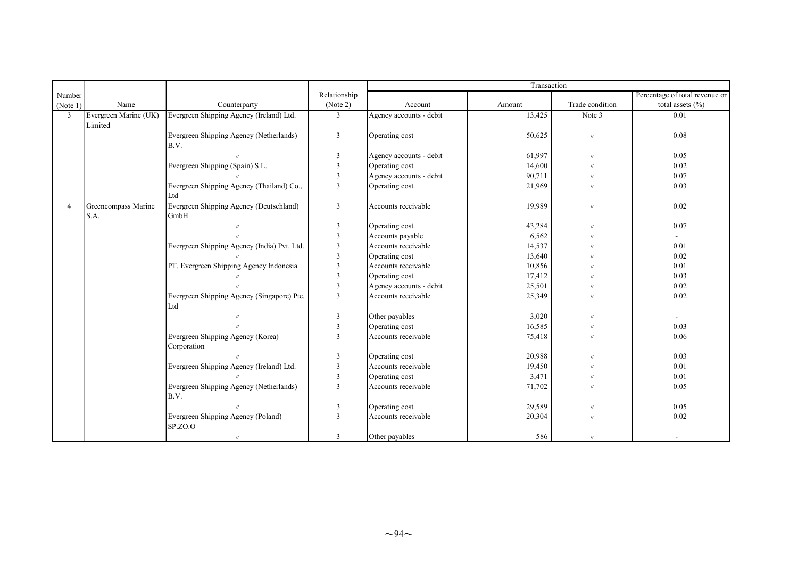|                |                       |                                             |                         | Transaction             |        |                   |                                |
|----------------|-----------------------|---------------------------------------------|-------------------------|-------------------------|--------|-------------------|--------------------------------|
| Number         |                       |                                             | Relationship            |                         |        |                   | Percentage of total revenue or |
| (Note 1)       | Name                  | Counterparty                                | (Note 2)                | Account                 | Amount | Trade condition   | total assets $(\% )$           |
| $\mathfrak{Z}$ | Evergreen Marine (UK) | Evergreen Shipping Agency (Ireland) Ltd.    | $\overline{3}$          | Agency accounts - debit | 13,425 | Note 3            | 0.01                           |
|                | Limited               |                                             |                         |                         |        |                   |                                |
|                |                       | Evergreen Shipping Agency (Netherlands)     | 3                       | Operating cost          | 50,625 | $\prime\prime$    | 0.08                           |
|                |                       | B.V.                                        |                         |                         |        |                   |                                |
|                |                       |                                             | $\mathfrak{Z}$          | Agency accounts - debit | 61,997 | $^{\prime\prime}$ | 0.05                           |
|                |                       | Evergreen Shipping (Spain) S.L.             | $\mathbf{3}$            | Operating cost          | 14,600 | $^{\prime\prime}$ | 0.02                           |
|                |                       |                                             | $\mathbf{3}$            | Agency accounts - debit | 90,711 | $\prime$          | 0.07                           |
|                |                       | Evergreen Shipping Agency (Thailand) Co.,   | $\overline{3}$          | Operating cost          | 21,969 | $\prime$          | 0.03                           |
|                |                       | Ltd                                         |                         |                         |        |                   |                                |
| 4              | Greencompass Marine   | Evergreen Shipping Agency (Deutschland)     | 3                       | Accounts receivable     | 19,989 | $^{\prime\prime}$ | 0.02                           |
|                | S.A.                  | GmbH                                        |                         |                         |        |                   |                                |
|                |                       |                                             | $\overline{3}$          | Operating cost          | 43,284 | $^{\prime\prime}$ | 0.07                           |
|                |                       |                                             | 3                       | Accounts payable        | 6,562  |                   | ÷.                             |
|                |                       | Evergreen Shipping Agency (India) Pvt. Ltd. | 3                       | Accounts receivable     | 14,537 |                   | 0.01                           |
|                |                       |                                             | $\overline{3}$          | Operating cost          | 13,640 |                   | 0.02                           |
|                |                       | PT. Evergreen Shipping Agency Indonesia     | $\overline{\mathbf{3}}$ | Accounts receivable     | 10,856 |                   | 0.01                           |
|                |                       |                                             | $\overline{\mathbf{3}}$ | Operating cost          | 17,412 |                   | 0.03                           |
|                |                       |                                             | 3                       | Agency accounts - debit | 25,501 |                   | 0.02                           |
|                |                       | Evergreen Shipping Agency (Singapore) Pte.  | 3                       | Accounts receivable     | 25,349 | $^{\prime\prime}$ | 0.02                           |
|                |                       | Ltd                                         |                         |                         |        |                   |                                |
|                |                       | $^{\prime\prime}$                           | 3                       | Other payables          | 3,020  | $^{\prime\prime}$ | ÷.                             |
|                |                       |                                             | $\overline{3}$          | Operating cost          | 16,585 | $^{\prime\prime}$ | 0.03                           |
|                |                       | Evergreen Shipping Agency (Korea)           | $\overline{3}$          | Accounts receivable     | 75,418 | $^{\prime\prime}$ | 0.06                           |
|                |                       | Corporation                                 |                         |                         |        |                   |                                |
|                |                       |                                             | $\overline{3}$          | Operating cost          | 20,988 | $^{\prime\prime}$ | 0.03                           |
|                |                       | Evergreen Shipping Agency (Ireland) Ltd.    | $\overline{3}$          | Accounts receivable     | 19,450 | $\prime$          | 0.01                           |
|                |                       |                                             | $\overline{3}$          | Operating cost          | 3,471  | $^{\prime\prime}$ | 0.01                           |
|                |                       | Evergreen Shipping Agency (Netherlands)     | $\overline{3}$          | Accounts receivable     | 71,702 | $^{\prime}$       | 0.05                           |
|                |                       | B.V.                                        |                         |                         |        |                   |                                |
|                |                       |                                             | $\overline{3}$          | Operating cost          | 29,589 | $^{\prime\prime}$ | 0.05                           |
|                |                       | Evergreen Shipping Agency (Poland)          | 3                       | Accounts receivable     | 20,304 |                   | 0.02                           |
|                |                       | SP.ZO.O                                     |                         |                         |        |                   |                                |
|                |                       | $\prime\prime$                              | 3                       | Other payables          | 586    | $^{\prime\prime}$ |                                |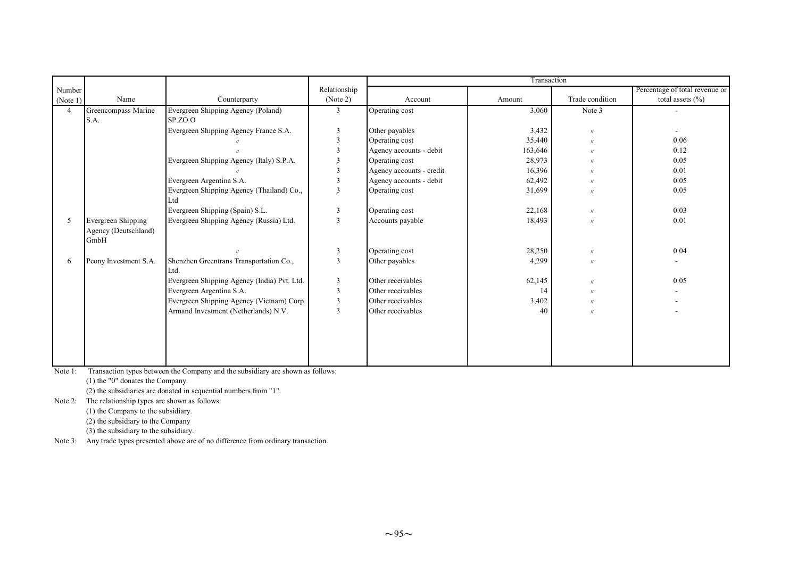|          |                                                    |                                                 |                         | Transaction              |         |                   |                                |
|----------|----------------------------------------------------|-------------------------------------------------|-------------------------|--------------------------|---------|-------------------|--------------------------------|
| Number   |                                                    |                                                 | Relationship            |                          |         |                   | Percentage of total revenue or |
| (Note 1) | Name                                               | Counterparty                                    | (Note 2)                | Account                  | Amount  | Trade condition   | total assets $(\% )$           |
| 4        | Greencompass Marine                                | Evergreen Shipping Agency (Poland)              | 3                       | Operating cost           | 3,060   | Note 3            |                                |
|          | S.A.                                               | SPZO.                                           |                         |                          |         |                   |                                |
|          |                                                    | Evergreen Shipping Agency France S.A.           | 3                       | Other payables           | 3,432   | $\prime\prime$    |                                |
|          |                                                    |                                                 | $\mathbf{3}$            | Operating cost           | 35,440  | $\prime$          | 0.06                           |
|          |                                                    |                                                 |                         | Agency accounts - debit  | 163,646 | $\prime$          | 0.12                           |
|          |                                                    | Evergreen Shipping Agency (Italy) S.P.A.        |                         | Operating cost           | 28,973  | $^{\prime\prime}$ | 0.05                           |
|          |                                                    |                                                 | 3                       | Agency accounts - credit | 16,396  | $^{\prime\prime}$ | 0.01                           |
|          |                                                    | Evergreen Argentina S.A.                        | $\mathbf{3}$            | Agency accounts - debit  | 62,492  | $^{\prime\prime}$ | 0.05                           |
|          |                                                    | Evergreen Shipping Agency (Thailand) Co.,       | $\overline{3}$          | Operating cost           | 31,699  | $^{\prime\prime}$ | 0.05                           |
|          |                                                    | Ltd                                             |                         |                          |         |                   |                                |
|          |                                                    | Evergreen Shipping (Spain) S.L.                 | 3                       | Operating cost           | 22,168  | $^{\prime\prime}$ | 0.03                           |
| 5        | Evergreen Shipping<br>Agency (Deutschland)<br>GmbH | Evergreen Shipping Agency (Russia) Ltd.         | 3                       | Accounts payable         | 18,493  | $\prime$          | 0.01                           |
|          |                                                    |                                                 | 3                       | Operating cost           | 28,250  | $\prime$          | 0.04                           |
| 6        | Peony Investment S.A.                              | Shenzhen Greentrans Transportation Co.,<br>Ltd. | 3                       | Other payables           | 4,299   | $^{\prime\prime}$ |                                |
|          |                                                    | Evergreen Shipping Agency (India) Pvt. Ltd.     | $\overline{3}$          | Other receivables        | 62,145  | $\prime$          | 0.05                           |
|          |                                                    | Evergreen Argentina S.A.                        | 3                       | Other receivables        | 14      | $^{\prime\prime}$ |                                |
|          |                                                    | Evergreen Shipping Agency (Vietnam) Corp.       | 3                       | Other receivables        | 3,402   | $^{\prime\prime}$ |                                |
|          |                                                    | Armand Investment (Netherlands) N.V.            | $\overline{\mathbf{3}}$ | Other receivables        | 40      | $^{\prime\prime}$ |                                |
|          |                                                    |                                                 |                         |                          |         |                   |                                |

Note 1: Transaction types between the Company and the subsidiary are shown as follows:

(1) the "0" donates the Company.

(2) the subsidiaries are donated in sequential numbers from "1".

Note 2: The relationship types are shown as follows:

(1) the Company to the subsidiary.

(2) the subsidiary to the Company

(3) the subsidiary to the subsidiary.

Note 3: Any trade types presented above are of no difference from ordinary transaction.